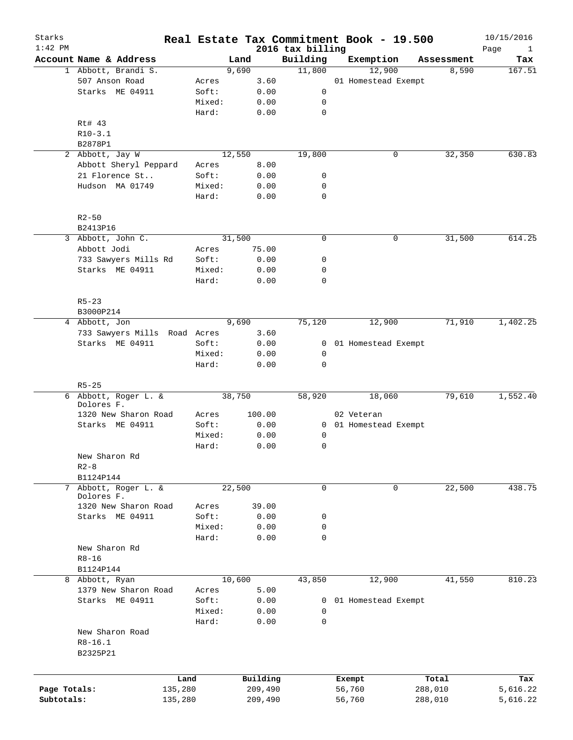| Starks<br>$1:42$ PM |                              |        |        |          | 2016 tax billing | Real Estate Tax Commitment Book - 19.500 |   |            | 10/15/2016<br>Page<br>$\mathbf{1}$ |
|---------------------|------------------------------|--------|--------|----------|------------------|------------------------------------------|---|------------|------------------------------------|
|                     | Account Name & Address       |        | Land   |          | Building         | Exemption                                |   | Assessment | Tax                                |
|                     | 1 Abbott, Brandi S.          |        | 9,690  |          | 11,800           | 12,900                                   |   | 8,590      | 167.51                             |
|                     | 507 Anson Road               | Acres  |        | 3.60     |                  | 01 Homestead Exempt                      |   |            |                                    |
|                     | Starks ME 04911              | Soft:  |        | 0.00     | 0                |                                          |   |            |                                    |
|                     |                              | Mixed: |        | 0.00     | 0                |                                          |   |            |                                    |
|                     |                              | Hard:  |        | 0.00     | 0                |                                          |   |            |                                    |
|                     | Rt# 43                       |        |        |          |                  |                                          |   |            |                                    |
|                     | $R10-3.1$                    |        |        |          |                  |                                          |   |            |                                    |
|                     | B2878P1                      |        |        |          |                  |                                          |   |            |                                    |
|                     | 2 Abbott, Jay W              |        | 12,550 |          | 19,800           |                                          | 0 | 32,350     | 630.83                             |
|                     | Abbott Sheryl Peppard        | Acres  |        | 8.00     |                  |                                          |   |            |                                    |
|                     | 21 Florence St               | Soft:  |        | 0.00     | 0                |                                          |   |            |                                    |
|                     | Hudson MA 01749              |        |        |          | 0                |                                          |   |            |                                    |
|                     |                              | Mixed: |        | 0.00     | $\mathbf 0$      |                                          |   |            |                                    |
|                     |                              | Hard:  |        | 0.00     |                  |                                          |   |            |                                    |
|                     |                              |        |        |          |                  |                                          |   |            |                                    |
|                     | $R2 - 50$                    |        |        |          |                  |                                          |   |            |                                    |
|                     | B2413P16                     |        |        |          |                  |                                          |   |            |                                    |
| 3                   | Abbott, John C.              |        | 31,500 |          | 0                |                                          | 0 | 31,500     | 614.25                             |
|                     | Abbott Jodi                  | Acres  |        | 75.00    |                  |                                          |   |            |                                    |
|                     | 733 Sawyers Mills Rd         | Soft:  |        | 0.00     | 0                |                                          |   |            |                                    |
|                     | Starks ME 04911              | Mixed: |        | 0.00     | 0                |                                          |   |            |                                    |
|                     |                              | Hard:  |        | 0.00     | 0                |                                          |   |            |                                    |
|                     |                              |        |        |          |                  |                                          |   |            |                                    |
|                     | $R5 - 23$                    |        |        |          |                  |                                          |   |            |                                    |
|                     | B3000P214                    |        |        |          |                  |                                          |   |            |                                    |
|                     | 4 Abbott, Jon                |        | 9,690  |          | 75,120           | 12,900                                   |   | 71,910     | 1,402.25                           |
|                     | 733 Sawyers Mills Road Acres |        |        | 3.60     |                  |                                          |   |            |                                    |
|                     | Starks ME 04911              | Soft:  |        | 0.00     | 0                | 01 Homestead Exempt                      |   |            |                                    |
|                     |                              | Mixed: |        | 0.00     | 0                |                                          |   |            |                                    |
|                     |                              | Hard:  |        | 0.00     | $\mathbf 0$      |                                          |   |            |                                    |
|                     |                              |        |        |          |                  |                                          |   |            |                                    |
|                     | $R5 - 25$                    |        |        |          |                  |                                          |   |            |                                    |
|                     | 6 Abbott, Roger L. &         |        | 38,750 |          | 58,920           | 18,060                                   |   | 79,610     | 1,552.40                           |
|                     | Dolores F.                   |        |        |          |                  |                                          |   |            |                                    |
|                     | 1320 New Sharon Road         | Acres  |        | 100.00   |                  | 02 Veteran                               |   |            |                                    |
|                     | Starks ME 04911              | Soft:  |        | 0.00     | $\mathbf{0}$     | 01 Homestead Exempt                      |   |            |                                    |
|                     |                              | Mixed: |        | 0.00     | 0                |                                          |   |            |                                    |
|                     |                              | Hard:  |        | 0.00     | 0                |                                          |   |            |                                    |
|                     | New Sharon Rd                |        |        |          |                  |                                          |   |            |                                    |
|                     | $R2 - 8$                     |        |        |          |                  |                                          |   |            |                                    |
|                     | B1124P144                    |        |        |          |                  |                                          |   |            |                                    |
| 7                   | Abbott, Roger L. &           |        | 22,500 |          | 0                |                                          | 0 | 22,500     | 438.75                             |
|                     | Dolores F.                   |        |        |          |                  |                                          |   |            |                                    |
|                     | 1320 New Sharon Road         | Acres  |        | 39.00    |                  |                                          |   |            |                                    |
|                     | Starks ME 04911              | Soft:  |        | 0.00     | 0                |                                          |   |            |                                    |
|                     |                              | Mixed: |        | 0.00     | 0                |                                          |   |            |                                    |
|                     |                              | Hard:  |        | 0.00     | $\mathbf 0$      |                                          |   |            |                                    |
|                     | New Sharon Rd                |        |        |          |                  |                                          |   |            |                                    |
|                     | $R8 - 16$                    |        |        |          |                  |                                          |   |            |                                    |
|                     | B1124P144                    |        |        |          |                  |                                          |   |            |                                    |
|                     | 8 Abbott, Ryan               |        | 10,600 |          | 43,850           | 12,900                                   |   | 41,550     | 810.23                             |
|                     | 1379 New Sharon Road         | Acres  |        | 5.00     |                  |                                          |   |            |                                    |
|                     | Starks ME 04911              | Soft:  |        | 0.00     | 0                | 01 Homestead Exempt                      |   |            |                                    |
|                     |                              | Mixed: |        | 0.00     | 0                |                                          |   |            |                                    |
|                     |                              | Hard:  |        | 0.00     | $\mathbf 0$      |                                          |   |            |                                    |
|                     | New Sharon Road              |        |        |          |                  |                                          |   |            |                                    |
|                     | $R8 - 16.1$                  |        |        |          |                  |                                          |   |            |                                    |
|                     | B2325P21                     |        |        |          |                  |                                          |   |            |                                    |
|                     |                              |        |        |          |                  |                                          |   |            |                                    |
|                     |                              |        |        |          |                  |                                          |   |            |                                    |
|                     |                              | Land   |        | Building |                  | Exempt                                   |   | Total      | Tax                                |
| Page Totals:        | 135,280                      |        |        | 209,490  |                  | 56,760                                   |   | 288,010    | 5,616.22                           |
| Subtotals:          | 135,280                      |        |        | 209,490  |                  | 56,760                                   |   | 288,010    | 5,616.22                           |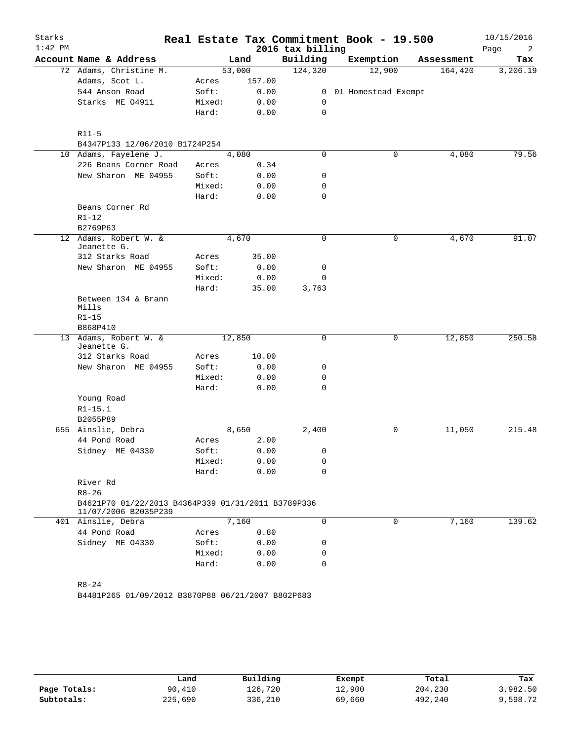| Starks    |                                                                            |                 |        |              |                  | Real Estate Tax Commitment Book - 19.500 |            | 10/15/2016 |
|-----------|----------------------------------------------------------------------------|-----------------|--------|--------------|------------------|------------------------------------------|------------|------------|
| $1:42$ PM |                                                                            |                 |        |              | 2016 tax billing |                                          |            | Page<br>2  |
|           | Account Name & Address                                                     |                 | Land   |              | Building         | Exemption                                | Assessment | Tax        |
|           | 72 Adams, Christine M.                                                     |                 | 53,000 |              | 124,320          | 12,900                                   | 164,420    | 3,206.19   |
|           | Adams, Scot L.                                                             | Acres           |        | 157.00       |                  |                                          |            |            |
|           | 544 Anson Road                                                             | Soft:           |        | 0.00<br>0.00 | 0                | 0 01 Homestead Exempt                    |            |            |
|           | Starks ME 04911                                                            | Mixed:<br>Hard: |        | 0.00         | 0                |                                          |            |            |
|           |                                                                            |                 |        |              |                  |                                          |            |            |
|           | $R11-5$                                                                    |                 |        |              |                  |                                          |            |            |
|           | B4347P133 12/06/2010 B1724P254                                             |                 |        |              |                  |                                          |            |            |
|           | 10 Adams, Fayelene J.                                                      |                 | 4,080  |              | $\mathbf 0$      | 0                                        | 4,080      | 79.56      |
|           | 226 Beans Corner Road                                                      | Acres           |        | 0.34         |                  |                                          |            |            |
|           | New Sharon ME 04955                                                        | Soft:           |        | 0.00         | 0                |                                          |            |            |
|           |                                                                            | Mixed:          |        | 0.00         | 0                |                                          |            |            |
|           |                                                                            | Hard:           |        | 0.00         | 0                |                                          |            |            |
|           | Beans Corner Rd                                                            |                 |        |              |                  |                                          |            |            |
|           | $R1-12$                                                                    |                 |        |              |                  |                                          |            |            |
|           | B2769P63                                                                   |                 |        |              |                  |                                          |            |            |
|           | 12 Adams, Robert W. &<br>Jeanette G.                                       |                 | 4,670  |              | $\mathbf 0$      | 0                                        | 4,670      | 91.07      |
|           | 312 Starks Road                                                            | Acres           |        | 35.00        |                  |                                          |            |            |
|           | New Sharon ME 04955                                                        | Soft:           |        | 0.00         | 0                |                                          |            |            |
|           |                                                                            | Mixed:          |        | 0.00         | 0                |                                          |            |            |
|           |                                                                            | Hard:           |        | 35.00        | 3,763            |                                          |            |            |
|           | Between 134 & Brann<br>Mills                                               |                 |        |              |                  |                                          |            |            |
|           | $R1 - 15$                                                                  |                 |        |              |                  |                                          |            |            |
|           | B868P410                                                                   |                 |        |              |                  |                                          |            |            |
|           | 13 Adams, Robert W. &<br>Jeanette G.                                       |                 | 12,850 |              | $\mathbf 0$      | 0                                        | 12,850     | 250.58     |
|           | 312 Starks Road                                                            | Acres           |        | 10.00        |                  |                                          |            |            |
|           | New Sharon ME 04955                                                        | Soft:           |        | 0.00         | 0                |                                          |            |            |
|           |                                                                            | Mixed:          |        | 0.00         | 0                |                                          |            |            |
|           |                                                                            | Hard:           |        | 0.00         | 0                |                                          |            |            |
|           | Young Road                                                                 |                 |        |              |                  |                                          |            |            |
|           | $R1 - 15.1$                                                                |                 |        |              |                  |                                          |            |            |
|           | B2055P89                                                                   |                 |        |              |                  |                                          |            |            |
|           | 655 Ainslie, Debra                                                         |                 | 8,650  |              | 2,400            | 0                                        | 11,050     | 215.48     |
|           | 44 Pond Road                                                               | Acres           |        | 2.00         |                  |                                          |            |            |
|           | Sidney ME 04330                                                            | Soft:           |        | 0.00         | $\mathbf{0}$     |                                          |            |            |
|           |                                                                            | Mixed:          |        | 0.00         | 0                |                                          |            |            |
|           |                                                                            | Hard:           |        | 0.00         | 0                |                                          |            |            |
|           | River Rd                                                                   |                 |        |              |                  |                                          |            |            |
|           | $R8 - 26$                                                                  |                 |        |              |                  |                                          |            |            |
|           | B4621P70 01/22/2013 B4364P339 01/31/2011 B3789P336<br>11/07/2006 B2035P239 |                 |        |              |                  |                                          |            |            |
|           | 401 Ainslie, Debra                                                         |                 | 7,160  |              | 0                | 0                                        | 7,160      | 139.62     |
|           | 44 Pond Road                                                               | Acres           |        | 0.80         |                  |                                          |            |            |
|           | Sidney ME 04330                                                            | Soft:           |        | 0.00         | 0                |                                          |            |            |
|           |                                                                            | Mixed:          |        | 0.00         | 0                |                                          |            |            |
|           |                                                                            | Hard:           |        | 0.00         | 0                |                                          |            |            |
|           |                                                                            |                 |        |              |                  |                                          |            |            |
|           | $R8 - 24$                                                                  |                 |        |              |                  |                                          |            |            |
|           | B4481P265 01/09/2012 B3870P88 06/21/2007 B802P683                          |                 |        |              |                  |                                          |            |            |

|              | Land    | Building | Exempt | Total   | Tax      |
|--------------|---------|----------|--------|---------|----------|
| Page Totals: | 90,410  | 126,720  | 12,900 | 204,230 | 3,982.50 |
| Subtotals:   | 225,690 | 336,210  | 69,660 | 492,240 | 9,598.72 |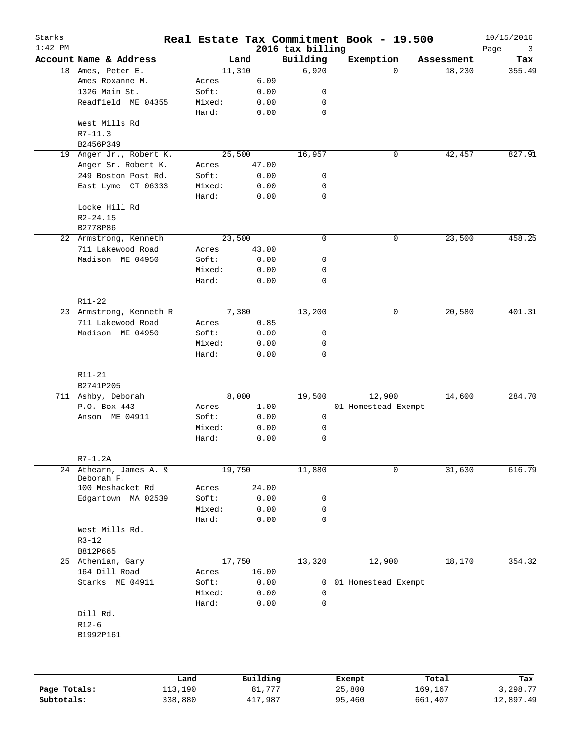| Starks       |                         |         |          |                              | Real Estate Tax Commitment Book - 19.500 |             | 10/15/2016       |
|--------------|-------------------------|---------|----------|------------------------------|------------------------------------------|-------------|------------------|
| $1:42$ PM    | Account Name & Address  |         | Land     | 2016 tax billing<br>Building | Exemption                                | Assessment  | Page<br>3<br>Tax |
|              | 18 Ames, Peter E.       |         | 11,310   | 6,920                        |                                          | $\Omega$    | 355.49<br>18,230 |
|              | Ames Roxanne M.         | Acres   | 6.09     |                              |                                          |             |                  |
|              | 1326 Main St.           | Soft:   | 0.00     | 0                            |                                          |             |                  |
|              | Readfield ME 04355      | Mixed:  | 0.00     | 0                            |                                          |             |                  |
|              |                         | Hard:   | 0.00     | 0                            |                                          |             |                  |
|              |                         |         |          |                              |                                          |             |                  |
|              | West Mills Rd           |         |          |                              |                                          |             |                  |
|              | $R7 - 11.3$             |         |          |                              |                                          |             |                  |
|              | B2456P349               |         |          |                              |                                          |             |                  |
| 19           | Anger Jr., Robert K.    |         | 25,500   | 16,957                       |                                          | 0           | 42,457<br>827.91 |
|              | Anger Sr. Robert K.     | Acres   | 47.00    |                              |                                          |             |                  |
|              | 249 Boston Post Rd.     | Soft:   | 0.00     | 0                            |                                          |             |                  |
|              | East Lyme CT 06333      | Mixed:  | 0.00     | 0                            |                                          |             |                  |
|              |                         | Hard:   | 0.00     | 0                            |                                          |             |                  |
|              | Locke Hill Rd           |         |          |                              |                                          |             |                  |
|              | $R2 - 24.15$            |         |          |                              |                                          |             |                  |
|              | B2778P86                |         |          |                              |                                          |             |                  |
|              | 22 Armstrong, Kenneth   |         | 23,500   | 0                            |                                          | 0           | 23,500<br>458.25 |
|              | 711 Lakewood Road       | Acres   | 43.00    |                              |                                          |             |                  |
|              | Madison ME 04950        | Soft:   | 0.00     | 0                            |                                          |             |                  |
|              |                         | Mixed:  | 0.00     | 0                            |                                          |             |                  |
|              |                         | Hard:   | 0.00     | 0                            |                                          |             |                  |
|              |                         |         |          |                              |                                          |             |                  |
|              | R11-22                  |         |          |                              |                                          |             |                  |
|              | 23 Armstrong, Kenneth R |         | 7,380    | 13,200                       |                                          | 0           | 20,580<br>401.31 |
|              | 711 Lakewood Road       | Acres   | 0.85     |                              |                                          |             |                  |
|              | Madison ME 04950        | Soft:   | 0.00     | 0                            |                                          |             |                  |
|              |                         | Mixed:  | 0.00     | 0                            |                                          |             |                  |
|              |                         | Hard:   | 0.00     | 0                            |                                          |             |                  |
|              |                         |         |          |                              |                                          |             |                  |
|              | $R11 - 21$              |         |          |                              |                                          |             |                  |
|              | B2741P205               |         |          |                              |                                          |             |                  |
|              | 711 Ashby, Deborah      |         | 8,000    | 19,500                       | 12,900                                   |             | 284.70<br>14,600 |
|              | P.O. Box 443            | Acres   | 1.00     |                              | 01 Homestead Exempt                      |             |                  |
|              | Anson ME 04911          | Soft:   | 0.00     | 0                            |                                          |             |                  |
|              |                         | Mixed:  | 0.00     | 0                            |                                          |             |                  |
|              |                         | Hard:   | 0.00     | 0                            |                                          |             |                  |
|              |                         |         |          |                              |                                          |             |                  |
|              | $R7-1.2A$               |         |          |                              |                                          |             |                  |
|              | 24 Athearn, James A. &  |         | 19,750   | 11,880                       |                                          | $\mathbf 0$ | 31,630<br>616.79 |
|              | Deborah F.              |         |          |                              |                                          |             |                  |
|              | 100 Meshacket Rd        | Acres   | 24.00    |                              |                                          |             |                  |
|              | Edgartown MA 02539      | Soft:   | 0.00     | 0                            |                                          |             |                  |
|              |                         | Mixed:  | 0.00     | 0                            |                                          |             |                  |
|              |                         | Hard:   | 0.00     | 0                            |                                          |             |                  |
|              | West Mills Rd.          |         |          |                              |                                          |             |                  |
|              | $R3 - 12$               |         |          |                              |                                          |             |                  |
|              | B812P665                |         |          |                              |                                          |             |                  |
|              | 25 Athenian, Gary       |         | 17,750   | 13,320                       | 12,900                                   |             | 18,170<br>354.32 |
|              | 164 Dill Road           | Acres   | 16.00    |                              |                                          |             |                  |
|              | Starks ME 04911         | Soft:   | 0.00     | 0                            | 01 Homestead Exempt                      |             |                  |
|              |                         | Mixed:  | 0.00     | 0                            |                                          |             |                  |
|              |                         | Hard:   | 0.00     | 0                            |                                          |             |                  |
|              | Dill Rd.                |         |          |                              |                                          |             |                  |
|              | $R12-6$                 |         |          |                              |                                          |             |                  |
|              | B1992P161               |         |          |                              |                                          |             |                  |
|              |                         |         |          |                              |                                          |             |                  |
|              |                         |         |          |                              |                                          |             |                  |
|              |                         |         |          |                              |                                          |             |                  |
|              |                         | Land    | Building |                              | Exempt                                   | Total       | Tax              |
| Page Totals: |                         | 113,190 | 81,777   |                              | 25,800                                   | 169,167     | 3,298.77         |
| Subtotals:   |                         | 338,880 | 417,987  |                              | 95,460                                   | 661,407     | 12,897.49        |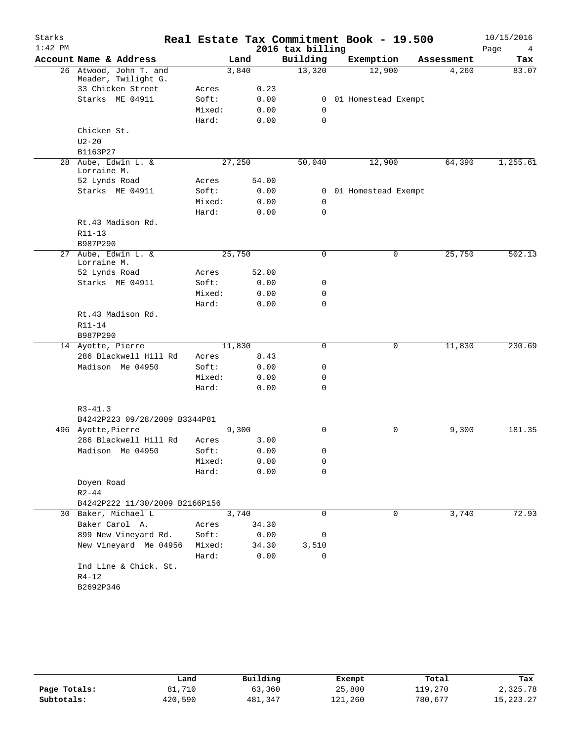| Starks    |                                               |                |        |       |                  | Real Estate Tax Commitment Book - 19.500 |            | 10/15/2016 |
|-----------|-----------------------------------------------|----------------|--------|-------|------------------|------------------------------------------|------------|------------|
| $1:42$ PM |                                               |                |        |       | 2016 tax billing |                                          |            | Page<br>4  |
|           | Account Name & Address                        |                | Land   |       | Building         | Exemption                                | Assessment | Tax        |
|           | 26 Atwood, John T. and<br>Meader, Twilight G. |                | 3,840  |       | 13,320           | 12,900                                   | 4,260      | 83.07      |
|           | 33 Chicken Street                             | Acres          |        | 0.23  |                  |                                          |            |            |
|           | Starks ME 04911                               | Soft:          |        | 0.00  | 0                | 01 Homestead Exempt                      |            |            |
|           |                                               | Mixed:         |        | 0.00  | 0                |                                          |            |            |
|           |                                               | Hard:          |        | 0.00  | $\mathbf 0$      |                                          |            |            |
|           | Chicken St.                                   |                |        |       |                  |                                          |            |            |
|           | $U2-20$                                       |                |        |       |                  |                                          |            |            |
|           | B1163P27                                      |                |        |       |                  |                                          |            |            |
|           | 28 Aube, Edwin L. &<br>Lorraine M.            |                | 27,250 |       | 50,040           | 12,900                                   | 64,390     | 1,255.61   |
|           | 52 Lynds Road                                 | Acres          |        | 54.00 |                  |                                          |            |            |
|           | Starks ME 04911                               | Soft:          |        | 0.00  | 0                | 01 Homestead Exempt                      |            |            |
|           |                                               | Mixed:         |        | 0.00  | 0                |                                          |            |            |
|           |                                               | Hard:          |        | 0.00  | $\mathbf 0$      |                                          |            |            |
|           | Rt.43 Madison Rd.                             |                |        |       |                  |                                          |            |            |
|           | R11-13                                        |                |        |       |                  |                                          |            |            |
|           | B987P290                                      |                |        |       |                  |                                          |            |            |
| 27        | Aube, Edwin L. &<br>Lorraine M.               |                | 25,750 |       | 0                | 0                                        | 25,750     | 502.13     |
|           | 52 Lynds Road                                 | Acres          |        | 52.00 |                  |                                          |            |            |
|           | Starks ME 04911                               | Soft:          |        | 0.00  | 0                |                                          |            |            |
|           |                                               | Mixed:         |        | 0.00  | 0                |                                          |            |            |
|           |                                               | Hard:          |        | 0.00  | $\mathbf 0$      |                                          |            |            |
|           | Rt.43 Madison Rd.<br>$R11 - 14$               |                |        |       |                  |                                          |            |            |
|           | B987P290                                      |                | 11,830 |       | $\mathbf 0$      | $\mathbf 0$                              |            | 230.69     |
|           | 14 Ayotte, Pierre<br>286 Blackwell Hill Rd    |                |        | 8.43  |                  |                                          | 11,830     |            |
|           | Madison Me 04950                              | Acres<br>Soft: |        | 0.00  | 0                |                                          |            |            |
|           |                                               | Mixed:         |        | 0.00  | 0                |                                          |            |            |
|           |                                               | Hard:          |        | 0.00  | 0                |                                          |            |            |
|           |                                               |                |        |       |                  |                                          |            |            |
|           | $R3 - 41.3$                                   |                |        |       |                  |                                          |            |            |
|           | B4242P223 09/28/2009 B3344P81                 |                |        |       |                  |                                          |            |            |
|           | 496 Ayotte, Pierre                            |                | 9,300  |       | $\Omega$         | 0                                        | 9,300      | 181.35     |
|           | 286 Blackwell Hill Rd                         | Acres          |        | 3.00  |                  |                                          |            |            |
|           | Madison Me 04950                              | Soft:          |        | 0.00  | 0                |                                          |            |            |
|           |                                               | Mixed:         |        | 0.00  | 0                |                                          |            |            |
|           |                                               | Hard:          |        | 0.00  | 0                |                                          |            |            |
|           | Doyen Road<br>$R2 - 44$                       |                |        |       |                  |                                          |            |            |
|           | B4242P222 11/30/2009 B2166P156                |                |        |       |                  |                                          |            |            |
|           | 30 Baker, Michael L                           |                | 3,740  |       | 0                | 0                                        | 3,740      | 72.93      |
|           | Baker Carol A.                                | Acres          |        | 34.30 |                  |                                          |            |            |
|           | 899 New Vineyard Rd.                          | Soft:          |        | 0.00  |                  |                                          |            |            |
|           | New Vineyard Me 04956                         | Mixed:         |        | 34.30 | 0                |                                          |            |            |
|           |                                               | Hard:          |        | 0.00  | 3,510<br>0       |                                          |            |            |
|           | Ind Line & Chick. St.                         |                |        |       |                  |                                          |            |            |
|           | $R4 - 12$                                     |                |        |       |                  |                                          |            |            |
|           | B2692P346                                     |                |        |       |                  |                                          |            |            |
|           |                                               |                |        |       |                  |                                          |            |            |

|              | Land    | Building | Exempt  | Total   | Tax         |
|--------------|---------|----------|---------|---------|-------------|
| Page Totals: | 81,710  | 63,360   | 25,800  | 119,270 | 2,325.78    |
| Subtotals:   | 420,590 | 481,347  | 121,260 | 780,677 | 15, 223, 27 |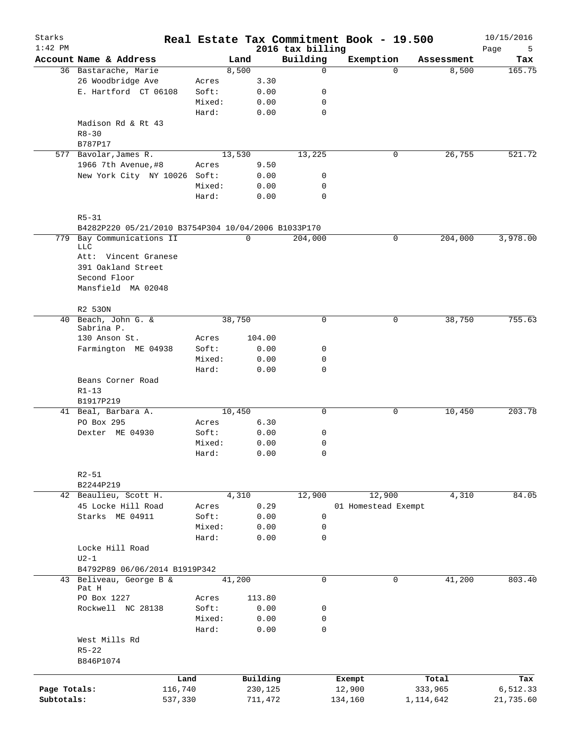| Starks<br>$1:42$ PM |                                                     |         |        |        |          | 2016 tax billing |         | Real Estate Tax Commitment Book - 19.500 |             | 10/15/2016<br>Page<br>5 |
|---------------------|-----------------------------------------------------|---------|--------|--------|----------|------------------|---------|------------------------------------------|-------------|-------------------------|
|                     | Account Name & Address                              |         |        | Land   |          | Building         |         | Exemption                                | Assessment  | Tax                     |
|                     | 36 Bastarache, Marie                                |         |        | 8,500  |          | $\mathbf 0$      |         | $\Omega$                                 | 8,500       | 165.75                  |
|                     | 26 Woodbridge Ave                                   |         | Acres  |        | 3.30     |                  |         |                                          |             |                         |
|                     | E. Hartford CT 06108                                |         | Soft:  |        | 0.00     | 0                |         |                                          |             |                         |
|                     |                                                     |         | Mixed: |        | 0.00     | $\mathbf 0$      |         |                                          |             |                         |
|                     |                                                     |         | Hard:  |        | 0.00     | $\mathbf 0$      |         |                                          |             |                         |
|                     | Madison Rd & Rt 43                                  |         |        |        |          |                  |         |                                          |             |                         |
|                     | $R8 - 30$                                           |         |        |        |          |                  |         |                                          |             |                         |
|                     | B787P17                                             |         |        |        |          |                  |         |                                          |             |                         |
|                     | 577 Bavolar, James R.                               |         |        | 13,530 |          | 13,225           |         | 0                                        | 26,755      | 521.72                  |
|                     | 1966 7th Avenue, #8                                 |         |        |        | 9.50     |                  |         |                                          |             |                         |
|                     | New York City NY 10026 Soft:                        |         | Acres  |        | 0.00     | 0                |         |                                          |             |                         |
|                     |                                                     |         |        |        |          |                  |         |                                          |             |                         |
|                     |                                                     |         | Mixed: |        | 0.00     | 0                |         |                                          |             |                         |
|                     |                                                     |         | Hard:  |        | 0.00     | $\mathbf 0$      |         |                                          |             |                         |
|                     |                                                     |         |        |        |          |                  |         |                                          |             |                         |
|                     | $R5 - 31$                                           |         |        |        |          |                  |         |                                          |             |                         |
|                     | B4282P220 05/21/2010 B3754P304 10/04/2006 B1033P170 |         |        |        |          |                  |         |                                          |             |                         |
| 779                 | Bay Communications II<br><b>LLC</b>                 |         |        |        | 0        | 204,000          |         | 0                                        | 204,000     | 3,978.00                |
|                     | Att: Vincent Granese                                |         |        |        |          |                  |         |                                          |             |                         |
|                     | 391 Oakland Street                                  |         |        |        |          |                  |         |                                          |             |                         |
|                     | Second Floor                                        |         |        |        |          |                  |         |                                          |             |                         |
|                     | Mansfield MA 02048                                  |         |        |        |          |                  |         |                                          |             |                         |
|                     |                                                     |         |        |        |          |                  |         |                                          |             |                         |
|                     |                                                     |         |        |        |          |                  |         |                                          |             |                         |
|                     | R2 530N                                             |         |        |        |          |                  |         |                                          |             |                         |
|                     | 40 Beach, John G. &<br>Sabrina P.                   |         |        | 38,750 |          | $\mathbf 0$      |         | $\mathbf 0$                              | 38,750      | 755.63                  |
|                     | 130 Anson St.                                       |         | Acres  |        | 104.00   |                  |         |                                          |             |                         |
|                     | Farmington ME 04938                                 |         | Soft:  |        | 0.00     | 0                |         |                                          |             |                         |
|                     |                                                     |         | Mixed: |        | 0.00     | 0                |         |                                          |             |                         |
|                     |                                                     |         | Hard:  |        | 0.00     | $\mathbf 0$      |         |                                          |             |                         |
|                     | Beans Corner Road                                   |         |        |        |          |                  |         |                                          |             |                         |
|                     |                                                     |         |        |        |          |                  |         |                                          |             |                         |
|                     | $R1 - 13$<br>B1917P219                              |         |        |        |          |                  |         |                                          |             |                         |
|                     | 41 Beal, Barbara A.                                 |         |        | 10,450 |          | $\mathbf 0$      |         | 0                                        |             | 203.78                  |
|                     | PO Box 295                                          |         | Acres  |        | 6.30     |                  |         |                                          | 10,450      |                         |
|                     |                                                     |         |        |        |          |                  |         |                                          |             |                         |
|                     | Dexter ME 04930                                     |         | Soft:  |        | 0.00     | 0                |         |                                          |             |                         |
|                     |                                                     |         | Mixed: |        | 0.00     | 0                |         |                                          |             |                         |
|                     |                                                     |         | Hard:  |        | 0.00     | $\mathbf 0$      |         |                                          |             |                         |
|                     |                                                     |         |        |        |          |                  |         |                                          |             |                         |
|                     | $R2 - 51$                                           |         |        |        |          |                  |         |                                          |             |                         |
|                     | B2244P219                                           |         |        |        |          |                  |         |                                          |             |                         |
|                     | 42 Beaulieu, Scott H.                               |         |        | 4,310  |          | 12,900           |         | 12,900                                   | 4,310       | 84.05                   |
|                     | 45 Locke Hill Road                                  |         | Acres  |        | 0.29     |                  |         | 01 Homestead Exempt                      |             |                         |
|                     | Starks ME 04911                                     |         | Soft:  |        | 0.00     | 0                |         |                                          |             |                         |
|                     |                                                     |         | Mixed: |        | 0.00     | 0                |         |                                          |             |                         |
|                     |                                                     |         | Hard:  |        | 0.00     | $\mathbf 0$      |         |                                          |             |                         |
|                     | Locke Hill Road                                     |         |        |        |          |                  |         |                                          |             |                         |
|                     | $U2-1$                                              |         |        |        |          |                  |         |                                          |             |                         |
|                     | B4792P89 06/06/2014 B1919P342                       |         |        |        |          |                  |         |                                          |             |                         |
| 43                  | Beliveau, George B &                                |         |        | 41,200 |          | 0                |         | 0                                        | 41,200      | 803.40                  |
|                     | Pat H                                               |         |        |        |          |                  |         |                                          |             |                         |
|                     | PO Box 1227                                         |         | Acres  |        | 113.80   |                  |         |                                          |             |                         |
|                     | Rockwell NC 28138                                   |         | Soft:  |        | 0.00     | 0                |         |                                          |             |                         |
|                     |                                                     |         | Mixed: |        | 0.00     | 0                |         |                                          |             |                         |
|                     |                                                     |         | Hard:  |        | 0.00     | $\mathbf 0$      |         |                                          |             |                         |
|                     | West Mills Rd                                       |         |        |        |          |                  |         |                                          |             |                         |
|                     | $R5 - 22$                                           |         |        |        |          |                  |         |                                          |             |                         |
|                     | B846P1074                                           |         |        |        |          |                  |         |                                          |             |                         |
|                     |                                                     |         |        |        |          |                  |         |                                          |             |                         |
|                     |                                                     | Land    |        |        | Building |                  | Exempt  |                                          | Total       | Tax                     |
| Page Totals:        |                                                     | 116,740 |        |        | 230,125  |                  | 12,900  |                                          | 333,965     | 6,512.33                |
| Subtotals:          |                                                     | 537,330 |        |        | 711,472  |                  | 134,160 |                                          | 1, 114, 642 | 21,735.60               |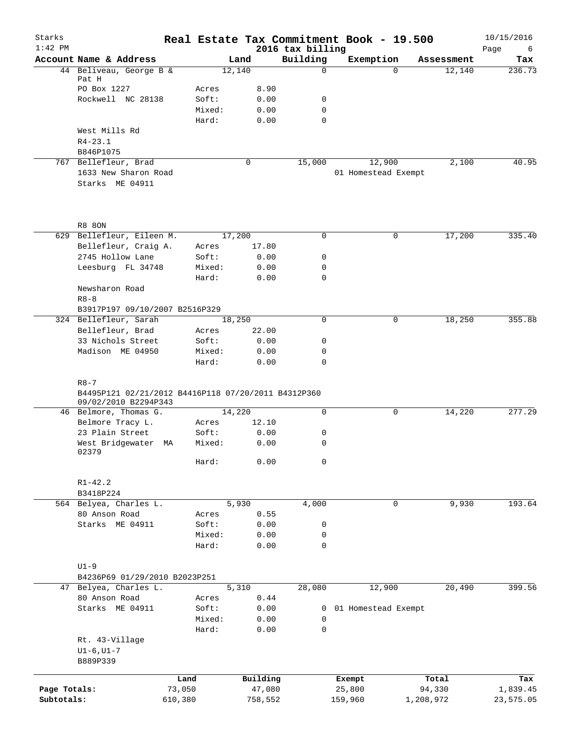| Starks<br>$1:42$ PM |                                                                                                      |         |                |        |               | Real Estate Tax Commitment Book - 19.500<br>2016 tax billing |         |                     |           |            | 10/15/2016<br>Page<br>6 |
|---------------------|------------------------------------------------------------------------------------------------------|---------|----------------|--------|---------------|--------------------------------------------------------------|---------|---------------------|-----------|------------|-------------------------|
|                     | Account Name & Address                                                                               |         |                | Land   |               | Building                                                     |         | Exemption           |           | Assessment | Tax                     |
|                     | 44 Beliveau, George B &                                                                              |         |                | 12,140 |               | $\Omega$                                                     |         | $\Omega$            |           | 12,140     | 236.73                  |
|                     | Pat H                                                                                                |         |                |        |               |                                                              |         |                     |           |            |                         |
|                     | PO Box 1227                                                                                          |         | Acres          |        | 8.90          |                                                              |         |                     |           |            |                         |
|                     | Rockwell NC 28138                                                                                    |         | Soft:          |        | 0.00          | 0                                                            |         |                     |           |            |                         |
|                     |                                                                                                      |         | Mixed:         |        | 0.00          | $\mathbf 0$<br>$\mathbf 0$                                   |         |                     |           |            |                         |
|                     | West Mills Rd                                                                                        |         | Hard:          |        | 0.00          |                                                              |         |                     |           |            |                         |
|                     | $R4 - 23.1$                                                                                          |         |                |        |               |                                                              |         |                     |           |            |                         |
|                     | B846P1075                                                                                            |         |                |        |               |                                                              |         |                     |           |            |                         |
|                     | 767 Bellefleur, Brad                                                                                 |         |                |        | $\mathbf 0$   | 15,000                                                       |         | 12,900              |           | 2,100      | 40.95                   |
|                     | 1633 New Sharon Road                                                                                 |         |                |        |               |                                                              |         | 01 Homestead Exempt |           |            |                         |
|                     | Starks ME 04911                                                                                      |         |                |        |               |                                                              |         |                     |           |            |                         |
|                     |                                                                                                      |         |                |        |               |                                                              |         |                     |           |            |                         |
|                     | <b>R8 80N</b><br>629 Bellefleur, Eileen M.                                                           |         |                | 17,200 |               | $\mathbf 0$                                                  |         | 0                   |           |            | 335.40                  |
|                     |                                                                                                      |         |                |        |               |                                                              |         |                     |           | 17,200     |                         |
|                     | Bellefleur, Craig A.<br>2745 Hollow Lane                                                             |         | Acres<br>Soft: |        | 17.80<br>0.00 | $\mathbf 0$                                                  |         |                     |           |            |                         |
|                     | Leesburg FL 34748                                                                                    |         | Mixed:         |        | 0.00          | 0                                                            |         |                     |           |            |                         |
|                     |                                                                                                      |         | Hard:          |        | 0.00          | $\mathbf 0$                                                  |         |                     |           |            |                         |
|                     | Newsharon Road                                                                                       |         |                |        |               |                                                              |         |                     |           |            |                         |
|                     | $R8 - 8$                                                                                             |         |                |        |               |                                                              |         |                     |           |            |                         |
|                     | B3917P197 09/10/2007 B2516P329                                                                       |         |                |        |               |                                                              |         |                     |           |            |                         |
|                     | 324 Bellefleur, Sarah                                                                                |         |                | 18,250 |               | 0                                                            |         | 0                   |           | 18,250     | 355.88                  |
|                     | Bellefleur, Brad                                                                                     |         | Acres          |        | 22.00         |                                                              |         |                     |           |            |                         |
|                     | 33 Nichols Street                                                                                    |         | Soft:          |        | 0.00          | 0                                                            |         |                     |           |            |                         |
|                     | Madison ME 04950                                                                                     |         | Mixed:         |        | 0.00          | 0                                                            |         |                     |           |            |                         |
|                     |                                                                                                      |         | Hard:          |        | 0.00          | $\mathbf 0$                                                  |         |                     |           |            |                         |
|                     | B4495P121 02/21/2012 B4416P118 07/20/2011 B4312P360<br>09/02/2010 B2294P343<br>46 Belmore, Thomas G. |         |                | 14,220 |               | $\mathbf 0$                                                  |         | 0                   |           | 14,220     | 277.29                  |
|                     | Belmore Tracy L.                                                                                     |         | Acres          |        | 12.10         |                                                              |         |                     |           |            |                         |
|                     | 23 Plain Street                                                                                      |         | Soft:          |        | 0.00          | 0                                                            |         |                     |           |            |                         |
|                     | West Bridgewater MA                                                                                  |         | Mixed:         |        | 0.00          | 0                                                            |         |                     |           |            |                         |
|                     | 02379                                                                                                |         | Hard:          |        | 0.00          | $\mathbf 0$                                                  |         |                     |           |            |                         |
|                     | $R1 - 42.2$                                                                                          |         |                |        |               |                                                              |         |                     |           |            |                         |
|                     | B3418P224                                                                                            |         |                |        |               |                                                              |         |                     |           |            |                         |
|                     | 564 Belyea, Charles L.                                                                               |         |                | 5,930  |               | 4,000                                                        |         | $\mathbf 0$         |           | 9,930      | 193.64                  |
|                     | 80 Anson Road                                                                                        |         | Acres          |        | 0.55          |                                                              |         |                     |           |            |                         |
|                     | Starks ME 04911                                                                                      |         | Soft:          |        | 0.00          | 0                                                            |         |                     |           |            |                         |
|                     |                                                                                                      |         | Mixed:         |        | 0.00          | $\mathbf 0$                                                  |         |                     |           |            |                         |
|                     |                                                                                                      |         | Hard:          |        | 0.00          | $\mathsf{O}$                                                 |         |                     |           |            |                         |
|                     |                                                                                                      |         |                |        |               |                                                              |         |                     |           |            |                         |
|                     | $U1-9$                                                                                               |         |                |        |               |                                                              |         |                     |           |            |                         |
|                     | B4236P69 01/29/2010 B2023P251                                                                        |         |                |        |               |                                                              |         |                     |           |            |                         |
|                     | 47 Belyea, Charles L.                                                                                |         |                | 5,310  |               | 28,080                                                       |         | 12,900              |           | 20,490     | 399.56                  |
|                     | 80 Anson Road                                                                                        |         | Acres          |        | 0.44          |                                                              |         |                     |           |            |                         |
|                     | Starks ME 04911                                                                                      |         | Soft:          |        | 0.00          | 0                                                            |         | 01 Homestead Exempt |           |            |                         |
|                     |                                                                                                      |         | Mixed:         |        | 0.00          | 0                                                            |         |                     |           |            |                         |
|                     |                                                                                                      |         | Hard:          |        | 0.00          | $\mathsf{O}$                                                 |         |                     |           |            |                         |
|                     | Rt. 43-Village                                                                                       |         |                |        |               |                                                              |         |                     |           |            |                         |
|                     | $UI-6$ , $UI-7$                                                                                      |         |                |        |               |                                                              |         |                     |           |            |                         |
|                     | B889P339                                                                                             |         |                |        |               |                                                              |         |                     |           |            |                         |
|                     |                                                                                                      | Land    |                |        | Building      |                                                              | Exempt  |                     |           | Total      | Tax                     |
| Page Totals:        |                                                                                                      | 73,050  |                |        | 47,080        |                                                              | 25,800  |                     | 94,330    |            | 1,839.45                |
| Subtotals:          |                                                                                                      | 610,380 |                |        | 758,552       |                                                              | 159,960 |                     | 1,208,972 |            | 23,575.05               |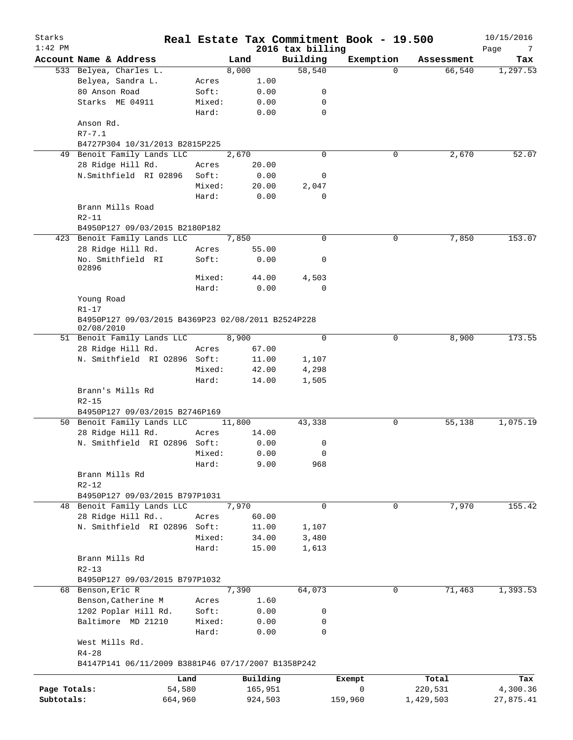| Starks<br>$1:42$ PM |                                                                  |        |          | 2016 tax billing | Real Estate Tax Commitment Book - 19.500 |            | 10/15/2016       |
|---------------------|------------------------------------------------------------------|--------|----------|------------------|------------------------------------------|------------|------------------|
|                     | Account Name & Address                                           |        | Land     | Building         | Exemption                                | Assessment | Page<br>7<br>Tax |
|                     | 533 Belyea, Charles L.                                           |        | 8,000    | 58,540           | $\Omega$                                 | 66,540     | 1,297.53         |
|                     | Belyea, Sandra L.                                                | Acres  | 1.00     |                  |                                          |            |                  |
|                     | 80 Anson Road                                                    | Soft:  | 0.00     | 0                |                                          |            |                  |
|                     | Starks ME 04911                                                  | Mixed: | 0.00     | 0                |                                          |            |                  |
|                     |                                                                  | Hard:  | 0.00     | $\mathbf 0$      |                                          |            |                  |
|                     | Anson Rd.<br>$R7 - 7.1$                                          |        |          |                  |                                          |            |                  |
|                     | B4727P304 10/31/2013 B2815P225                                   |        |          |                  |                                          |            |                  |
|                     | 49 Benoit Family Lands LLC                                       |        | 2,670    | $\Omega$         | 0                                        | 2,670      | 52.07            |
|                     | 28 Ridge Hill Rd.                                                | Acres  | 20.00    |                  |                                          |            |                  |
|                     | N.Smithfield RI 02896                                            | Soft:  | 0.00     | 0                |                                          |            |                  |
|                     |                                                                  | Mixed: | 20.00    | 2,047            |                                          |            |                  |
|                     |                                                                  | Hard:  | 0.00     | $\mathbf 0$      |                                          |            |                  |
|                     | Brann Mills Road                                                 |        |          |                  |                                          |            |                  |
|                     | $R2 - 11$                                                        |        |          |                  |                                          |            |                  |
|                     | B4950P127 09/03/2015 B2180P182                                   |        |          |                  |                                          |            |                  |
|                     | 423 Benoit Family Lands LLC                                      |        | 7,850    | $\mathbf 0$      | 0                                        | 7,850      | 153.07           |
|                     | 28 Ridge Hill Rd.                                                | Acres  | 55.00    |                  |                                          |            |                  |
|                     | No. Smithfield RI<br>02896                                       | Soft:  | 0.00     | 0                |                                          |            |                  |
|                     |                                                                  | Mixed: | 44.00    | 4,503            |                                          |            |                  |
|                     |                                                                  | Hard:  | 0.00     | $\mathbf 0$      |                                          |            |                  |
|                     | Young Road                                                       |        |          |                  |                                          |            |                  |
|                     | $R1 - 17$                                                        |        |          |                  |                                          |            |                  |
|                     | B4950P127 09/03/2015 B4369P23 02/08/2011 B2524P228<br>02/08/2010 |        |          |                  |                                          |            |                  |
|                     | 51 Benoit Family Lands LLC                                       |        | 8,900    | $\mathbf 0$      | 0                                        | 8,900      | 173.55           |
|                     | 28 Ridge Hill Rd.                                                | Acres  | 67.00    |                  |                                          |            |                  |
|                     | N. Smithfield RI 02896 Soft:                                     |        | 11.00    | 1,107            |                                          |            |                  |
|                     |                                                                  | Mixed: | 42.00    | 4,298            |                                          |            |                  |
|                     |                                                                  | Hard:  | 14.00    | 1,505            |                                          |            |                  |
|                     | Brann's Mills Rd                                                 |        |          |                  |                                          |            |                  |
|                     | $R2 - 15$                                                        |        |          |                  |                                          |            |                  |
|                     | B4950P127 09/03/2015 B2746P169                                   |        |          |                  |                                          |            |                  |
|                     | 50 Benoit Family Lands LLC                                       |        | 11,800   | 43,338           | 0                                        | 55,138     | 1,075.19         |
|                     | 28 Ridge Hill Rd.                                                | Acres  | 14.00    |                  |                                          |            |                  |
|                     | N. Smithfield RI 02896 Soft:                                     |        | 0.00     | 0                |                                          |            |                  |
|                     |                                                                  | Mixed: | 0.00     | $\cap$           |                                          |            |                  |
|                     |                                                                  | Hard:  | 9.00     | 968              |                                          |            |                  |
|                     | Brann Mills Rd                                                   |        |          |                  |                                          |            |                  |
|                     | $R2 - 12$                                                        |        |          |                  |                                          |            |                  |
|                     | B4950P127 09/03/2015 B797P1031                                   |        |          |                  |                                          |            |                  |
|                     | 48 Benoit Family Lands LLC                                       |        | 7,970    | $\Omega$         | 0                                        | 7,970      | 155.42           |
|                     | 28 Ridge Hill Rd                                                 | Acres  | 60.00    |                  |                                          |            |                  |
|                     | N. Smithfield RI 02896 Soft:                                     |        | 11.00    | 1,107            |                                          |            |                  |
|                     |                                                                  | Mixed: | 34.00    | 3,480            |                                          |            |                  |
|                     |                                                                  | Hard:  | 15.00    | 1,613            |                                          |            |                  |
|                     | Brann Mills Rd                                                   |        |          |                  |                                          |            |                  |
|                     | $R2 - 13$                                                        |        |          |                  |                                          |            |                  |
|                     | B4950P127 09/03/2015 B797P1032                                   |        |          |                  |                                          |            |                  |
|                     | 68 Benson, Eric R                                                |        | 7,390    | 64,073           | 0                                        | 71,463     | 1,393.53         |
|                     | Benson, Catherine M                                              | Acres  | 1.60     |                  |                                          |            |                  |
|                     | 1202 Poplar Hill Rd.                                             | Soft:  | 0.00     | 0                |                                          |            |                  |
|                     | Baltimore MD 21210                                               | Mixed: | 0.00     | 0                |                                          |            |                  |
|                     |                                                                  | Hard:  | 0.00     | $\mathbf 0$      |                                          |            |                  |
|                     | West Mills Rd.                                                   |        |          |                  |                                          |            |                  |
|                     | $R4 - 28$                                                        |        |          |                  |                                          |            |                  |
|                     | B4147P141 06/11/2009 B3881P46 07/17/2007 B1358P242               |        |          |                  |                                          |            |                  |
|                     | Land                                                             |        | Building |                  | Exempt                                   | Total      | Tax              |
| Page Totals:        | 54,580                                                           |        | 165,951  |                  | $\mathsf{O}$                             | 220,531    | 4,300.36         |
| Subtotals:          | 664,960                                                          |        | 924,503  |                  | 159,960                                  | 1,429,503  | 27,875.41        |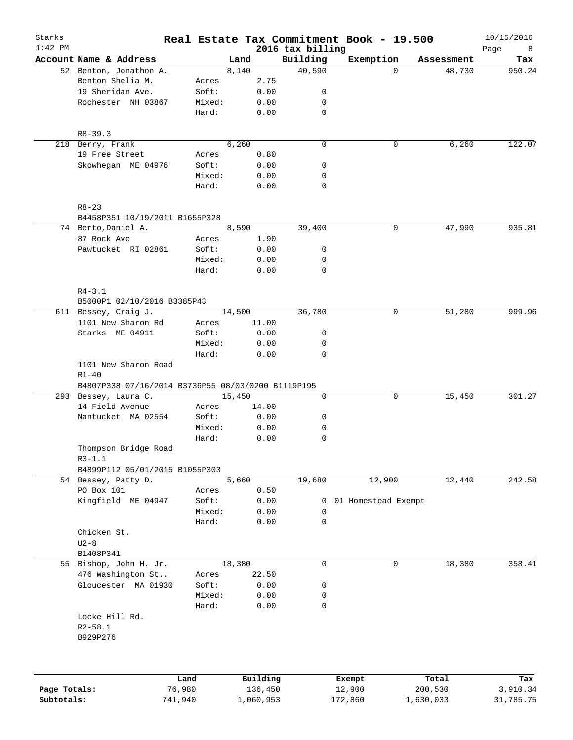| Starks<br>$1:42$ PM |                                                    |         |           |                              | Real Estate Tax Commitment Book - 19.500 |            | 10/15/2016       |
|---------------------|----------------------------------------------------|---------|-----------|------------------------------|------------------------------------------|------------|------------------|
|                     | Account Name & Address                             |         | Land      | 2016 tax billing<br>Building | Exemption                                | Assessment | Page<br>8<br>Tax |
|                     | 52 Benton, Jonathon A.                             |         | 8,140     | 40,590                       | $\Omega$                                 | 48,730     | 950.24           |
|                     | Benton Shelia M.                                   | Acres   | 2.75      |                              |                                          |            |                  |
|                     | 19 Sheridan Ave.                                   | Soft:   | 0.00      | 0                            |                                          |            |                  |
|                     | Rochester NH 03867                                 | Mixed:  | 0.00      | 0                            |                                          |            |                  |
|                     |                                                    | Hard:   | 0.00      | $\mathbf 0$                  |                                          |            |                  |
|                     | $R8 - 39.3$                                        |         |           |                              |                                          |            |                  |
|                     | 218 Berry, Frank                                   |         | 6,260     | $\mathbf 0$                  | 0                                        | 6,260      | 122.07           |
|                     | 19 Free Street                                     | Acres   | 0.80      |                              |                                          |            |                  |
|                     | Skowhegan ME 04976                                 | Soft:   | 0.00      | 0                            |                                          |            |                  |
|                     |                                                    | Mixed:  | 0.00      | 0                            |                                          |            |                  |
|                     |                                                    | Hard:   | 0.00      | 0                            |                                          |            |                  |
|                     | $R8 - 23$                                          |         |           |                              |                                          |            |                  |
|                     | B4458P351 10/19/2011 B1655P328                     |         |           |                              |                                          |            |                  |
|                     | 74 Berto, Daniel A.                                |         | 8,590     | 39,400                       | 0                                        | 47,990     | 935.81           |
|                     | 87 Rock Ave                                        | Acres   | 1.90      |                              |                                          |            |                  |
|                     | Pawtucket RI 02861                                 | Soft:   | 0.00      | 0                            |                                          |            |                  |
|                     |                                                    | Mixed:  | 0.00      | 0                            |                                          |            |                  |
|                     |                                                    | Hard:   | 0.00      | 0                            |                                          |            |                  |
|                     | $R4 - 3.1$                                         |         |           |                              |                                          |            |                  |
|                     | B5000P1 02/10/2016 B3385P43                        |         |           |                              |                                          |            |                  |
|                     | 611 Bessey, Craig J.                               |         | 14,500    | 36,780                       | 0                                        | 51,280     | 999.96           |
|                     | 1101 New Sharon Rd                                 | Acres   | 11.00     |                              |                                          |            |                  |
|                     | Starks ME 04911                                    | Soft:   | 0.00      | 0                            |                                          |            |                  |
|                     |                                                    | Mixed:  | 0.00      | 0                            |                                          |            |                  |
|                     |                                                    | Hard:   | 0.00      | 0                            |                                          |            |                  |
|                     | 1101 New Sharon Road<br>$R1 - 40$                  |         |           |                              |                                          |            |                  |
|                     | B4807P338 07/16/2014 B3736P55 08/03/0200 B1119P195 |         |           |                              |                                          |            |                  |
|                     | 293 Bessey, Laura C.                               |         | 15,450    | 0                            | 0                                        | 15,450     | 301.27           |
|                     | 14 Field Avenue                                    | Acres   | 14.00     |                              |                                          |            |                  |
|                     | Nantucket MA 02554                                 | Soft:   | 0.00      | 0                            |                                          |            |                  |
|                     |                                                    | Mixed:  | 0.00      | 0                            |                                          |            |                  |
|                     |                                                    | Hard:   | 0.00      | 0                            |                                          |            |                  |
|                     | Thompson Bridge Road<br>$R3-1.1$                   |         |           |                              |                                          |            |                  |
|                     | B4899P112 05/01/2015 B1055P303                     |         |           |                              |                                          |            |                  |
|                     | 54 Bessey, Patty D.                                |         | 5,660     | 19,680                       | 12,900                                   | 12,440     | 242.58           |
|                     | PO Box 101                                         | Acres   | 0.50      |                              |                                          |            |                  |
|                     | Kingfield ME 04947                                 | Soft:   | 0.00      | $\mathbf{0}$                 | 01 Homestead Exempt                      |            |                  |
|                     |                                                    | Mixed:  | 0.00      | 0                            |                                          |            |                  |
|                     |                                                    | Hard:   | 0.00      | 0                            |                                          |            |                  |
|                     | Chicken St.                                        |         |           |                              |                                          |            |                  |
|                     | $U2-8$                                             |         |           |                              |                                          |            |                  |
|                     | B1408P341                                          |         |           |                              |                                          |            |                  |
|                     | 55 Bishop, John H. Jr.                             |         | 18,380    | 0                            | 0                                        | 18,380     | 358.41           |
|                     | 476 Washington St                                  | Acres   | 22.50     |                              |                                          |            |                  |
|                     | Gloucester MA 01930                                | Soft:   | 0.00      | 0                            |                                          |            |                  |
|                     |                                                    | Mixed:  | 0.00      | 0                            |                                          |            |                  |
|                     |                                                    | Hard:   | 0.00      | $\mathbf 0$                  |                                          |            |                  |
|                     | Locke Hill Rd.<br>$R2 - 58.1$<br>B929P276          |         |           |                              |                                          |            |                  |
|                     |                                                    |         |           |                              |                                          |            |                  |
|                     |                                                    | Land    | Building  |                              | Exempt                                   | Total      | Tax              |
| Page Totals:        |                                                    | 76,980  | 136,450   |                              | 12,900                                   | 200,530    | 3,910.34         |
| Subtotals:          |                                                    | 741,940 | 1,060,953 |                              | 172,860                                  | 1,630,033  | 31,785.75        |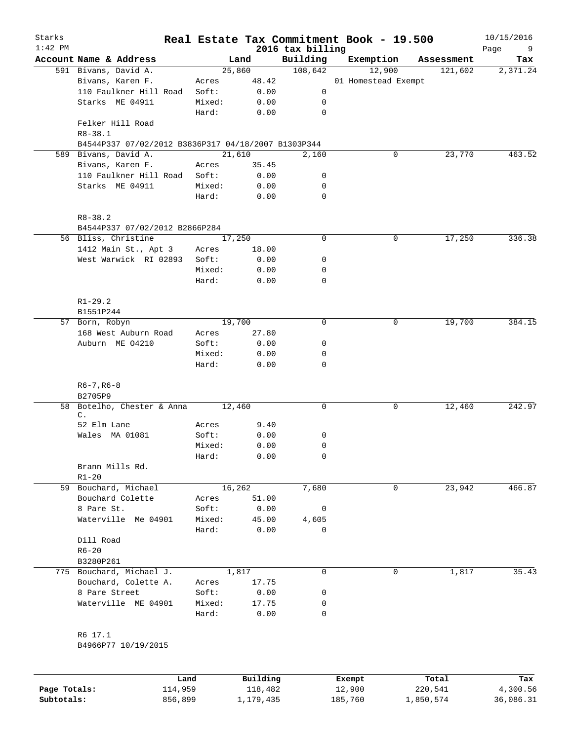| Starks<br>$1:42$ PM |                                                     |        |          | 2016 tax billing | Real Estate Tax Commitment Book - 19.500 |            | 10/15/2016<br>Page<br>9 |
|---------------------|-----------------------------------------------------|--------|----------|------------------|------------------------------------------|------------|-------------------------|
|                     | Account Name & Address                              |        | Land     | Building         | Exemption                                | Assessment | Tax                     |
|                     | 591 Bivans, David A.                                |        | 25,860   | 108,642          | 12,900                                   | 121,602    | 2,371.24                |
|                     | Bivans, Karen F.                                    | Acres  | 48.42    |                  | 01 Homestead Exempt                      |            |                         |
|                     | 110 Faulkner Hill Road                              | Soft:  | 0.00     | 0                |                                          |            |                         |
|                     | Starks ME 04911                                     | Mixed: | 0.00     | 0                |                                          |            |                         |
|                     |                                                     | Hard:  | 0.00     | $\mathbf 0$      |                                          |            |                         |
|                     | Felker Hill Road<br>$R8 - 38.1$                     |        |          |                  |                                          |            |                         |
|                     | B4544P337 07/02/2012 B3836P317 04/18/2007 B1303P344 |        |          |                  |                                          |            |                         |
|                     | 589 Bivans, David A.                                |        | 21,610   | 2,160            | 0                                        | 23,770     | 463.52                  |
|                     | Bivans, Karen F.                                    | Acres  | 35.45    |                  |                                          |            |                         |
|                     | 110 Faulkner Hill Road                              | Soft:  | 0.00     | 0                |                                          |            |                         |
|                     | Starks ME 04911                                     | Mixed: | 0.00     | 0                |                                          |            |                         |
|                     |                                                     | Hard:  | 0.00     | 0                |                                          |            |                         |
|                     | $R8 - 38.2$                                         |        |          |                  |                                          |            |                         |
|                     | B4544P337 07/02/2012 B2866P284                      |        |          |                  |                                          |            |                         |
|                     | 56 Bliss, Christine                                 |        | 17,250   | $\mathbf 0$      | 0                                        | 17,250     | 336.38                  |
|                     | 1412 Main St., Apt 3                                | Acres  | 18.00    |                  |                                          |            |                         |
|                     | West Warwick RI 02893                               | Soft:  | 0.00     | 0                |                                          |            |                         |
|                     |                                                     | Mixed: | 0.00     | 0                |                                          |            |                         |
|                     |                                                     | Hard:  | 0.00     | 0                |                                          |            |                         |
|                     | $R1 - 29.2$                                         |        |          |                  |                                          |            |                         |
|                     | B1551P244                                           |        |          |                  |                                          |            |                         |
|                     | 57 Born, Robyn                                      |        | 19,700   | $\mathbf 0$      | 0                                        | 19,700     | 384.15                  |
|                     | 168 West Auburn Road                                | Acres  | 27.80    |                  |                                          |            |                         |
|                     | Auburn ME 04210                                     | Soft:  | 0.00     | 0                |                                          |            |                         |
|                     |                                                     | Mixed: | 0.00     | 0                |                                          |            |                         |
|                     |                                                     | Hard:  | 0.00     | $\mathbf 0$      |                                          |            |                         |
|                     | $R6 - 7, R6 - 8$                                    |        |          |                  |                                          |            |                         |
|                     | B2705P9                                             |        |          |                  |                                          |            |                         |
|                     | 58 Botelho, Chester & Anna<br>$\mathsf{C}$ .        |        | 12,460   | $\mathbf 0$      | 0                                        | 12,460     | 242.97                  |
|                     | 52 Elm Lane                                         | Acres  | 9.40     |                  |                                          |            |                         |
|                     | Wales MA 01081                                      | Soft:  | 0.00     | 0                |                                          |            |                         |
|                     |                                                     | Mixed: | 0.00     | 0                |                                          |            |                         |
|                     |                                                     |        |          | 0                |                                          |            |                         |
|                     |                                                     | Hard:  | 0.00     |                  |                                          |            |                         |
|                     | Brann Mills Rd.                                     |        |          |                  |                                          |            |                         |
|                     | $R1 - 20$                                           |        |          |                  |                                          |            |                         |
|                     | 59 Bouchard, Michael                                |        | 16,262   | 7,680            | 0                                        | 23,942     | 466.87                  |
|                     | Bouchard Colette                                    | Acres  | 51.00    |                  |                                          |            |                         |
|                     | 8 Pare St.                                          | Soft:  | 0.00     | 0                |                                          |            |                         |
|                     | Waterville Me 04901                                 | Mixed: | 45.00    | 4,605            |                                          |            |                         |
|                     |                                                     | Hard:  | 0.00     | 0                |                                          |            |                         |
|                     | Dill Road                                           |        |          |                  |                                          |            |                         |
|                     | $R6 - 20$                                           |        |          |                  |                                          |            |                         |
|                     | B3280P261                                           |        |          |                  |                                          |            |                         |
|                     | 775 Bouchard, Michael J.                            |        | 1,817    | $\mathbf 0$      | 0                                        | 1,817      | 35.43                   |
|                     | Bouchard, Colette A.                                | Acres  | 17.75    |                  |                                          |            |                         |
|                     | 8 Pare Street                                       | Soft:  | 0.00     | 0                |                                          |            |                         |
|                     | Waterville ME 04901                                 | Mixed: | 17.75    | 0                |                                          |            |                         |
|                     |                                                     | Hard:  | 0.00     | 0                |                                          |            |                         |
|                     | R6 17.1                                             |        |          |                  |                                          |            |                         |
|                     | B4966P77 10/19/2015                                 |        |          |                  |                                          |            |                         |
|                     |                                                     |        |          |                  |                                          |            |                         |
|                     |                                                     | Land   | Building |                  | Exempt                                   | Total      | Tax                     |

|              | Land    | Building  | Exempt  | Total     | Tax       |
|--------------|---------|-----------|---------|-----------|-----------|
| Page Totals: | 114,959 | 118,482   | 12,900  | 220,541   | 4,300.56  |
| Subtotals:   | 856,899 | 1,179,435 | 185,760 | 1,850,574 | 36,086.31 |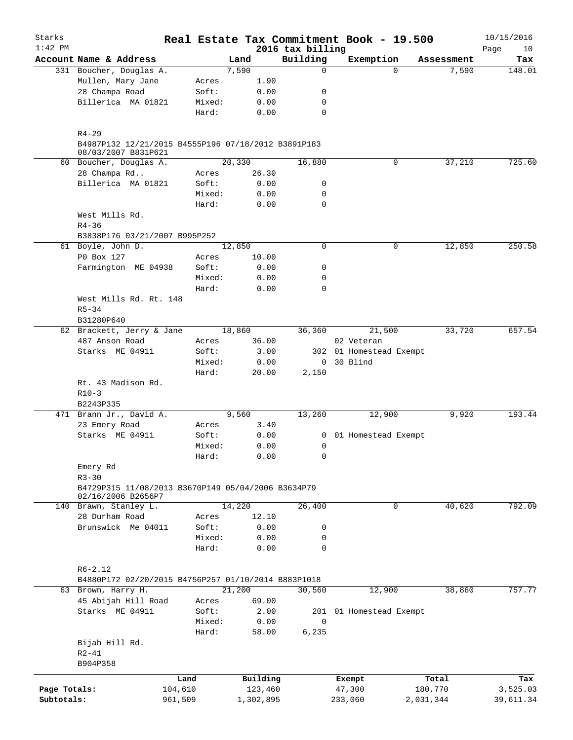| Starks<br>$1:42$ PM |                                                                  |        |           |                              | Real Estate Tax Commitment Book - 19.500 |           |            | 10/15/2016        |
|---------------------|------------------------------------------------------------------|--------|-----------|------------------------------|------------------------------------------|-----------|------------|-------------------|
|                     | Account Name & Address                                           |        | Land      | 2016 tax billing<br>Building | Exemption                                |           | Assessment | Page<br>10<br>Tax |
|                     | 331 Boucher, Douglas A.                                          |        | 7,590     | 0                            |                                          | 0         | 7,590      | 148.01            |
|                     | Mullen, Mary Jane                                                | Acres  | 1.90      |                              |                                          |           |            |                   |
|                     | 28 Champa Road                                                   | Soft:  | 0.00      | 0                            |                                          |           |            |                   |
|                     | Billerica MA 01821                                               | Mixed: | 0.00      | 0                            |                                          |           |            |                   |
|                     |                                                                  | Hard:  | 0.00      | $\mathbf 0$                  |                                          |           |            |                   |
|                     |                                                                  |        |           |                              |                                          |           |            |                   |
|                     | $R4 - 29$<br>B4987P132 12/21/2015 B4555P196 07/18/2012 B3891P183 |        |           |                              |                                          |           |            |                   |
|                     | 08/03/2007 B831P621                                              |        |           |                              |                                          |           |            |                   |
|                     | 60 Boucher, Douglas A.                                           |        | 20,330    | 16,880                       |                                          | 0         | 37,210     | 725.60            |
|                     | 28 Champa Rd                                                     | Acres  | 26.30     |                              |                                          |           |            |                   |
|                     | Billerica MA 01821                                               | Soft:  | 0.00      | 0                            |                                          |           |            |                   |
|                     |                                                                  | Mixed: | 0.00      | 0                            |                                          |           |            |                   |
|                     |                                                                  | Hard:  | 0.00      | 0                            |                                          |           |            |                   |
|                     | West Mills Rd.                                                   |        |           |                              |                                          |           |            |                   |
|                     | $R4 - 36$                                                        |        |           |                              |                                          |           |            |                   |
|                     | B3838P176 03/21/2007 B995P252                                    |        |           |                              |                                          |           |            |                   |
|                     | 61 Boyle, John D.                                                |        | 12,850    | $\mathbf 0$                  |                                          | 0         | 12,850     | 250.58            |
|                     | P0 Box 127                                                       | Acres  | 10.00     |                              |                                          |           |            |                   |
|                     | Farmington ME 04938                                              | Soft:  | 0.00      | 0                            |                                          |           |            |                   |
|                     |                                                                  | Mixed: | 0.00      | 0                            |                                          |           |            |                   |
|                     |                                                                  | Hard:  | 0.00      | 0                            |                                          |           |            |                   |
|                     | West Mills Rd. Rt. 148                                           |        |           |                              |                                          |           |            |                   |
|                     | $R5 - 34$                                                        |        |           |                              |                                          |           |            |                   |
|                     | B31280P640                                                       |        |           |                              |                                          |           |            |                   |
|                     | 62 Brackett, Jerry & Jane                                        |        | 18,860    | 36,360                       | 21,500                                   |           | 33,720     | 657.54            |
|                     | 487 Anson Road                                                   | Acres  | 36.00     |                              | 02 Veteran                               |           |            |                   |
|                     | Starks ME 04911                                                  | Soft:  | 3.00      |                              | 302 01 Homestead Exempt                  |           |            |                   |
|                     |                                                                  | Mixed: | 0.00      | $\overline{0}$               | 30 Blind                                 |           |            |                   |
|                     |                                                                  | Hard:  | 20.00     | 2,150                        |                                          |           |            |                   |
|                     | Rt. 43 Madison Rd.                                               |        |           |                              |                                          |           |            |                   |
|                     | $R10-3$                                                          |        |           |                              |                                          |           |            |                   |
|                     | B2243P335                                                        |        |           |                              |                                          |           |            |                   |
|                     | 471 Brann Jr., David A.                                          |        | 9,560     | 13,260                       | 12,900                                   |           | 9,920      | 193.44            |
|                     | 23 Emery Road                                                    | Acres  | 3.40      |                              |                                          |           |            |                   |
|                     | Starks ME 04911                                                  | Soft:  | 0.00      |                              | 0 01 Homestead Exempt                    |           |            |                   |
|                     |                                                                  | Mixed: | 0.00      | $\mathbf 0$                  |                                          |           |            |                   |
|                     |                                                                  | Hard:  | 0.00      | 0                            |                                          |           |            |                   |
|                     | Emery Rd                                                         |        |           |                              |                                          |           |            |                   |
|                     | $R3 - 30$                                                        |        |           |                              |                                          |           |            |                   |
|                     | B4729P315 11/08/2013 B3670P149 05/04/2006 B3634P79               |        |           |                              |                                          |           |            |                   |
|                     | 02/16/2006 B2656P7                                               |        |           |                              |                                          |           |            |                   |
|                     | 140 Brawn, Stanley L.                                            |        | 14,220    | 26,400                       |                                          | 0         | 40,620     | 792.09            |
|                     | 28 Durham Road                                                   | Acres  | 12.10     |                              |                                          |           |            |                   |
|                     | Brunswick Me 04011                                               | Soft:  | 0.00      | 0                            |                                          |           |            |                   |
|                     |                                                                  | Mixed: | 0.00      | $\mathbf 0$                  |                                          |           |            |                   |
|                     |                                                                  | Hard:  | 0.00      | $\mathbf 0$                  |                                          |           |            |                   |
|                     |                                                                  |        |           |                              |                                          |           |            |                   |
|                     | $R6 - 2.12$                                                      |        |           |                              |                                          |           |            |                   |
|                     | B4880P172 02/20/2015 B4756P257 01/10/2014 B883P1018              |        |           |                              |                                          |           |            |                   |
|                     | 63 Brown, Harry H.                                               |        | 21,200    | 30,560                       | 12,900                                   |           | 38,860     | 757.77            |
|                     | 45 Abijah Hill Road                                              | Acres  | 69.00     |                              |                                          |           |            |                   |
|                     | Starks ME 04911                                                  | Soft:  | 2.00      |                              | 201 01 Homestead Exempt                  |           |            |                   |
|                     |                                                                  | Mixed: | 0.00      | 0                            |                                          |           |            |                   |
|                     |                                                                  | Hard:  | 58.00     | 6,235                        |                                          |           |            |                   |
|                     | Bijah Hill Rd.                                                   |        |           |                              |                                          |           |            |                   |
|                     |                                                                  |        |           |                              |                                          |           |            |                   |
|                     | $R2 - 41$<br>B904P358                                            |        |           |                              |                                          |           |            |                   |
|                     |                                                                  |        |           |                              |                                          |           |            |                   |
|                     |                                                                  | Land   | Building  |                              | Exempt                                   |           | Total      | Tax               |
| Page Totals:        | 104,610                                                          |        | 123,460   |                              | 47,300                                   | 180,770   |            | 3,525.03          |
| Subtotals:          | 961,509                                                          |        | 1,302,895 |                              | 233,060                                  | 2,031,344 |            | 39,611.34         |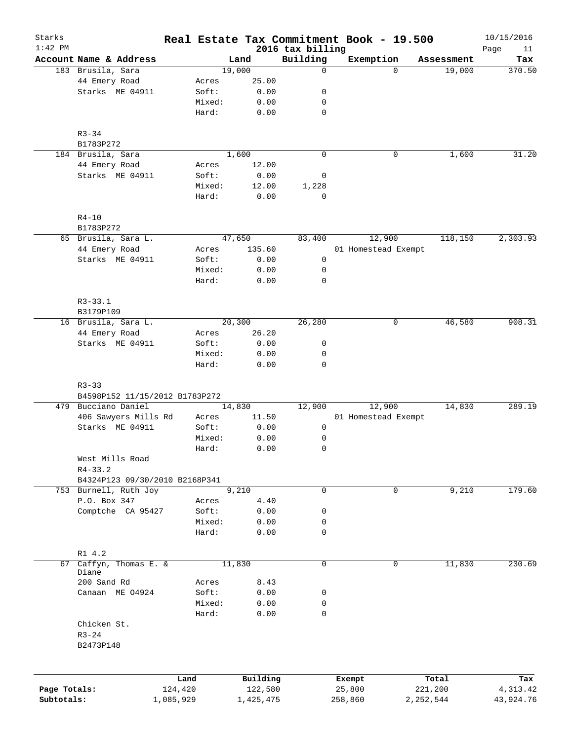| Starks<br>$1:42$ PM |                                |           |           | 2016 tax billing | Real Estate Tax Commitment Book - 19.500 |             | 10/15/2016<br>11<br>Page |
|---------------------|--------------------------------|-----------|-----------|------------------|------------------------------------------|-------------|--------------------------|
|                     | Account Name & Address         |           | Land      | Building         | Exemption                                | Assessment  | Tax                      |
|                     | 183 Brusila, Sara              |           | 19,000    | $\mathbf 0$      | $\Omega$                                 | 19,000      | 370.50                   |
|                     | 44 Emery Road                  | Acres     | 25.00     |                  |                                          |             |                          |
|                     | Starks ME 04911                | Soft:     | 0.00      | 0                |                                          |             |                          |
|                     |                                | Mixed:    | 0.00      | 0                |                                          |             |                          |
|                     |                                | Hard:     | 0.00      | $\mathbf 0$      |                                          |             |                          |
|                     |                                |           |           |                  |                                          |             |                          |
|                     | $R3 - 34$                      |           |           |                  |                                          |             |                          |
|                     | B1783P272                      |           |           |                  |                                          |             |                          |
|                     | 184 Brusila, Sara              |           | 1,600     | $\mathbf 0$      | 0                                        | 1,600       | 31.20                    |
|                     | 44 Emery Road                  | Acres     | 12.00     |                  |                                          |             |                          |
|                     | Starks ME 04911                | Soft:     | 0.00      | 0                |                                          |             |                          |
|                     |                                | Mixed:    | 12.00     | 1,228            |                                          |             |                          |
|                     |                                | Hard:     | 0.00      | $\mathbf 0$      |                                          |             |                          |
|                     |                                |           |           |                  |                                          |             |                          |
|                     | $R4 - 10$                      |           |           |                  |                                          |             |                          |
|                     | B1783P272                      |           |           |                  |                                          |             |                          |
|                     | 65 Brusila, Sara L.            |           | 47,650    | 83,400           | 12,900                                   | 118,150     | 2,303.93                 |
|                     | 44 Emery Road                  | Acres     | 135.60    |                  | 01 Homestead Exempt                      |             |                          |
|                     | Starks ME 04911                | Soft:     | 0.00      | 0                |                                          |             |                          |
|                     |                                | Mixed:    | 0.00      | 0                |                                          |             |                          |
|                     |                                | Hard:     | 0.00      | 0                |                                          |             |                          |
|                     |                                |           |           |                  |                                          |             |                          |
|                     | $R3 - 33.1$                    |           |           |                  |                                          |             |                          |
|                     | B3179P109                      |           |           |                  |                                          |             |                          |
|                     | 16 Brusila, Sara L.            |           | 20,300    | 26,280           | 0                                        | 46,580      | 908.31                   |
|                     | 44 Emery Road                  | Acres     | 26.20     |                  |                                          |             |                          |
|                     | Starks ME 04911                | Soft:     | 0.00      | 0                |                                          |             |                          |
|                     |                                | Mixed:    | 0.00      | 0                |                                          |             |                          |
|                     |                                | Hard:     | 0.00      | $\mathbf 0$      |                                          |             |                          |
|                     |                                |           |           |                  |                                          |             |                          |
|                     | $R3 - 33$                      |           |           |                  |                                          |             |                          |
|                     | B4598P152 11/15/2012 B1783P272 |           |           |                  |                                          |             |                          |
|                     | 479 Bucciano Daniel            |           | 14,830    | 12,900           | 12,900                                   | 14,830      | 289.19                   |
|                     | 406 Sawyers Mills Rd           | Acres     | 11.50     |                  | 01 Homestead Exempt                      |             |                          |
|                     | Starks ME 04911                | Soft:     | 0.00      | 0                |                                          |             |                          |
|                     |                                | Mixed:    | 0.00      | 0                |                                          |             |                          |
|                     |                                | Hard:     | 0.00      | $\mathbf 0$      |                                          |             |                          |
|                     | West Mills Road                |           |           |                  |                                          |             |                          |
|                     | $R4 - 33.2$                    |           |           |                  |                                          |             |                          |
|                     | B4324P123 09/30/2010 B2168P341 |           |           |                  |                                          |             |                          |
|                     | 753 Burnell, Ruth Joy          |           | 9,210     | 0                | 0                                        | 9,210       | 179.60                   |
|                     | P.O. Box 347                   | Acres     | 4.40      |                  |                                          |             |                          |
|                     | Comptche CA 95427              | Soft:     | 0.00      | 0                |                                          |             |                          |
|                     |                                | Mixed:    | 0.00      | 0                |                                          |             |                          |
|                     |                                | Hard:     | 0.00      | 0                |                                          |             |                          |
|                     |                                |           |           |                  |                                          |             |                          |
|                     | R1 4.2                         |           |           |                  |                                          |             |                          |
| 67                  | Caffyn, Thomas E. &<br>Diane   |           | 11,830    | 0                | 0                                        | 11,830      | 230.69                   |
|                     | 200 Sand Rd                    | Acres     | 8.43      |                  |                                          |             |                          |
|                     | Canaan ME 04924                | Soft:     | 0.00      | 0                |                                          |             |                          |
|                     |                                | Mixed:    | 0.00      | 0                |                                          |             |                          |
|                     |                                | Hard:     | 0.00      | 0                |                                          |             |                          |
|                     | Chicken St.                    |           |           |                  |                                          |             |                          |
|                     | $R3 - 24$                      |           |           |                  |                                          |             |                          |
|                     | B2473P148                      |           |           |                  |                                          |             |                          |
|                     |                                |           |           |                  |                                          |             |                          |
|                     |                                |           |           |                  |                                          |             |                          |
|                     |                                | Land      | Building  |                  | Exempt                                   | Total       | Tax                      |
| Page Totals:        |                                | 124,420   | 122,580   |                  | 25,800                                   | 221,200     | 4, 313. 42               |
| Subtotals:          |                                | 1,085,929 | 1,425,475 |                  | 258,860                                  | 2, 252, 544 | 43,924.76                |
|                     |                                |           |           |                  |                                          |             |                          |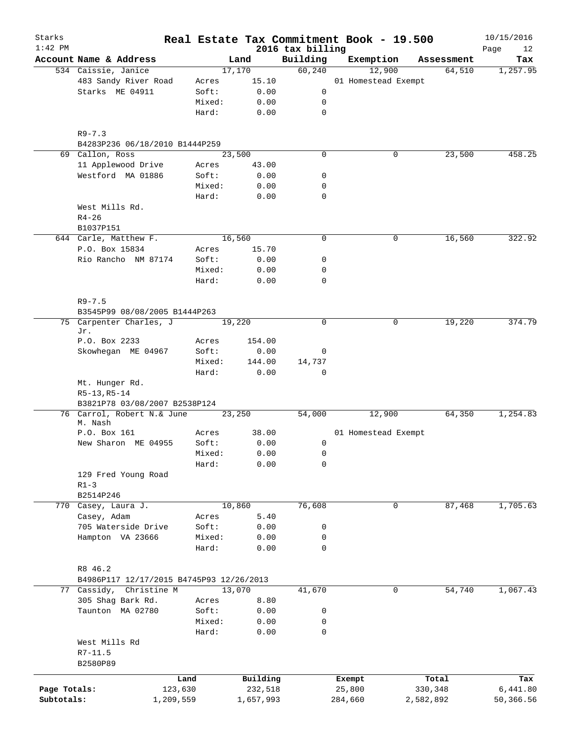| Starks<br>$1:42$ PM |                                              |        |           | 2016 tax billing | Real Estate Tax Commitment Book - 19.500 |             | 10/15/2016<br>Page<br>12 |
|---------------------|----------------------------------------------|--------|-----------|------------------|------------------------------------------|-------------|--------------------------|
|                     | Account Name & Address                       |        | Land      | Building         | Exemption                                | Assessment  | Tax                      |
|                     | 534 Caissie, Janice                          |        | 17,170    | 60, 240          | 12,900                                   | 64,510      | 1,257.95                 |
|                     | 483 Sandy River Road                         | Acres  | 15.10     |                  | 01 Homestead Exempt                      |             |                          |
|                     | Starks ME 04911                              | Soft:  | 0.00      | 0                |                                          |             |                          |
|                     |                                              | Mixed: | 0.00      | 0                |                                          |             |                          |
|                     |                                              | Hard:  | 0.00      | $\mathbf 0$      |                                          |             |                          |
|                     |                                              |        |           |                  |                                          |             |                          |
|                     | $R9 - 7.3$<br>B4283P236 06/18/2010 B1444P259 |        |           |                  |                                          |             |                          |
|                     | 69 Callon, Ross                              |        | 23,500    | $\mathbf 0$      |                                          | 23,500<br>0 | 458.25                   |
|                     | 11 Applewood Drive                           | Acres  | 43.00     |                  |                                          |             |                          |
|                     | Westford MA 01886                            | Soft:  | 0.00      | 0                |                                          |             |                          |
|                     |                                              | Mixed: | 0.00      | 0                |                                          |             |                          |
|                     |                                              | Hard:  | 0.00      | $\mathbf 0$      |                                          |             |                          |
|                     | West Mills Rd.                               |        |           |                  |                                          |             |                          |
|                     | $R4 - 26$                                    |        |           |                  |                                          |             |                          |
|                     | B1037P151                                    |        |           |                  |                                          |             |                          |
|                     | 644 Carle, Matthew F.                        |        | 16,560    | $\mathbf 0$      |                                          | 0<br>16,560 | 322.92                   |
|                     | P.O. Box 15834                               | Acres  | 15.70     |                  |                                          |             |                          |
|                     | Rio Rancho NM 87174                          | Soft:  | 0.00      | 0                |                                          |             |                          |
|                     |                                              | Mixed: | 0.00      | 0                |                                          |             |                          |
|                     |                                              | Hard:  | 0.00      | $\mathbf 0$      |                                          |             |                          |
|                     |                                              |        |           |                  |                                          |             |                          |
|                     | $R9 - 7.5$<br>B3545P99 08/08/2005 B1444P263  |        |           |                  |                                          |             |                          |
| 75                  | Carpenter Charles, J                         |        | 19,220    | $\mathbf 0$      |                                          | 0<br>19,220 | 374.79                   |
|                     | Jr.                                          |        |           |                  |                                          |             |                          |
|                     | P.O. Box 2233                                | Acres  | 154.00    |                  |                                          |             |                          |
|                     | Skowhegan ME 04967                           | Soft:  | 0.00      | 0                |                                          |             |                          |
|                     |                                              | Mixed: | 144.00    | 14,737           |                                          |             |                          |
|                     |                                              | Hard:  | 0.00      | $\mathbf 0$      |                                          |             |                          |
|                     | Mt. Hunger Rd.                               |        |           |                  |                                          |             |                          |
|                     | $R5-13, R5-14$                               |        |           |                  |                                          |             |                          |
|                     | B3821P78 03/08/2007 B2538P124                |        |           |                  |                                          |             |                          |
|                     | 76 Carrol, Robert N.& June                   |        | 23,250    | 54,000           | 12,900                                   | 64,350      | 1,254.83                 |
|                     | M. Nash                                      |        |           |                  |                                          |             |                          |
|                     | P.O. Box 161                                 | Acres  | 38.00     |                  | 01 Homestead Exempt                      |             |                          |
|                     | New Sharon ME 04955                          | Soft:  | 0.00      | 0                |                                          |             |                          |
|                     |                                              | Mixed: | 0.00      | 0                |                                          |             |                          |
|                     |                                              | Hard:  | 0.00      | 0                |                                          |             |                          |
|                     | 129 Fred Young Road                          |        |           |                  |                                          |             |                          |
|                     | $R1 - 3$                                     |        |           |                  |                                          |             |                          |
|                     | B2514P246                                    |        |           |                  |                                          |             |                          |
|                     | 770 Casey, Laura J.                          |        | 10,860    | 76,608           |                                          | 87,468<br>0 | 1,705.63                 |
|                     | Casey, Adam                                  | Acres  | 5.40      |                  |                                          |             |                          |
|                     | 705 Waterside Drive                          | Soft:  | 0.00      | 0                |                                          |             |                          |
|                     | Hampton VA 23666                             | Mixed: | 0.00      | 0                |                                          |             |                          |
|                     |                                              | Hard:  | 0.00      | $\mathbf 0$      |                                          |             |                          |
|                     |                                              |        |           |                  |                                          |             |                          |
|                     | R8 46.2                                      |        |           |                  |                                          |             |                          |
|                     | B4986P117 12/17/2015 B4745P93 12/26/2013     |        |           |                  |                                          |             |                          |
|                     | 77 Cassidy, Christine M                      |        | 13,070    | 41,670           |                                          | 54,740<br>0 | 1,067.43                 |
|                     | 305 Shag Bark Rd.                            | Acres  | 8.80      |                  |                                          |             |                          |
|                     | Taunton MA 02780                             | Soft:  | 0.00      | 0                |                                          |             |                          |
|                     |                                              | Mixed: | 0.00      | 0                |                                          |             |                          |
|                     |                                              | Hard:  | 0.00      | $\mathbf 0$      |                                          |             |                          |
|                     | West Mills Rd                                |        |           |                  |                                          |             |                          |
|                     | $R7 - 11.5$                                  |        |           |                  |                                          |             |                          |
|                     | B2580P89                                     |        |           |                  |                                          |             |                          |
|                     |                                              | Land   | Building  |                  | Exempt                                   | Total       | Tax                      |
| Page Totals:        | 123,630                                      |        | 232,518   |                  | 25,800                                   | 330,348     | 6,441.80                 |
| Subtotals:          | 1,209,559                                    |        | 1,657,993 |                  | 284,660                                  | 2,582,892   | 50,366.56                |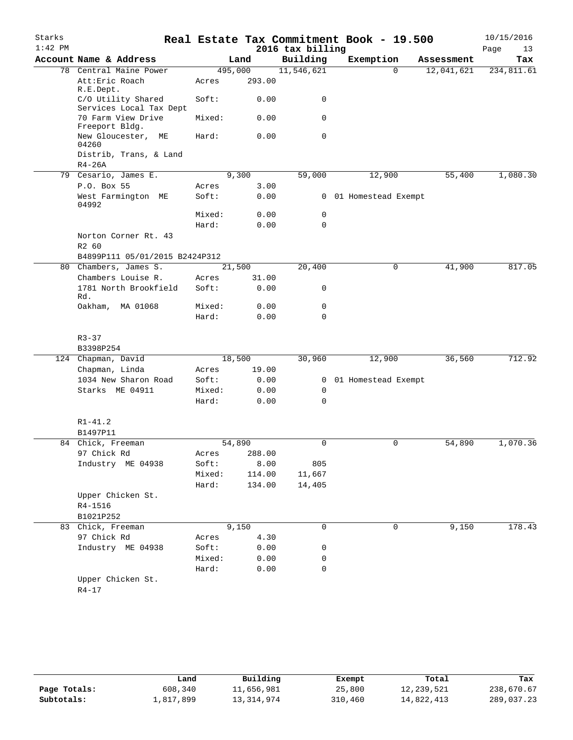| Starks    |                                                                 |                  |        |                  | Real Estate Tax Commitment Book - 19.500 |            | 10/15/2016 |
|-----------|-----------------------------------------------------------------|------------------|--------|------------------|------------------------------------------|------------|------------|
| $1:42$ PM |                                                                 |                  |        | 2016 tax billing |                                          |            | Page<br>13 |
|           | Account Name & Address                                          |                  | Land   | Building         | Exemption                                | Assessment | Tax        |
| 78        | Central Maine Power<br>Att: Eric Roach                          | 495,000<br>Acres | 293.00 | 11,546,621       | $\Omega$                                 | 12,041,621 | 234,811.61 |
|           | R.E.Dept.<br>C/O Utility Shared                                 | Soft:            | 0.00   | 0                |                                          |            |            |
|           | Services Local Tax Dept<br>70 Farm View Drive<br>Freeport Bldg. | Mixed:           | 0.00   | 0                |                                          |            |            |
|           | New Gloucester,<br>МE<br>04260                                  | Hard:            | 0.00   | $\mathbf 0$      |                                          |            |            |
|           | Distrib, Trans, & Land<br>$R4-26A$                              |                  |        |                  |                                          |            |            |
|           | 79 Cesario, James E.                                            |                  | 9,300  | 59,000           | 12,900                                   | 55,400     | 1,080.30   |
|           | P.O. Box 55                                                     | Acres            | 3.00   |                  |                                          |            |            |
|           | West Farmington ME<br>04992                                     | Soft:            | 0.00   |                  | 0 01 Homestead Exempt                    |            |            |
|           |                                                                 | Mixed:           | 0.00   | 0                |                                          |            |            |
|           |                                                                 | Hard:            | 0.00   | 0                |                                          |            |            |
|           | Norton Corner Rt. 43<br>R2 60                                   |                  |        |                  |                                          |            |            |
|           | B4899P111 05/01/2015 B2424P312                                  |                  |        |                  |                                          |            |            |
|           | 80 Chambers, James S.                                           |                  | 21,500 | 20,400           | 0                                        | 41,900     | 817.05     |
|           | Chambers Louise R.                                              | Acres            | 31.00  |                  |                                          |            |            |
|           | 1781 North Brookfield<br>Rd.                                    | Soft:            | 0.00   | 0                |                                          |            |            |
|           | Oakham, MA 01068                                                | Mixed:           | 0.00   | 0                |                                          |            |            |
|           |                                                                 | Hard:            | 0.00   | $\Omega$         |                                          |            |            |
|           | $R3 - 37$                                                       |                  |        |                  |                                          |            |            |
|           | B3398P254                                                       |                  |        |                  |                                          |            |            |
|           | 124 Chapman, David                                              |                  | 18,500 | 30,960           | 12,900                                   | 36,560     | 712.92     |
|           | Chapman, Linda                                                  | Acres            | 19.00  |                  |                                          |            |            |
|           | 1034 New Sharon Road                                            | Soft:            | 0.00   |                  | 0 01 Homestead Exempt                    |            |            |
|           | Starks ME 04911                                                 | Mixed:           | 0.00   | 0                |                                          |            |            |
|           |                                                                 | Hard:            | 0.00   | $\mathbf 0$      |                                          |            |            |
|           | $R1 - 41.2$                                                     |                  |        |                  |                                          |            |            |
|           | B1497P11                                                        |                  |        |                  |                                          |            |            |
|           | 84 Chick, Freeman                                               |                  | 54,890 | 0                | 0                                        | 54,890     | 1,070.36   |
|           | 97 Chick Rd                                                     | Acres            | 288.00 |                  |                                          |            |            |
|           | Industry ME 04938                                               | Soft:            | 8.00   | 805              |                                          |            |            |
|           |                                                                 | Mixed:           | 114.00 | 11,667           |                                          |            |            |
|           |                                                                 | Hard:            | 134.00 | 14,405           |                                          |            |            |
|           | Upper Chicken St.                                               |                  |        |                  |                                          |            |            |
|           | R4-1516                                                         |                  |        |                  |                                          |            |            |
|           | B1021P252                                                       |                  |        |                  |                                          |            |            |
|           | 83 Chick, Freeman                                               |                  | 9,150  | 0                | 0                                        | 9,150      | 178.43     |
|           | 97 Chick Rd                                                     | Acres            | 4.30   |                  |                                          |            |            |
|           | Industry ME 04938                                               | Soft:            | 0.00   | 0                |                                          |            |            |
|           |                                                                 | Mixed:           | 0.00   | 0                |                                          |            |            |
|           |                                                                 | Hard:            | 0.00   | 0                |                                          |            |            |
|           | Upper Chicken St.<br>$R4 - 17$                                  |                  |        |                  |                                          |            |            |

|              | Land      | Building   | Exempt  | Total      | Tax        |
|--------------|-----------|------------|---------|------------|------------|
| Page Totals: | 608,340   | 11,656,981 | 25,800  | 12,239,521 | 238,670.67 |
| Subtotals:   | 1,817,899 | 13,314,974 | 310,460 | 14,822,413 | 289,037.23 |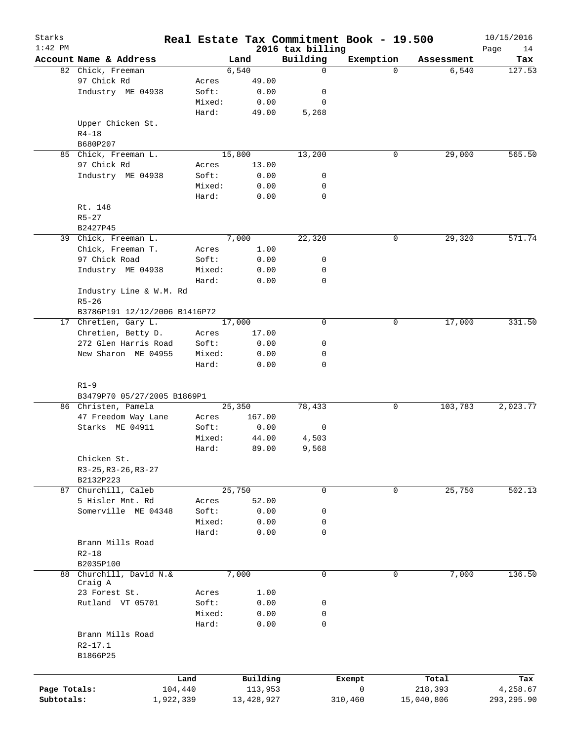| Starks<br>$1:42$ PM |                               |         | Real Estate Tax Commitment Book - 19.500 |                              |           |          |            | 10/15/2016        |
|---------------------|-------------------------------|---------|------------------------------------------|------------------------------|-----------|----------|------------|-------------------|
|                     | Account Name & Address        |         | Land                                     | 2016 tax billing<br>Building | Exemption |          | Assessment | Page<br>14<br>Tax |
|                     | 82 Chick, Freeman             |         | 6,540                                    | $\mathbf 0$                  |           | $\Omega$ | 6,540      | 127.53            |
|                     | 97 Chick Rd                   | Acres   | 49.00                                    |                              |           |          |            |                   |
|                     | Industry ME 04938             | Soft:   | 0.00                                     | 0                            |           |          |            |                   |
|                     |                               | Mixed:  | 0.00                                     | 0                            |           |          |            |                   |
|                     |                               | Hard:   | 49.00                                    | 5,268                        |           |          |            |                   |
|                     | Upper Chicken St.             |         |                                          |                              |           |          |            |                   |
|                     | $R4 - 18$                     |         |                                          |                              |           |          |            |                   |
|                     | B680P207                      |         |                                          |                              |           |          |            |                   |
| 85                  | Chick, Freeman L.             |         | 15,800                                   | 13,200                       |           | 0        | 29,000     | 565.50            |
|                     | 97 Chick Rd                   | Acres   | 13.00                                    |                              |           |          |            |                   |
|                     | Industry ME 04938             | Soft:   | 0.00                                     | 0                            |           |          |            |                   |
|                     |                               | Mixed:  | 0.00                                     | 0                            |           |          |            |                   |
|                     |                               | Hard:   | 0.00                                     | 0                            |           |          |            |                   |
|                     | Rt. 148                       |         |                                          |                              |           |          |            |                   |
|                     | $R5 - 27$                     |         |                                          |                              |           |          |            |                   |
|                     | B2427P45                      |         |                                          |                              |           |          |            |                   |
|                     | 39 Chick, Freeman L.          |         | 7,000                                    | 22,320                       |           | 0        | 29,320     | 571.74            |
|                     | Chick, Freeman T.             | Acres   | 1.00                                     |                              |           |          |            |                   |
|                     | 97 Chick Road                 | Soft:   | 0.00                                     | 0                            |           |          |            |                   |
|                     | Industry ME 04938             | Mixed:  | 0.00                                     | 0                            |           |          |            |                   |
|                     |                               | Hard:   | 0.00                                     | 0                            |           |          |            |                   |
|                     | Industry Line & W.M. Rd       |         |                                          |                              |           |          |            |                   |
|                     | $R5 - 26$                     |         |                                          |                              |           |          |            |                   |
|                     | B3786P191 12/12/2006 B1416P72 |         |                                          |                              |           |          |            |                   |
|                     | 17 Chretien, Gary L.          |         | 17,000                                   | $\mathbf 0$                  |           | 0        | 17,000     | 331.50            |
|                     | Chretien, Betty D.            | Acres   | 17.00                                    |                              |           |          |            |                   |
|                     | 272 Glen Harris Road          | Soft:   | 0.00                                     | 0                            |           |          |            |                   |
|                     | New Sharon ME 04955           | Mixed:  | 0.00                                     | 0                            |           |          |            |                   |
|                     |                               | Hard:   | 0.00                                     | $\mathbf 0$                  |           |          |            |                   |
|                     | $R1-9$                        |         |                                          |                              |           |          |            |                   |
|                     | B3479P70 05/27/2005 B1869P1   |         |                                          |                              |           |          |            |                   |
|                     | 86 Christen, Pamela           |         | 25,350                                   | 78,433                       |           | 0        | 103,783    | 2,023.77          |
|                     | 47 Freedom Way Lane           | Acres   | 167.00                                   |                              |           |          |            |                   |
|                     | Starks ME 04911               | Soft:   | 0.00                                     | 0                            |           |          |            |                   |
|                     |                               | Mixed:  | 44.00                                    | 4,503                        |           |          |            |                   |
|                     |                               | Hard:   | 89.00                                    | 9,568                        |           |          |            |                   |
|                     | Chicken St.                   |         |                                          |                              |           |          |            |                   |
|                     | R3-25, R3-26, R3-27           |         |                                          |                              |           |          |            |                   |
|                     | B2132P223                     |         |                                          |                              |           |          |            |                   |
|                     | 87 Churchill, Caleb           |         | 25,750                                   | 0                            |           | 0        | 25,750     | 502.13            |
|                     | 5 Hisler Mnt. Rd              | Acres   | 52.00                                    |                              |           |          |            |                   |
|                     | Somerville ME 04348           | Soft:   | 0.00                                     | 0                            |           |          |            |                   |
|                     |                               | Mixed:  | 0.00                                     | 0                            |           |          |            |                   |
|                     |                               | Hard:   | 0.00                                     | $\mathbf 0$                  |           |          |            |                   |
|                     | Brann Mills Road              |         |                                          |                              |           |          |            |                   |
|                     | $R2 - 18$                     |         |                                          |                              |           |          |            |                   |
|                     | B2035P100                     |         |                                          |                              |           |          |            |                   |
|                     | 88 Churchill, David N.&       |         | 7,000                                    | $\mathbf 0$                  |           | 0        | 7,000      | 136.50            |
|                     | Craig A                       |         |                                          |                              |           |          |            |                   |
|                     | 23 Forest St.                 | Acres   | 1.00                                     |                              |           |          |            |                   |
|                     | Rutland VT 05701              | Soft:   | 0.00                                     | 0                            |           |          |            |                   |
|                     |                               | Mixed:  | 0.00                                     | 0                            |           |          |            |                   |
|                     |                               | Hard:   | 0.00                                     | 0                            |           |          |            |                   |
|                     | Brann Mills Road              |         |                                          |                              |           |          |            |                   |
|                     | R2-17.1                       |         |                                          |                              |           |          |            |                   |
|                     | B1866P25                      |         |                                          |                              |           |          |            |                   |
|                     |                               |         |                                          |                              |           |          |            |                   |
|                     |                               | Land    | Building                                 |                              | Exempt    |          | Total      | Tax               |
| Page Totals:        |                               | 104,440 | 113,953                                  |                              | 0         |          | 218,393    | 4,258.67          |
| Subtotals:          | 1,922,339                     |         | 13,428,927                               |                              | 310,460   |          | 15,040,806 | 293, 295.90       |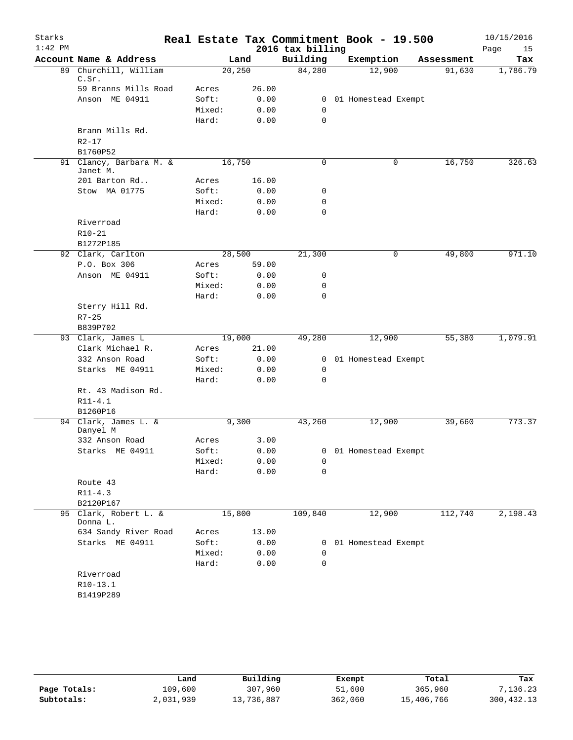| Starks    |                               |                 |              |                  | Real Estate Tax Commitment Book - 19.500 |            | 10/15/2016 |
|-----------|-------------------------------|-----------------|--------------|------------------|------------------------------------------|------------|------------|
| $1:42$ PM |                               |                 |              | 2016 tax billing |                                          |            | Page<br>15 |
|           | Account Name & Address        |                 | Land         | Building         | Exemption                                | Assessment | Tax        |
| 89        | Churchill, William            | 20,250          |              | 84,280           | 12,900                                   | 91,630     | 1,786.79   |
|           | C.Sr.<br>59 Branns Mills Road | Acres           | 26.00        |                  |                                          |            |            |
|           | Anson ME 04911                | Soft:           | 0.00         | 0                | 01 Homestead Exempt                      |            |            |
|           |                               | Mixed:          | 0.00         | 0                |                                          |            |            |
|           |                               | Hard:           | 0.00         | $\mathbf 0$      |                                          |            |            |
|           | Brann Mills Rd.               |                 |              |                  |                                          |            |            |
|           | $R2 - 17$                     |                 |              |                  |                                          |            |            |
|           | B1760P52                      |                 |              |                  |                                          |            |            |
|           | 91 Clancy, Barbara M. &       | 16,750          |              | $\mathbf 0$      | 0                                        | 16,750     | 326.63     |
|           | Janet M.                      |                 |              |                  |                                          |            |            |
|           | 201 Barton Rd                 | Acres           | 16.00        |                  |                                          |            |            |
|           | Stow MA 01775                 | Soft:           | 0.00         | 0                |                                          |            |            |
|           |                               | Mixed:          | 0.00         | 0                |                                          |            |            |
|           |                               | Hard:           | 0.00         | $\mathbf 0$      |                                          |            |            |
|           | Riverroad                     |                 |              |                  |                                          |            |            |
|           | R10-21<br>B1272P185           |                 |              |                  |                                          |            |            |
|           | 92 Clark, Carlton             | 28,500          |              | 21,300           | 0                                        | 49,800     | 971.10     |
|           | P.O. Box 306                  | Acres           | 59.00        |                  |                                          |            |            |
|           | Anson ME 04911                | Soft:           | 0.00         | 0                |                                          |            |            |
|           |                               | Mixed:          | 0.00         | 0                |                                          |            |            |
|           |                               | Hard:           | 0.00         | 0                |                                          |            |            |
|           | Sterry Hill Rd.               |                 |              |                  |                                          |            |            |
|           | $R7 - 25$                     |                 |              |                  |                                          |            |            |
|           | B839P702                      |                 |              |                  |                                          |            |            |
|           | 93 Clark, James L             | 19,000          |              | 49,280           | 12,900                                   | 55,380     | 1,079.91   |
|           | Clark Michael R.              | Acres           | 21.00        |                  |                                          |            |            |
|           | 332 Anson Road                | Soft:           | 0.00         | 0                | 01 Homestead Exempt                      |            |            |
|           | Starks ME 04911               | Mixed:          | 0.00         | 0                |                                          |            |            |
|           |                               | Hard:           | 0.00         | $\mathbf 0$      |                                          |            |            |
|           | Rt. 43 Madison Rd.            |                 |              |                  |                                          |            |            |
|           | $R11 - 4.1$                   |                 |              |                  |                                          |            |            |
|           | B1260P16                      |                 |              |                  |                                          |            |            |
|           | 94 Clark, James L. &          | 9,300           |              | 43,260           | 12,900                                   | 39,660     | 773.37     |
|           | Danyel M                      |                 |              |                  |                                          |            |            |
|           | 332 Anson Road                | Acres           | 3.00         |                  |                                          |            |            |
|           | Starks ME 04911               | Soft:           | 0.00         |                  | 0 01 Homestead Exempt                    |            |            |
|           |                               | Mixed:<br>Hard: | 0.00<br>0.00 | 0<br>0           |                                          |            |            |
|           | Route 43                      |                 |              |                  |                                          |            |            |
|           | $R11 - 4.3$                   |                 |              |                  |                                          |            |            |
|           | B2120P167                     |                 |              |                  |                                          |            |            |
|           | 95 Clark, Robert L. &         | 15,800          |              | 109,840          | 12,900                                   | 112,740    | 2,198.43   |
|           | Donna L.                      |                 |              |                  |                                          |            |            |
|           | 634 Sandy River Road          | Acres           | 13.00        |                  |                                          |            |            |
|           | Starks ME 04911               | Soft:           | 0.00         |                  | 0 01 Homestead Exempt                    |            |            |
|           |                               | Mixed:          | 0.00         | 0                |                                          |            |            |
|           |                               | Hard:           | 0.00         | $\mathbf 0$      |                                          |            |            |
|           | Riverroad                     |                 |              |                  |                                          |            |            |
|           | R10-13.1                      |                 |              |                  |                                          |            |            |
|           | B1419P289                     |                 |              |                  |                                          |            |            |

|              | Land      | Building   | Exempt  | Total      | Tax         |
|--------------|-----------|------------|---------|------------|-------------|
| Page Totals: | 109,600   | 307,960    | 51,600  | 365,960    | 7,136.23    |
| Subtotals:   | 2,031,939 | 13,736,887 | 362,060 | 15,406,766 | 300, 432.13 |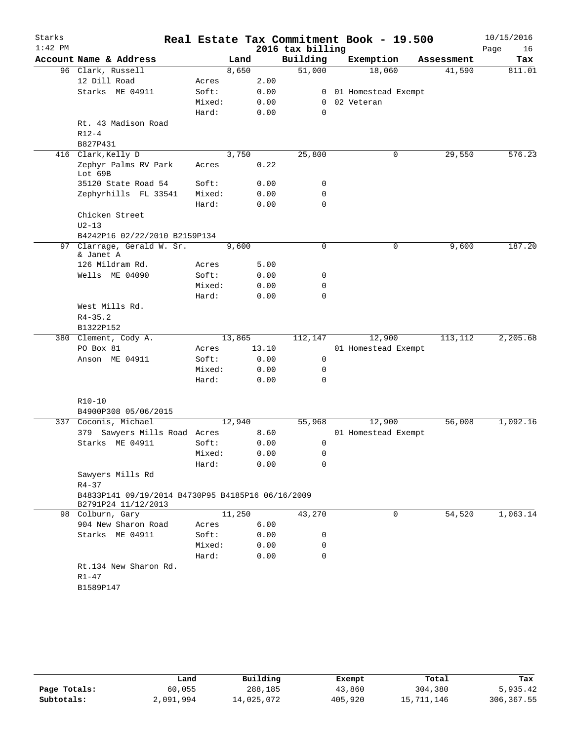| Starks    |                                                                          |        |        |       | Real Estate Tax Commitment Book - 19.500 |                     |            | 10/15/2016 |
|-----------|--------------------------------------------------------------------------|--------|--------|-------|------------------------------------------|---------------------|------------|------------|
| $1:42$ PM |                                                                          |        |        |       | 2016 tax billing                         |                     |            | Page<br>16 |
|           | Account Name & Address                                                   |        | Land   |       | Building                                 | Exemption           | Assessment | Tax        |
|           | 96 Clark, Russell                                                        |        | 8,650  |       | 51,000                                   | 18,060              | 41,590     | 811.01     |
|           | 12 Dill Road                                                             | Acres  |        | 2.00  |                                          |                     |            |            |
|           | Starks ME 04911                                                          | Soft:  |        | 0.00  | $\overline{0}$                           | 01 Homestead Exempt |            |            |
|           |                                                                          | Mixed: |        | 0.00  | $\Omega$                                 | 02 Veteran          |            |            |
|           |                                                                          | Hard:  |        | 0.00  | 0                                        |                     |            |            |
|           | Rt. 43 Madison Road                                                      |        |        |       |                                          |                     |            |            |
|           | $R12 - 4$                                                                |        |        |       |                                          |                     |            |            |
|           | B827P431                                                                 |        |        |       |                                          |                     |            |            |
|           | 416 Clark, Kelly D                                                       |        | 3,750  |       | 25,800                                   | 0                   | 29,550     | 576.23     |
|           | Zephyr Palms RV Park                                                     | Acres  |        | 0.22  |                                          |                     |            |            |
|           | Lot 69B                                                                  |        |        |       |                                          |                     |            |            |
|           | 35120 State Road 54                                                      | Soft:  |        | 0.00  | 0                                        |                     |            |            |
|           | Zephyrhills FL 33541                                                     | Mixed: |        | 0.00  | 0                                        |                     |            |            |
|           |                                                                          | Hard:  |        | 0.00  | 0                                        |                     |            |            |
|           | Chicken Street                                                           |        |        |       |                                          |                     |            |            |
|           | $U2 - 13$                                                                |        |        |       |                                          |                     |            |            |
|           | B4242P16 02/22/2010 B2159P134                                            |        |        |       |                                          |                     |            |            |
| 97        | Clarrage, Gerald W. Sr.                                                  |        | 9,600  |       | 0                                        | $\mathsf{O}$        | 9,600      | 187.20     |
|           | & Janet A                                                                |        |        |       |                                          |                     |            |            |
|           | 126 Mildram Rd.                                                          | Acres  |        | 5.00  |                                          |                     |            |            |
|           | Wells ME 04090                                                           | Soft:  |        | 0.00  | 0                                        |                     |            |            |
|           |                                                                          | Mixed: |        | 0.00  | 0                                        |                     |            |            |
|           |                                                                          | Hard:  |        | 0.00  | $\Omega$                                 |                     |            |            |
|           | West Mills Rd.                                                           |        |        |       |                                          |                     |            |            |
|           | $R4 - 35.2$                                                              |        |        |       |                                          |                     |            |            |
|           | B1322P152                                                                |        |        |       |                                          |                     |            |            |
|           | 380 Clement, Cody A.                                                     |        | 13,865 |       | 112,147                                  | 12,900              | 113,112    | 2,205.68   |
|           | PO Box 81                                                                | Acres  |        | 13.10 |                                          | 01 Homestead Exempt |            |            |
|           | Anson ME 04911                                                           | Soft:  |        | 0.00  | 0                                        |                     |            |            |
|           |                                                                          | Mixed: |        | 0.00  | 0                                        |                     |            |            |
|           |                                                                          | Hard:  |        | 0.00  | 0                                        |                     |            |            |
|           |                                                                          |        |        |       |                                          |                     |            |            |
|           | $R10 - 10$                                                               |        |        |       |                                          |                     |            |            |
|           | B4900P308 05/06/2015                                                     |        |        |       |                                          |                     |            |            |
|           | 337 Coconis, Michael                                                     |        | 12,940 |       | 55,968                                   | 12,900              | 56,008     | 1,092.16   |
|           | Sawyers Mills Road Acres<br>379                                          |        |        | 8.60  |                                          | 01 Homestead Exempt |            |            |
|           | Starks ME 04911                                                          | Soft:  |        | 0.00  | 0                                        |                     |            |            |
|           |                                                                          | Mixed: |        | 0.00  | 0                                        |                     |            |            |
|           |                                                                          | Hard:  |        | 0.00  | 0                                        |                     |            |            |
|           | Sawyers Mills Rd                                                         |        |        |       |                                          |                     |            |            |
|           | $R4 - 37$                                                                |        |        |       |                                          |                     |            |            |
|           | B4833P141 09/19/2014 B4730P95 B4185P16 06/16/2009<br>B2791P24 11/12/2013 |        |        |       |                                          |                     |            |            |
|           | 98 Colburn, Gary                                                         |        | 11,250 |       | 43,270                                   | 0                   | 54,520     | 1,063.14   |
|           | 904 New Sharon Road                                                      | Acres  |        | 6.00  |                                          |                     |            |            |
|           | Starks ME 04911                                                          | Soft:  |        | 0.00  | 0                                        |                     |            |            |
|           |                                                                          | Mixed: |        | 0.00  | 0                                        |                     |            |            |
|           |                                                                          | Hard:  |        | 0.00  | 0                                        |                     |            |            |
|           | Rt.134 New Sharon Rd.                                                    |        |        |       |                                          |                     |            |            |
|           | $R1 - 47$                                                                |        |        |       |                                          |                     |            |            |
|           | B1589P147                                                                |        |        |       |                                          |                     |            |            |
|           |                                                                          |        |        |       |                                          |                     |            |            |
|           |                                                                          |        |        |       |                                          |                     |            |            |

|              | Land      | Building   | Exempt  | Total      | Tax        |
|--------------|-----------|------------|---------|------------|------------|
| Page Totals: | 60,055    | 288,185    | 43,860  | 304,380    | 5,935.42   |
| Subtotals:   | 2,091,994 | 14,025,072 | 405,920 | 15,711,146 | 306,367.55 |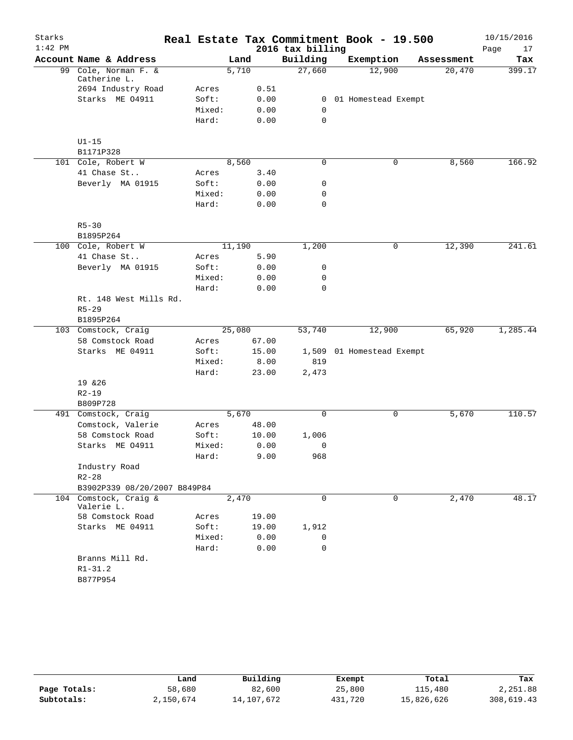| Starks    |                                           |                 |        |              |                               | Real Estate Tax Commitment Book - 19.500 |            | 10/15/2016 |
|-----------|-------------------------------------------|-----------------|--------|--------------|-------------------------------|------------------------------------------|------------|------------|
| $1:42$ PM |                                           |                 |        |              | 2016 tax billing              |                                          |            | Page<br>17 |
|           | Account Name & Address                    |                 | Land   |              | Building                      | Exemption                                | Assessment | Tax        |
|           | 99 Cole, Norman F. &                      |                 | 5,710  |              | 27,660                        | 12,900                                   | 20,470     | 399.17     |
|           | Catherine L.                              |                 |        |              |                               |                                          |            |            |
|           | 2694 Industry Road                        | Acres           |        | 0.51         |                               |                                          |            |            |
|           | Starks ME 04911                           | Soft:           |        | 0.00         | $\overline{0}$<br>$\mathbf 0$ | 01 Homestead Exempt                      |            |            |
|           |                                           | Mixed:<br>Hard: |        | 0.00<br>0.00 | 0                             |                                          |            |            |
|           |                                           |                 |        |              |                               |                                          |            |            |
|           | $U1-15$                                   |                 |        |              |                               |                                          |            |            |
|           | B1171P328                                 |                 |        |              |                               |                                          |            |            |
|           | 101 Cole, Robert W                        |                 | 8,560  |              | 0                             | 0                                        | 8,560      | 166.92     |
|           | 41 Chase St                               | Acres           |        | 3.40         |                               |                                          |            |            |
|           | Beverly MA 01915                          | Soft:           |        | 0.00         | 0                             |                                          |            |            |
|           |                                           | Mixed:          |        | 0.00         | 0                             |                                          |            |            |
|           |                                           | Hard:           |        | 0.00         | 0                             |                                          |            |            |
|           |                                           |                 |        |              |                               |                                          |            |            |
|           | $R5 - 30$                                 |                 |        |              |                               |                                          |            |            |
|           | B1895P264                                 |                 |        |              |                               |                                          |            |            |
|           | 100 Cole, Robert W                        |                 | 11,190 |              | 1,200                         | 0                                        | 12,390     | 241.61     |
|           | 41 Chase St                               | Acres           |        | 5.90         |                               |                                          |            |            |
|           | Beverly MA 01915                          | Soft:           |        | 0.00         | 0                             |                                          |            |            |
|           |                                           | Mixed:          |        | 0.00         | 0                             |                                          |            |            |
|           |                                           | Hard:           |        | 0.00         | 0                             |                                          |            |            |
|           | Rt. 148 West Mills Rd.                    |                 |        |              |                               |                                          |            |            |
|           | $R5 - 29$                                 |                 |        |              |                               |                                          |            |            |
|           | B1895P264                                 |                 |        |              |                               |                                          |            |            |
|           | 103 Comstock, Craig                       |                 | 25,080 |              | 53,740                        | 12,900                                   | 65,920     | 1,285.44   |
|           | 58 Comstock Road                          | Acres           |        | 67.00        |                               |                                          |            |            |
|           | Starks ME 04911                           | Soft:           |        | 15.00        | 1,509                         | 01 Homestead Exempt                      |            |            |
|           |                                           | Mixed:          |        | 8.00         | 819                           |                                          |            |            |
|           |                                           | Hard:           |        | 23.00        | 2,473                         |                                          |            |            |
|           | 19 & 26                                   |                 |        |              |                               |                                          |            |            |
|           | $R2 - 19$                                 |                 |        |              |                               |                                          |            |            |
|           | B809P728                                  |                 |        |              |                               |                                          |            |            |
|           | 491 Comstock, Craig                       |                 | 5,670  |              | 0                             | 0                                        | 5,670      | 110.57     |
|           | Comstock, Valerie                         | Acres           |        | 48.00        |                               |                                          |            |            |
|           | 58 Comstock Road                          | Soft:           |        | 10.00        | 1,006                         |                                          |            |            |
|           | Starks ME 04911                           | Mixed:          |        | 0.00         | 0                             |                                          |            |            |
|           |                                           | Hard:           |        | 9.00         | 968                           |                                          |            |            |
|           | Industry Road                             |                 |        |              |                               |                                          |            |            |
|           | $R2 - 28$<br>B3902P339 08/20/2007 B849P84 |                 |        |              |                               |                                          |            |            |
|           | 104 Comstock, Craig &                     |                 | 2,470  |              | 0                             | $\mathbf 0$                              | 2,470      | 48.17      |
|           | Valerie L.                                |                 |        |              |                               |                                          |            |            |
|           | 58 Comstock Road                          | Acres           |        | 19.00        |                               |                                          |            |            |
|           | Starks ME 04911                           | Soft:           |        | 19.00        | 1,912                         |                                          |            |            |
|           |                                           | Mixed:          |        | 0.00         | 0                             |                                          |            |            |
|           |                                           | Hard:           |        | 0.00         | 0                             |                                          |            |            |
|           | Branns Mill Rd.                           |                 |        |              |                               |                                          |            |            |
|           | $R1 - 31.2$                               |                 |        |              |                               |                                          |            |            |
|           | B877P954                                  |                 |        |              |                               |                                          |            |            |

|              | Land      | Building   | Exempt  | Total      | Tax        |
|--------------|-----------|------------|---------|------------|------------|
| Page Totals: | 58,680    | 82,600     | 25,800  | 115,480    | 2,251.88   |
| Subtotals:   | 2,150,674 | 14,107,672 | 431,720 | 15,826,626 | 308,619.43 |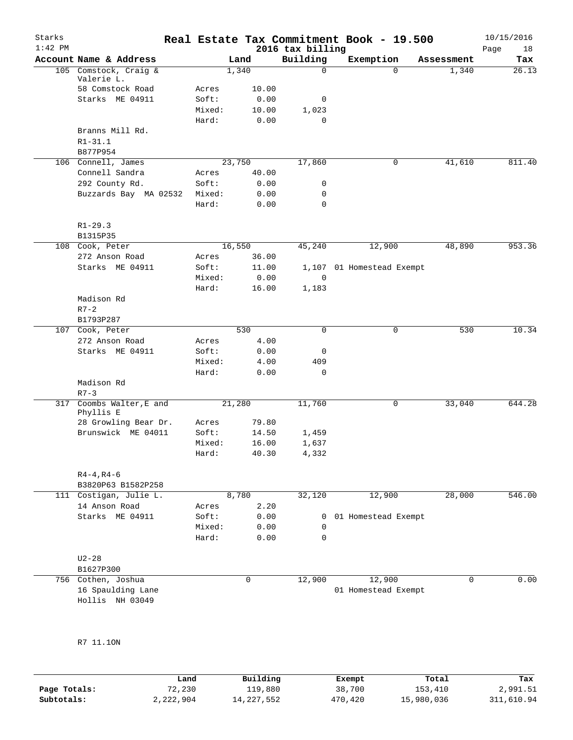| Starks<br>$1:42$ PM |                                   |                |        |       | 2016 tax billing | Real Estate Tax Commitment Book - 19.500 |             |            | 10/15/2016<br>Page | 18     |
|---------------------|-----------------------------------|----------------|--------|-------|------------------|------------------------------------------|-------------|------------|--------------------|--------|
|                     | Account Name & Address            |                | Land   |       | Building         | Exemption                                |             | Assessment |                    | Tax    |
|                     | 105 Comstock, Craig &             |                | 1,340  |       | 0                |                                          | $\Omega$    | 1,340      |                    | 26.13  |
|                     | Valerie L.<br>58 Comstock Road    | Acres          |        | 10.00 |                  |                                          |             |            |                    |        |
|                     | Starks ME 04911                   | Soft:          |        | 0.00  | 0                |                                          |             |            |                    |        |
|                     |                                   | Mixed:         |        | 10.00 | 1,023            |                                          |             |            |                    |        |
|                     |                                   | Hard:          |        | 0.00  | $\Omega$         |                                          |             |            |                    |        |
|                     | Branns Mill Rd.                   |                |        |       |                  |                                          |             |            |                    |        |
|                     | $R1 - 31.1$                       |                |        |       |                  |                                          |             |            |                    |        |
|                     | B877P954                          |                |        |       |                  |                                          |             |            |                    |        |
|                     | 106 Connell, James                |                | 23,750 |       | 17,860           |                                          | 0           | 41,610     |                    | 811.40 |
|                     | Connell Sandra                    | Acres          |        | 40.00 |                  |                                          |             |            |                    |        |
|                     | 292 County Rd.                    | Soft:          |        | 0.00  | 0                |                                          |             |            |                    |        |
|                     | Buzzards Bay MA 02532             | Mixed:         |        | 0.00  | 0                |                                          |             |            |                    |        |
|                     |                                   | Hard:          |        | 0.00  | 0                |                                          |             |            |                    |        |
|                     | $R1 - 29.3$                       |                |        |       |                  |                                          |             |            |                    |        |
|                     | B1315P35                          |                |        |       |                  |                                          |             |            |                    |        |
|                     | 108 Cook, Peter                   |                | 16,550 |       | 45,240           | 12,900                                   |             | 48,890     |                    | 953.36 |
|                     | 272 Anson Road                    | Acres          |        | 36.00 |                  |                                          |             |            |                    |        |
|                     | Starks ME 04911                   | Soft:          |        | 11.00 |                  | 1,107 01 Homestead Exempt                |             |            |                    |        |
|                     |                                   | Mixed:         |        | 0.00  | 0                |                                          |             |            |                    |        |
|                     |                                   | Hard:          |        | 16.00 | 1,183            |                                          |             |            |                    |        |
|                     | Madison Rd                        |                |        |       |                  |                                          |             |            |                    |        |
|                     | $R7-2$                            |                |        |       |                  |                                          |             |            |                    |        |
|                     | B1793P287                         |                | 530    |       | $\Omega$         |                                          |             |            |                    |        |
|                     | 107 Cook, Peter                   |                |        | 4.00  |                  |                                          | $\mathbf 0$ | 530        |                    | 10.34  |
|                     | 272 Anson Road<br>Starks ME 04911 | Acres<br>Soft: |        | 0.00  | 0                |                                          |             |            |                    |        |
|                     |                                   | Mixed:         |        | 4.00  | 409              |                                          |             |            |                    |        |
|                     |                                   | Hard:          |        | 0.00  | $\mathbf 0$      |                                          |             |            |                    |        |
|                     | Madison Rd                        |                |        |       |                  |                                          |             |            |                    |        |
|                     | $R7 - 3$                          |                |        |       |                  |                                          |             |            |                    |        |
| 317                 | Coombs Walter, E and              |                | 21,280 |       | 11,760           |                                          | 0           | 33,040     |                    | 644.28 |
|                     | Phyllis E                         |                |        |       |                  |                                          |             |            |                    |        |
|                     | 28 Growling Bear Dr.              | Acres          |        | 79.80 |                  |                                          |             |            |                    |        |
|                     | Brunswick ME 04011                | Soft:          |        | 14.50 | 1,459            |                                          |             |            |                    |        |
|                     |                                   | Mixed:         |        | 16.00 | 1,637            |                                          |             |            |                    |        |
|                     |                                   | Hard:          |        | 40.30 | 4,332            |                                          |             |            |                    |        |
|                     | $R4 - 4, R4 - 6$                  |                |        |       |                  |                                          |             |            |                    |        |
|                     | B3820P63 B1582P258                |                |        |       |                  |                                          |             |            |                    |        |
|                     | 111 Costigan, Julie L.            |                | 8,780  |       | 32,120           | 12,900                                   |             | 28,000     |                    | 546.00 |
|                     | 14 Anson Road                     | Acres          |        | 2.20  |                  |                                          |             |            |                    |        |
|                     | Starks ME 04911                   | Soft:          |        | 0.00  | 0                | 01 Homestead Exempt                      |             |            |                    |        |
|                     |                                   | Mixed:         |        | 0.00  | 0                |                                          |             |            |                    |        |
|                     |                                   | Hard:          |        | 0.00  | 0                |                                          |             |            |                    |        |
|                     | $U2 - 28$                         |                |        |       |                  |                                          |             |            |                    |        |
|                     | B1627P300                         |                |        |       |                  |                                          |             |            |                    |        |
|                     | 756 Cothen, Joshua                |                |        | 0     | 12,900           | 12,900                                   |             | 0          |                    | 0.00   |
|                     | 16 Spaulding Lane                 |                |        |       |                  | 01 Homestead Exempt                      |             |            |                    |        |
|                     | Hollis NH 03049                   |                |        |       |                  |                                          |             |            |                    |        |

R7 11.1ON

|              | Land      | Building   | Exempt  | Total      | Tax        |
|--------------|-----------|------------|---------|------------|------------|
| Page Totals: | 72,230    | 119,880    | 38,700  | 153,410    | 2,991.51   |
| Subtotals:   | 2,222,904 | 14,227,552 | 470,420 | 15,980,036 | 311,610.94 |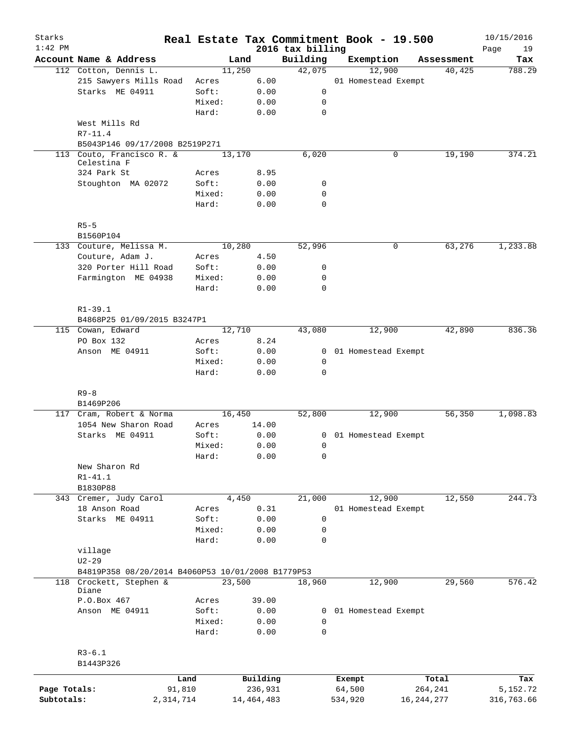| Starks<br>$1:42$ PM |                                                   |           |                 |              | 2016 tax billing | Real Estate Tax Commitment Book - 19.500 |              | 10/15/2016        |
|---------------------|---------------------------------------------------|-----------|-----------------|--------------|------------------|------------------------------------------|--------------|-------------------|
|                     | Account Name & Address                            |           | Land            |              | Building         | Exemption                                | Assessment   | Page<br>19<br>Tax |
|                     | 112 Cotton, Dennis L.                             |           | 11,250          |              | 42,075           | 12,900                                   | 40,425       | 788.29            |
|                     | 215 Sawyers Mills Road                            |           | Acres           | 6.00         |                  | 01 Homestead Exempt                      |              |                   |
|                     | Starks ME 04911                                   |           | Soft:           | 0.00         | 0                |                                          |              |                   |
|                     |                                                   |           | Mixed:          | 0.00         | 0                |                                          |              |                   |
|                     |                                                   |           | Hard:           | 0.00         | $\mathbf 0$      |                                          |              |                   |
|                     | West Mills Rd                                     |           |                 |              |                  |                                          |              |                   |
|                     | $R7 - 11.4$                                       |           |                 |              |                  |                                          |              |                   |
|                     | B5043P146 09/17/2008 B2519P271                    |           |                 |              |                  |                                          |              |                   |
|                     | 113 Couto, Francisco R. &                         |           | 13,170          |              | 6,020            | 0                                        | 19,190       | 374.21            |
|                     | Celestina F                                       |           |                 |              |                  |                                          |              |                   |
|                     | 324 Park St                                       |           | Acres           | 8.95         |                  |                                          |              |                   |
|                     | Stoughton MA 02072                                |           | Soft:           | 0.00         | 0                |                                          |              |                   |
|                     |                                                   |           | Mixed:<br>Hard: | 0.00<br>0.00 | 0<br>0           |                                          |              |                   |
|                     |                                                   |           |                 |              |                  |                                          |              |                   |
|                     | $R5 - 5$<br>B1560P104                             |           |                 |              |                  |                                          |              |                   |
|                     | 133 Couture, Melissa M.                           |           | 10,280          |              | 52,996           | 0                                        | 63,276       | 1,233.88          |
|                     | Couture, Adam J.                                  |           | Acres           | 4.50         |                  |                                          |              |                   |
|                     | 320 Porter Hill Road                              |           | Soft:           | 0.00         | 0                |                                          |              |                   |
|                     | Farmington ME 04938                               |           | Mixed:          | 0.00         | $\mathbf 0$      |                                          |              |                   |
|                     |                                                   |           | Hard:           | 0.00         | 0                |                                          |              |                   |
|                     | $R1 - 39.1$                                       |           |                 |              |                  |                                          |              |                   |
|                     | B4868P25 01/09/2015 B3247P1                       |           |                 |              |                  |                                          |              |                   |
|                     | 115 Cowan, Edward                                 |           | 12,710          |              | 43,080           | 12,900                                   | 42,890       | 836.36            |
|                     | PO Box 132                                        |           | Acres           | 8.24         |                  |                                          |              |                   |
|                     | Anson ME 04911                                    |           | Soft:           | 0.00         |                  | 0 01 Homestead Exempt                    |              |                   |
|                     |                                                   |           | Mixed:          | 0.00         | 0                |                                          |              |                   |
|                     |                                                   |           | Hard:           | 0.00         | 0                |                                          |              |                   |
|                     | $R9 - 8$                                          |           |                 |              |                  |                                          |              |                   |
|                     | B1469P206                                         |           |                 |              |                  |                                          |              |                   |
|                     | 117 Cram, Robert & Norma                          |           | 16,450          |              | 52,800           | 12,900                                   | 56,350       | 1,098.83          |
|                     | 1054 New Sharon Road                              |           | Acres           | 14.00        |                  |                                          |              |                   |
|                     | Starks ME 04911                                   |           | Soft:           | 0.00         |                  | 0 01 Homestead Exempt                    |              |                   |
|                     |                                                   |           | Mixed:          | 0.00         | 0                |                                          |              |                   |
|                     |                                                   |           | Hard:           | 0.00         | 0                |                                          |              |                   |
|                     | New Sharon Rd                                     |           |                 |              |                  |                                          |              |                   |
|                     | $R1 - 41.1$                                       |           |                 |              |                  |                                          |              |                   |
|                     | B1830P88                                          |           |                 |              |                  |                                          |              |                   |
|                     | 343 Cremer, Judy Carol                            |           | 4,450           |              | 21,000           | 12,900                                   | 12,550       | 244.73            |
|                     | 18 Anson Road                                     |           | Acres           | 0.31         |                  | 01 Homestead Exempt                      |              |                   |
|                     | Starks ME 04911                                   |           | Soft:           | 0.00         | $\mathsf{O}$     |                                          |              |                   |
|                     |                                                   |           | Mixed:          | 0.00         | 0                |                                          |              |                   |
|                     |                                                   |           | Hard:           | 0.00         | 0                |                                          |              |                   |
|                     | village                                           |           |                 |              |                  |                                          |              |                   |
|                     | $U2 - 29$                                         |           |                 |              |                  |                                          |              |                   |
|                     | B4819P358 08/20/2014 B4060P53 10/01/2008 B1779P53 |           |                 |              |                  |                                          |              |                   |
| 118                 | Crockett, Stephen &<br>Diane                      |           | 23,500          |              | 18,960           | 12,900                                   | 29,560       | 576.42            |
|                     | P.O.Box 467                                       |           | Acres           | 39.00        |                  |                                          |              |                   |
|                     | Anson ME 04911                                    |           | Soft:           | 0.00         | $\mathbf{0}$     | 01 Homestead Exempt                      |              |                   |
|                     |                                                   |           | Mixed:          | 0.00         | 0                |                                          |              |                   |
|                     |                                                   |           | Hard:           | 0.00         | $\mathbf 0$      |                                          |              |                   |
|                     | $R3 - 6.1$                                        |           |                 |              |                  |                                          |              |                   |
|                     | B1443P326                                         |           |                 |              |                  |                                          |              |                   |
|                     |                                                   |           |                 |              |                  |                                          |              |                   |
|                     |                                                   | Land      |                 | Building     |                  | Exempt                                   | Total        | Tax               |
| Page Totals:        |                                                   | 91,810    |                 | 236,931      |                  | 64,500                                   | 264,241      | 5,152.72          |
| Subtotals:          |                                                   | 2,314,714 |                 | 14, 464, 483 |                  | 534,920                                  | 16, 244, 277 | 316,763.66        |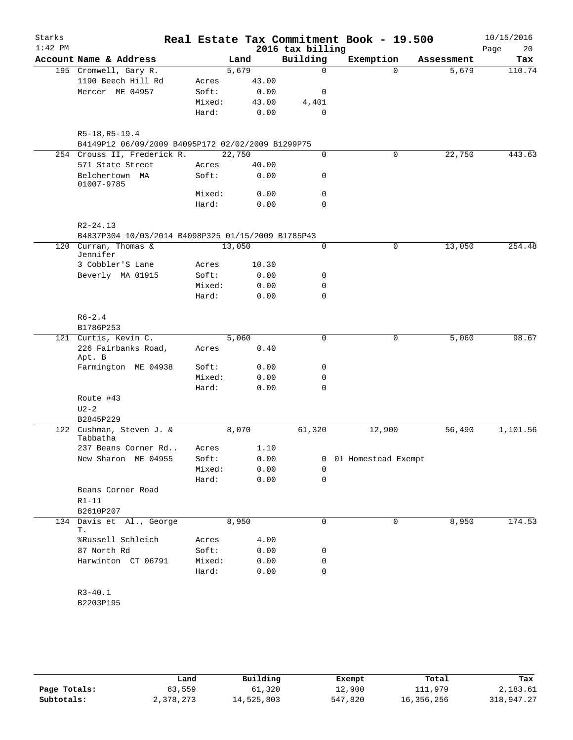| Starks    |                                                    |        |        |                  | Real Estate Tax Commitment Book - 19.500 |            | 10/15/2016 |
|-----------|----------------------------------------------------|--------|--------|------------------|------------------------------------------|------------|------------|
| $1:42$ PM |                                                    |        |        | 2016 tax billing |                                          |            | 20<br>Page |
|           | Account Name & Address                             |        | Land   | Building         | Exemption                                | Assessment | Tax        |
|           | 195 Cromwell, Gary R.                              |        | 5,679  | $\mathsf{O}$     | $\Omega$                                 | 5,679      | 110.74     |
|           | 1190 Beech Hill Rd                                 | Acres  | 43.00  |                  |                                          |            |            |
|           | Mercer ME 04957                                    | Soft:  | 0.00   | $\mathbf 0$      |                                          |            |            |
|           |                                                    | Mixed: | 43.00  | 4,401            |                                          |            |            |
|           |                                                    | Hard:  | 0.00   | $\mathbf 0$      |                                          |            |            |
|           | R5-18, R5-19.4                                     |        |        |                  |                                          |            |            |
|           | B4149P12 06/09/2009 B4095P172 02/02/2009 B1299P75  |        |        |                  |                                          |            |            |
|           | 254 Crouss II, Frederick R.                        |        | 22,750 | $\mathbf 0$      | 0                                        | 22,750     | 443.63     |
|           | 571 State Street                                   | Acres  | 40.00  |                  |                                          |            |            |
|           | Belchertown MA<br>01007-9785                       | Soft:  | 0.00   | 0                |                                          |            |            |
|           |                                                    | Mixed: | 0.00   | $\mathbf 0$      |                                          |            |            |
|           |                                                    | Hard:  | 0.00   | $\Omega$         |                                          |            |            |
|           | $R2 - 24.13$                                       |        |        |                  |                                          |            |            |
|           | B4837P304 10/03/2014 B4098P325 01/15/2009 B1785P43 |        |        |                  |                                          |            |            |
|           | 120 Curran, Thomas &<br>Jennifer                   |        | 13,050 | 0                | 0                                        | 13,050     | 254.48     |
|           | 3 Cobbler'S Lane                                   | Acres  | 10.30  |                  |                                          |            |            |
|           | Beverly MA 01915                                   | Soft:  | 0.00   | 0                |                                          |            |            |
|           |                                                    | Mixed: | 0.00   | $\mathbf 0$      |                                          |            |            |
|           |                                                    | Hard:  | 0.00   | $\mathbf 0$      |                                          |            |            |
|           | $R6 - 2.4$                                         |        |        |                  |                                          |            |            |
|           | B1786P253                                          |        |        |                  |                                          |            |            |
|           | 121 Curtis, Kevin C.                               |        | 5,060  | 0                | 0                                        | 5,060      | 98.67      |
|           | 226 Fairbanks Road,<br>Apt. B                      | Acres  | 0.40   |                  |                                          |            |            |
|           | Farmington ME 04938                                | Soft:  | 0.00   | 0                |                                          |            |            |
|           |                                                    | Mixed: | 0.00   | $\mathbf 0$      |                                          |            |            |
|           |                                                    | Hard:  | 0.00   | 0                |                                          |            |            |
|           | Route #43                                          |        |        |                  |                                          |            |            |
|           | $U2-2$                                             |        |        |                  |                                          |            |            |
|           | B2845P229                                          |        |        |                  |                                          |            |            |
| 122       | Cushman, Steven J. &<br>Tabbatha                   |        | 8,070  | 61,320           | 12,900                                   | 56,490     | 1,101.56   |
|           | 237 Beans Corner Rd                                | Acres  | 1.10   |                  |                                          |            |            |
|           | New Sharon ME 04955                                | Soft:  | 0.00   |                  | 0 01 Homestead Exempt                    |            |            |
|           |                                                    | Mixed: | 0.00   | $\Omega$         |                                          |            |            |
|           |                                                    | Hard:  | 0.00   | $\mathbf 0$      |                                          |            |            |
|           | Beans Corner Road<br>$R1 - 11$                     |        |        |                  |                                          |            |            |
|           | B2610P207<br>134 Davis et Al., George              |        | 8,950  | 0                | 0                                        | 8,950      | 174.53     |
|           | Т.                                                 |        |        |                  |                                          |            |            |
|           | %Russell Schleich                                  | Acres  | 4.00   |                  |                                          |            |            |
|           | 87 North Rd                                        | Soft:  | 0.00   | 0                |                                          |            |            |
|           | Harwinton CT 06791                                 | Mixed: | 0.00   | 0                |                                          |            |            |
|           |                                                    | Hard:  | 0.00   | $\mathbf 0$      |                                          |            |            |
|           |                                                    |        |        |                  |                                          |            |            |
|           | $R3 - 40.1$                                        |        |        |                  |                                          |            |            |

B2203P195

|              | Land      | Building   | Exempt  | Total      | Tax        |
|--------------|-----------|------------|---------|------------|------------|
| Page Totals: | 63,559    | 61,320     | 12,900  | 111,979    | 2,183.61   |
| Subtotals:   | 2,378,273 | 14,525,803 | 547,820 | 16,356,256 | 318,947.27 |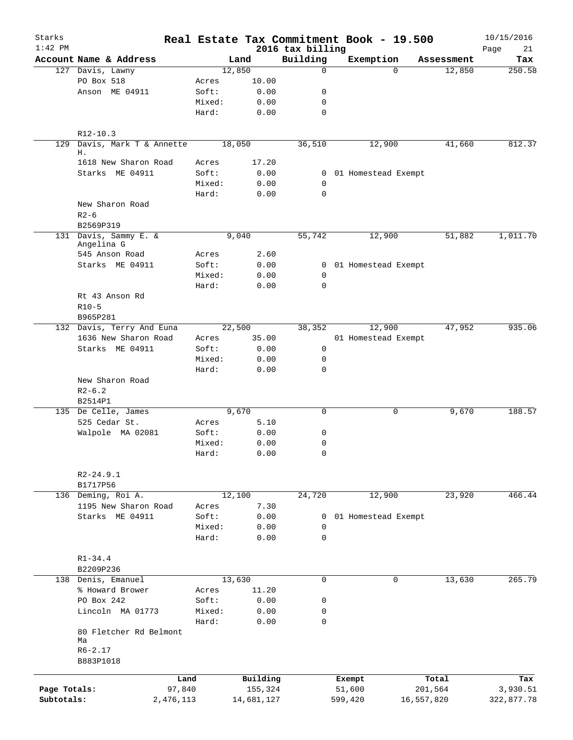| Starks<br>$1:42$ PM |                                     |                 |                                 | 2016 tax billing | Real Estate Tax Commitment Book - 19.500 |            |            | 10/15/2016<br>21<br>Page |
|---------------------|-------------------------------------|-----------------|---------------------------------|------------------|------------------------------------------|------------|------------|--------------------------|
|                     | Account Name & Address              |                 | Land                            | Building         | Exemption                                |            | Assessment | Tax                      |
|                     | 127 Davis, Lawny                    |                 | 12,850                          | $\mathbf 0$      |                                          | $\Omega$   | 12,850     | 250.58                   |
|                     | PO Box 518                          | Acres           | 10.00                           |                  |                                          |            |            |                          |
|                     | Anson ME 04911                      | Soft:           | 0.00                            | 0                |                                          |            |            |                          |
|                     |                                     | Mixed:          | 0.00                            | 0                |                                          |            |            |                          |
|                     |                                     | Hard:           | 0.00                            | $\mathbf 0$      |                                          |            |            |                          |
|                     | R12-10.3                            |                 |                                 |                  |                                          |            |            |                          |
| 129                 | Davis, Mark T & Annette<br>Н.       |                 | 18,050                          | 36,510           | 12,900                                   |            | 41,660     | 812.37                   |
|                     | 1618 New Sharon Road                | Acres           | 17.20                           |                  |                                          |            |            |                          |
|                     | Starks ME 04911                     | Soft:           | 0.00                            |                  | 0 01 Homestead Exempt                    |            |            |                          |
|                     |                                     | Mixed:          | 0.00                            | 0                |                                          |            |            |                          |
|                     |                                     | Hard:           | 0.00                            | $\Omega$         |                                          |            |            |                          |
|                     | New Sharon Road                     |                 |                                 |                  |                                          |            |            |                          |
|                     | $R2 - 6$                            |                 |                                 |                  |                                          |            |            |                          |
|                     | B2569P319                           |                 |                                 |                  |                                          |            |            |                          |
|                     | 131 Davis, Sammy E. &<br>Angelina G |                 | 9,040                           | 55,742           | 12,900                                   |            | 51,882     | 1,011.70                 |
|                     | 545 Anson Road                      | Acres           | 2.60                            |                  |                                          |            |            |                          |
|                     | Starks ME 04911                     | Soft:           | 0.00                            |                  | 0 01 Homestead Exempt                    |            |            |                          |
|                     |                                     | Mixed:          | 0.00                            | 0                |                                          |            |            |                          |
|                     |                                     | Hard:           | 0.00                            | 0                |                                          |            |            |                          |
|                     | Rt 43 Anson Rd                      |                 |                                 |                  |                                          |            |            |                          |
|                     | $R10-5$                             |                 |                                 |                  |                                          |            |            |                          |
|                     | B965P281                            |                 |                                 |                  |                                          |            |            |                          |
|                     | 132 Davis, Terry And Euna           |                 | 22,500                          | 38,352           | 12,900                                   |            | 47,952     | 935.06                   |
|                     | 1636 New Sharon Road                | Acres           | 35.00                           |                  | 01 Homestead Exempt                      |            |            |                          |
|                     | Starks ME 04911                     | Soft:           | 0.00                            | 0                |                                          |            |            |                          |
|                     |                                     | Mixed:          | 0.00                            | 0                |                                          |            |            |                          |
|                     |                                     | Hard:           | 0.00                            | 0                |                                          |            |            |                          |
|                     | New Sharon Road                     |                 |                                 |                  |                                          |            |            |                          |
|                     | $R2-6.2$                            |                 |                                 |                  |                                          |            |            |                          |
|                     | B2514P1                             |                 |                                 |                  |                                          |            |            |                          |
|                     | 135 De Celle, James                 |                 | 9,670                           | $\mathbf 0$      |                                          | 0          | 9,670      | 188.57                   |
|                     | 525 Cedar St.                       | Acres           | 5.10                            |                  |                                          |            |            |                          |
|                     | Walpole MA 02081                    | Soft:           | 0.00                            | 0                |                                          |            |            |                          |
|                     |                                     | Mixed:          | 0.00                            | 0                |                                          |            |            |                          |
|                     |                                     | Hard:           | ${\bf 0}$ . ${\bf 0}$ ${\bf 0}$ | 0                |                                          |            |            |                          |
|                     | $R2 - 24.9.1$                       |                 |                                 |                  |                                          |            |            |                          |
|                     | B1717P56                            |                 |                                 |                  |                                          |            |            |                          |
|                     | 136 Deming, Roi A.                  |                 | 12,100                          | 24,720           | 12,900                                   |            | 23,920     | 466.44                   |
|                     | 1195 New Sharon Road                | Acres           | 7.30                            |                  |                                          |            |            |                          |
|                     | Starks ME 04911                     | Soft:           | 0.00                            | 0                | 01 Homestead Exempt                      |            |            |                          |
|                     |                                     | Mixed:<br>Hard: | 0.00<br>0.00                    | 0<br>0           |                                          |            |            |                          |
|                     |                                     |                 |                                 |                  |                                          |            |            |                          |
|                     | $R1 - 34.4$<br>B2209P236            |                 |                                 |                  |                                          |            |            |                          |
|                     | 138 Denis, Emanuel                  |                 | 13,630                          | 0                |                                          | 0          | 13,630     | 265.79                   |
|                     | % Howard Brower                     | Acres           | 11.20                           |                  |                                          |            |            |                          |
|                     | PO Box 242                          | Soft:           | 0.00                            | 0                |                                          |            |            |                          |
|                     | Lincoln MA 01773                    | Mixed:          | 0.00                            | 0                |                                          |            |            |                          |
|                     |                                     | Hard:           | 0.00                            | 0                |                                          |            |            |                          |
|                     | 80 Fletcher Rd Belmont              |                 |                                 |                  |                                          |            |            |                          |
|                     | Ma                                  |                 |                                 |                  |                                          |            |            |                          |
|                     | $R6 - 2.17$                         |                 |                                 |                  |                                          |            |            |                          |
|                     | B883P1018                           |                 |                                 |                  |                                          |            |            |                          |
|                     |                                     | Land            | Building                        |                  | Exempt                                   | Total      |            | Tax                      |
| Page Totals:        | 97,840                              |                 | 155,324                         |                  | 51,600                                   | 201,564    |            | 3,930.51                 |
| Subtotals:          | 2,476,113                           |                 | 14,681,127                      |                  | 599,420                                  | 16,557,820 |            | 322,877.78               |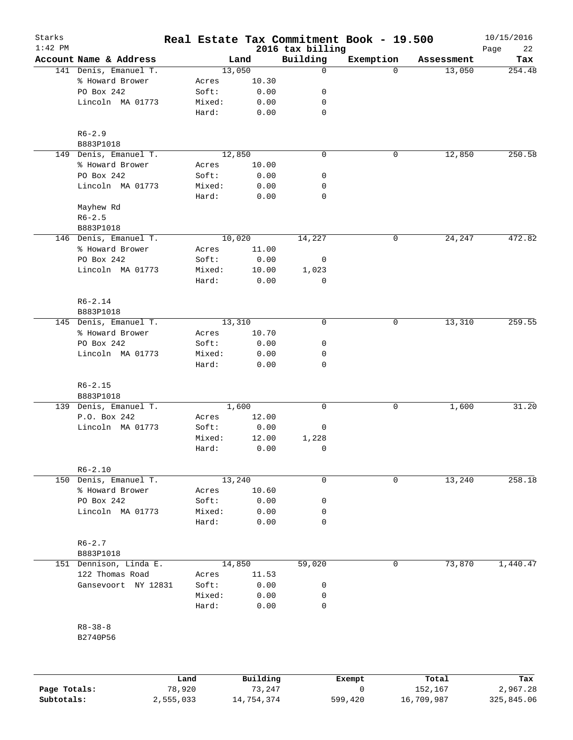| 2016 tax billing<br>Building<br>Exemption<br>Account Name & Address<br>Land<br>Assessment<br>141 Denis, Emanuel T.<br>13,050<br>13,050<br>0<br>$\Omega$<br>% Howard Brower<br>10.30<br>Acres<br>PO Box 242<br>Soft:<br>0.00<br>0<br>Lincoln MA 01773<br>Mixed:<br>0.00<br>0<br>$\mathbf 0$<br>Hard:<br>0.00<br>$R6 - 2.9$<br>B883P1018<br>149 Denis, Emanuel T.<br>12,850<br>$\mathbf 0$<br>12,850<br>0<br>% Howard Brower<br>10.00<br>Acres<br>PO Box 242<br>Soft:<br>0.00<br>0<br>Lincoln MA 01773<br>Mixed:<br>0.00<br>0<br>$\mathbf 0$<br>Hard:<br>0.00<br>Mayhew Rd<br>$R6 - 2.5$<br>B883P1018<br>146 Denis, Emanuel T.<br>10,020<br>14,227<br>24,247<br>0<br>% Howard Brower<br>11.00<br>Acres<br>PO Box 242<br>Soft:<br>0.00<br>0<br>Lincoln MA 01773<br>Mixed:<br>10.00<br>1,023<br>0<br>Hard:<br>0.00<br>$R6 - 2.14$<br>B883P1018<br>145 Denis, Emanuel T.<br>13,310<br>$\mathbf 0$<br>13,310<br>0<br>% Howard Brower<br>Acres<br>10.70<br>PO Box 242<br>Soft:<br>0.00<br>0<br>Lincoln MA 01773<br>Mixed:<br>0.00<br>0<br>$\mathbf 0$<br>Hard:<br>0.00<br>$R6 - 2.15$<br>B883P1018<br>139 Denis, Emanuel T.<br>1,600<br>0<br>0<br>1,600<br>P.O. Box 242<br>12.00<br>Acres<br>Lincoln MA 01773<br>Soft:<br>0.00<br>0<br>Mixed:<br>12.00<br>1,228<br>0<br>Hard:<br>0.00<br>$R6 - 2.10$<br>Denis, Emanuel T.<br>13,240<br>0<br>13,240<br>150<br>0<br>% Howard Brower<br>10.60<br>Acres<br>PO Box 242<br>Soft:<br>0.00<br>0<br>Lincoln MA 01773<br>Mixed:<br>0.00<br>0<br>$\mathbf 0$<br>Hard:<br>0.00<br>$R6 - 2.7$<br>B883P1018<br>151 Dennison, Linda E.<br>14,850<br>59,020<br>73,870<br>0<br>122 Thomas Road<br>Acres<br>11.53<br>Gansevoort NY 12831<br>Soft:<br>0.00<br>0<br>Mixed:<br>0.00<br>0<br>$\mathbf 0$<br>Hard:<br>0.00<br>$R8 - 38 - 8$<br>B2740P56<br>Building<br>Land<br>Total<br>Exempt | Starks<br>$1:42$ PM |        |        | Real Estate Tax Commitment Book - 19.500 |         | 10/15/2016        |
|------------------------------------------------------------------------------------------------------------------------------------------------------------------------------------------------------------------------------------------------------------------------------------------------------------------------------------------------------------------------------------------------------------------------------------------------------------------------------------------------------------------------------------------------------------------------------------------------------------------------------------------------------------------------------------------------------------------------------------------------------------------------------------------------------------------------------------------------------------------------------------------------------------------------------------------------------------------------------------------------------------------------------------------------------------------------------------------------------------------------------------------------------------------------------------------------------------------------------------------------------------------------------------------------------------------------------------------------------------------------------------------------------------------------------------------------------------------------------------------------------------------------------------------------------------------------------------------------------------------------------------------------------------------------------------------------------------------------------------------------------------------------------------------------------------------|---------------------|--------|--------|------------------------------------------|---------|-------------------|
|                                                                                                                                                                                                                                                                                                                                                                                                                                                                                                                                                                                                                                                                                                                                                                                                                                                                                                                                                                                                                                                                                                                                                                                                                                                                                                                                                                                                                                                                                                                                                                                                                                                                                                                                                                                                                  |                     |        |        |                                          |         | Page<br>22<br>Tax |
|                                                                                                                                                                                                                                                                                                                                                                                                                                                                                                                                                                                                                                                                                                                                                                                                                                                                                                                                                                                                                                                                                                                                                                                                                                                                                                                                                                                                                                                                                                                                                                                                                                                                                                                                                                                                                  |                     |        |        |                                          |         | 254.48            |
|                                                                                                                                                                                                                                                                                                                                                                                                                                                                                                                                                                                                                                                                                                                                                                                                                                                                                                                                                                                                                                                                                                                                                                                                                                                                                                                                                                                                                                                                                                                                                                                                                                                                                                                                                                                                                  |                     |        |        |                                          |         |                   |
|                                                                                                                                                                                                                                                                                                                                                                                                                                                                                                                                                                                                                                                                                                                                                                                                                                                                                                                                                                                                                                                                                                                                                                                                                                                                                                                                                                                                                                                                                                                                                                                                                                                                                                                                                                                                                  |                     |        |        |                                          |         |                   |
|                                                                                                                                                                                                                                                                                                                                                                                                                                                                                                                                                                                                                                                                                                                                                                                                                                                                                                                                                                                                                                                                                                                                                                                                                                                                                                                                                                                                                                                                                                                                                                                                                                                                                                                                                                                                                  |                     |        |        |                                          |         |                   |
|                                                                                                                                                                                                                                                                                                                                                                                                                                                                                                                                                                                                                                                                                                                                                                                                                                                                                                                                                                                                                                                                                                                                                                                                                                                                                                                                                                                                                                                                                                                                                                                                                                                                                                                                                                                                                  |                     |        |        |                                          |         |                   |
|                                                                                                                                                                                                                                                                                                                                                                                                                                                                                                                                                                                                                                                                                                                                                                                                                                                                                                                                                                                                                                                                                                                                                                                                                                                                                                                                                                                                                                                                                                                                                                                                                                                                                                                                                                                                                  |                     |        |        |                                          |         |                   |
|                                                                                                                                                                                                                                                                                                                                                                                                                                                                                                                                                                                                                                                                                                                                                                                                                                                                                                                                                                                                                                                                                                                                                                                                                                                                                                                                                                                                                                                                                                                                                                                                                                                                                                                                                                                                                  |                     |        |        |                                          |         |                   |
|                                                                                                                                                                                                                                                                                                                                                                                                                                                                                                                                                                                                                                                                                                                                                                                                                                                                                                                                                                                                                                                                                                                                                                                                                                                                                                                                                                                                                                                                                                                                                                                                                                                                                                                                                                                                                  |                     |        |        |                                          |         | 250.58            |
|                                                                                                                                                                                                                                                                                                                                                                                                                                                                                                                                                                                                                                                                                                                                                                                                                                                                                                                                                                                                                                                                                                                                                                                                                                                                                                                                                                                                                                                                                                                                                                                                                                                                                                                                                                                                                  |                     |        |        |                                          |         |                   |
|                                                                                                                                                                                                                                                                                                                                                                                                                                                                                                                                                                                                                                                                                                                                                                                                                                                                                                                                                                                                                                                                                                                                                                                                                                                                                                                                                                                                                                                                                                                                                                                                                                                                                                                                                                                                                  |                     |        |        |                                          |         |                   |
|                                                                                                                                                                                                                                                                                                                                                                                                                                                                                                                                                                                                                                                                                                                                                                                                                                                                                                                                                                                                                                                                                                                                                                                                                                                                                                                                                                                                                                                                                                                                                                                                                                                                                                                                                                                                                  |                     |        |        |                                          |         |                   |
|                                                                                                                                                                                                                                                                                                                                                                                                                                                                                                                                                                                                                                                                                                                                                                                                                                                                                                                                                                                                                                                                                                                                                                                                                                                                                                                                                                                                                                                                                                                                                                                                                                                                                                                                                                                                                  |                     |        |        |                                          |         |                   |
|                                                                                                                                                                                                                                                                                                                                                                                                                                                                                                                                                                                                                                                                                                                                                                                                                                                                                                                                                                                                                                                                                                                                                                                                                                                                                                                                                                                                                                                                                                                                                                                                                                                                                                                                                                                                                  |                     |        |        |                                          |         |                   |
|                                                                                                                                                                                                                                                                                                                                                                                                                                                                                                                                                                                                                                                                                                                                                                                                                                                                                                                                                                                                                                                                                                                                                                                                                                                                                                                                                                                                                                                                                                                                                                                                                                                                                                                                                                                                                  |                     |        |        |                                          |         |                   |
|                                                                                                                                                                                                                                                                                                                                                                                                                                                                                                                                                                                                                                                                                                                                                                                                                                                                                                                                                                                                                                                                                                                                                                                                                                                                                                                                                                                                                                                                                                                                                                                                                                                                                                                                                                                                                  |                     |        |        |                                          |         | 472.82            |
|                                                                                                                                                                                                                                                                                                                                                                                                                                                                                                                                                                                                                                                                                                                                                                                                                                                                                                                                                                                                                                                                                                                                                                                                                                                                                                                                                                                                                                                                                                                                                                                                                                                                                                                                                                                                                  |                     |        |        |                                          |         |                   |
|                                                                                                                                                                                                                                                                                                                                                                                                                                                                                                                                                                                                                                                                                                                                                                                                                                                                                                                                                                                                                                                                                                                                                                                                                                                                                                                                                                                                                                                                                                                                                                                                                                                                                                                                                                                                                  |                     |        |        |                                          |         |                   |
|                                                                                                                                                                                                                                                                                                                                                                                                                                                                                                                                                                                                                                                                                                                                                                                                                                                                                                                                                                                                                                                                                                                                                                                                                                                                                                                                                                                                                                                                                                                                                                                                                                                                                                                                                                                                                  |                     |        |        |                                          |         |                   |
|                                                                                                                                                                                                                                                                                                                                                                                                                                                                                                                                                                                                                                                                                                                                                                                                                                                                                                                                                                                                                                                                                                                                                                                                                                                                                                                                                                                                                                                                                                                                                                                                                                                                                                                                                                                                                  |                     |        |        |                                          |         |                   |
|                                                                                                                                                                                                                                                                                                                                                                                                                                                                                                                                                                                                                                                                                                                                                                                                                                                                                                                                                                                                                                                                                                                                                                                                                                                                                                                                                                                                                                                                                                                                                                                                                                                                                                                                                                                                                  |                     |        |        |                                          |         |                   |
|                                                                                                                                                                                                                                                                                                                                                                                                                                                                                                                                                                                                                                                                                                                                                                                                                                                                                                                                                                                                                                                                                                                                                                                                                                                                                                                                                                                                                                                                                                                                                                                                                                                                                                                                                                                                                  |                     |        |        |                                          |         |                   |
|                                                                                                                                                                                                                                                                                                                                                                                                                                                                                                                                                                                                                                                                                                                                                                                                                                                                                                                                                                                                                                                                                                                                                                                                                                                                                                                                                                                                                                                                                                                                                                                                                                                                                                                                                                                                                  |                     |        |        |                                          |         | 259.55            |
|                                                                                                                                                                                                                                                                                                                                                                                                                                                                                                                                                                                                                                                                                                                                                                                                                                                                                                                                                                                                                                                                                                                                                                                                                                                                                                                                                                                                                                                                                                                                                                                                                                                                                                                                                                                                                  |                     |        |        |                                          |         |                   |
|                                                                                                                                                                                                                                                                                                                                                                                                                                                                                                                                                                                                                                                                                                                                                                                                                                                                                                                                                                                                                                                                                                                                                                                                                                                                                                                                                                                                                                                                                                                                                                                                                                                                                                                                                                                                                  |                     |        |        |                                          |         |                   |
|                                                                                                                                                                                                                                                                                                                                                                                                                                                                                                                                                                                                                                                                                                                                                                                                                                                                                                                                                                                                                                                                                                                                                                                                                                                                                                                                                                                                                                                                                                                                                                                                                                                                                                                                                                                                                  |                     |        |        |                                          |         |                   |
|                                                                                                                                                                                                                                                                                                                                                                                                                                                                                                                                                                                                                                                                                                                                                                                                                                                                                                                                                                                                                                                                                                                                                                                                                                                                                                                                                                                                                                                                                                                                                                                                                                                                                                                                                                                                                  |                     |        |        |                                          |         |                   |
|                                                                                                                                                                                                                                                                                                                                                                                                                                                                                                                                                                                                                                                                                                                                                                                                                                                                                                                                                                                                                                                                                                                                                                                                                                                                                                                                                                                                                                                                                                                                                                                                                                                                                                                                                                                                                  |                     |        |        |                                          |         |                   |
|                                                                                                                                                                                                                                                                                                                                                                                                                                                                                                                                                                                                                                                                                                                                                                                                                                                                                                                                                                                                                                                                                                                                                                                                                                                                                                                                                                                                                                                                                                                                                                                                                                                                                                                                                                                                                  |                     |        |        |                                          |         |                   |
|                                                                                                                                                                                                                                                                                                                                                                                                                                                                                                                                                                                                                                                                                                                                                                                                                                                                                                                                                                                                                                                                                                                                                                                                                                                                                                                                                                                                                                                                                                                                                                                                                                                                                                                                                                                                                  |                     |        |        |                                          |         | 31.20             |
|                                                                                                                                                                                                                                                                                                                                                                                                                                                                                                                                                                                                                                                                                                                                                                                                                                                                                                                                                                                                                                                                                                                                                                                                                                                                                                                                                                                                                                                                                                                                                                                                                                                                                                                                                                                                                  |                     |        |        |                                          |         |                   |
|                                                                                                                                                                                                                                                                                                                                                                                                                                                                                                                                                                                                                                                                                                                                                                                                                                                                                                                                                                                                                                                                                                                                                                                                                                                                                                                                                                                                                                                                                                                                                                                                                                                                                                                                                                                                                  |                     |        |        |                                          |         |                   |
|                                                                                                                                                                                                                                                                                                                                                                                                                                                                                                                                                                                                                                                                                                                                                                                                                                                                                                                                                                                                                                                                                                                                                                                                                                                                                                                                                                                                                                                                                                                                                                                                                                                                                                                                                                                                                  |                     |        |        |                                          |         |                   |
|                                                                                                                                                                                                                                                                                                                                                                                                                                                                                                                                                                                                                                                                                                                                                                                                                                                                                                                                                                                                                                                                                                                                                                                                                                                                                                                                                                                                                                                                                                                                                                                                                                                                                                                                                                                                                  |                     |        |        |                                          |         |                   |
|                                                                                                                                                                                                                                                                                                                                                                                                                                                                                                                                                                                                                                                                                                                                                                                                                                                                                                                                                                                                                                                                                                                                                                                                                                                                                                                                                                                                                                                                                                                                                                                                                                                                                                                                                                                                                  |                     |        |        |                                          |         |                   |
|                                                                                                                                                                                                                                                                                                                                                                                                                                                                                                                                                                                                                                                                                                                                                                                                                                                                                                                                                                                                                                                                                                                                                                                                                                                                                                                                                                                                                                                                                                                                                                                                                                                                                                                                                                                                                  |                     |        |        |                                          |         | 258.18            |
|                                                                                                                                                                                                                                                                                                                                                                                                                                                                                                                                                                                                                                                                                                                                                                                                                                                                                                                                                                                                                                                                                                                                                                                                                                                                                                                                                                                                                                                                                                                                                                                                                                                                                                                                                                                                                  |                     |        |        |                                          |         |                   |
|                                                                                                                                                                                                                                                                                                                                                                                                                                                                                                                                                                                                                                                                                                                                                                                                                                                                                                                                                                                                                                                                                                                                                                                                                                                                                                                                                                                                                                                                                                                                                                                                                                                                                                                                                                                                                  |                     |        |        |                                          |         |                   |
|                                                                                                                                                                                                                                                                                                                                                                                                                                                                                                                                                                                                                                                                                                                                                                                                                                                                                                                                                                                                                                                                                                                                                                                                                                                                                                                                                                                                                                                                                                                                                                                                                                                                                                                                                                                                                  |                     |        |        |                                          |         |                   |
|                                                                                                                                                                                                                                                                                                                                                                                                                                                                                                                                                                                                                                                                                                                                                                                                                                                                                                                                                                                                                                                                                                                                                                                                                                                                                                                                                                                                                                                                                                                                                                                                                                                                                                                                                                                                                  |                     |        |        |                                          |         |                   |
|                                                                                                                                                                                                                                                                                                                                                                                                                                                                                                                                                                                                                                                                                                                                                                                                                                                                                                                                                                                                                                                                                                                                                                                                                                                                                                                                                                                                                                                                                                                                                                                                                                                                                                                                                                                                                  |                     |        |        |                                          |         |                   |
|                                                                                                                                                                                                                                                                                                                                                                                                                                                                                                                                                                                                                                                                                                                                                                                                                                                                                                                                                                                                                                                                                                                                                                                                                                                                                                                                                                                                                                                                                                                                                                                                                                                                                                                                                                                                                  |                     |        |        |                                          |         |                   |
|                                                                                                                                                                                                                                                                                                                                                                                                                                                                                                                                                                                                                                                                                                                                                                                                                                                                                                                                                                                                                                                                                                                                                                                                                                                                                                                                                                                                                                                                                                                                                                                                                                                                                                                                                                                                                  |                     |        |        |                                          |         | 1,440.47          |
|                                                                                                                                                                                                                                                                                                                                                                                                                                                                                                                                                                                                                                                                                                                                                                                                                                                                                                                                                                                                                                                                                                                                                                                                                                                                                                                                                                                                                                                                                                                                                                                                                                                                                                                                                                                                                  |                     |        |        |                                          |         |                   |
|                                                                                                                                                                                                                                                                                                                                                                                                                                                                                                                                                                                                                                                                                                                                                                                                                                                                                                                                                                                                                                                                                                                                                                                                                                                                                                                                                                                                                                                                                                                                                                                                                                                                                                                                                                                                                  |                     |        |        |                                          |         |                   |
|                                                                                                                                                                                                                                                                                                                                                                                                                                                                                                                                                                                                                                                                                                                                                                                                                                                                                                                                                                                                                                                                                                                                                                                                                                                                                                                                                                                                                                                                                                                                                                                                                                                                                                                                                                                                                  |                     |        |        |                                          |         |                   |
|                                                                                                                                                                                                                                                                                                                                                                                                                                                                                                                                                                                                                                                                                                                                                                                                                                                                                                                                                                                                                                                                                                                                                                                                                                                                                                                                                                                                                                                                                                                                                                                                                                                                                                                                                                                                                  |                     |        |        |                                          |         |                   |
|                                                                                                                                                                                                                                                                                                                                                                                                                                                                                                                                                                                                                                                                                                                                                                                                                                                                                                                                                                                                                                                                                                                                                                                                                                                                                                                                                                                                                                                                                                                                                                                                                                                                                                                                                                                                                  |                     |        |        |                                          |         |                   |
|                                                                                                                                                                                                                                                                                                                                                                                                                                                                                                                                                                                                                                                                                                                                                                                                                                                                                                                                                                                                                                                                                                                                                                                                                                                                                                                                                                                                                                                                                                                                                                                                                                                                                                                                                                                                                  |                     |        |        |                                          |         |                   |
|                                                                                                                                                                                                                                                                                                                                                                                                                                                                                                                                                                                                                                                                                                                                                                                                                                                                                                                                                                                                                                                                                                                                                                                                                                                                                                                                                                                                                                                                                                                                                                                                                                                                                                                                                                                                                  |                     |        |        |                                          |         |                   |
|                                                                                                                                                                                                                                                                                                                                                                                                                                                                                                                                                                                                                                                                                                                                                                                                                                                                                                                                                                                                                                                                                                                                                                                                                                                                                                                                                                                                                                                                                                                                                                                                                                                                                                                                                                                                                  |                     |        |        |                                          |         |                   |
| Page Totals:                                                                                                                                                                                                                                                                                                                                                                                                                                                                                                                                                                                                                                                                                                                                                                                                                                                                                                                                                                                                                                                                                                                                                                                                                                                                                                                                                                                                                                                                                                                                                                                                                                                                                                                                                                                                     |                     | 78,920 | 73,247 | 0                                        | 152,167 | Tax<br>2,967.28   |

**Subtotals:** 2,555,033 14,754,374 599,420 16,709,987 325,845.06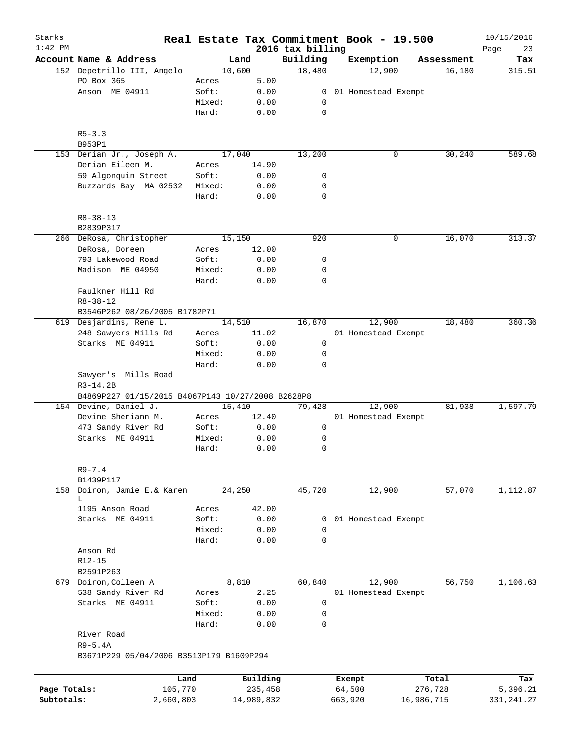| Starks<br>$1:42$ PM |                                                                            |                 |                 | 2016 tax billing | Real Estate Tax Commitment Book - 19.500 |            | 10/15/2016<br>23<br>Page |
|---------------------|----------------------------------------------------------------------------|-----------------|-----------------|------------------|------------------------------------------|------------|--------------------------|
|                     | Account Name & Address                                                     |                 | Land            | Building         | Exemption                                | Assessment | Tax                      |
|                     | 152 Depetrillo III, Angelo                                                 |                 | 10,600          | 18,480           | 12,900                                   | 16,180     | 315.51                   |
|                     | PO Box 365                                                                 | Acres           | 5.00            |                  |                                          |            |                          |
|                     | Anson ME 04911                                                             | Soft:           | 0.00            | $\overline{0}$   | 01 Homestead Exempt                      |            |                          |
|                     |                                                                            | Mixed:          | 0.00            | 0                |                                          |            |                          |
|                     |                                                                            | Hard:           | 0.00            | 0                |                                          |            |                          |
|                     | $R5 - 3.3$                                                                 |                 |                 |                  |                                          |            |                          |
|                     | B953P1                                                                     |                 |                 |                  |                                          |            |                          |
|                     | 153 Derian Jr., Joseph A.                                                  |                 | 17,040          | 13,200           | 0                                        | 30,240     | 589.68                   |
|                     | Derian Eileen M.                                                           | Acres           | 14.90           |                  |                                          |            |                          |
|                     | 59 Algonquin Street                                                        | Soft:           | 0.00            | 0                |                                          |            |                          |
|                     | Buzzards Bay MA 02532                                                      | Mixed:<br>Hard: | 0.00<br>0.00    | 0<br>0           |                                          |            |                          |
|                     | $R8 - 38 - 13$                                                             |                 |                 |                  |                                          |            |                          |
|                     | B2839P317                                                                  |                 |                 |                  |                                          |            |                          |
|                     | 266 DeRosa, Christopher                                                    |                 | 15,150          | 920              | 0                                        | 16,070     | 313.37                   |
|                     | DeRosa, Doreen                                                             | Acres           | 12.00           |                  |                                          |            |                          |
|                     | 793 Lakewood Road                                                          | Soft:           | 0.00            | 0                |                                          |            |                          |
|                     | Madison ME 04950                                                           | Mixed:          | 0.00            | 0                |                                          |            |                          |
|                     |                                                                            | Hard:           | 0.00            | 0                |                                          |            |                          |
|                     | Faulkner Hill Rd                                                           |                 |                 |                  |                                          |            |                          |
|                     | $R8 - 38 - 12$                                                             |                 |                 |                  |                                          |            |                          |
|                     | B3546P262 08/26/2005 B1782P71                                              |                 |                 |                  |                                          |            |                          |
| 619                 | Desjardins, Rene L.                                                        |                 | 14,510          | 16,870           | 12,900                                   | 18,480     | 360.36                   |
|                     | 248 Sawyers Mills Rd                                                       | Acres           | 11.02           |                  | 01 Homestead Exempt                      |            |                          |
|                     | Starks ME 04911                                                            | Soft:           | 0.00            | 0                |                                          |            |                          |
|                     |                                                                            | Mixed:          | 0.00            | 0                |                                          |            |                          |
|                     |                                                                            | Hard:           | 0.00            | $\mathbf 0$      |                                          |            |                          |
|                     | Sawyer's Mills Road<br>$R3-14.2B$                                          |                 |                 |                  |                                          |            |                          |
|                     | B4869P227 01/15/2015 B4067P143 10/27/2008 B2628P8<br>154 Devine, Daniel J. |                 |                 |                  |                                          |            | 1,597.79                 |
|                     | Devine Sheriann M.                                                         | Acres           | 15,410<br>12.40 | 79,428           | 12,900<br>01 Homestead Exempt            | 81,938     |                          |
|                     | 473 Sandy River Rd                                                         | Soft:           | 0.00            | 0                |                                          |            |                          |
|                     | Starks ME 04911                                                            | Mixed:          | 0.00            | 0                |                                          |            |                          |
|                     |                                                                            | Hard:           | 0.00            | $\mathbf 0$      |                                          |            |                          |
|                     |                                                                            |                 |                 |                  |                                          |            |                          |
|                     | $R9 - 7.4$<br>B1439P117                                                    |                 |                 |                  |                                          |            |                          |
| 158                 | Doiron, Jamie E.& Karen                                                    |                 | 24,250          | 45,720           | 12,900                                   | 57,070     | 1,112.87                 |
|                     | L                                                                          |                 |                 |                  |                                          |            |                          |
|                     | 1195 Anson Road                                                            | Acres           | 42.00           |                  |                                          |            |                          |
|                     | Starks ME 04911                                                            | Soft:           | 0.00            | 0                | 01 Homestead Exempt                      |            |                          |
|                     |                                                                            | Mixed:          | 0.00            | $\mathbf 0$      |                                          |            |                          |
|                     |                                                                            | Hard:           | 0.00            | $\mathbf 0$      |                                          |            |                          |
|                     | Anson Rd                                                                   |                 |                 |                  |                                          |            |                          |
|                     | $R12 - 15$                                                                 |                 |                 |                  |                                          |            |                          |
|                     | B2591P263                                                                  |                 |                 |                  |                                          |            |                          |
|                     | 679 Doiron, Colleen A                                                      |                 | 8,810           | 60,840           | 12,900                                   | 56,750     | 1,106.63                 |
|                     | 538 Sandy River Rd                                                         | Acres           | 2.25            |                  | 01 Homestead Exempt                      |            |                          |
|                     | Starks ME 04911                                                            | Soft:           | 0.00            | 0                |                                          |            |                          |
|                     |                                                                            | Mixed:          | 0.00            | 0                |                                          |            |                          |
|                     |                                                                            | Hard:           | 0.00            | $\mathbf 0$      |                                          |            |                          |
|                     | River Road                                                                 |                 |                 |                  |                                          |            |                          |
|                     | $R9-5.4A$                                                                  |                 |                 |                  |                                          |            |                          |
|                     | B3671P229 05/04/2006 B3513P179 B1609P294                                   |                 |                 |                  |                                          |            |                          |
|                     |                                                                            |                 |                 |                  |                                          |            |                          |
|                     | Land                                                                       |                 | Building        |                  | Exempt                                   | Total      | Tax                      |
| Page Totals:        | 105,770                                                                    |                 | 235,458         |                  | 64,500                                   | 276,728    | 5,396.21                 |
| Subtotals:          | 2,660,803                                                                  |                 | 14,989,832      |                  | 663,920                                  | 16,986,715 | 331, 241.27              |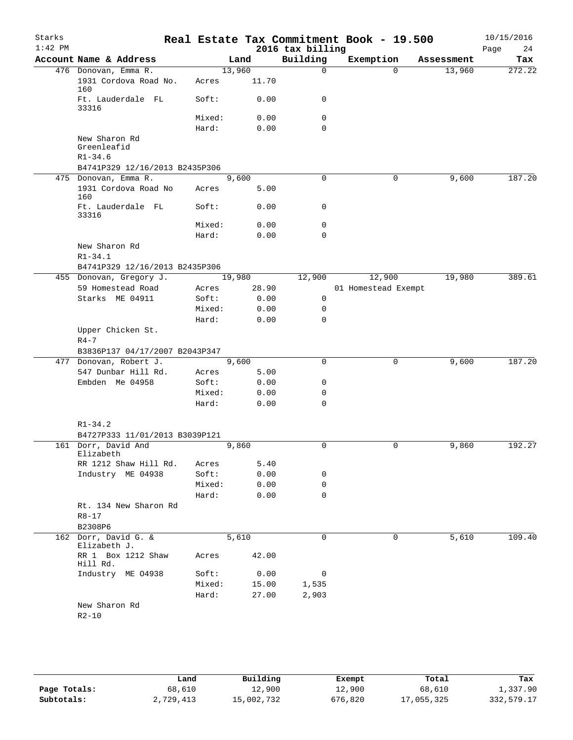| Starks<br>$1:42$ PM |                                             |        |        | 2016 tax billing | Real Estate Tax Commitment Book - 19.500 |          |            | 10/15/2016<br>Page<br>24 |
|---------------------|---------------------------------------------|--------|--------|------------------|------------------------------------------|----------|------------|--------------------------|
|                     | Account Name & Address                      |        | Land   | Building         | Exemption                                |          | Assessment | Tax                      |
|                     | 476 Donovan, Emma R.                        |        | 13,960 | 0                |                                          | $\Omega$ | 13,960     | 272.22                   |
|                     | 1931 Cordova Road No.<br>160                | Acres  | 11.70  |                  |                                          |          |            |                          |
|                     | Ft. Lauderdale FL<br>33316                  | Soft:  | 0.00   | 0                |                                          |          |            |                          |
|                     |                                             | Mixed: | 0.00   | 0                |                                          |          |            |                          |
|                     |                                             | Hard:  | 0.00   | 0                |                                          |          |            |                          |
|                     | New Sharon Rd<br>Greenleafid<br>$R1 - 34.6$ |        |        |                  |                                          |          |            |                          |
|                     | B4741P329 12/16/2013 B2435P306              |        |        |                  |                                          |          |            |                          |
|                     | 475 Donovan, Emma R.                        |        | 9,600  | $\mathbf 0$      |                                          | 0        | 9,600      | 187.20                   |
|                     | 1931 Cordova Road No<br>160                 | Acres  | 5.00   |                  |                                          |          |            |                          |
|                     | Ft. Lauderdale FL<br>33316                  | Soft:  | 0.00   | 0                |                                          |          |            |                          |
|                     |                                             | Mixed: | 0.00   | 0                |                                          |          |            |                          |
|                     |                                             | Hard:  | 0.00   | 0                |                                          |          |            |                          |
|                     | New Sharon Rd                               |        |        |                  |                                          |          |            |                          |
|                     | $R1 - 34.1$                                 |        |        |                  |                                          |          |            |                          |
|                     | B4741P329 12/16/2013 B2435P306              |        |        |                  |                                          |          |            |                          |
|                     | 455 Donovan, Gregory J.                     |        | 19,980 | 12,900           | 12,900                                   |          | 19,980     | 389.61                   |
|                     | 59 Homestead Road                           | Acres  | 28.90  |                  | 01 Homestead Exempt                      |          |            |                          |
|                     | Starks ME 04911                             | Soft:  | 0.00   | 0                |                                          |          |            |                          |
|                     |                                             | Mixed: | 0.00   | 0                |                                          |          |            |                          |
|                     |                                             | Hard:  | 0.00   | 0                |                                          |          |            |                          |
|                     | Upper Chicken St.<br>$R4-7$                 |        |        |                  |                                          |          |            |                          |
|                     | B3836P137 04/17/2007 B2043P347              |        |        |                  |                                          |          |            |                          |
|                     | 477 Donovan, Robert J.                      |        | 9,600  | $\mathbf 0$      |                                          | 0        | 9,600      | 187.20                   |
|                     | 547 Dunbar Hill Rd.                         | Acres  | 5.00   |                  |                                          |          |            |                          |
|                     | Embden Me 04958                             | Soft:  | 0.00   | 0                |                                          |          |            |                          |
|                     |                                             | Mixed: | 0.00   | 0<br>$\mathbf 0$ |                                          |          |            |                          |
|                     |                                             | Hard:  | 0.00   |                  |                                          |          |            |                          |
|                     | $R1 - 34.2$                                 |        |        |                  |                                          |          |            |                          |
|                     | B4727P333 11/01/2013 B3039P121              |        |        |                  |                                          |          |            |                          |
|                     | 161 Dorr, David And                         |        | 9,860  | 0                |                                          | 0        | 9,860      | 192.27                   |
|                     | Elizabeth                                   |        |        |                  |                                          |          |            |                          |
|                     | RR 1212 Shaw Hill Rd.                       | Acres  | 5.40   |                  |                                          |          |            |                          |
|                     | Industry ME 04938                           | Soft:  | 0.00   | 0                |                                          |          |            |                          |
|                     |                                             | Mixed: | 0.00   | 0                |                                          |          |            |                          |
|                     |                                             | Hard:  | 0.00   | $\Omega$         |                                          |          |            |                          |
|                     | Rt. 134 New Sharon Rd                       |        |        |                  |                                          |          |            |                          |
|                     | $R8 - 17$                                   |        |        |                  |                                          |          |            |                          |
|                     | B2308P6                                     |        |        |                  |                                          |          |            |                          |
|                     | 162 Dorr, David G. &<br>Elizabeth J.        |        | 5,610  | $\mathbf 0$      |                                          | 0        | 5,610      | 109.40                   |
|                     | RR 1 Box 1212 Shaw<br>Hill Rd.              | Acres  | 42.00  |                  |                                          |          |            |                          |
|                     | Industry ME 04938                           | Soft:  | 0.00   | 0                |                                          |          |            |                          |
|                     |                                             | Mixed: | 15.00  | 1,535            |                                          |          |            |                          |
|                     |                                             | Hard:  | 27.00  | 2,903            |                                          |          |            |                          |
|                     | New Sharon Rd                               |        |        |                  |                                          |          |            |                          |
|                     | $R2 - 10$                                   |        |        |                  |                                          |          |            |                          |

|              | Land      | Building   | Exempt  | Total      | Tax        |
|--------------|-----------|------------|---------|------------|------------|
| Page Totals: | 68,610    | 12,900     | 12,900  | 68,610     | 1,337.90   |
| Subtotals:   | 2,729,413 | 15,002,732 | 676,820 | 17,055,325 | 332,579.17 |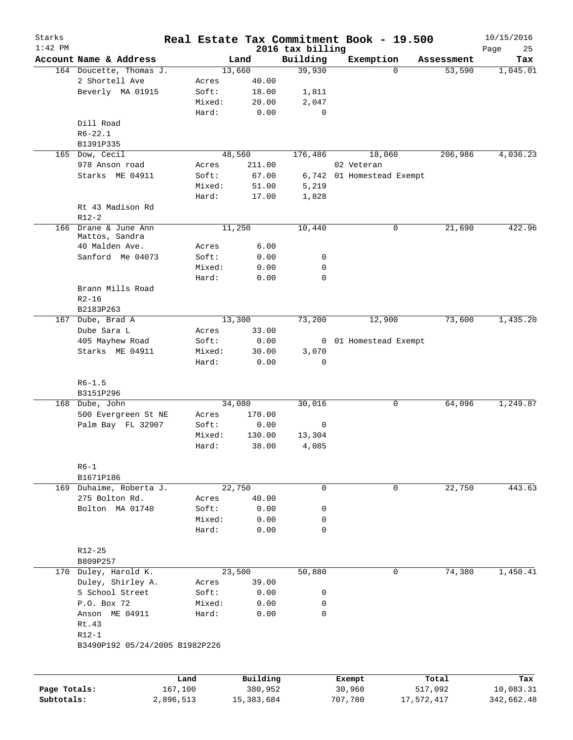| Starks       |                                |           |        |              |                              | Real Estate Tax Commitment Book - 19.500 |            | 10/15/2016        |
|--------------|--------------------------------|-----------|--------|--------------|------------------------------|------------------------------------------|------------|-------------------|
| $1:42$ PM    | Account Name & Address         |           |        | Land         | 2016 tax billing<br>Building | Exemption                                | Assessment | Page<br>25<br>Tax |
|              | 164 Doucette, Thomas J.        |           |        | 13,660       | 39,930                       | $\Omega$                                 | 53,590     | 1,045.01          |
|              | 2 Shortell Ave                 |           | Acres  | 40.00        |                              |                                          |            |                   |
|              | Beverly MA 01915               |           | Soft:  | 18.00        | 1,811                        |                                          |            |                   |
|              |                                |           | Mixed: | 20.00        | 2,047                        |                                          |            |                   |
|              |                                |           | Hard:  | 0.00         | 0                            |                                          |            |                   |
|              | Dill Road                      |           |        |              |                              |                                          |            |                   |
|              | $R6 - 22.1$                    |           |        |              |                              |                                          |            |                   |
|              |                                |           |        |              |                              |                                          |            |                   |
|              | B1391P335<br>165 Dow, Cecil    |           |        |              |                              |                                          |            |                   |
|              |                                |           |        | 48,560       | 176,486                      | 18,060                                   | 206,986    | 4,036.23          |
|              | 978 Anson road                 |           | Acres  | 211.00       |                              | 02 Veteran                               |            |                   |
|              | Starks ME 04911                |           | Soft:  | 67.00        | 6,742                        | 01 Homestead Exempt                      |            |                   |
|              |                                |           | Mixed: | 51.00        | 5,219                        |                                          |            |                   |
|              |                                |           | Hard:  | 17.00        | 1,828                        |                                          |            |                   |
|              | Rt 43 Madison Rd               |           |        |              |                              |                                          |            |                   |
|              | $R12-2$                        |           |        |              |                              |                                          |            |                   |
|              | 166 Drane & June Ann           |           |        | 11,250       | 10,440                       | 0                                        | 21,690     | 422.96            |
|              | Mattos, Sandra                 |           |        |              |                              |                                          |            |                   |
|              | 40 Malden Ave.                 |           | Acres  | 6.00         |                              |                                          |            |                   |
|              | Sanford Me 04073               |           | Soft:  | 0.00         | 0                            |                                          |            |                   |
|              |                                |           | Mixed: | 0.00         | 0                            |                                          |            |                   |
|              |                                |           | Hard:  | 0.00         | 0                            |                                          |            |                   |
|              | Brann Mills Road               |           |        |              |                              |                                          |            |                   |
|              | $R2 - 16$                      |           |        |              |                              |                                          |            |                   |
|              | B2183P263                      |           |        |              |                              |                                          |            |                   |
|              | 167 Dube, Brad A               |           |        | 13,300       | 73,200                       | 12,900                                   | 73,600     | 1,435.20          |
|              | Dube Sara L                    |           | Acres  | 33.00        |                              |                                          |            |                   |
|              | 405 Mayhew Road                |           | Soft:  | 0.00         |                              | 0 01 Homestead Exempt                    |            |                   |
|              | Starks ME 04911                |           | Mixed: | 30.00        | 3,070                        |                                          |            |                   |
|              |                                |           | Hard:  | 0.00         | $\mathbf 0$                  |                                          |            |                   |
|              |                                |           |        |              |                              |                                          |            |                   |
|              |                                |           |        |              |                              |                                          |            |                   |
|              | $R6 - 1.5$                     |           |        |              |                              |                                          |            |                   |
|              | B3151P296                      |           |        |              |                              |                                          |            |                   |
|              | 168 Dube, John                 |           |        | 34,080       | 30,016                       | 0                                        | 64,096     | 1,249.87          |
|              | 500 Evergreen St NE            |           | Acres  | 170.00       |                              |                                          |            |                   |
|              | Palm Bay FL 32907              |           | Soft:  | 0.00         | 0                            |                                          |            |                   |
|              |                                |           | Mixed: | 130.00       | 13,304                       |                                          |            |                   |
|              |                                |           | Hard:  | 38.00        | 4,085                        |                                          |            |                   |
|              |                                |           |        |              |                              |                                          |            |                   |
|              | $R6-1$                         |           |        |              |                              |                                          |            |                   |
|              | B1671P186                      |           |        |              |                              |                                          |            |                   |
|              | 169 Duhaime, Roberta J.        |           |        | 22,750       | 0                            | 0                                        | 22,750     | 443.63            |
|              | 275 Bolton Rd.                 |           | Acres  | 40.00        |                              |                                          |            |                   |
|              | Bolton MA 01740                |           | Soft:  | 0.00         | 0                            |                                          |            |                   |
|              |                                |           | Mixed: | 0.00         | 0                            |                                          |            |                   |
|              |                                |           | Hard:  | 0.00         | $\mathbf 0$                  |                                          |            |                   |
|              |                                |           |        |              |                              |                                          |            |                   |
|              | $R12 - 25$                     |           |        |              |                              |                                          |            |                   |
|              | B809P257                       |           |        |              |                              |                                          |            |                   |
|              | 170 Duley, Harold K.           |           |        | 23,500       | 50,880                       | 0                                        | 74,380     | 1,450.41          |
|              | Duley, Shirley A.              |           | Acres  | 39.00        |                              |                                          |            |                   |
|              | 5 School Street                |           | Soft:  | 0.00         | 0                            |                                          |            |                   |
|              | P.O. Box 72                    |           | Mixed: | 0.00         | $\mathbf 0$                  |                                          |            |                   |
|              |                                |           |        |              |                              |                                          |            |                   |
|              | Anson ME 04911                 |           | Hard:  | 0.00         | $\mathbf 0$                  |                                          |            |                   |
|              | Rt.43                          |           |        |              |                              |                                          |            |                   |
|              | $R12-1$                        |           |        |              |                              |                                          |            |                   |
|              | B3490P192 05/24/2005 B1982P226 |           |        |              |                              |                                          |            |                   |
|              |                                |           |        |              |                              |                                          |            |                   |
|              |                                | Land      |        | Building     |                              | Exempt                                   | Total      | Tax               |
| Page Totals: |                                | 167,100   |        | 380,952      |                              | 30,960                                   | 517,092    | 10,083.31         |
| Subtotals:   |                                | 2,896,513 |        | 15, 383, 684 |                              | 707,780                                  | 17,572,417 | 342,662.48        |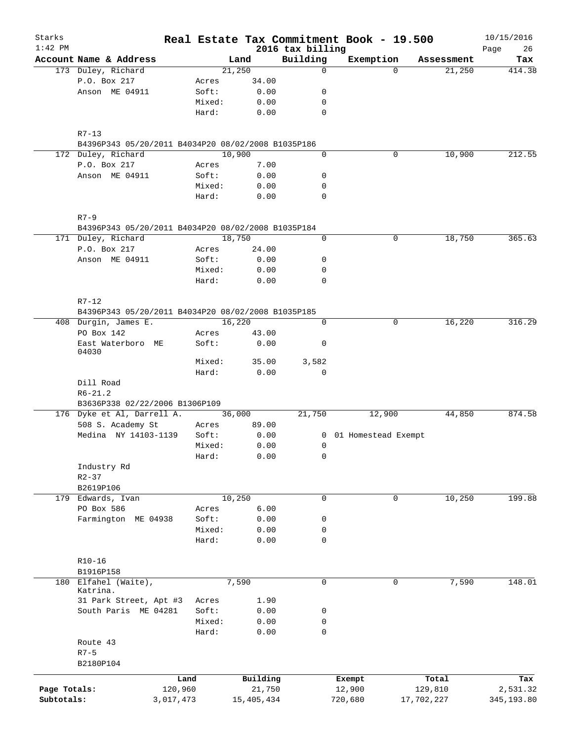| Starks<br>$1:42$ PM        |                                                              |                      |                 |                        | 2016 tax billing | Real Estate Tax Commitment Book - 19.500 |             |                       | 10/15/2016<br>Page<br>26 |
|----------------------------|--------------------------------------------------------------|----------------------|-----------------|------------------------|------------------|------------------------------------------|-------------|-----------------------|--------------------------|
|                            | Account Name & Address                                       |                      |                 | Land                   | Building         | Exemption                                |             | Assessment            | Tax                      |
|                            | 173 Duley, Richard                                           |                      |                 | 21,250                 | 0                |                                          | $\Omega$    | 21,250                | 414.38                   |
|                            | P.O. Box 217                                                 |                      | Acres           | 34.00                  |                  |                                          |             |                       |                          |
|                            | Anson ME 04911                                               |                      | Soft:           | 0.00                   | 0                |                                          |             |                       |                          |
|                            |                                                              |                      | Mixed:          | 0.00                   | 0                |                                          |             |                       |                          |
|                            |                                                              |                      | Hard:           | 0.00                   | $\mathbf 0$      |                                          |             |                       |                          |
|                            | $R7 - 13$                                                    |                      |                 |                        |                  |                                          |             |                       |                          |
|                            | B4396P343 05/20/2011 B4034P20 08/02/2008 B1035P186           |                      |                 |                        |                  |                                          |             |                       |                          |
|                            | 172 Duley, Richard                                           |                      |                 | 10,900                 | 0                |                                          | 0           | 10,900                | 212.55                   |
|                            | P.O. Box 217                                                 |                      | Acres           | 7.00                   |                  |                                          |             |                       |                          |
|                            | Anson ME 04911                                               |                      | Soft:           | 0.00                   | 0                |                                          |             |                       |                          |
|                            |                                                              |                      | Mixed:          | 0.00                   | 0                |                                          |             |                       |                          |
|                            |                                                              |                      | Hard:           | 0.00                   | 0                |                                          |             |                       |                          |
|                            | $R7 - 9$                                                     |                      |                 |                        |                  |                                          |             |                       |                          |
|                            | B4396P343 05/20/2011 B4034P20 08/02/2008 B1035P184           |                      |                 |                        |                  |                                          |             |                       |                          |
|                            | 171 Duley, Richard                                           |                      |                 | 18,750                 | 0                |                                          | $\mathbf 0$ | 18,750                | 365.63                   |
|                            | P.O. Box 217                                                 |                      | Acres           | 24.00                  |                  |                                          |             |                       |                          |
|                            | Anson ME 04911                                               |                      | Soft:           | 0.00                   | 0                |                                          |             |                       |                          |
|                            |                                                              |                      | Mixed:          | 0.00                   | 0                |                                          |             |                       |                          |
|                            |                                                              |                      | Hard:           | 0.00                   | $\mathbf 0$      |                                          |             |                       |                          |
|                            | $R7 - 12$                                                    |                      |                 |                        |                  |                                          |             |                       |                          |
|                            | B4396P343 05/20/2011 B4034P20 08/02/2008 B1035P185           |                      |                 |                        |                  |                                          |             |                       |                          |
|                            | 408 Durgin, James E.                                         |                      |                 | 16,220                 | $\mathbf 0$      |                                          | 0           | 16,220                | 316.29                   |
|                            | PO Box 142<br>East Waterboro ME                              |                      | Acres<br>Soft:  | 43.00<br>0.00          | 0                |                                          |             |                       |                          |
|                            | 04030                                                        |                      |                 |                        |                  |                                          |             |                       |                          |
|                            |                                                              |                      | Mixed:          | 35.00                  | 3,582            |                                          |             |                       |                          |
|                            |                                                              |                      | Hard:           | 0.00                   | 0                |                                          |             |                       |                          |
|                            | Dill Road                                                    |                      |                 |                        |                  |                                          |             |                       |                          |
|                            | $R6 - 21.2$                                                  |                      |                 |                        |                  |                                          |             |                       |                          |
|                            | B3636P338 02/22/2006 B1306P109<br>176 Dyke et Al, Darrell A. |                      |                 | 36,000                 | 21,750           | 12,900                                   |             | 44,850                | 874.58                   |
|                            | 508 S. Academy St                                            |                      | Acres           | 89.00                  |                  |                                          |             |                       |                          |
|                            | Medina NY 14103-1139                                         |                      | Soft:           | 0.00                   |                  |                                          |             |                       |                          |
|                            |                                                              |                      |                 |                        | $\overline{0}$   | 01 Homestead Exempt                      |             |                       |                          |
|                            |                                                              |                      | Mixed:          | 0.00                   | 0                |                                          |             |                       |                          |
|                            |                                                              |                      | Hard:           | 0.00                   | 0                |                                          |             |                       |                          |
|                            | Industry Rd                                                  |                      |                 |                        |                  |                                          |             |                       |                          |
|                            | $R2 - 37$                                                    |                      |                 |                        |                  |                                          |             |                       |                          |
|                            | B2619P106                                                    |                      |                 |                        |                  |                                          | $\mathbf 0$ |                       |                          |
|                            | 179 Edwards, Ivan                                            |                      |                 | 10,250                 | 0                |                                          |             | 10,250                | 199.88                   |
|                            | PO Box 586                                                   |                      | Acres           | 6.00                   |                  |                                          |             |                       |                          |
|                            | Farmington ME 04938                                          |                      | Soft:           | 0.00                   | 0                |                                          |             |                       |                          |
|                            |                                                              |                      | Mixed:<br>Hard: | 0.00<br>0.00           | 0<br>0           |                                          |             |                       |                          |
|                            |                                                              |                      |                 |                        |                  |                                          |             |                       |                          |
|                            | $R10 - 16$                                                   |                      |                 |                        |                  |                                          |             |                       |                          |
|                            | B1916P158<br>180 Elfahel (Waite),                            |                      |                 | 7,590                  | $\mathbf 0$      |                                          | 0           |                       | 148.01                   |
|                            | Katrina.                                                     |                      |                 |                        |                  |                                          |             | 7,590                 |                          |
|                            | 31 Park Street, Apt #3                                       |                      | Acres           | 1.90                   |                  |                                          |             |                       |                          |
|                            | South Paris ME 04281                                         |                      | Soft:           | 0.00                   | 0                |                                          |             |                       |                          |
|                            |                                                              |                      | Mixed:          | 0.00                   | 0                |                                          |             |                       |                          |
|                            |                                                              |                      | Hard:           | 0.00                   | $\mathbf 0$      |                                          |             |                       |                          |
|                            | Route 43                                                     |                      |                 |                        |                  |                                          |             |                       |                          |
|                            | $R7 - 5$                                                     |                      |                 |                        |                  |                                          |             |                       |                          |
|                            | B2180P104                                                    |                      |                 |                        |                  |                                          |             |                       |                          |
|                            |                                                              | Land                 |                 | Building               |                  | Exempt                                   |             | Total                 | Tax                      |
| Page Totals:<br>Subtotals: |                                                              | 120,960<br>3,017,473 |                 | 21,750<br>15, 405, 434 |                  | 12,900<br>720,680                        |             | 129,810<br>17,702,227 | 2,531.32<br>345,193.80   |
|                            |                                                              |                      |                 |                        |                  |                                          |             |                       |                          |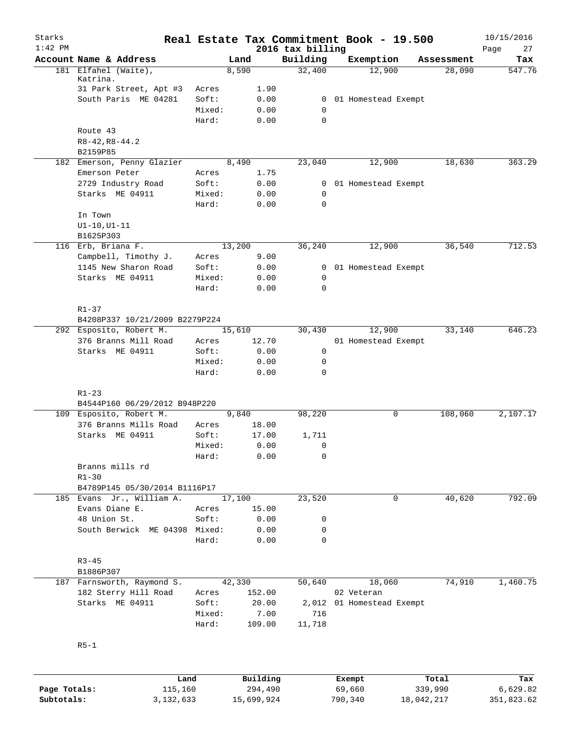| Starks<br>$1:42$ PM |                                                 |                 |                 |                              | Real Estate Tax Commitment Book - 19.500 |              | 10/15/2016        |
|---------------------|-------------------------------------------------|-----------------|-----------------|------------------------------|------------------------------------------|--------------|-------------------|
|                     | Account Name & Address                          |                 | Land            | 2016 tax billing<br>Building | Exemption                                | Assessment   | Page<br>27<br>Tax |
|                     | 181 Elfahel (Waite),                            |                 | 8,590           | 32,400                       | 12,900                                   | 28,090       | 547.76            |
|                     | Katrina.                                        |                 |                 |                              |                                          |              |                   |
|                     | 31 Park Street, Apt #3                          | Acres           | 1.90            |                              |                                          |              |                   |
|                     | South Paris ME 04281                            | Soft:           | 0.00            | $\mathbf{0}$                 | 01 Homestead Exempt                      |              |                   |
|                     |                                                 | Mixed:<br>Hard: | 0.00<br>0.00    | $\mathbf 0$<br>$\Omega$      |                                          |              |                   |
|                     | Route 43                                        |                 |                 |                              |                                          |              |                   |
|                     | $R8 - 42, R8 - 44.2$                            |                 |                 |                              |                                          |              |                   |
|                     | B2159P85                                        |                 |                 |                              |                                          |              |                   |
|                     | 182 Emerson, Penny Glazier                      |                 | 8,490           | 23,040                       | 12,900                                   | 18,630       | 363.29            |
|                     | Emerson Peter                                   | Acres           | 1.75            |                              |                                          |              |                   |
|                     | 2729 Industry Road                              | Soft:           | 0.00            | $\mathbf{0}$                 | 01 Homestead Exempt                      |              |                   |
|                     | Starks ME 04911                                 | Mixed:          | 0.00            | $\mathbf 0$                  |                                          |              |                   |
|                     |                                                 | Hard:           | 0.00            | $\mathbf 0$                  |                                          |              |                   |
|                     | In Town                                         |                 |                 |                              |                                          |              |                   |
|                     | $UI-10, UI-11$                                  |                 |                 |                              |                                          |              |                   |
|                     | B1625P303                                       |                 |                 |                              |                                          |              |                   |
|                     | 116 Erb, Briana F.                              |                 | 13,200          | 36,240                       | 12,900                                   | 36,540       | 712.53            |
|                     | Campbell, Timothy J.                            | Acres           | 9.00            |                              |                                          |              |                   |
|                     | 1145 New Sharon Road                            | Soft:           | 0.00            | $\overline{0}$               | 01 Homestead Exempt                      |              |                   |
|                     | Starks ME 04911                                 | Mixed:          | 0.00            | $\mathbf 0$                  |                                          |              |                   |
|                     |                                                 | Hard:           | 0.00            | $\Omega$                     |                                          |              |                   |
|                     |                                                 |                 |                 |                              |                                          |              |                   |
|                     | $R1 - 37$                                       |                 |                 |                              |                                          |              |                   |
|                     | B4208P337 10/21/2009 B2279P224                  |                 |                 |                              |                                          |              |                   |
|                     | 292 Esposito, Robert M.<br>376 Branns Mill Road |                 | 15,610<br>12.70 | 30,430                       | 12,900<br>01 Homestead Exempt            | 33,140       | 646.23            |
|                     | Starks ME 04911                                 | Acres<br>Soft:  | 0.00            | 0                            |                                          |              |                   |
|                     |                                                 | Mixed:          | 0.00            | 0                            |                                          |              |                   |
|                     |                                                 | Hard:           | 0.00            | $\Omega$                     |                                          |              |                   |
|                     |                                                 |                 |                 |                              |                                          |              |                   |
|                     | $R1 - 23$                                       |                 |                 |                              |                                          |              |                   |
|                     | B4544P160 06/29/2012 B948P220                   |                 |                 |                              |                                          |              |                   |
|                     | 109 Esposito, Robert M.                         |                 | 9,840           | 98,220                       |                                          | 108,060<br>0 | 2,107.17          |
|                     | 376 Branns Mills Road                           | Acres           | 18.00           |                              |                                          |              |                   |
|                     | Starks ME 04911                                 | Soft:           | 17.00           | 1,711                        |                                          |              |                   |
|                     |                                                 | Mixed:          | 0.00            | $\mathbf 0$                  |                                          |              |                   |
|                     |                                                 | Hard:           | 0.00            | 0                            |                                          |              |                   |
|                     | Branns mills rd                                 |                 |                 |                              |                                          |              |                   |
|                     | $R1 - 30$<br>B4789P145 05/30/2014 B1116P17      |                 |                 |                              |                                          |              |                   |
|                     | 185 Evans Jr., William A.                       |                 | 17,100          | 23,520                       |                                          | 40,620<br>0  | 792.09            |
|                     | Evans Diane E.                                  | Acres           | 15.00           |                              |                                          |              |                   |
|                     | 48 Union St.                                    | Soft:           | 0.00            | 0                            |                                          |              |                   |
|                     | South Berwick ME 04398 Mixed:                   |                 | 0.00            | 0                            |                                          |              |                   |
|                     |                                                 | Hard:           | 0.00            | 0                            |                                          |              |                   |
|                     |                                                 |                 |                 |                              |                                          |              |                   |
|                     | $R3 - 45$                                       |                 |                 |                              |                                          |              |                   |
|                     | B1886P307                                       |                 |                 |                              |                                          |              |                   |
|                     | 187 Farnsworth, Raymond S.                      |                 | 42,330          | 50,640                       | 18,060                                   | 74,910       | 1,460.75          |
|                     | 182 Sterry Hill Road                            | Acres           | 152.00          |                              | 02 Veteran                               |              |                   |
|                     | Starks ME 04911                                 | Soft:           | 20.00           |                              | 2,012 01 Homestead Exempt                |              |                   |
|                     |                                                 | Mixed:          | 7.00            | 716                          |                                          |              |                   |
|                     |                                                 | Hard:           | 109.00          | 11,718                       |                                          |              |                   |
|                     |                                                 |                 |                 |                              |                                          |              |                   |
|                     | $R5 - 1$                                        |                 |                 |                              |                                          |              |                   |
|                     |                                                 |                 |                 |                              |                                          |              |                   |
|                     | Land                                            |                 | Building        |                              | Exempt                                   | Total        | Tax               |
| Page Totals:        | 115,160                                         |                 | 294,490         |                              | 69,660                                   | 339,990      | 6,629.82          |
|                     |                                                 |                 |                 |                              |                                          |              |                   |

**Subtotals:** 3,132,633 15,699,924 790,340 18,042,217 351,823.62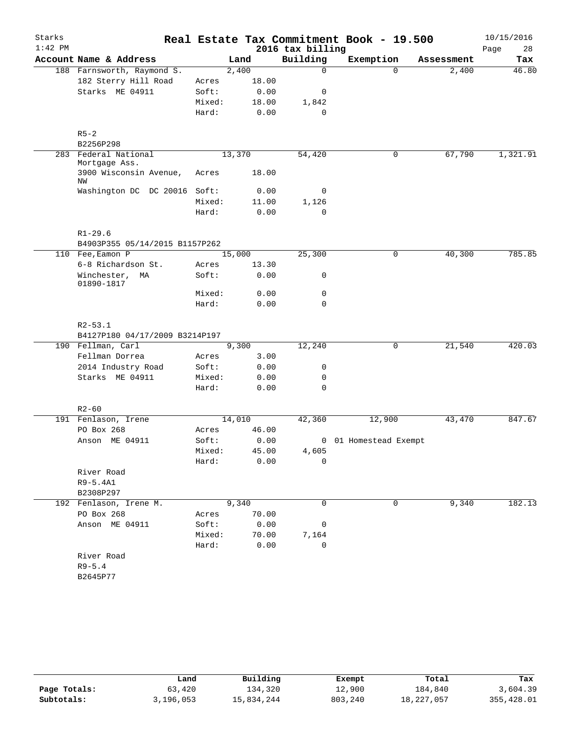| Building<br>Account Name & Address<br>Exemption<br>Land<br>Assessment<br>2,400<br>188 Farnsworth, Raymond S.<br>0<br>$\Omega$<br>2,400<br>182 Sterry Hill Road<br>18.00<br>Acres<br>Starks ME 04911<br>Soft:<br>0.00<br>0<br>Mixed:<br>18.00<br>1,842<br>Hard:<br>0.00<br>0<br>$R5 - 2$<br>B2256P298<br>283 Federal National<br>13,370<br>54,420<br>0<br>67,790<br>Mortgage Ass.<br>18.00<br>3900 Wisconsin Avenue,<br>Acres<br>ΝW<br>Washington DC DC 20016 Soft:<br>0.00<br>0<br>Mixed:<br>11.00<br>1,126<br>$\mathbf 0$<br>Hard:<br>0.00<br>$R1 - 29.6$<br>B4903P355 05/14/2015 B1157P262<br>110 Fee, Eamon P<br>15,000<br>25,300<br>40,300<br>0<br>6-8 Richardson St.<br>13.30<br>Acres<br>Soft:<br>Winchester, MA<br>0.00<br>0<br>01890-1817<br>Mixed:<br>0.00<br>0<br>0.00<br>$\mathbf 0$<br>Hard:<br>$R2 - 53.1$<br>B4127P180 04/17/2009 B3214P197<br>12,240<br>190 Fellman, Carl<br>9,300<br>$\mathbf 0$<br>21,540<br>Fellman Dorrea<br>3.00<br>Acres<br>2014 Industry Road<br>Soft:<br>0.00<br>0<br>Starks ME 04911<br>Mixed:<br>0.00<br>0<br>Hard:<br>$\mathbf 0$<br>0.00<br>$R2 - 60$<br>14,010<br>12,900<br>191 Fenlason, Irene<br>42,360<br>43,470<br>46.00<br>PO Box 268<br>Acres<br>Anson ME 04911<br>Soft:<br>0.00<br>0 01 Homestead Exempt<br>4,605<br>Mixed:<br>45.00<br>Hard:<br>0.00<br>0<br>River Road<br>R9-5.4A1<br>B2308P297<br>9,340<br>$\mathbf 0$<br>$\mathbf 0$<br>9,340<br>192 Fenlason, Irene M.<br>PO Box 268<br>70.00<br>Acres<br>Anson ME 04911<br>Soft:<br>0.00<br>0<br>Mixed:<br>70.00<br>7,164<br>Hard:<br>0.00<br>0<br>River Road<br>$R9 - 5.4$<br>B2645P77 | Starks<br>$1:42$ PM |  | 2016 tax billing | Real Estate Tax Commitment Book - 19.500 | 10/15/2016<br>Page<br>28 |
|--------------------------------------------------------------------------------------------------------------------------------------------------------------------------------------------------------------------------------------------------------------------------------------------------------------------------------------------------------------------------------------------------------------------------------------------------------------------------------------------------------------------------------------------------------------------------------------------------------------------------------------------------------------------------------------------------------------------------------------------------------------------------------------------------------------------------------------------------------------------------------------------------------------------------------------------------------------------------------------------------------------------------------------------------------------------------------------------------------------------------------------------------------------------------------------------------------------------------------------------------------------------------------------------------------------------------------------------------------------------------------------------------------------------------------------------------------------------------------------------------------------------------------------------------------------------------------------------------|---------------------|--|------------------|------------------------------------------|--------------------------|
| 46.80                                                                                                                                                                                                                                                                                                                                                                                                                                                                                                                                                                                                                                                                                                                                                                                                                                                                                                                                                                                                                                                                                                                                                                                                                                                                                                                                                                                                                                                                                                                                                                                            |                     |  |                  |                                          | Tax                      |
|                                                                                                                                                                                                                                                                                                                                                                                                                                                                                                                                                                                                                                                                                                                                                                                                                                                                                                                                                                                                                                                                                                                                                                                                                                                                                                                                                                                                                                                                                                                                                                                                  |                     |  |                  |                                          |                          |
|                                                                                                                                                                                                                                                                                                                                                                                                                                                                                                                                                                                                                                                                                                                                                                                                                                                                                                                                                                                                                                                                                                                                                                                                                                                                                                                                                                                                                                                                                                                                                                                                  |                     |  |                  |                                          |                          |
|                                                                                                                                                                                                                                                                                                                                                                                                                                                                                                                                                                                                                                                                                                                                                                                                                                                                                                                                                                                                                                                                                                                                                                                                                                                                                                                                                                                                                                                                                                                                                                                                  |                     |  |                  |                                          |                          |
|                                                                                                                                                                                                                                                                                                                                                                                                                                                                                                                                                                                                                                                                                                                                                                                                                                                                                                                                                                                                                                                                                                                                                                                                                                                                                                                                                                                                                                                                                                                                                                                                  |                     |  |                  |                                          |                          |
|                                                                                                                                                                                                                                                                                                                                                                                                                                                                                                                                                                                                                                                                                                                                                                                                                                                                                                                                                                                                                                                                                                                                                                                                                                                                                                                                                                                                                                                                                                                                                                                                  |                     |  |                  |                                          |                          |
|                                                                                                                                                                                                                                                                                                                                                                                                                                                                                                                                                                                                                                                                                                                                                                                                                                                                                                                                                                                                                                                                                                                                                                                                                                                                                                                                                                                                                                                                                                                                                                                                  |                     |  |                  |                                          |                          |
| 1,321.91<br>785.85<br>420.03                                                                                                                                                                                                                                                                                                                                                                                                                                                                                                                                                                                                                                                                                                                                                                                                                                                                                                                                                                                                                                                                                                                                                                                                                                                                                                                                                                                                                                                                                                                                                                     |                     |  |                  |                                          |                          |
|                                                                                                                                                                                                                                                                                                                                                                                                                                                                                                                                                                                                                                                                                                                                                                                                                                                                                                                                                                                                                                                                                                                                                                                                                                                                                                                                                                                                                                                                                                                                                                                                  |                     |  |                  |                                          |                          |
|                                                                                                                                                                                                                                                                                                                                                                                                                                                                                                                                                                                                                                                                                                                                                                                                                                                                                                                                                                                                                                                                                                                                                                                                                                                                                                                                                                                                                                                                                                                                                                                                  |                     |  |                  |                                          |                          |
|                                                                                                                                                                                                                                                                                                                                                                                                                                                                                                                                                                                                                                                                                                                                                                                                                                                                                                                                                                                                                                                                                                                                                                                                                                                                                                                                                                                                                                                                                                                                                                                                  |                     |  |                  |                                          |                          |
|                                                                                                                                                                                                                                                                                                                                                                                                                                                                                                                                                                                                                                                                                                                                                                                                                                                                                                                                                                                                                                                                                                                                                                                                                                                                                                                                                                                                                                                                                                                                                                                                  |                     |  |                  |                                          |                          |
|                                                                                                                                                                                                                                                                                                                                                                                                                                                                                                                                                                                                                                                                                                                                                                                                                                                                                                                                                                                                                                                                                                                                                                                                                                                                                                                                                                                                                                                                                                                                                                                                  |                     |  |                  |                                          |                          |
|                                                                                                                                                                                                                                                                                                                                                                                                                                                                                                                                                                                                                                                                                                                                                                                                                                                                                                                                                                                                                                                                                                                                                                                                                                                                                                                                                                                                                                                                                                                                                                                                  |                     |  |                  |                                          |                          |
|                                                                                                                                                                                                                                                                                                                                                                                                                                                                                                                                                                                                                                                                                                                                                                                                                                                                                                                                                                                                                                                                                                                                                                                                                                                                                                                                                                                                                                                                                                                                                                                                  |                     |  |                  |                                          |                          |
|                                                                                                                                                                                                                                                                                                                                                                                                                                                                                                                                                                                                                                                                                                                                                                                                                                                                                                                                                                                                                                                                                                                                                                                                                                                                                                                                                                                                                                                                                                                                                                                                  |                     |  |                  |                                          |                          |
|                                                                                                                                                                                                                                                                                                                                                                                                                                                                                                                                                                                                                                                                                                                                                                                                                                                                                                                                                                                                                                                                                                                                                                                                                                                                                                                                                                                                                                                                                                                                                                                                  |                     |  |                  |                                          |                          |
|                                                                                                                                                                                                                                                                                                                                                                                                                                                                                                                                                                                                                                                                                                                                                                                                                                                                                                                                                                                                                                                                                                                                                                                                                                                                                                                                                                                                                                                                                                                                                                                                  |                     |  |                  |                                          |                          |
|                                                                                                                                                                                                                                                                                                                                                                                                                                                                                                                                                                                                                                                                                                                                                                                                                                                                                                                                                                                                                                                                                                                                                                                                                                                                                                                                                                                                                                                                                                                                                                                                  |                     |  |                  |                                          |                          |
|                                                                                                                                                                                                                                                                                                                                                                                                                                                                                                                                                                                                                                                                                                                                                                                                                                                                                                                                                                                                                                                                                                                                                                                                                                                                                                                                                                                                                                                                                                                                                                                                  |                     |  |                  |                                          |                          |
|                                                                                                                                                                                                                                                                                                                                                                                                                                                                                                                                                                                                                                                                                                                                                                                                                                                                                                                                                                                                                                                                                                                                                                                                                                                                                                                                                                                                                                                                                                                                                                                                  |                     |  |                  |                                          |                          |
|                                                                                                                                                                                                                                                                                                                                                                                                                                                                                                                                                                                                                                                                                                                                                                                                                                                                                                                                                                                                                                                                                                                                                                                                                                                                                                                                                                                                                                                                                                                                                                                                  |                     |  |                  |                                          |                          |
|                                                                                                                                                                                                                                                                                                                                                                                                                                                                                                                                                                                                                                                                                                                                                                                                                                                                                                                                                                                                                                                                                                                                                                                                                                                                                                                                                                                                                                                                                                                                                                                                  |                     |  |                  |                                          |                          |
|                                                                                                                                                                                                                                                                                                                                                                                                                                                                                                                                                                                                                                                                                                                                                                                                                                                                                                                                                                                                                                                                                                                                                                                                                                                                                                                                                                                                                                                                                                                                                                                                  |                     |  |                  |                                          |                          |
|                                                                                                                                                                                                                                                                                                                                                                                                                                                                                                                                                                                                                                                                                                                                                                                                                                                                                                                                                                                                                                                                                                                                                                                                                                                                                                                                                                                                                                                                                                                                                                                                  |                     |  |                  |                                          |                          |
|                                                                                                                                                                                                                                                                                                                                                                                                                                                                                                                                                                                                                                                                                                                                                                                                                                                                                                                                                                                                                                                                                                                                                                                                                                                                                                                                                                                                                                                                                                                                                                                                  |                     |  |                  |                                          |                          |
|                                                                                                                                                                                                                                                                                                                                                                                                                                                                                                                                                                                                                                                                                                                                                                                                                                                                                                                                                                                                                                                                                                                                                                                                                                                                                                                                                                                                                                                                                                                                                                                                  |                     |  |                  |                                          |                          |
| 847.67<br>182.13                                                                                                                                                                                                                                                                                                                                                                                                                                                                                                                                                                                                                                                                                                                                                                                                                                                                                                                                                                                                                                                                                                                                                                                                                                                                                                                                                                                                                                                                                                                                                                                 |                     |  |                  |                                          |                          |
|                                                                                                                                                                                                                                                                                                                                                                                                                                                                                                                                                                                                                                                                                                                                                                                                                                                                                                                                                                                                                                                                                                                                                                                                                                                                                                                                                                                                                                                                                                                                                                                                  |                     |  |                  |                                          |                          |
|                                                                                                                                                                                                                                                                                                                                                                                                                                                                                                                                                                                                                                                                                                                                                                                                                                                                                                                                                                                                                                                                                                                                                                                                                                                                                                                                                                                                                                                                                                                                                                                                  |                     |  |                  |                                          |                          |
|                                                                                                                                                                                                                                                                                                                                                                                                                                                                                                                                                                                                                                                                                                                                                                                                                                                                                                                                                                                                                                                                                                                                                                                                                                                                                                                                                                                                                                                                                                                                                                                                  |                     |  |                  |                                          |                          |
|                                                                                                                                                                                                                                                                                                                                                                                                                                                                                                                                                                                                                                                                                                                                                                                                                                                                                                                                                                                                                                                                                                                                                                                                                                                                                                                                                                                                                                                                                                                                                                                                  |                     |  |                  |                                          |                          |
|                                                                                                                                                                                                                                                                                                                                                                                                                                                                                                                                                                                                                                                                                                                                                                                                                                                                                                                                                                                                                                                                                                                                                                                                                                                                                                                                                                                                                                                                                                                                                                                                  |                     |  |                  |                                          |                          |
|                                                                                                                                                                                                                                                                                                                                                                                                                                                                                                                                                                                                                                                                                                                                                                                                                                                                                                                                                                                                                                                                                                                                                                                                                                                                                                                                                                                                                                                                                                                                                                                                  |                     |  |                  |                                          |                          |
|                                                                                                                                                                                                                                                                                                                                                                                                                                                                                                                                                                                                                                                                                                                                                                                                                                                                                                                                                                                                                                                                                                                                                                                                                                                                                                                                                                                                                                                                                                                                                                                                  |                     |  |                  |                                          |                          |
|                                                                                                                                                                                                                                                                                                                                                                                                                                                                                                                                                                                                                                                                                                                                                                                                                                                                                                                                                                                                                                                                                                                                                                                                                                                                                                                                                                                                                                                                                                                                                                                                  |                     |  |                  |                                          |                          |
|                                                                                                                                                                                                                                                                                                                                                                                                                                                                                                                                                                                                                                                                                                                                                                                                                                                                                                                                                                                                                                                                                                                                                                                                                                                                                                                                                                                                                                                                                                                                                                                                  |                     |  |                  |                                          |                          |
|                                                                                                                                                                                                                                                                                                                                                                                                                                                                                                                                                                                                                                                                                                                                                                                                                                                                                                                                                                                                                                                                                                                                                                                                                                                                                                                                                                                                                                                                                                                                                                                                  |                     |  |                  |                                          |                          |
|                                                                                                                                                                                                                                                                                                                                                                                                                                                                                                                                                                                                                                                                                                                                                                                                                                                                                                                                                                                                                                                                                                                                                                                                                                                                                                                                                                                                                                                                                                                                                                                                  |                     |  |                  |                                          |                          |
|                                                                                                                                                                                                                                                                                                                                                                                                                                                                                                                                                                                                                                                                                                                                                                                                                                                                                                                                                                                                                                                                                                                                                                                                                                                                                                                                                                                                                                                                                                                                                                                                  |                     |  |                  |                                          |                          |
|                                                                                                                                                                                                                                                                                                                                                                                                                                                                                                                                                                                                                                                                                                                                                                                                                                                                                                                                                                                                                                                                                                                                                                                                                                                                                                                                                                                                                                                                                                                                                                                                  |                     |  |                  |                                          |                          |
|                                                                                                                                                                                                                                                                                                                                                                                                                                                                                                                                                                                                                                                                                                                                                                                                                                                                                                                                                                                                                                                                                                                                                                                                                                                                                                                                                                                                                                                                                                                                                                                                  |                     |  |                  |                                          |                          |
|                                                                                                                                                                                                                                                                                                                                                                                                                                                                                                                                                                                                                                                                                                                                                                                                                                                                                                                                                                                                                                                                                                                                                                                                                                                                                                                                                                                                                                                                                                                                                                                                  |                     |  |                  |                                          |                          |
|                                                                                                                                                                                                                                                                                                                                                                                                                                                                                                                                                                                                                                                                                                                                                                                                                                                                                                                                                                                                                                                                                                                                                                                                                                                                                                                                                                                                                                                                                                                                                                                                  |                     |  |                  |                                          |                          |

|              | Land      | Building   | Exempt  | Total      | Tax        |
|--------------|-----------|------------|---------|------------|------------|
| Page Totals: | 63,420    | 134,320    | 12,900  | 184,840    | 3,604.39   |
| Subtotals:   | 3,196,053 | 15,834,244 | 803,240 | 18,227,057 | 355,428.01 |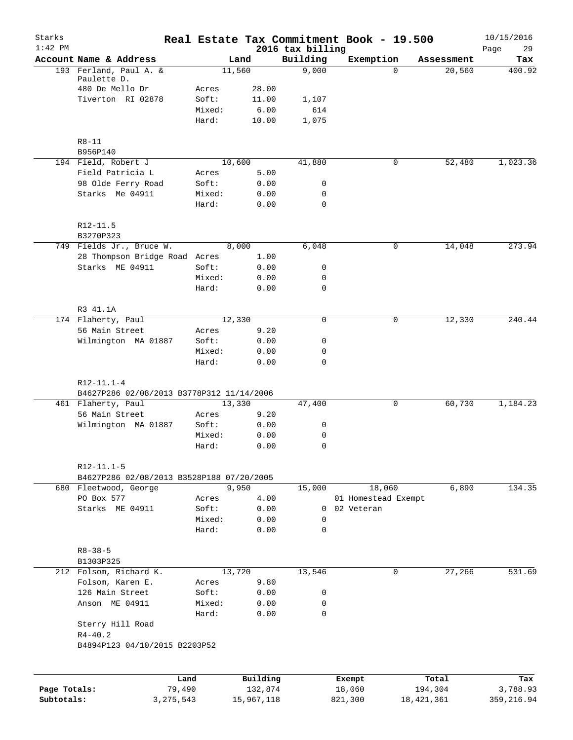| Starks<br>$1:42$ PM |                                           |                 |               |                              | Real Estate Tax Commitment Book - 19.500 |            | 10/15/2016        |
|---------------------|-------------------------------------------|-----------------|---------------|------------------------------|------------------------------------------|------------|-------------------|
|                     | Account Name & Address                    |                 | Land          | 2016 tax billing<br>Building | Exemption                                | Assessment | Page<br>29<br>Tax |
|                     | 193 Ferland, Paul A. &                    |                 | 11,560        | 9,000                        | $\Omega$                                 | 20,560     | 400.92            |
|                     | Paulette D.                               |                 |               |                              |                                          |            |                   |
|                     | 480 De Mello Dr                           | Acres           | 28.00         |                              |                                          |            |                   |
|                     | Tiverton RI 02878                         | Soft:<br>Mixed: | 11.00<br>6.00 | 1,107<br>614                 |                                          |            |                   |
|                     |                                           | Hard:           | 10.00         | 1,075                        |                                          |            |                   |
|                     | $R8 - 11$                                 |                 |               |                              |                                          |            |                   |
|                     | B956P140                                  |                 |               |                              |                                          |            |                   |
|                     | 194 Field, Robert J                       |                 | 10,600        | 41,880                       | 0                                        | 52,480     | 1,023.36          |
|                     | Field Patricia L                          | Acres           | 5.00          |                              |                                          |            |                   |
|                     | 98 Olde Ferry Road                        | Soft:           | 0.00          | 0                            |                                          |            |                   |
|                     | Starks Me 04911                           | Mixed:          | 0.00          | 0                            |                                          |            |                   |
|                     |                                           | Hard:           | 0.00          | 0                            |                                          |            |                   |
|                     | R12-11.5<br>B3270P323                     |                 |               |                              |                                          |            |                   |
|                     | 749 Fields Jr., Bruce W.                  |                 | 8,000         | 6,048                        | 0                                        | 14,048     | 273.94            |
|                     | 28 Thompson Bridge Road Acres             |                 | 1.00          |                              |                                          |            |                   |
|                     | Starks ME 04911                           | Soft:           | 0.00          | 0                            |                                          |            |                   |
|                     |                                           | Mixed:          | 0.00          | 0                            |                                          |            |                   |
|                     |                                           | Hard:           | 0.00          | 0                            |                                          |            |                   |
|                     | R3 41.1A                                  |                 |               |                              |                                          |            |                   |
|                     | 174 Flaherty, Paul                        |                 | 12,330        | $\mathbf 0$                  | $\mathbf 0$                              | 12,330     | 240.44            |
|                     | 56 Main Street                            | Acres           | 9.20          |                              |                                          |            |                   |
|                     | Wilmington MA 01887                       | Soft:           | 0.00          | 0                            |                                          |            |                   |
|                     |                                           | Mixed:<br>Hard: | 0.00<br>0.00  | 0<br>$\mathbf 0$             |                                          |            |                   |
|                     | $R12 - 11.1 - 4$                          |                 |               |                              |                                          |            |                   |
|                     | B4627P286 02/08/2013 B3778P312 11/14/2006 |                 |               |                              |                                          |            |                   |
|                     | 461 Flaherty, Paul                        |                 | 13,330        | 47,400                       | 0                                        | 60,730     | 1,184.23          |
|                     | 56 Main Street                            | Acres           | 9.20          |                              |                                          |            |                   |
|                     | Wilmington MA 01887                       | Soft:           | 0.00          | 0                            |                                          |            |                   |
|                     |                                           | Mixed:          | 0.00          | 0                            |                                          |            |                   |
|                     |                                           | Hard:           | 0.00          | $\mathbf 0$                  |                                          |            |                   |
|                     | R12-11.1-5                                |                 |               |                              |                                          |            |                   |
|                     | B4627P286 02/08/2013 B3528P188 07/20/2005 |                 | 9,950         | 15,000                       |                                          |            | 134.35            |
|                     | 680 Fleetwood, George<br>PO Box 577       | Acres           | 4.00          |                              | 18,060<br>01 Homestead Exempt            | 6,890      |                   |
|                     | Starks ME 04911                           | Soft:           | 0.00          |                              | 0 02 Veteran                             |            |                   |
|                     |                                           | Mixed:          | 0.00          | 0                            |                                          |            |                   |
|                     |                                           | Hard:           | 0.00          | 0                            |                                          |            |                   |
|                     | $R8 - 38 - 5$                             |                 |               |                              |                                          |            |                   |
|                     | B1303P325                                 |                 |               |                              |                                          |            |                   |
|                     | 212 Folsom, Richard K.                    |                 | 13,720        | 13,546                       | 0                                        | 27,266     | 531.69            |
|                     | Folsom, Karen E.                          | Acres           | 9.80          |                              |                                          |            |                   |
|                     | 126 Main Street                           | Soft:           | 0.00          | 0                            |                                          |            |                   |
|                     | Anson ME 04911                            | Mixed:<br>Hard: | 0.00<br>0.00  | 0<br>$\mathbf 0$             |                                          |            |                   |
|                     | Sterry Hill Road<br>$R4 - 40.2$           |                 |               |                              |                                          |            |                   |
|                     | B4894P123 04/10/2015 B2203P52             |                 |               |                              |                                          |            |                   |
|                     |                                           | Land            | Building      |                              | Exempt                                   | Total      | Tax               |
| Page Totals:        | 79,490                                    |                 | 132,874       |                              | 18,060                                   | 194,304    | 3,788.93          |

**Subtotals:** 3,275,543 15,967,118 821,300 18,421,361 359,216.94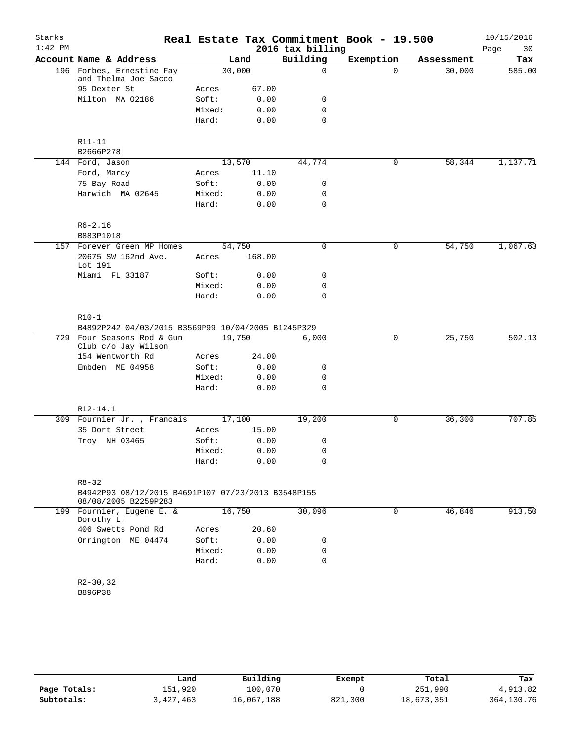| Starks<br>$1:42$ PM |                                                                            |        |        | 2016 tax billing | Real Estate Tax Commitment Book - 19.500 |            | 10/15/2016<br>Page<br>30 |
|---------------------|----------------------------------------------------------------------------|--------|--------|------------------|------------------------------------------|------------|--------------------------|
|                     | Account Name & Address                                                     |        | Land   | Building         | Exemption                                | Assessment | Tax                      |
|                     | 196 Forbes, Ernestine Fay<br>and Thelma Joe Sacco                          | 30,000 |        | 0                | $\Omega$                                 | 30,000     | 585.00                   |
|                     | 95 Dexter St                                                               | Acres  | 67.00  |                  |                                          |            |                          |
|                     | Milton MA 02186                                                            | Soft:  | 0.00   | 0                |                                          |            |                          |
|                     |                                                                            | Mixed: | 0.00   | 0                |                                          |            |                          |
|                     |                                                                            | Hard:  | 0.00   | $\Omega$         |                                          |            |                          |
|                     | R11-11                                                                     |        |        |                  |                                          |            |                          |
|                     | B2666P278                                                                  |        |        |                  |                                          |            |                          |
|                     | 144 Ford, Jason                                                            | 13,570 |        | 44,774           | $\mathbf 0$                              | 58,344     | 1,137.71                 |
|                     | Ford, Marcy                                                                | Acres  | 11.10  |                  |                                          |            |                          |
|                     | 75 Bay Road                                                                | Soft:  | 0.00   | 0                |                                          |            |                          |
|                     | Harwich MA 02645                                                           | Mixed: | 0.00   | 0                |                                          |            |                          |
|                     |                                                                            | Hard:  | 0.00   | 0                |                                          |            |                          |
|                     | $R6 - 2.16$                                                                |        |        |                  |                                          |            |                          |
|                     | B883P1018                                                                  |        |        |                  |                                          |            |                          |
|                     | 157 Forever Green MP Homes                                                 | 54,750 |        | 0                | 0                                        | 54,750     | 1,067.63                 |
|                     | 20675 SW 162nd Ave.<br>Lot 191                                             | Acres  | 168.00 |                  |                                          |            |                          |
|                     | Miami FL 33187                                                             | Soft:  | 0.00   | 0                |                                          |            |                          |
|                     |                                                                            | Mixed: | 0.00   | 0                |                                          |            |                          |
|                     |                                                                            | Hard:  | 0.00   | 0                |                                          |            |                          |
|                     | $R10-1$                                                                    |        |        |                  |                                          |            |                          |
|                     | B4892P242 04/03/2015 B3569P99 10/04/2005 B1245P329                         |        |        |                  |                                          |            |                          |
|                     | 729 Four Seasons Rod & Gun<br>Club c/o Jay Wilson                          | 19,750 |        | 6,000            | 0                                        | 25,750     | 502.13                   |
|                     | 154 Wentworth Rd                                                           | Acres  | 24.00  |                  |                                          |            |                          |
|                     | Embden ME 04958                                                            | Soft:  | 0.00   | 0                |                                          |            |                          |
|                     |                                                                            | Mixed: | 0.00   | 0                |                                          |            |                          |
|                     |                                                                            | Hard:  | 0.00   | $\mathbf 0$      |                                          |            |                          |
|                     | R12-14.1                                                                   |        |        |                  |                                          |            |                          |
|                     | 309 Fournier Jr., Francais                                                 | 17,100 |        | 19,200           | 0                                        | 36,300     | 707.85                   |
|                     | 35 Dort Street                                                             | Acres  | 15.00  |                  |                                          |            |                          |
|                     | Troy NH 03465                                                              | Soft:  | 0.00   | 0                |                                          |            |                          |
|                     |                                                                            | Mixed: | 0.00   | 0                |                                          |            |                          |
|                     |                                                                            | Hard:  | 0.00   | $\mathbf 0$      |                                          |            |                          |
|                     | $R8 - 32$                                                                  |        |        |                  |                                          |            |                          |
|                     | B4942P93 08/12/2015 B4691P107 07/23/2013 B3548P155<br>08/08/2005 B2259P283 |        |        |                  |                                          |            |                          |
|                     | 199 Fournier, Eugene E. &<br>Dorothy L.                                    | 16,750 |        | 30,096           | 0                                        | 46,846     | 913.50                   |
|                     | 406 Swetts Pond Rd                                                         | Acres  | 20.60  |                  |                                          |            |                          |
|                     | Orrington ME 04474                                                         | Soft:  | 0.00   | 0                |                                          |            |                          |
|                     |                                                                            | Mixed: | 0.00   | 0                |                                          |            |                          |
|                     |                                                                            | Hard:  | 0.00   | $\mathbf 0$      |                                          |            |                          |
|                     | $R2 - 30, 32$                                                              |        |        |                  |                                          |            |                          |
|                     | B896P38                                                                    |        |        |                  |                                          |            |                          |
|                     |                                                                            |        |        |                  |                                          |            |                          |

|              | Land      | Building   | Exempt  | Total      | Tax        |
|--------------|-----------|------------|---------|------------|------------|
| Page Totals: | 151,920   | 100,070    |         | 251,990    | 4,913.82   |
| Subtotals:   | 3,427,463 | 16,067,188 | 821,300 | 18,673,351 | 364,130.76 |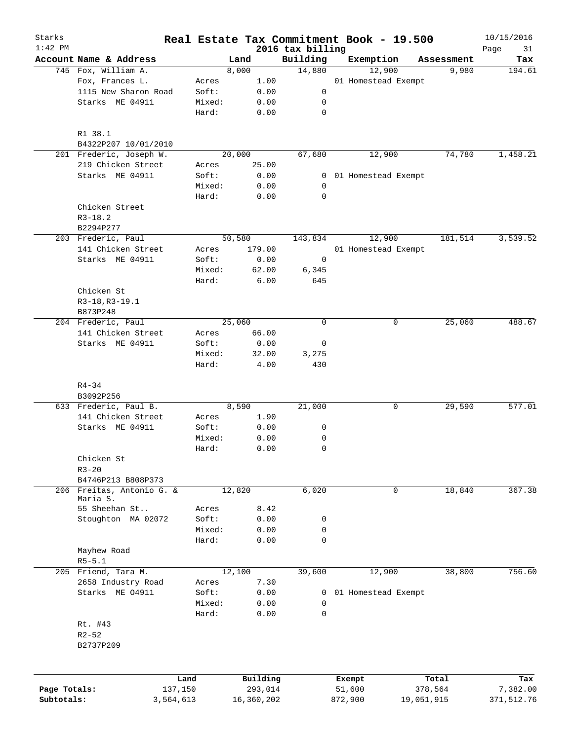| Starks<br>$1:42$ PM |                           |                 |              |                              | Real Estate Tax Commitment Book - 19.500 |            | 10/15/2016        |
|---------------------|---------------------------|-----------------|--------------|------------------------------|------------------------------------------|------------|-------------------|
|                     | Account Name & Address    |                 | Land         | 2016 tax billing<br>Building | Exemption                                | Assessment | Page<br>31<br>Tax |
|                     | 745 Fox, William A.       |                 | 8,000        | 14,880                       | 12,900                                   | 9,980      | 194.61            |
|                     | Fox, Frances L.           | Acres           | 1.00         |                              | 01 Homestead Exempt                      |            |                   |
|                     | 1115 New Sharon Road      | Soft:           | 0.00         | 0                            |                                          |            |                   |
|                     | Starks ME 04911           | Mixed:          | 0.00         | 0                            |                                          |            |                   |
|                     |                           | Hard:           | 0.00         | $\mathbf 0$                  |                                          |            |                   |
|                     | R1 38.1                   |                 |              |                              |                                          |            |                   |
|                     | B4322P207 10/01/2010      |                 |              |                              |                                          |            |                   |
|                     | 201 Frederic, Joseph W.   |                 | 20,000       | 67,680                       | 12,900                                   | 74,780     | 1,458.21          |
|                     | 219 Chicken Street        | Acres           | 25.00        |                              |                                          |            |                   |
|                     | Starks ME 04911           | Soft:<br>Mixed: | 0.00         | 0<br>0                       | 01 Homestead Exempt                      |            |                   |
|                     |                           | Hard:           | 0.00<br>0.00 | $\mathbf 0$                  |                                          |            |                   |
|                     | Chicken Street            |                 |              |                              |                                          |            |                   |
|                     | $R3 - 18.2$               |                 |              |                              |                                          |            |                   |
|                     | B2294P277                 |                 |              |                              |                                          |            |                   |
|                     | 203 Frederic, Paul        |                 | 50,580       | 143,834                      | 12,900                                   | 181,514    | 3,539.52          |
|                     | 141 Chicken Street        | Acres           | 179.00       |                              | 01 Homestead Exempt                      |            |                   |
|                     | Starks ME 04911           | Soft:           | 0.00         | 0                            |                                          |            |                   |
|                     |                           | Mixed:          | 62.00        | 6,345                        |                                          |            |                   |
|                     |                           | Hard:           | 6.00         | 645                          |                                          |            |                   |
|                     | Chicken St                |                 |              |                              |                                          |            |                   |
|                     | R3-18, R3-19.1            |                 |              |                              |                                          |            |                   |
|                     | B873P248                  |                 |              |                              |                                          |            |                   |
|                     | 204 Frederic, Paul        |                 | 25,060       | $\mathbf 0$                  | 0                                        | 25,060     | 488.67            |
|                     | 141 Chicken Street        | Acres           | 66.00        |                              |                                          |            |                   |
|                     | Starks ME 04911           | Soft:           | 0.00         | 0                            |                                          |            |                   |
|                     |                           | Mixed:          | 32.00        | 3,275                        |                                          |            |                   |
|                     |                           | Hard:           | 4.00         | 430                          |                                          |            |                   |
|                     |                           |                 |              |                              |                                          |            |                   |
|                     | $R4 - 34$<br>B3092P256    |                 |              |                              |                                          |            |                   |
|                     | 633 Frederic, Paul B.     |                 | 8,590        | 21,000                       | 0                                        | 29,590     | 577.01            |
|                     | 141 Chicken Street        | Acres           | 1.90         |                              |                                          |            |                   |
|                     | Starks ME 04911           | Soft:           | 0.00         | 0                            |                                          |            |                   |
|                     |                           | Mixed:          | 0.00         | 0                            |                                          |            |                   |
|                     |                           | Hard:           | 0.00         | $\mathbf 0$                  |                                          |            |                   |
|                     | Chicken St                |                 |              |                              |                                          |            |                   |
|                     | $R3 - 20$                 |                 |              |                              |                                          |            |                   |
|                     | B4746P213 B808P373        |                 |              |                              |                                          |            |                   |
|                     | 206 Freitas, Antonio G. & |                 | 12,820       | 6,020                        | 0                                        | 18,840     | 367.38            |
|                     | Maria S.                  |                 |              |                              |                                          |            |                   |
|                     | 55 Sheehan St             | Acres           | 8.42         |                              |                                          |            |                   |
|                     | Stoughton MA 02072        | Soft:           | 0.00         | 0                            |                                          |            |                   |
|                     |                           | Mixed:          | 0.00         | 0                            |                                          |            |                   |
|                     |                           | Hard:           | 0.00         | $\mathbf 0$                  |                                          |            |                   |
|                     | Mayhew Road               |                 |              |                              |                                          |            |                   |
|                     | $R5 - 5.1$                |                 |              |                              |                                          |            |                   |
|                     | 205 Friend, Tara M.       |                 | 12,100       | 39,600                       | 12,900                                   | 38,800     | 756.60            |
|                     | 2658 Industry Road        | Acres           | 7.30         |                              |                                          |            |                   |
|                     | Starks ME 04911           | Soft:           | 0.00         | 0                            | 01 Homestead Exempt                      |            |                   |
|                     |                           | Mixed:          | 0.00         | $\mathbf 0$                  |                                          |            |                   |
|                     |                           | Hard:           | 0.00         | $\mathbf 0$                  |                                          |            |                   |
|                     | Rt. #43                   |                 |              |                              |                                          |            |                   |
|                     | $R2 - 52$                 |                 |              |                              |                                          |            |                   |
|                     | B2737P209                 |                 |              |                              |                                          |            |                   |
|                     |                           |                 |              |                              |                                          |            |                   |
|                     |                           | Land            | Building     |                              | Exempt                                   | Total      | Tax               |
| Page Totals:        |                           | 137,150         | 293,014      |                              | 51,600                                   | 378,564    | 7,382.00          |
| Subtotals:          |                           | 3,564,613       | 16,360,202   |                              | 872,900                                  | 19,051,915 | 371,512.76        |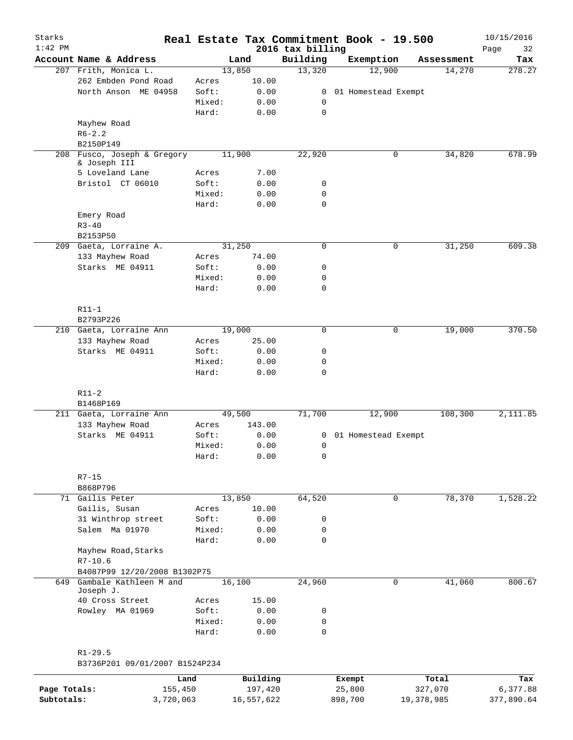| Starks<br>$1:42$ PM |                                |        |            |                              | Real Estate Tax Commitment Book - 19.500 |             |            | 10/15/2016        |
|---------------------|--------------------------------|--------|------------|------------------------------|------------------------------------------|-------------|------------|-------------------|
|                     | Account Name & Address         |        | Land       | 2016 tax billing<br>Building | Exemption                                |             | Assessment | Page<br>32<br>Tax |
|                     | 207 Frith, Monica L.           |        | 13,850     | 13,320                       | 12,900                                   |             | 14,270     | 278.27            |
|                     | 262 Embden Pond Road           | Acres  | 10.00      |                              |                                          |             |            |                   |
|                     | North Anson ME 04958           | Soft:  | 0.00       | 0                            | 01 Homestead Exempt                      |             |            |                   |
|                     |                                | Mixed: | 0.00       | 0                            |                                          |             |            |                   |
|                     |                                | Hard:  | 0.00       | $\mathbf 0$                  |                                          |             |            |                   |
|                     | Mayhew Road                    |        |            |                              |                                          |             |            |                   |
|                     | $R6 - 2.2$                     |        |            |                              |                                          |             |            |                   |
|                     | B2150P149                      |        |            |                              |                                          |             |            |                   |
| 208                 | Fusco, Joseph & Gregory        |        | 11,900     | 22,920                       |                                          | 0           | 34,820     | 678.99            |
|                     | & Joseph III                   |        |            |                              |                                          |             |            |                   |
|                     | 5 Loveland Lane                | Acres  | 7.00       |                              |                                          |             |            |                   |
|                     | Bristol CT 06010               | Soft:  | 0.00       | 0                            |                                          |             |            |                   |
|                     |                                | Mixed: | 0.00       | 0                            |                                          |             |            |                   |
|                     |                                | Hard:  | 0.00       | $\mathbf 0$                  |                                          |             |            |                   |
|                     | Emery Road                     |        |            |                              |                                          |             |            |                   |
|                     | $R3 - 40$                      |        |            |                              |                                          |             |            |                   |
|                     | B2153P50                       |        |            |                              |                                          |             |            |                   |
|                     | 209 Gaeta, Lorraine A.         |        | 31,250     | $\mathbf 0$                  |                                          | 0           | 31,250     | 609.38            |
|                     |                                |        | 74.00      |                              |                                          |             |            |                   |
|                     | 133 Mayhew Road                | Acres  |            |                              |                                          |             |            |                   |
|                     | Starks ME 04911                | Soft:  | 0.00       | 0                            |                                          |             |            |                   |
|                     |                                | Mixed: | 0.00       | 0                            |                                          |             |            |                   |
|                     |                                | Hard:  | 0.00       | $\mathbf 0$                  |                                          |             |            |                   |
|                     |                                |        |            |                              |                                          |             |            |                   |
|                     | $R11-1$                        |        |            |                              |                                          |             |            |                   |
|                     | B2793P226                      |        |            |                              |                                          |             |            |                   |
|                     | 210 Gaeta, Lorraine Ann        |        | 19,000     | 0                            |                                          | 0           | 19,000     | 370.50            |
|                     | 133 Mayhew Road                | Acres  | 25.00      |                              |                                          |             |            |                   |
|                     | Starks ME 04911                | Soft:  | 0.00       | 0                            |                                          |             |            |                   |
|                     |                                | Mixed: | 0.00       | 0                            |                                          |             |            |                   |
|                     |                                | Hard:  | 0.00       | 0                            |                                          |             |            |                   |
|                     |                                |        |            |                              |                                          |             |            |                   |
|                     | $R11-2$                        |        |            |                              |                                          |             |            |                   |
|                     | B1468P169                      |        |            |                              |                                          |             |            |                   |
|                     | 211 Gaeta, Lorraine Ann        |        | 49,500     | 71,700                       | 12,900                                   |             | 108,300    | 2,111.85          |
|                     | 133 Mayhew Road                | Acres  | 143.00     |                              |                                          |             |            |                   |
|                     | Starks ME 04911                | Soft:  | 0.00       | 0                            | 01 Homestead Exempt                      |             |            |                   |
|                     |                                | Mixed: | 0.00       | 0                            |                                          |             |            |                   |
|                     |                                | Hard:  | 0.00       | 0                            |                                          |             |            |                   |
|                     |                                |        |            |                              |                                          |             |            |                   |
|                     | $R7 - 15$                      |        |            |                              |                                          |             |            |                   |
|                     | B868P796                       |        |            |                              |                                          |             |            |                   |
|                     | 71 Gailis Peter                |        | 13,850     | 64,520                       |                                          | 0           | 78,370     | 1,528.22          |
|                     | Gailis, Susan                  | Acres  | 10.00      |                              |                                          |             |            |                   |
|                     | 31 Winthrop street             | Soft:  | 0.00       | 0                            |                                          |             |            |                   |
|                     | Salem Ma 01970                 | Mixed: | 0.00       | 0                            |                                          |             |            |                   |
|                     |                                | Hard:  | 0.00       | 0                            |                                          |             |            |                   |
|                     | Mayhew Road, Starks            |        |            |                              |                                          |             |            |                   |
|                     | $R7 - 10.6$                    |        |            |                              |                                          |             |            |                   |
|                     | B4087P99 12/20/2008 B1302P75   |        |            |                              |                                          |             |            |                   |
| 649                 | Gambale Kathleen M and         |        |            |                              |                                          | $\mathbf 0$ | 41,060     | 800.67            |
|                     | Joseph J.                      |        | 16,100     | 24,960                       |                                          |             |            |                   |
|                     | 40 Cross Street                | Acres  | 15.00      |                              |                                          |             |            |                   |
|                     | Rowley MA 01969                | Soft:  | 0.00       | 0                            |                                          |             |            |                   |
|                     |                                | Mixed: | 0.00       | 0                            |                                          |             |            |                   |
|                     |                                | Hard:  | 0.00       | $\mathbf 0$                  |                                          |             |            |                   |
|                     |                                |        |            |                              |                                          |             |            |                   |
|                     | $R1 - 29.5$                    |        |            |                              |                                          |             |            |                   |
|                     | B3736P201 09/01/2007 B1524P234 |        |            |                              |                                          |             |            |                   |
|                     |                                |        |            |                              |                                          |             |            |                   |
|                     |                                | Land   | Building   |                              | Exempt                                   |             | Total      | Tax               |
| Page Totals:        | 155,450                        |        | 197,420    |                              | 25,800                                   | 327,070     |            | 6,377.88          |
| Subtotals:          | 3,720,063                      |        | 16,557,622 |                              | 898,700                                  | 19,378,985  |            | 377,890.64        |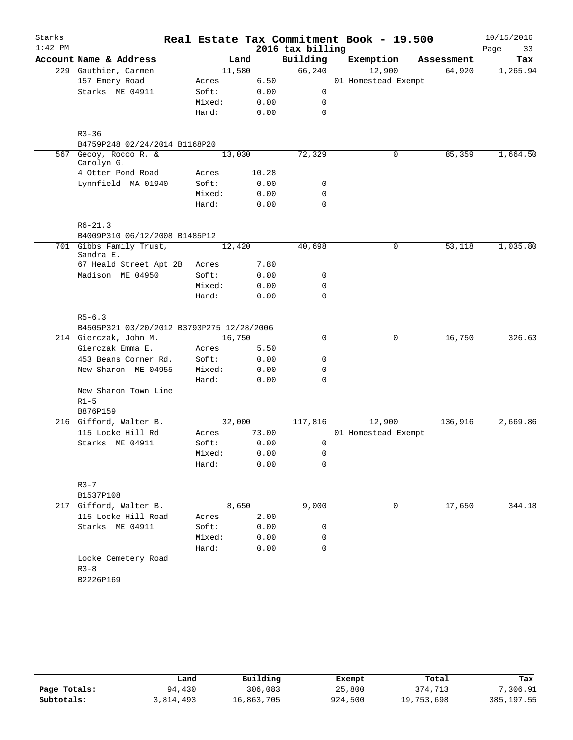| Starks    |                                           |        |        |       |                  | Real Estate Tax Commitment Book - 19.500 |            | 10/15/2016 |
|-----------|-------------------------------------------|--------|--------|-------|------------------|------------------------------------------|------------|------------|
| $1:42$ PM |                                           |        |        |       | 2016 tax billing |                                          |            | Page<br>33 |
|           | Account Name & Address                    |        | Land   |       | Building         | Exemption                                | Assessment | Tax        |
|           | 229 Gauthier, Carmen                      |        | 11,580 |       | 66, 240          | 12,900                                   | 64,920     | 1,265.94   |
|           | 157 Emery Road                            | Acres  |        | 6.50  |                  | 01 Homestead Exempt                      |            |            |
|           | Starks ME 04911                           | Soft:  |        | 0.00  | 0                |                                          |            |            |
|           |                                           | Mixed: |        | 0.00  | 0                |                                          |            |            |
|           |                                           | Hard:  |        | 0.00  | $\mathbf 0$      |                                          |            |            |
|           |                                           |        |        |       |                  |                                          |            |            |
|           | $R3 - 36$                                 |        |        |       |                  |                                          |            |            |
|           | B4759P248 02/24/2014 B1168P20             |        |        |       | 72,329           |                                          | 85,359     |            |
|           | 567 Gecoy, Rocco R. &<br>Carolyn G.       |        | 13,030 |       |                  | 0                                        |            | 1,664.50   |
|           | 4 Otter Pond Road                         | Acres  |        | 10.28 |                  |                                          |            |            |
|           | Lynnfield MA 01940                        | Soft:  |        | 0.00  | 0                |                                          |            |            |
|           |                                           | Mixed: |        | 0.00  | $\mathbf 0$      |                                          |            |            |
|           |                                           | Hard:  |        | 0.00  | $\mathbf 0$      |                                          |            |            |
|           | $R6 - 21.3$                               |        |        |       |                  |                                          |            |            |
|           | B4009P310 06/12/2008 B1485P12             |        |        |       |                  |                                          |            |            |
|           | 701 Gibbs Family Trust,<br>Sandra E.      |        | 12,420 |       | 40,698           | 0                                        | 53,118     | 1,035.80   |
|           | 67 Heald Street Apt 2B                    | Acres  |        | 7.80  |                  |                                          |            |            |
|           | Madison ME 04950                          | Soft:  |        | 0.00  | 0                |                                          |            |            |
|           |                                           | Mixed: |        | 0.00  | 0                |                                          |            |            |
|           |                                           | Hard:  |        | 0.00  | $\mathbf 0$      |                                          |            |            |
|           | $R5 - 6.3$                                |        |        |       |                  |                                          |            |            |
|           | B4505P321 03/20/2012 B3793P275 12/28/2006 |        |        |       |                  |                                          |            |            |
|           | 214 Gierczak, John M.                     |        | 16,750 |       | 0                | 0                                        | 16,750     | 326.63     |
|           | Gierczak Emma E.                          | Acres  |        | 5.50  |                  |                                          |            |            |
|           | 453 Beans Corner Rd.                      | Soft:  |        | 0.00  | 0                |                                          |            |            |
|           | New Sharon ME 04955                       | Mixed: |        | 0.00  | 0                |                                          |            |            |
|           |                                           | Hard:  |        | 0.00  | $\mathbf 0$      |                                          |            |            |
|           | New Sharon Town Line                      |        |        |       |                  |                                          |            |            |
|           | $R1-5$                                    |        |        |       |                  |                                          |            |            |
|           | B876P159                                  |        |        |       |                  |                                          |            |            |
|           | 216 Gifford, Walter B.                    |        | 32,000 |       | 117,816          | 12,900                                   | 136,916    | 2,669.86   |
|           | 115 Locke Hill Rd                         |        |        | 73.00 |                  | 01 Homestead Exempt                      |            |            |
|           |                                           | Acres  |        |       |                  |                                          |            |            |
|           | Starks ME 04911                           | Soft:  |        | 0.00  | 0                |                                          |            |            |
|           |                                           | Mixed: |        | 0.00  | $\mathsf 0$      |                                          |            |            |
|           |                                           | Hard:  |        | 0.00  | 0                |                                          |            |            |
|           | $R3 - 7$                                  |        |        |       |                  |                                          |            |            |
|           | B1537P108                                 |        |        |       |                  |                                          |            |            |
|           | 217 Gifford, Walter B.                    |        | 8,650  |       | 9,000            | 0                                        | 17,650     | 344.18     |
|           | 115 Locke Hill Road                       | Acres  |        | 2.00  |                  |                                          |            |            |
|           | Starks ME 04911                           | Soft:  |        | 0.00  | 0                |                                          |            |            |
|           |                                           | Mixed: |        | 0.00  | 0                |                                          |            |            |
|           |                                           | Hard:  |        | 0.00  | $\mathbf 0$      |                                          |            |            |
|           | Locke Cemetery Road                       |        |        |       |                  |                                          |            |            |
|           | $R3 - 8$                                  |        |        |       |                  |                                          |            |            |
|           | B2226P169                                 |        |        |       |                  |                                          |            |            |
|           |                                           |        |        |       |                  |                                          |            |            |
|           |                                           |        |        |       |                  |                                          |            |            |

|              | Land      | Building   | Exempt  | Total      | Tax         |
|--------------|-----------|------------|---------|------------|-------------|
| Page Totals: | 94,430    | 306,083    | 25,800  | 374,713    | 7,306.91    |
| Subtotals:   | 3,814,493 | 16,863,705 | 924,500 | 19,753,698 | 385, 197.55 |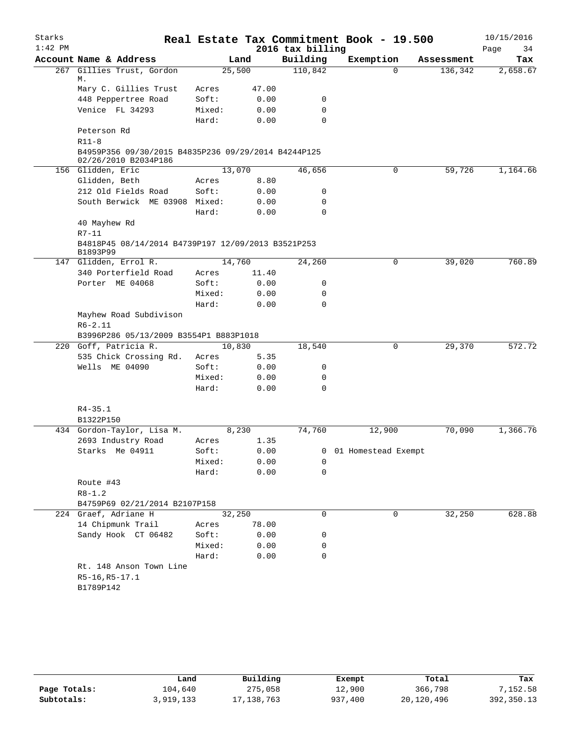| Starks<br>$1:42$ PM |                                                                             |        |       | 2016 tax billing | Real Estate Tax Commitment Book - 19.500 |            | 10/15/2016<br>Page<br>34 |
|---------------------|-----------------------------------------------------------------------------|--------|-------|------------------|------------------------------------------|------------|--------------------------|
|                     | Account Name & Address                                                      |        | Land  | Building         | Exemption                                | Assessment | Tax                      |
|                     | 267 Gillies Trust, Gordon<br>М.                                             | 25,500 |       | 110,842          | $\Omega$                                 | 136,342    | 2,658.67                 |
|                     | Mary C. Gillies Trust                                                       | Acres  | 47.00 |                  |                                          |            |                          |
|                     | 448 Peppertree Road                                                         | Soft:  | 0.00  | 0                |                                          |            |                          |
|                     | Venice FL 34293                                                             | Mixed: | 0.00  | 0                |                                          |            |                          |
|                     |                                                                             | Hard:  | 0.00  | $\Omega$         |                                          |            |                          |
|                     | Peterson Rd                                                                 |        |       |                  |                                          |            |                          |
|                     | $R11-8$                                                                     |        |       |                  |                                          |            |                          |
|                     | B4959P356 09/30/2015 B4835P236 09/29/2014 B4244P125<br>02/26/2010 B2034P186 |        |       |                  |                                          |            |                          |
|                     | 156 Glidden, Eric                                                           | 13,070 |       | 46,656           | 0                                        | 59,726     | 1,164.66                 |
|                     | Glidden, Beth                                                               | Acres  | 8.80  |                  |                                          |            |                          |
|                     | 212 Old Fields Road                                                         | Soft:  | 0.00  | 0                |                                          |            |                          |
|                     | South Berwick ME 03908 Mixed:                                               |        | 0.00  | $\mathbf 0$      |                                          |            |                          |
|                     |                                                                             | Hard:  | 0.00  | $\Omega$         |                                          |            |                          |
|                     | 40 Mayhew Rd                                                                |        |       |                  |                                          |            |                          |
|                     | $R7-11$                                                                     |        |       |                  |                                          |            |                          |
|                     | B4818P45 08/14/2014 B4739P197 12/09/2013 B3521P253<br>B1893P99              |        |       |                  |                                          |            |                          |
|                     | 147 Glidden, Errol R.                                                       | 14,760 |       | 24,260           | 0                                        | 39,020     | 760.89                   |
|                     | 340 Porterfield Road                                                        | Acres  | 11.40 |                  |                                          |            |                          |
|                     | Porter ME 04068                                                             | Soft:  | 0.00  | 0                |                                          |            |                          |
|                     |                                                                             | Mixed: | 0.00  | $\mathbf 0$      |                                          |            |                          |
|                     |                                                                             | Hard:  | 0.00  | $\mathbf 0$      |                                          |            |                          |
|                     | Mayhew Road Subdivison                                                      |        |       |                  |                                          |            |                          |
|                     | $R6 - 2.11$                                                                 |        |       |                  |                                          |            |                          |
|                     | B3996P286 05/13/2009 B3554P1 B883P1018                                      |        |       |                  |                                          |            |                          |
|                     | 220 Goff, Patricia R.                                                       | 10,830 |       | 18,540           | 0                                        | 29,370     | 572.72                   |
|                     | 535 Chick Crossing Rd.                                                      | Acres  | 5.35  |                  |                                          |            |                          |
|                     | Wells ME 04090                                                              | Soft:  | 0.00  | 0                |                                          |            |                          |
|                     |                                                                             | Mixed: | 0.00  | 0                |                                          |            |                          |
|                     |                                                                             | Hard:  | 0.00  | $\Omega$         |                                          |            |                          |
|                     | $R4 - 35.1$                                                                 |        |       |                  |                                          |            |                          |
|                     | B1322P150                                                                   |        |       |                  |                                          |            |                          |
|                     | 434 Gordon-Taylor, Lisa M.                                                  |        | 8,230 | 74,760           | 12,900                                   | 70,090     | 1,366.76                 |
|                     | 2693 Industry Road                                                          | Acres  | 1.35  |                  |                                          |            |                          |
|                     | Starks Me 04911                                                             | Soft:  | 0.00  |                  | 0 01 Homestead Exempt                    |            |                          |
|                     |                                                                             | Mixed: | 0.00  | 0                |                                          |            |                          |
|                     |                                                                             | Hard:  | 0.00  | 0                |                                          |            |                          |
|                     | Route #43                                                                   |        |       |                  |                                          |            |                          |
|                     | $R8 - 1.2$                                                                  |        |       |                  |                                          |            |                          |
|                     | B4759P69 02/21/2014 B2107P158                                               |        |       |                  |                                          |            |                          |
|                     | 224 Graef, Adriane H                                                        | 32,250 |       | 0                | 0                                        | 32,250     | 628.88                   |
|                     | 14 Chipmunk Trail                                                           | Acres  | 78.00 |                  |                                          |            |                          |
|                     | Sandy Hook CT 06482                                                         | Soft:  | 0.00  | 0                |                                          |            |                          |
|                     |                                                                             | Mixed: | 0.00  | 0                |                                          |            |                          |
|                     |                                                                             | Hard:  | 0.00  | 0                |                                          |            |                          |
|                     | Rt. 148 Anson Town Line                                                     |        |       |                  |                                          |            |                          |
|                     | $R5-16, R5-17.1$                                                            |        |       |                  |                                          |            |                          |
|                     | B1789P142                                                                   |        |       |                  |                                          |            |                          |
|                     |                                                                             |        |       |                  |                                          |            |                          |

|              | Land      | Building  | Exempt  | Total      | Tax        |
|--------------|-----------|-----------|---------|------------|------------|
| Page Totals: | 104,640   | 275,058   | 12,900  | 366,798    | 7,152.58   |
| Subtotals:   | 3,919,133 | 7,138,763 | 937,400 | 20,120,496 | 392,350.13 |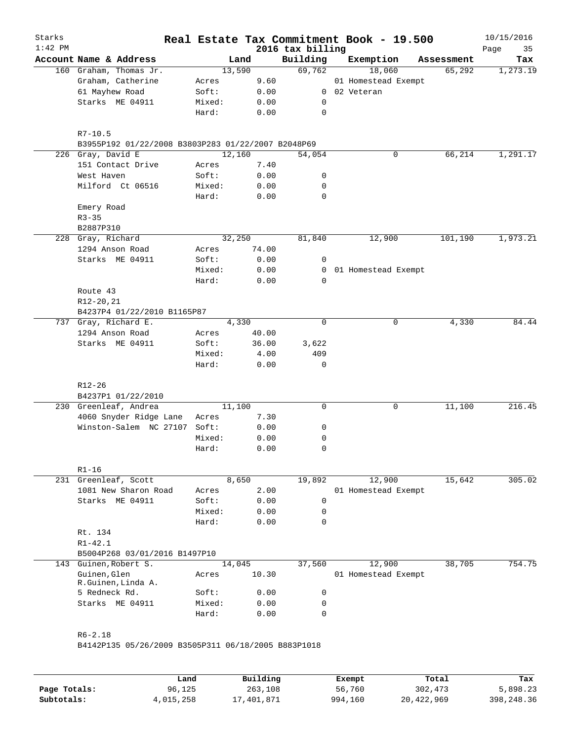| Starks<br>$1:42$ PM |                                                    |        |        |       | 2016 tax billing | Real Estate Tax Commitment Book - 19.500 |            | 10/15/2016<br>35<br>Page |
|---------------------|----------------------------------------------------|--------|--------|-------|------------------|------------------------------------------|------------|--------------------------|
|                     | Account Name & Address                             |        | Land   |       | Building         | Exemption                                | Assessment | Tax                      |
|                     | 160 Graham, Thomas Jr.                             |        | 13,590 |       | 69,762           | 18,060                                   | 65,292     | 1,273.19                 |
|                     | Graham, Catherine                                  | Acres  |        | 9.60  |                  | 01 Homestead Exempt                      |            |                          |
|                     | 61 Mayhew Road                                     | Soft:  |        | 0.00  |                  | 0 02 Veteran                             |            |                          |
|                     | Starks ME 04911                                    | Mixed: |        | 0.00  | 0                |                                          |            |                          |
|                     |                                                    | Hard:  |        | 0.00  | $\mathbf 0$      |                                          |            |                          |
|                     | $R7 - 10.5$                                        |        |        |       |                  |                                          |            |                          |
|                     | B3955P192 01/22/2008 B3803P283 01/22/2007 B2048P69 |        |        |       |                  |                                          |            |                          |
|                     | 226 Gray, David E                                  |        | 12,160 |       | 54,054           | 0                                        | 66,214     | 1,291.17                 |
|                     | 151 Contact Drive                                  | Acres  |        | 7.40  |                  |                                          |            |                          |
|                     | West Haven                                         | Soft:  |        | 0.00  | 0                |                                          |            |                          |
|                     | Milford Ct 06516                                   | Mixed: |        | 0.00  | 0                |                                          |            |                          |
|                     |                                                    | Hard:  |        | 0.00  | 0                |                                          |            |                          |
|                     | Emery Road                                         |        |        |       |                  |                                          |            |                          |
|                     | $R3 - 35$                                          |        |        |       |                  |                                          |            |                          |
|                     | B2887P310                                          |        |        |       |                  |                                          |            |                          |
|                     | 228 Gray, Richard                                  |        | 32,250 |       | 81,840           | 12,900                                   | 101,190    | 1,973.21                 |
|                     | 1294 Anson Road                                    | Acres  |        | 74.00 |                  |                                          |            |                          |
|                     | Starks ME 04911                                    | Soft:  |        | 0.00  | 0                |                                          |            |                          |
|                     |                                                    | Mixed: |        | 0.00  | $\overline{0}$   | 01 Homestead Exempt                      |            |                          |
|                     |                                                    | Hard:  |        | 0.00  | 0                |                                          |            |                          |
|                     | Route 43                                           |        |        |       |                  |                                          |            |                          |
|                     | R12-20,21                                          |        |        |       |                  |                                          |            |                          |
|                     | B4237P4 01/22/2010 B1165P87                        |        |        |       |                  |                                          |            |                          |
|                     | 737 Gray, Richard E.                               |        | 4,330  |       | $\mathbf 0$      | 0                                        | 4,330      | 84.44                    |
|                     | 1294 Anson Road                                    | Acres  |        | 40.00 |                  |                                          |            |                          |
|                     | Starks ME 04911                                    | Soft:  |        | 36.00 | 3,622            |                                          |            |                          |
|                     |                                                    | Mixed: |        | 4.00  | 409              |                                          |            |                          |
|                     |                                                    | Hard:  |        | 0.00  | 0                |                                          |            |                          |
|                     | R12-26                                             |        |        |       |                  |                                          |            |                          |
|                     | B4237P1 01/22/2010                                 |        |        |       |                  |                                          |            |                          |
|                     | 230 Greenleaf, Andrea                              |        | 11,100 |       | $\mathbf 0$      | 0                                        | 11,100     | 216.45                   |
|                     | 4060 Snyder Ridge Lane                             | Acres  |        | 7.30  |                  |                                          |            |                          |
|                     | Winston-Salem NC 27107                             | Soft:  |        | 0.00  | 0                |                                          |            |                          |
|                     |                                                    | Mixed: |        | 0.00  | 0                |                                          |            |                          |
|                     |                                                    | Hard:  |        | 0.00  | 0                |                                          |            |                          |
|                     | $R1 - 16$                                          |        |        |       |                  |                                          |            |                          |
|                     | 231 Greenleaf, Scott                               |        | 8,650  |       | 19,892           | 12,900                                   | 15,642     | 305.02                   |
|                     | 1081 New Sharon Road                               | Acres  |        | 2.00  |                  | 01 Homestead Exempt                      |            |                          |
|                     | Starks ME 04911                                    | Soft:  |        | 0.00  | 0                |                                          |            |                          |
|                     |                                                    | Mixed: |        | 0.00  | 0                |                                          |            |                          |
|                     |                                                    | Hard:  |        | 0.00  | 0                |                                          |            |                          |
|                     | Rt. 134                                            |        |        |       |                  |                                          |            |                          |
|                     | $R1 - 42.1$                                        |        |        |       |                  |                                          |            |                          |
|                     | B5004P268 03/01/2016 B1497P10                      |        |        |       |                  |                                          |            |                          |
| 143                 | Guinen, Robert S.                                  |        | 14,045 |       | 37,560           | 12,900                                   | 38,705     | 754.75                   |
|                     | Guinen, Glen<br>R.Guinen, Linda A.                 | Acres  |        | 10.30 |                  | 01 Homestead Exempt                      |            |                          |
|                     | 5 Redneck Rd.                                      | Soft:  |        | 0.00  | 0                |                                          |            |                          |
|                     | Starks ME 04911                                    | Mixed: |        | 0.00  | 0                |                                          |            |                          |
|                     |                                                    | Hard:  |        | 0.00  | 0                |                                          |            |                          |
|                     |                                                    |        |        |       |                  |                                          |            |                          |
|                     |                                                    |        |        |       |                  |                                          |            |                          |

|              | Land      | Building   | Exempt  | Total      | Tax        |
|--------------|-----------|------------|---------|------------|------------|
| Page Totals: | 96,125    | 263,108    | 56,760  | 302,473    | 5,898.23   |
| Subtotals:   | 4,015,258 | 17,401,871 | 994,160 | 20,422,969 | 398,248.36 |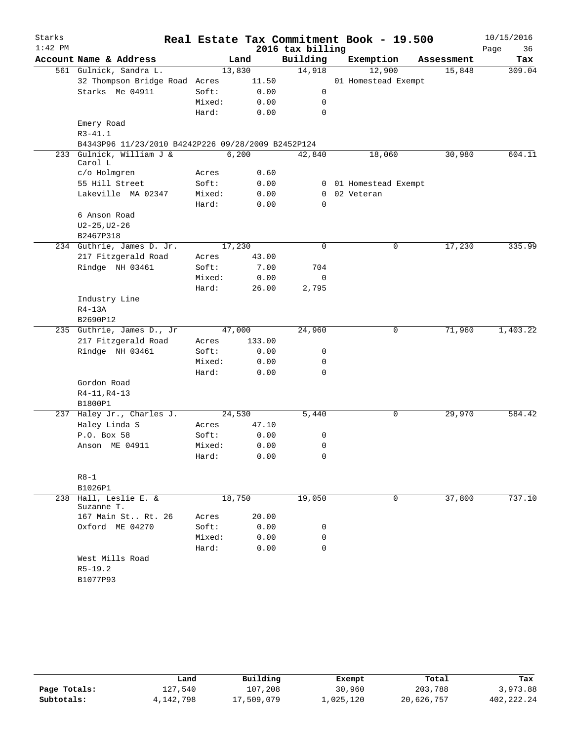| Starks    |                                                    |        |        |                  | Real Estate Tax Commitment Book - 19.500 |            | 10/15/2016 |
|-----------|----------------------------------------------------|--------|--------|------------------|------------------------------------------|------------|------------|
| $1:42$ PM |                                                    |        |        | 2016 tax billing |                                          |            | Page<br>36 |
|           | Account Name & Address                             |        | Land   | Building         | Exemption                                | Assessment | Tax        |
|           | 561 Gulnick, Sandra L.                             |        | 13,830 | 14,918           | 12,900                                   | 15,848     | 309.04     |
|           | 32 Thompson Bridge Road Acres                      |        | 11.50  |                  | 01 Homestead Exempt                      |            |            |
|           | Starks Me 04911                                    | Soft:  | 0.00   | 0                |                                          |            |            |
|           |                                                    | Mixed: | 0.00   | 0                |                                          |            |            |
|           |                                                    | Hard:  | 0.00   | 0                |                                          |            |            |
|           | Emery Road                                         |        |        |                  |                                          |            |            |
|           | $R3 - 41.1$                                        |        |        |                  |                                          |            |            |
|           | B4343P96 11/23/2010 B4242P226 09/28/2009 B2452P124 |        |        |                  |                                          |            |            |
| 233       | Gulnick, William J &<br>Carol L                    |        | 6,200  | 42,840           | 18,060                                   | 30,980     | 604.11     |
|           | c/o Holmgren                                       | Acres  | 0.60   |                  |                                          |            |            |
|           | 55 Hill Street                                     | Soft:  | 0.00   |                  | 0 01 Homestead Exempt                    |            |            |
|           | Lakeville MA 02347                                 | Mixed: | 0.00   | $\overline{0}$   | 02 Veteran                               |            |            |
|           |                                                    | Hard:  | 0.00   | $\Omega$         |                                          |            |            |
|           | 6 Anson Road                                       |        |        |                  |                                          |            |            |
|           | $U2 - 25, U2 - 26$                                 |        |        |                  |                                          |            |            |
|           | B2467P318                                          |        |        |                  |                                          |            |            |
|           | 234 Guthrie, James D. Jr.                          |        | 17,230 | 0                | 0                                        | 17,230     | 335.99     |
|           | 217 Fitzgerald Road                                | Acres  | 43.00  |                  |                                          |            |            |
|           | Rindge NH 03461                                    | Soft:  | 7.00   | 704              |                                          |            |            |
|           |                                                    | Mixed: | 0.00   | 0                |                                          |            |            |
|           |                                                    | Hard:  | 26.00  | 2,795            |                                          |            |            |
|           | Industry Line                                      |        |        |                  |                                          |            |            |
|           | $R4-13A$                                           |        |        |                  |                                          |            |            |
|           | B2690P12                                           |        |        |                  |                                          |            |            |
|           | 235 Guthrie, James D., Jr                          |        | 47,000 | 24,960           | 0                                        | 71,960     | 1,403.22   |
|           | 217 Fitzgerald Road                                | Acres  | 133.00 |                  |                                          |            |            |
|           | Rindge NH 03461                                    | Soft:  | 0.00   | 0                |                                          |            |            |
|           |                                                    | Mixed: | 0.00   | 0                |                                          |            |            |
|           |                                                    | Hard:  | 0.00   | 0                |                                          |            |            |
|           | Gordon Road                                        |        |        |                  |                                          |            |            |
|           | $R4 - 11, R4 - 13$                                 |        |        |                  |                                          |            |            |
|           | B1800P1                                            |        |        |                  |                                          |            |            |
|           | 237 Haley Jr., Charles J.                          |        | 24,530 | 5,440            | 0                                        | 29,970     | 584.42     |
|           | Haley Linda S                                      | Acres  | 47.10  |                  |                                          |            |            |
|           | P.O. Box 58                                        | Soft:  | 0.00   | 0                |                                          |            |            |
|           | Anson ME 04911                                     | Mixed: | 0.00   | 0                |                                          |            |            |
|           |                                                    | Hard:  | 0.00   | 0                |                                          |            |            |
|           |                                                    |        |        |                  |                                          |            |            |
|           | $R8-1$                                             |        |        |                  |                                          |            |            |
|           | B1026P1                                            |        |        |                  |                                          |            |            |
|           | 238 Hall, Leslie E. &<br>Suzanne T.                |        | 18,750 |                  | 0                                        | 37,800     | 737.10     |
|           | 167 Main St Rt. 26                                 | Acres  | 20.00  |                  |                                          |            |            |
|           | Oxford ME 04270                                    | Soft:  | 0.00   | 0                |                                          |            |            |
|           |                                                    | Mixed: | 0.00   | 0                |                                          |            |            |
|           |                                                    | Hard:  | 0.00   | 0                |                                          |            |            |
|           | West Mills Road                                    |        |        |                  |                                          |            |            |
|           | $R5-19.2$                                          |        |        |                  |                                          |            |            |
|           | B1077P93                                           |        |        |                  |                                          |            |            |
|           |                                                    |        |        |                  |                                          |            |            |

|              | Land      | Building   | Exempt    | Total      | Tax        |
|--------------|-----------|------------|-----------|------------|------------|
| Page Totals: | 127.540   | 107,208    | 30,960    | 203,788    | 3,973.88   |
| Subtotals:   | 4,142,798 | 17,509,079 | 1,025,120 | 20,626,757 | 402,222.24 |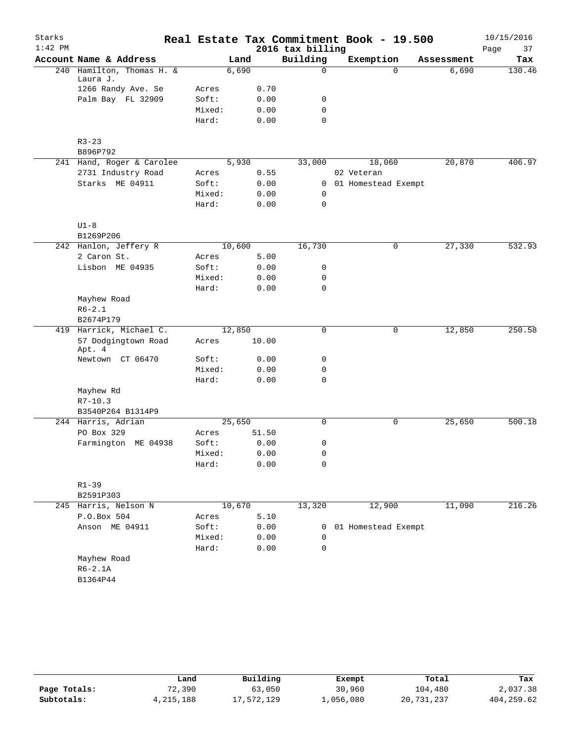| Starks    |                                         |                |        |       |                  | Real Estate Tax Commitment Book - 19.500 |            | 10/15/2016 |
|-----------|-----------------------------------------|----------------|--------|-------|------------------|------------------------------------------|------------|------------|
| $1:42$ PM |                                         |                |        |       | 2016 tax billing |                                          |            | 37<br>Page |
|           | Account Name & Address                  |                | Land   |       | Building         | Exemption                                | Assessment | Tax        |
|           | 240 Hamilton, Thomas H. &               |                | 6,690  |       | 0                | $\Omega$                                 | 6,690      | 130.46     |
|           | Laura J.                                |                |        | 0.70  |                  |                                          |            |            |
|           | 1266 Randy Ave. Se<br>Palm Bay FL 32909 | Acres<br>Soft: |        | 0.00  | 0                |                                          |            |            |
|           |                                         | Mixed:         |        | 0.00  | 0                |                                          |            |            |
|           |                                         | Hard:          |        | 0.00  | 0                |                                          |            |            |
|           |                                         |                |        |       |                  |                                          |            |            |
|           | $R3 - 23$                               |                |        |       |                  |                                          |            |            |
|           | B896P792                                |                |        |       |                  |                                          |            |            |
|           | 241 Hand, Roger & Carolee               |                | 5,930  |       | 33,000           | 18,060                                   | 20,870     | 406.97     |
|           | 2731 Industry Road                      | Acres          |        | 0.55  |                  | 02 Veteran                               |            |            |
|           | Starks ME 04911                         | Soft:          |        | 0.00  | $\mathbf{0}$     | 01 Homestead Exempt                      |            |            |
|           |                                         | Mixed:         |        | 0.00  | 0                |                                          |            |            |
|           |                                         | Hard:          |        | 0.00  | $\mathbf 0$      |                                          |            |            |
|           |                                         |                |        |       |                  |                                          |            |            |
|           | $U1-8$                                  |                |        |       |                  |                                          |            |            |
|           | B1269P206                               |                |        |       |                  |                                          |            |            |
|           | 242 Hanlon, Jeffery R                   |                | 10,600 |       | 16,730           | 0                                        | 27,330     | 532.93     |
|           | 2 Caron St.                             | Acres          |        | 5.00  |                  |                                          |            |            |
|           | Lisbon ME 04935                         | Soft:          |        | 0.00  | 0                |                                          |            |            |
|           |                                         | Mixed:         |        | 0.00  | 0                |                                          |            |            |
|           |                                         | Hard:          |        | 0.00  | 0                |                                          |            |            |
|           | Mayhew Road                             |                |        |       |                  |                                          |            |            |
|           | $R6 - 2.1$                              |                |        |       |                  |                                          |            |            |
|           | B2674P179                               |                |        |       |                  |                                          |            |            |
|           | 419 Harrick, Michael C.                 |                | 12,850 |       | 0                | $\mathbf 0$                              | 12,850     | 250.58     |
|           | 57 Dodgingtown Road<br>Apt. 4           | Acres          |        | 10.00 |                  |                                          |            |            |
|           | Newtown CT 06470                        | Soft:          |        | 0.00  | 0                |                                          |            |            |
|           |                                         | Mixed:         |        | 0.00  | 0                |                                          |            |            |
|           |                                         | Hard:          |        | 0.00  | $\mathbf 0$      |                                          |            |            |
|           | Mayhew Rd                               |                |        |       |                  |                                          |            |            |
|           | $R7 - 10.3$                             |                |        |       |                  |                                          |            |            |
|           | B3540P264 B1314P9                       |                |        |       |                  |                                          |            |            |
|           | 244 Harris, Adrian                      |                | 25,650 |       | $\mathbf 0$      | 0                                        | 25,650     | 500.18     |
|           | PO Box 329                              | Acres          |        | 51.50 |                  |                                          |            |            |
|           | Farmington ME 04938                     | Soft:          |        | 0.00  | 0                |                                          |            |            |
|           |                                         | Mixed:         |        | 0.00  | 0                |                                          |            |            |
|           |                                         | Hard:          |        | 0.00  | 0                |                                          |            |            |
|           |                                         |                |        |       |                  |                                          |            |            |
|           | $R1 - 39$                               |                |        |       |                  |                                          |            |            |
|           | B2591P303                               |                |        |       |                  |                                          |            |            |
|           | 245 Harris, Nelson N                    |                | 10,670 |       | 13,320           | 12,900                                   | 11,090     | 216.26     |
|           | P.O.Box 504                             | Acres          |        | 5.10  |                  |                                          |            |            |
|           | Anson ME 04911                          | Soft:          |        | 0.00  | 0                | 01 Homestead Exempt                      |            |            |
|           |                                         | Mixed:         |        | 0.00  | 0                |                                          |            |            |
|           |                                         | Hard:          |        | 0.00  | $\mathbf 0$      |                                          |            |            |
|           | Mayhew Road                             |                |        |       |                  |                                          |            |            |
|           | $R6-2.1A$                               |                |        |       |                  |                                          |            |            |
|           | B1364P44                                |                |        |       |                  |                                          |            |            |
|           |                                         |                |        |       |                  |                                          |            |            |

|              | Land      | Building   | Exempt    | Total      | Tax        |
|--------------|-----------|------------|-----------|------------|------------|
| Page Totals: | 72,390    | 63,050     | 30,960    | 104,480    | 2,037.38   |
| Subtotals:   | 4,215,188 | 17,572,129 | 1,056,080 | 20,731,237 | 404,259.62 |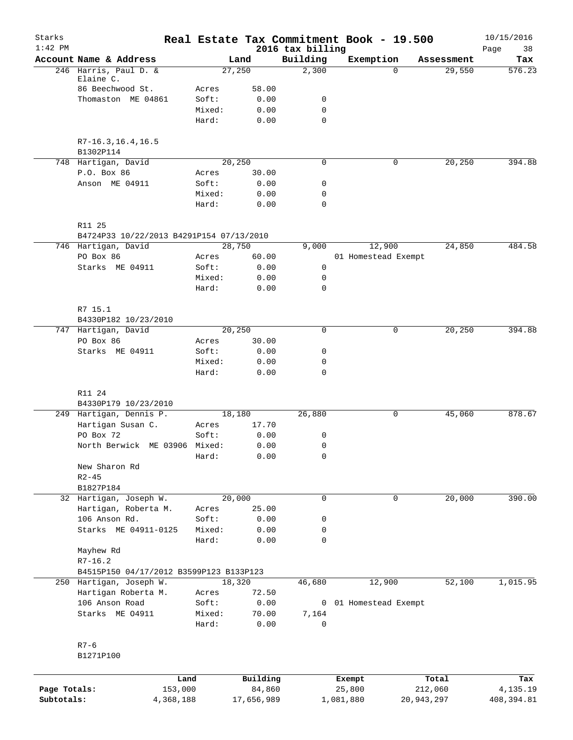| Starks                     |                                          |                 |                      |                              | Real Estate Tax Commitment Book - 19.500 |                       | 10/15/2016              |
|----------------------------|------------------------------------------|-----------------|----------------------|------------------------------|------------------------------------------|-----------------------|-------------------------|
| $1:42$ PM                  | Account Name & Address                   |                 | Land                 | 2016 tax billing<br>Building | Exemption                                | Assessment            | Page<br>38<br>Tax       |
|                            | 246 Harris, Paul D. &                    |                 | 27,250               | 2,300                        | $\Omega$                                 | 29,550                | 576.23                  |
|                            | Elaine C.<br>86 Beechwood St.            |                 |                      |                              |                                          |                       |                         |
|                            | Thomaston ME 04861                       | Acres<br>Soft:  | 58.00<br>0.00        | 0                            |                                          |                       |                         |
|                            |                                          | Mixed:          | 0.00                 | 0                            |                                          |                       |                         |
|                            |                                          | Hard:           | 0.00                 | $\mathbf 0$                  |                                          |                       |                         |
|                            | $R7-16.3, 16.4, 16.5$                    |                 |                      |                              |                                          |                       |                         |
|                            | B1302P114<br>748 Hartigan, David         |                 | 20,250               | 0                            | 0                                        | 20,250                | 394.88                  |
|                            | P.O. Box 86                              | Acres           | 30.00                |                              |                                          |                       |                         |
|                            | Anson ME 04911                           | Soft:           | 0.00                 | 0                            |                                          |                       |                         |
|                            |                                          | Mixed:          | 0.00                 | 0                            |                                          |                       |                         |
|                            |                                          | Hard:           | 0.00                 | 0                            |                                          |                       |                         |
|                            | R11 25                                   |                 |                      |                              |                                          |                       |                         |
|                            | B4724P33 10/22/2013 B4291P154 07/13/2010 |                 |                      |                              |                                          |                       |                         |
|                            | 746 Hartigan, David                      |                 | 28,750               | 9,000                        | 12,900                                   | 24,850                | 484.58                  |
|                            | PO Box 86                                | Acres           | 60.00                |                              | 01 Homestead Exempt                      |                       |                         |
|                            | Starks ME 04911                          | Soft:           | 0.00                 | 0                            |                                          |                       |                         |
|                            |                                          | Mixed:<br>Hard: | 0.00<br>0.00         | 0<br>0                       |                                          |                       |                         |
|                            | R7 15.1                                  |                 |                      |                              |                                          |                       |                         |
|                            | B4330P182 10/23/2010                     |                 |                      |                              |                                          |                       |                         |
|                            | 747 Hartigan, David                      |                 | 20,250               | $\mathbf 0$                  | $\mathbf 0$                              | 20,250                | 394.88                  |
|                            | PO Box 86                                | Acres           | 30.00                |                              |                                          |                       |                         |
|                            | Starks ME 04911                          | Soft:           | 0.00                 | 0                            |                                          |                       |                         |
|                            |                                          | Mixed:          | 0.00                 | 0                            |                                          |                       |                         |
|                            |                                          | Hard:           | 0.00                 | 0                            |                                          |                       |                         |
|                            | R11 24                                   |                 |                      |                              |                                          |                       |                         |
|                            | B4330P179 10/23/2010                     |                 |                      |                              |                                          |                       |                         |
|                            | 249 Hartigan, Dennis P.                  |                 | 18,180               | 26,880                       | 0                                        | 45,060                | 878.67                  |
|                            | Hartigan Susan C.                        | Acres           | 17.70                |                              |                                          |                       |                         |
|                            | PO Box 72                                | Soft:           | 0.00                 | 0                            |                                          |                       |                         |
|                            | North Berwick ME 03906 Mixed:            |                 | 0.00                 | 0                            |                                          |                       |                         |
|                            |                                          | Hard:           | 0.00                 | 0                            |                                          |                       |                         |
|                            | New Sharon Rd                            |                 |                      |                              |                                          |                       |                         |
|                            | $R2 - 45$<br>B1827P184                   |                 |                      |                              |                                          |                       |                         |
|                            | 32 Hartigan, Joseph W.                   |                 | 20,000               | $\mathbf 0$                  | 0                                        | 20,000                | 390.00                  |
|                            | Hartigan, Roberta M.                     | Acres           | 25.00                |                              |                                          |                       |                         |
|                            | 106 Anson Rd.                            | Soft:           | 0.00                 | 0                            |                                          |                       |                         |
|                            | Starks ME 04911-0125                     | Mixed:          | 0.00                 | 0                            |                                          |                       |                         |
|                            |                                          | Hard:           | 0.00                 | 0                            |                                          |                       |                         |
|                            | Mayhew Rd                                |                 |                      |                              |                                          |                       |                         |
|                            | $R7 - 16.2$                              |                 |                      |                              |                                          |                       |                         |
|                            | B4515P150 04/17/2012 B3599P123 B133P123  |                 |                      |                              |                                          |                       |                         |
|                            | 250 Hartigan, Joseph W.                  |                 | 18,320               | 46,680                       | 12,900                                   | 52,100                | 1,015.95                |
|                            | Hartigan Roberta M.                      | Acres           | 72.50                |                              |                                          |                       |                         |
|                            | 106 Anson Road                           | Soft:           | 0.00                 |                              | 0 01 Homestead Exempt                    |                       |                         |
|                            | Starks ME 04911                          | Mixed:<br>Hard: | 70.00<br>0.00        | 7,164<br>0                   |                                          |                       |                         |
|                            |                                          |                 |                      |                              |                                          |                       |                         |
|                            | $R7 - 6$                                 |                 |                      |                              |                                          |                       |                         |
|                            | B1271P100                                |                 |                      |                              |                                          |                       |                         |
|                            |                                          | Land            | Building             |                              | Exempt                                   | Total                 | Tax                     |
| Page Totals:<br>Subtotals: | 153,000<br>4,368,188                     |                 | 84,860<br>17,656,989 |                              | 25,800<br>1,081,880                      | 212,060<br>20,943,297 | 4,135.19<br>408, 394.81 |
|                            |                                          |                 |                      |                              |                                          |                       |                         |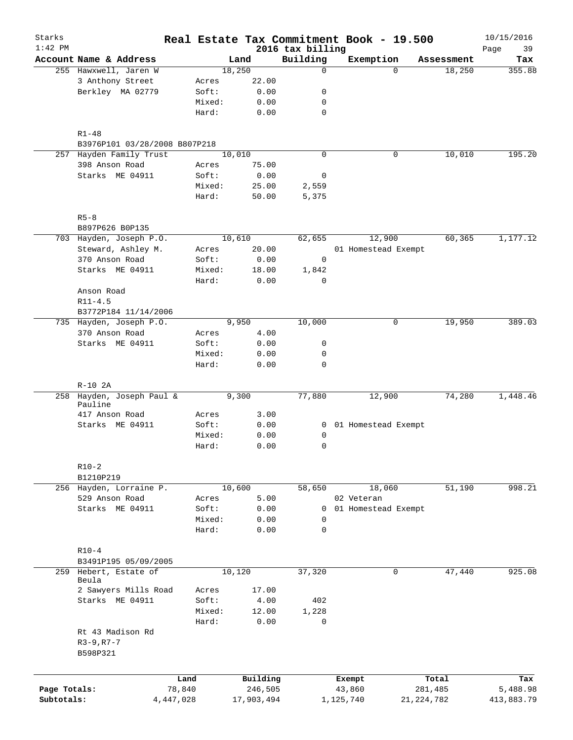| Starks<br>$1:42$ PM |                                |        |            | 2016 tax billing | Real Estate Tax Commitment Book - 19.500 |              | 10/15/2016<br>39<br>Page |
|---------------------|--------------------------------|--------|------------|------------------|------------------------------------------|--------------|--------------------------|
|                     | Account Name & Address         |        | Land       | Building         | Exemption                                | Assessment   | Tax                      |
|                     | 255 Hawxwell, Jaren W          |        | 18,250     | $\mathbf 0$      | $\Omega$                                 | 18,250       | 355.88                   |
|                     | 3 Anthony Street               | Acres  | 22.00      |                  |                                          |              |                          |
|                     | Berkley MA 02779               | Soft:  | 0.00       | 0                |                                          |              |                          |
|                     |                                | Mixed: | 0.00       | 0                |                                          |              |                          |
|                     |                                | Hard:  | 0.00       | $\mathbf 0$      |                                          |              |                          |
|                     | $R1 - 48$                      |        |            |                  |                                          |              |                          |
|                     | B3976P101 03/28/2008 B807P218  |        |            |                  |                                          |              |                          |
|                     | 257 Hayden Family Trust        |        | 10,010     | $\mathbf 0$      | 0                                        | 10,010       | 195.20                   |
|                     | 398 Anson Road                 | Acres  | 75.00      |                  |                                          |              |                          |
|                     | Starks ME 04911                | Soft:  | 0.00       | 0                |                                          |              |                          |
|                     |                                | Mixed: | 25.00      | 2,559            |                                          |              |                          |
|                     |                                | Hard:  | 50.00      | 5,375            |                                          |              |                          |
|                     | $R5 - 8$                       |        |            |                  |                                          |              |                          |
|                     | B897P626 B0P135                |        |            |                  |                                          |              |                          |
|                     | 703 Hayden, Joseph P.O.        |        | 10,610     | 62,655           | 12,900                                   | 60,365       | 1,177.12                 |
|                     | Steward, Ashley M.             | Acres  | 20.00      |                  | 01 Homestead Exempt                      |              |                          |
|                     | 370 Anson Road                 | Soft:  | 0.00       | 0                |                                          |              |                          |
|                     | Starks ME 04911                | Mixed: | 18.00      | 1,842            |                                          |              |                          |
|                     |                                | Hard:  | 0.00       | 0                |                                          |              |                          |
|                     | Anson Road                     |        |            |                  |                                          |              |                          |
|                     | $R11 - 4.5$                    |        |            |                  |                                          |              |                          |
|                     | B3772P184 11/14/2006           |        |            |                  |                                          |              |                          |
| 735                 | Hayden, Joseph P.O.            |        | 9,950      | 10,000           | 0                                        | 19,950       | 389.03                   |
|                     | 370 Anson Road                 | Acres  | 4.00       |                  |                                          |              |                          |
|                     | Starks ME 04911                | Soft:  | 0.00       | 0                |                                          |              |                          |
|                     |                                | Mixed: | 0.00       | 0                |                                          |              |                          |
|                     |                                | Hard:  | 0.00       | $\mathbf 0$      |                                          |              |                          |
|                     | $R-10$ 2A                      |        |            |                  |                                          |              |                          |
|                     | 258 Hayden, Joseph Paul &      |        | 9,300      | 77,880           | 12,900                                   | 74,280       | 1,448.46                 |
|                     | Pauline                        |        |            |                  |                                          |              |                          |
|                     | 417 Anson Road                 | Acres  | 3.00       |                  |                                          |              |                          |
|                     | Starks ME 04911                | Soft:  | 0.00       |                  | 0 01 Homestead Exempt                    |              |                          |
|                     |                                | Mixed: | 0.00       | 0                |                                          |              |                          |
|                     |                                | Hard:  | 0.00       | 0                |                                          |              |                          |
|                     | $R10-2$                        |        |            |                  |                                          |              |                          |
|                     | B1210P219                      |        |            |                  |                                          |              |                          |
|                     | 256 Hayden, Lorraine P.        |        | 10,600     | 58,650           | 18,060                                   | 51,190       | 998.21                   |
|                     | 529 Anson Road                 | Acres  | 5.00       |                  | 02 Veteran                               |              |                          |
|                     | Starks ME 04911                | Soft:  | 0.00       | 0                | 01 Homestead Exempt                      |              |                          |
|                     |                                | Mixed: | 0.00       | $\mathbf 0$      |                                          |              |                          |
|                     |                                | Hard:  | 0.00       | $\mathbf 0$      |                                          |              |                          |
|                     | $R10-4$                        |        |            |                  |                                          |              |                          |
|                     | B3491P195 05/09/2005           |        |            |                  |                                          |              |                          |
|                     | 259 Hebert, Estate of<br>Beula |        | 10,120     | 37,320           | 0                                        | 47,440       | 925.08                   |
|                     | 2 Sawyers Mills Road           | Acres  | 17.00      |                  |                                          |              |                          |
|                     | Starks ME 04911                | Soft:  | 4.00       | 402              |                                          |              |                          |
|                     |                                | Mixed: | 12.00      | 1,228            |                                          |              |                          |
|                     |                                | Hard:  | 0.00       | 0                |                                          |              |                          |
|                     | Rt 43 Madison Rd               |        |            |                  |                                          |              |                          |
|                     | $R3 - 9, R7 - 7$<br>B598P321   |        |            |                  |                                          |              |                          |
|                     |                                |        |            |                  |                                          |              |                          |
|                     |                                | Land   | Building   |                  | Exempt                                   | Total        | Tax                      |
| Page Totals:        | 78,840                         |        | 246,505    |                  | 43,860                                   | 281,485      | 5,488.98                 |
| Subtotals:          | 4, 447, 028                    |        | 17,903,494 |                  | 1,125,740                                | 21, 224, 782 | 413,883.79               |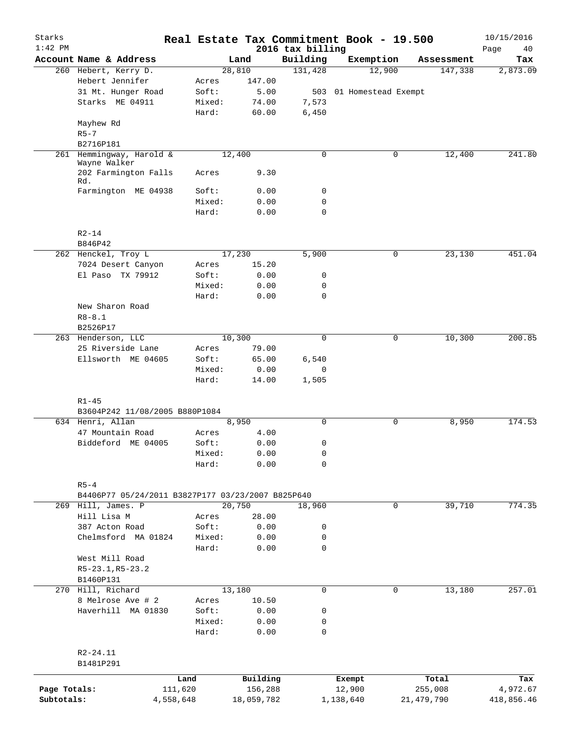| Starks<br>$1:42$ PM |                                                   | Real Estate Tax Commitment Book - 19.500 |            | 2016 tax billing |                         |   |              | 10/15/2016<br>Page<br>40 |
|---------------------|---------------------------------------------------|------------------------------------------|------------|------------------|-------------------------|---|--------------|--------------------------|
|                     | Account Name & Address                            |                                          | Land       | Building         | Exemption               |   | Assessment   | Tax                      |
|                     | 260 Hebert, Kerry D.                              |                                          | 28,810     | 131,428          | 12,900                  |   | 147,338      | 2,873.09                 |
|                     | Hebert Jennifer                                   | Acres                                    | 147.00     |                  |                         |   |              |                          |
|                     | 31 Mt. Hunger Road                                | Soft:                                    | 5.00       |                  | 503 01 Homestead Exempt |   |              |                          |
|                     | Starks ME 04911                                   | Mixed:                                   | 74.00      | 7,573            |                         |   |              |                          |
|                     |                                                   | Hard:                                    | 60.00      | 6,450            |                         |   |              |                          |
|                     | Mayhew Rd                                         |                                          |            |                  |                         |   |              |                          |
|                     | $R5 - 7$                                          |                                          |            |                  |                         |   |              |                          |
|                     | B2716P181                                         |                                          |            |                  |                         |   |              |                          |
| 261                 |                                                   |                                          | 12,400     | $\mathbf 0$      |                         | 0 |              | 241.80                   |
|                     | Hemmingway, Harold &<br>Wayne Walker              |                                          |            |                  |                         |   | 12,400       |                          |
|                     | 202 Farmington Falls<br>Rd.                       | Acres                                    | 9.30       |                  |                         |   |              |                          |
|                     | Farmington ME 04938                               | Soft:                                    | 0.00       | 0                |                         |   |              |                          |
|                     |                                                   | Mixed:                                   | 0.00       | 0                |                         |   |              |                          |
|                     |                                                   | Hard:                                    | 0.00       | $\mathbf 0$      |                         |   |              |                          |
|                     |                                                   |                                          |            |                  |                         |   |              |                          |
|                     | $R2 - 14$                                         |                                          |            |                  |                         |   |              |                          |
|                     | B846P42                                           |                                          |            |                  |                         |   |              |                          |
|                     | 262 Henckel, Troy L                               |                                          | 17,230     | 5,900            |                         | 0 | 23,130       | 451.04                   |
|                     | 7024 Desert Canyon                                | Acres                                    | 15.20      |                  |                         |   |              |                          |
|                     | El Paso TX 79912                                  | Soft:                                    | 0.00       | 0                |                         |   |              |                          |
|                     |                                                   | Mixed:                                   | 0.00       | 0                |                         |   |              |                          |
|                     |                                                   | Hard:                                    |            | $\mathbf 0$      |                         |   |              |                          |
|                     |                                                   |                                          | 0.00       |                  |                         |   |              |                          |
|                     | New Sharon Road                                   |                                          |            |                  |                         |   |              |                          |
|                     | $R8 - 8.1$                                        |                                          |            |                  |                         |   |              |                          |
|                     | B2526P17                                          |                                          |            |                  |                         |   |              |                          |
|                     | 263 Henderson, LLC                                |                                          | 10,300     | 0                |                         | 0 | 10,300       | 200.85                   |
|                     | 25 Riverside Lane                                 | Acres                                    | 79.00      |                  |                         |   |              |                          |
|                     | Ellsworth ME 04605                                | Soft:                                    | 65.00      | 6,540            |                         |   |              |                          |
|                     |                                                   | Mixed:                                   | 0.00       | 0                |                         |   |              |                          |
|                     |                                                   | Hard:                                    | 14.00      | 1,505            |                         |   |              |                          |
|                     | $R1 - 45$                                         |                                          |            |                  |                         |   |              |                          |
|                     | B3604P242 11/08/2005 B880P1084                    |                                          |            |                  |                         |   |              |                          |
|                     | 634 Henri, Allan                                  |                                          | 8,950      | $\mathbf 0$      |                         | 0 | 8,950        | 174.53                   |
|                     | 47 Mountain Road                                  |                                          | 4.00       |                  |                         |   |              |                          |
|                     |                                                   | Acres                                    |            |                  |                         |   |              |                          |
|                     | Biddeford ME 04005                                | Soft:                                    | 0.00       | 0                |                         |   |              |                          |
|                     |                                                   | Mixed:                                   | 0.00       | 0                |                         |   |              |                          |
|                     |                                                   | Hard:                                    | 0.00       | 0                |                         |   |              |                          |
|                     |                                                   |                                          |            |                  |                         |   |              |                          |
|                     | $R5-4$                                            |                                          |            |                  |                         |   |              |                          |
|                     | B4406P77 05/24/2011 B3827P177 03/23/2007 B825P640 |                                          |            |                  |                         |   |              |                          |
| 269                 | Hill, James. P                                    |                                          | 20,750     | 18,960           |                         | 0 | 39,710       | 774.35                   |
|                     | Hill Lisa M                                       | Acres                                    | 28.00      |                  |                         |   |              |                          |
|                     | 387 Acton Road                                    | Soft:                                    | 0.00       | 0                |                         |   |              |                          |
|                     | Chelmsford MA 01824                               | Mixed:                                   | 0.00       | 0                |                         |   |              |                          |
|                     |                                                   | Hard:                                    | 0.00       | $\mathbf 0$      |                         |   |              |                          |
|                     | West Mill Road                                    |                                          |            |                  |                         |   |              |                          |
|                     | R5-23.1, R5-23.2                                  |                                          |            |                  |                         |   |              |                          |
|                     | B1460P131                                         |                                          |            |                  |                         |   |              |                          |
|                     | 270 Hill, Richard                                 |                                          | 13,180     | 0                |                         | 0 | 13,180       | 257.01                   |
|                     | 8 Melrose Ave # 2                                 | Acres                                    | 10.50      |                  |                         |   |              |                          |
|                     | Haverhill MA 01830                                | Soft:                                    | 0.00       | 0                |                         |   |              |                          |
|                     |                                                   | Mixed:                                   | 0.00       | 0                |                         |   |              |                          |
|                     |                                                   | Hard:                                    | 0.00       | 0                |                         |   |              |                          |
|                     |                                                   |                                          |            |                  |                         |   |              |                          |
|                     | R2-24.11                                          |                                          |            |                  |                         |   |              |                          |
|                     | B1481P291                                         |                                          |            |                  |                         |   |              |                          |
|                     |                                                   | Land                                     | Building   |                  | Exempt                  |   | Total        | Tax                      |
| Page Totals:        |                                                   | 111,620                                  | 156,288    |                  | 12,900                  |   | 255,008      | 4,972.67                 |
| Subtotals:          |                                                   | 4,558,648                                | 18,059,782 |                  | 1,138,640               |   | 21, 479, 790 | 418,856.46               |
|                     |                                                   |                                          |            |                  |                         |   |              |                          |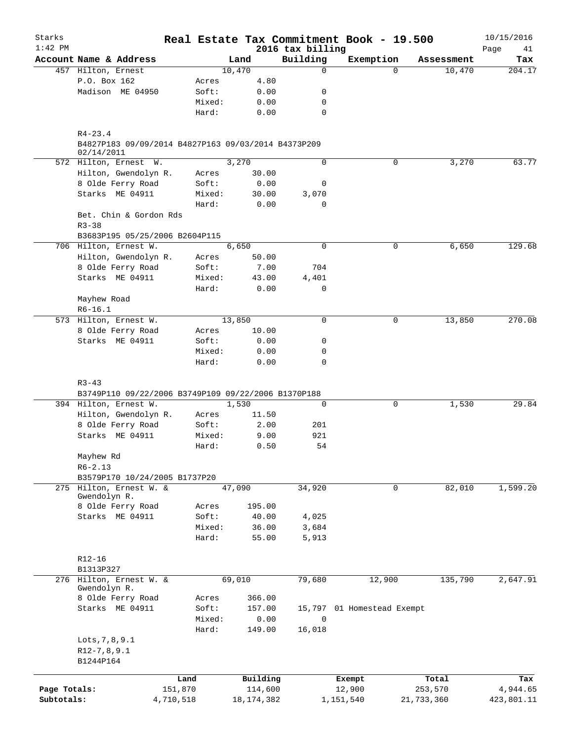| Starks<br>$1:42$ PM |                                                                   |           |        |              |                              | Real Estate Tax Commitment Book - 19.500 |            | 10/15/2016        |
|---------------------|-------------------------------------------------------------------|-----------|--------|--------------|------------------------------|------------------------------------------|------------|-------------------|
|                     | Account Name & Address                                            |           | Land   |              | 2016 tax billing<br>Building | Exemption                                | Assessment | Page<br>41<br>Tax |
|                     | 457 Hilton, Ernest                                                |           | 10,470 |              | 0                            | $\Omega$                                 | 10,470     | 204.17            |
|                     | P.O. Box 162                                                      | Acres     |        | 4.80         |                              |                                          |            |                   |
|                     | Madison ME 04950                                                  | Soft:     |        | 0.00         | 0                            |                                          |            |                   |
|                     |                                                                   | Mixed:    |        | 0.00         | 0                            |                                          |            |                   |
|                     |                                                                   | Hard:     |        | 0.00         | $\mathbf 0$                  |                                          |            |                   |
|                     | $R4 - 23.4$                                                       |           |        |              |                              |                                          |            |                   |
|                     | B4827P183 09/09/2014 B4827P163 09/03/2014 B4373P209<br>02/14/2011 |           |        |              |                              |                                          |            |                   |
|                     | 572 Hilton, Ernest W.                                             |           | 3,270  |              | 0                            | 0                                        | 3,270      | 63.77             |
|                     | Hilton, Gwendolyn R.                                              | Acres     |        | 30.00        |                              |                                          |            |                   |
|                     | 8 Olde Ferry Road                                                 | Soft:     |        | 0.00         | 0                            |                                          |            |                   |
|                     | Starks ME 04911                                                   | Mixed:    |        | 30.00        | 3,070                        |                                          |            |                   |
|                     |                                                                   | Hard:     |        | 0.00         | 0                            |                                          |            |                   |
|                     | Bet. Chin & Gordon Rds<br>$R3 - 38$                               |           |        |              |                              |                                          |            |                   |
|                     | B3683P195 05/25/2006 B2604P115                                    |           |        |              |                              |                                          |            |                   |
|                     | 706 Hilton, Ernest W.                                             |           | 6,650  |              | $\mathbf 0$                  | 0                                        | 6,650      | 129.68            |
|                     | Hilton, Gwendolyn R.                                              | Acres     |        | 50.00        |                              |                                          |            |                   |
|                     | 8 Olde Ferry Road                                                 | Soft:     |        | 7.00         | 704                          |                                          |            |                   |
|                     | Starks ME 04911                                                   | Mixed:    |        | 43.00        | 4,401                        |                                          |            |                   |
|                     |                                                                   | Hard:     |        | 0.00         | 0                            |                                          |            |                   |
|                     | Mayhew Road                                                       |           |        |              |                              |                                          |            |                   |
|                     | $R6-16.1$                                                         |           |        |              |                              |                                          |            |                   |
|                     | 573 Hilton, Ernest W.                                             |           | 13,850 |              | $\mathbf 0$                  | 0                                        | 13,850     | 270.08            |
|                     | 8 Olde Ferry Road                                                 | Acres     |        | 10.00        |                              |                                          |            |                   |
|                     | Starks ME 04911                                                   | Soft:     |        | 0.00         | 0                            |                                          |            |                   |
|                     |                                                                   | Mixed:    |        | 0.00         | 0                            |                                          |            |                   |
|                     |                                                                   | Hard:     |        | 0.00         | $\mathbf 0$                  |                                          |            |                   |
|                     | $R3 - 43$                                                         |           |        |              |                              |                                          |            |                   |
|                     | B3749P110 09/22/2006 B3749P109 09/22/2006 B1370P188               |           |        |              |                              |                                          |            |                   |
|                     | 394 Hilton, Ernest W.                                             |           | 1,530  |              | $\mathbf 0$                  | 0                                        | 1,530      | 29.84             |
|                     | Hilton, Gwendolyn R.                                              | Acres     |        | 11.50        |                              |                                          |            |                   |
|                     | 8 Olde Ferry Road                                                 | Soft:     |        | 2.00         | 201                          |                                          |            |                   |
|                     | Starks ME 04911                                                   | Mixed:    |        | 9.00         | 921                          |                                          |            |                   |
|                     |                                                                   | Hard:     |        | 0.50         | 54                           |                                          |            |                   |
|                     | Mayhew Rd                                                         |           |        |              |                              |                                          |            |                   |
|                     | $R6 - 2.13$                                                       |           |        |              |                              |                                          |            |                   |
|                     | B3579P170 10/24/2005 B1737P20                                     |           |        |              |                              |                                          |            |                   |
|                     | 275 Hilton, Ernest W. &                                           |           | 47,090 |              | 34,920                       | 0                                        | 82,010     | 1,599.20          |
|                     | Gwendolyn R.                                                      |           |        |              |                              |                                          |            |                   |
|                     | 8 Olde Ferry Road                                                 | Acres     |        | 195.00       |                              |                                          |            |                   |
|                     | Starks ME 04911                                                   | Soft:     |        | 40.00        | 4,025                        |                                          |            |                   |
|                     |                                                                   | Mixed:    |        | 36.00        | 3,684                        |                                          |            |                   |
|                     |                                                                   | Hard:     |        | 55.00        | 5,913                        |                                          |            |                   |
|                     | $R12 - 16$                                                        |           |        |              |                              |                                          |            |                   |
|                     | B1313P327                                                         |           |        |              |                              |                                          |            |                   |
|                     | 276 Hilton, Ernest W. &<br>Gwendolyn R.                           |           | 69,010 |              | 79,680                       | 12,900                                   | 135,790    | 2,647.91          |
|                     | 8 Olde Ferry Road                                                 | Acres     |        | 366.00       |                              |                                          |            |                   |
|                     | Starks ME 04911                                                   | Soft:     |        | 157.00       |                              | 15,797 01 Homestead Exempt               |            |                   |
|                     |                                                                   | Mixed:    |        | 0.00         | $\mathbf 0$                  |                                          |            |                   |
|                     |                                                                   | Hard:     |        | 149.00       | 16,018                       |                                          |            |                   |
|                     | Lots, 7, 8, 9.1                                                   |           |        |              |                              |                                          |            |                   |
|                     | $R12-7, 8, 9.1$                                                   |           |        |              |                              |                                          |            |                   |
|                     | B1244P164                                                         |           |        |              |                              |                                          |            |                   |
|                     |                                                                   |           |        |              |                              |                                          |            |                   |
|                     |                                                                   | Land      |        | Building     |                              | Exempt                                   | Total      | Tax               |
| Page Totals:        |                                                                   | 151,870   |        | 114,600      |                              | 12,900                                   | 253,570    | 4,944.65          |
| Subtotals:          |                                                                   | 4,710,518 |        | 18, 174, 382 |                              | 1,151,540                                | 21,733,360 | 423,801.11        |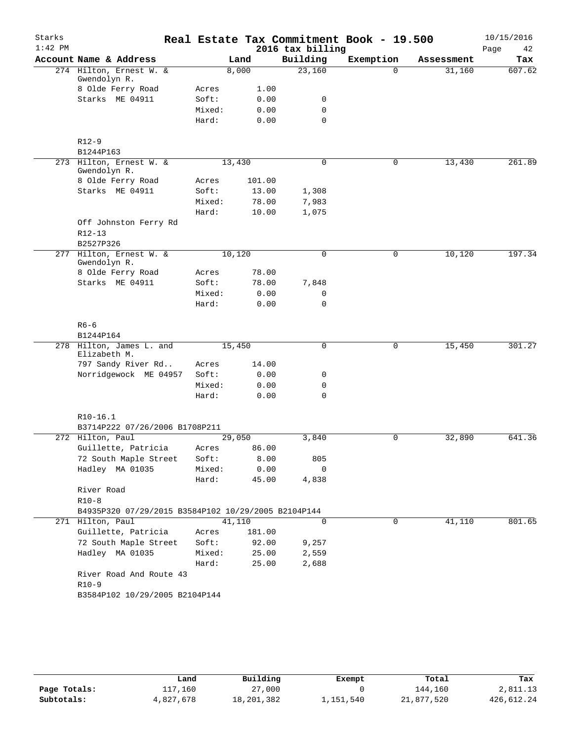| Starks    |                                                     |        |         |                  | Real Estate Tax Commitment Book - 19.500 |            | 10/15/2016 |
|-----------|-----------------------------------------------------|--------|---------|------------------|------------------------------------------|------------|------------|
| $1:42$ PM |                                                     |        |         | 2016 tax billing |                                          |            | Page<br>42 |
|           | Account Name & Address                              |        | Land    | Building         | Exemption                                | Assessment | Tax        |
|           | 274 Hilton, Ernest W. &<br>Gwendolyn R.             |        | 8,000   | 23,160           | $\Omega$                                 | 31,160     | 607.62     |
|           | 8 Olde Ferry Road                                   | Acres  | 1.00    |                  |                                          |            |            |
|           | Starks ME 04911                                     | Soft:  | 0.00    | 0                |                                          |            |            |
|           |                                                     | Mixed: | 0.00    | 0                |                                          |            |            |
|           |                                                     | Hard:  | 0.00    | $\mathbf 0$      |                                          |            |            |
|           | $R12-9$                                             |        |         |                  |                                          |            |            |
|           | B1244P163                                           |        |         |                  |                                          |            |            |
|           | 273 Hilton, Ernest W. &<br>Gwendolyn R.             |        | 13,430  | $\mathbf 0$      | 0                                        | 13,430     | 261.89     |
|           | 8 Olde Ferry Road                                   | Acres  | 101.00  |                  |                                          |            |            |
|           | Starks ME 04911                                     | Soft:  | 13.00   | 1,308            |                                          |            |            |
|           |                                                     | Mixed: | 78.00   | 7,983            |                                          |            |            |
|           |                                                     | Hard:  | 10.00   | 1,075            |                                          |            |            |
|           | Off Johnston Ferry Rd                               |        |         |                  |                                          |            |            |
|           | R12-13                                              |        |         |                  |                                          |            |            |
|           | B2527P326                                           |        |         |                  |                                          |            |            |
|           | 277 Hilton, Ernest W. &<br>Gwendolyn R.             |        | 10, 120 | $\mathbf 0$      | $\mathsf{O}$                             | 10,120     | 197.34     |
|           | 8 Olde Ferry Road                                   | Acres  | 78.00   |                  |                                          |            |            |
|           | Starks ME 04911                                     | Soft:  | 78.00   | 7,848            |                                          |            |            |
|           |                                                     | Mixed: | 0.00    | 0                |                                          |            |            |
|           |                                                     | Hard:  | 0.00    | 0                |                                          |            |            |
|           | $R6 - 6$<br>B1244P164                               |        |         |                  |                                          |            |            |
|           | 278 Hilton, James L. and                            |        | 15,450  | 0                | $\mathsf{O}$                             | 15,450     | 301.27     |
|           | Elizabeth M.<br>797 Sandy River Rd                  | Acres  | 14.00   |                  |                                          |            |            |
|           | Norridgewock ME 04957                               | Soft:  | 0.00    | 0                |                                          |            |            |
|           |                                                     | Mixed: | 0.00    | 0                |                                          |            |            |
|           |                                                     | Hard:  | 0.00    | $\Omega$         |                                          |            |            |
|           |                                                     |        |         |                  |                                          |            |            |
|           | $R10-16.1$<br>B3714P222 07/26/2006 B1708P211        |        |         |                  |                                          |            |            |
|           | 272 Hilton, Paul                                    |        | 29,050  | 3,840            | 0                                        | 32,890     | 641.36     |
|           | Guillette, Patricia                                 | Acres  | 86.00   |                  |                                          |            |            |
|           | 72 South Maple Street                               | Soft:  | 8.00    | 805              |                                          |            |            |
|           | Hadley MA 01035                                     | Mixed: | 0.00    | $\mathbf 0$      |                                          |            |            |
|           |                                                     | Hard:  | 45.00   | 4,838            |                                          |            |            |
|           | River Road                                          |        |         |                  |                                          |            |            |
|           | $R10-8$                                             |        |         |                  |                                          |            |            |
|           | B4935P320 07/29/2015 B3584P102 10/29/2005 B2104P144 |        |         |                  |                                          |            |            |
|           | 271 Hilton, Paul                                    |        | 41,110  | 0                | 0                                        | 41,110     | 801.65     |
|           | Guillette, Patricia                                 | Acres  | 181.00  |                  |                                          |            |            |
|           | 72 South Maple Street                               | Soft:  | 92.00   | 9,257            |                                          |            |            |
|           | Hadley MA 01035                                     | Mixed: | 25.00   | 2,559            |                                          |            |            |
|           |                                                     | Hard:  | 25.00   | 2,688            |                                          |            |            |
|           | River Road And Route 43                             |        |         |                  |                                          |            |            |
|           | $R10-9$                                             |        |         |                  |                                          |            |            |
|           | B3584P102 10/29/2005 B2104P144                      |        |         |                  |                                          |            |            |
|           |                                                     |        |         |                  |                                          |            |            |

|              | Land      | Building   | Exempt    | Total      | Tax        |
|--------------|-----------|------------|-----------|------------|------------|
| Page Totals: | 117,160   | 27,000     |           | 144,160    | 2,811.13   |
| Subtotals:   | 4,827,678 | 18,201,382 | 1,151,540 | 21,877,520 | 426,612.24 |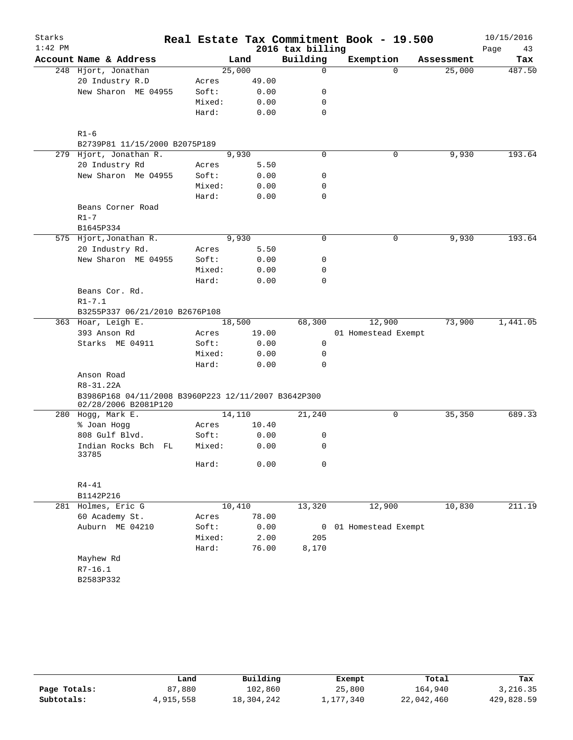| $1:42$ PM<br>2016 tax billing<br>Page<br>43<br>Building<br>Account Name & Address<br>Exemption<br>Land<br>Tax<br>Assessment<br>25,000<br>0<br>25,000<br>248 Hjort, Jonathan<br>$\Omega$<br>20 Industry R.D<br>49.00<br>Acres<br>New Sharon ME 04955<br>0.00<br>Soft:<br>0<br>0.00<br>Mixed:<br>0<br>0.00<br>0<br>Hard:<br>$R1 - 6$<br>B2739P81 11/15/2000 B2075P189<br>279 Hjort, Jonathan R.<br>9,930<br>0<br>9,930<br>193.64<br>0<br>20 Industry Rd<br>5.50<br>Acres<br>New Sharon Me 04955<br>0.00<br>Soft:<br>0<br>Mixed:<br>0.00<br>0<br>0<br>Hard:<br>0.00<br>Beans Corner Road<br>$R1 - 7$<br>B1645P334<br>193.64<br>9,930<br>0<br>9,930<br>575 Hjort, Jonathan R.<br>0<br>20 Industry Rd.<br>Acres<br>5.50<br>New Sharon ME 04955<br>Soft:<br>0.00<br>0<br>Mixed:<br>0.00<br>0<br>0<br>Hard:<br>0.00<br>Beans Cor. Rd.<br>$R1 - 7.1$<br>B3255P337 06/21/2010 B2676P108<br>1,441.05<br>363 Hoar, Leigh E.<br>18,500<br>68,300<br>12,900<br>73,900<br>393 Anson Rd<br>19.00<br>Acres<br>01 Homestead Exempt<br>Starks ME 04911<br>Soft:<br>0.00<br>0<br>Mixed:<br>0.00<br>0<br>Hard:<br>0.00<br>0<br>Anson Road<br>R8-31.22A<br>B3986P168 04/11/2008 B3960P223 12/11/2007 B3642P300<br>02/28/2006 B2081P120<br>280 Hogg, Mark E.<br>14,110<br>21,240<br>0<br>35,350<br>10.40<br>% Joan Hogg<br>Acres<br>808 Gulf Blvd.<br>0<br>Soft:<br>0.00<br>Indian Rocks Bch FL<br>Mixed:<br>0.00<br>0<br>33785<br>Hard:<br>0.00<br>0<br>$R4 - 41$<br>B1142P216<br>10,410<br>12,900<br>10,830<br>281 Holmes, Eric G<br>13,320<br>60 Academy St.<br>78.00<br>Acres<br>Auburn ME 04210<br>Soft:<br>0.00<br>01 Homestead Exempt<br>0<br>Mixed:<br>2.00<br>205<br>Hard:<br>76.00<br>8,170<br>Mayhew Rd<br>$R7 - 16.1$<br>B2583P332 | Starks |  |  | Real Estate Tax Commitment Book - 19.500 | 10/15/2016 |
|--------------------------------------------------------------------------------------------------------------------------------------------------------------------------------------------------------------------------------------------------------------------------------------------------------------------------------------------------------------------------------------------------------------------------------------------------------------------------------------------------------------------------------------------------------------------------------------------------------------------------------------------------------------------------------------------------------------------------------------------------------------------------------------------------------------------------------------------------------------------------------------------------------------------------------------------------------------------------------------------------------------------------------------------------------------------------------------------------------------------------------------------------------------------------------------------------------------------------------------------------------------------------------------------------------------------------------------------------------------------------------------------------------------------------------------------------------------------------------------------------------------------------------------------------------------------------------------------------------------------------------------------------------------------------------------------------------------------------|--------|--|--|------------------------------------------|------------|
|                                                                                                                                                                                                                                                                                                                                                                                                                                                                                                                                                                                                                                                                                                                                                                                                                                                                                                                                                                                                                                                                                                                                                                                                                                                                                                                                                                                                                                                                                                                                                                                                                                                                                                                          |        |  |  |                                          |            |
|                                                                                                                                                                                                                                                                                                                                                                                                                                                                                                                                                                                                                                                                                                                                                                                                                                                                                                                                                                                                                                                                                                                                                                                                                                                                                                                                                                                                                                                                                                                                                                                                                                                                                                                          |        |  |  |                                          |            |
|                                                                                                                                                                                                                                                                                                                                                                                                                                                                                                                                                                                                                                                                                                                                                                                                                                                                                                                                                                                                                                                                                                                                                                                                                                                                                                                                                                                                                                                                                                                                                                                                                                                                                                                          |        |  |  |                                          | 487.50     |
|                                                                                                                                                                                                                                                                                                                                                                                                                                                                                                                                                                                                                                                                                                                                                                                                                                                                                                                                                                                                                                                                                                                                                                                                                                                                                                                                                                                                                                                                                                                                                                                                                                                                                                                          |        |  |  |                                          |            |
|                                                                                                                                                                                                                                                                                                                                                                                                                                                                                                                                                                                                                                                                                                                                                                                                                                                                                                                                                                                                                                                                                                                                                                                                                                                                                                                                                                                                                                                                                                                                                                                                                                                                                                                          |        |  |  |                                          |            |
|                                                                                                                                                                                                                                                                                                                                                                                                                                                                                                                                                                                                                                                                                                                                                                                                                                                                                                                                                                                                                                                                                                                                                                                                                                                                                                                                                                                                                                                                                                                                                                                                                                                                                                                          |        |  |  |                                          |            |
|                                                                                                                                                                                                                                                                                                                                                                                                                                                                                                                                                                                                                                                                                                                                                                                                                                                                                                                                                                                                                                                                                                                                                                                                                                                                                                                                                                                                                                                                                                                                                                                                                                                                                                                          |        |  |  |                                          |            |
|                                                                                                                                                                                                                                                                                                                                                                                                                                                                                                                                                                                                                                                                                                                                                                                                                                                                                                                                                                                                                                                                                                                                                                                                                                                                                                                                                                                                                                                                                                                                                                                                                                                                                                                          |        |  |  |                                          |            |
|                                                                                                                                                                                                                                                                                                                                                                                                                                                                                                                                                                                                                                                                                                                                                                                                                                                                                                                                                                                                                                                                                                                                                                                                                                                                                                                                                                                                                                                                                                                                                                                                                                                                                                                          |        |  |  |                                          |            |
|                                                                                                                                                                                                                                                                                                                                                                                                                                                                                                                                                                                                                                                                                                                                                                                                                                                                                                                                                                                                                                                                                                                                                                                                                                                                                                                                                                                                                                                                                                                                                                                                                                                                                                                          |        |  |  |                                          |            |
|                                                                                                                                                                                                                                                                                                                                                                                                                                                                                                                                                                                                                                                                                                                                                                                                                                                                                                                                                                                                                                                                                                                                                                                                                                                                                                                                                                                                                                                                                                                                                                                                                                                                                                                          |        |  |  |                                          |            |
|                                                                                                                                                                                                                                                                                                                                                                                                                                                                                                                                                                                                                                                                                                                                                                                                                                                                                                                                                                                                                                                                                                                                                                                                                                                                                                                                                                                                                                                                                                                                                                                                                                                                                                                          |        |  |  |                                          |            |
|                                                                                                                                                                                                                                                                                                                                                                                                                                                                                                                                                                                                                                                                                                                                                                                                                                                                                                                                                                                                                                                                                                                                                                                                                                                                                                                                                                                                                                                                                                                                                                                                                                                                                                                          |        |  |  |                                          |            |
|                                                                                                                                                                                                                                                                                                                                                                                                                                                                                                                                                                                                                                                                                                                                                                                                                                                                                                                                                                                                                                                                                                                                                                                                                                                                                                                                                                                                                                                                                                                                                                                                                                                                                                                          |        |  |  |                                          |            |
|                                                                                                                                                                                                                                                                                                                                                                                                                                                                                                                                                                                                                                                                                                                                                                                                                                                                                                                                                                                                                                                                                                                                                                                                                                                                                                                                                                                                                                                                                                                                                                                                                                                                                                                          |        |  |  |                                          |            |
|                                                                                                                                                                                                                                                                                                                                                                                                                                                                                                                                                                                                                                                                                                                                                                                                                                                                                                                                                                                                                                                                                                                                                                                                                                                                                                                                                                                                                                                                                                                                                                                                                                                                                                                          |        |  |  |                                          |            |
|                                                                                                                                                                                                                                                                                                                                                                                                                                                                                                                                                                                                                                                                                                                                                                                                                                                                                                                                                                                                                                                                                                                                                                                                                                                                                                                                                                                                                                                                                                                                                                                                                                                                                                                          |        |  |  |                                          |            |
|                                                                                                                                                                                                                                                                                                                                                                                                                                                                                                                                                                                                                                                                                                                                                                                                                                                                                                                                                                                                                                                                                                                                                                                                                                                                                                                                                                                                                                                                                                                                                                                                                                                                                                                          |        |  |  |                                          |            |
|                                                                                                                                                                                                                                                                                                                                                                                                                                                                                                                                                                                                                                                                                                                                                                                                                                                                                                                                                                                                                                                                                                                                                                                                                                                                                                                                                                                                                                                                                                                                                                                                                                                                                                                          |        |  |  |                                          |            |
|                                                                                                                                                                                                                                                                                                                                                                                                                                                                                                                                                                                                                                                                                                                                                                                                                                                                                                                                                                                                                                                                                                                                                                                                                                                                                                                                                                                                                                                                                                                                                                                                                                                                                                                          |        |  |  |                                          |            |
|                                                                                                                                                                                                                                                                                                                                                                                                                                                                                                                                                                                                                                                                                                                                                                                                                                                                                                                                                                                                                                                                                                                                                                                                                                                                                                                                                                                                                                                                                                                                                                                                                                                                                                                          |        |  |  |                                          |            |
|                                                                                                                                                                                                                                                                                                                                                                                                                                                                                                                                                                                                                                                                                                                                                                                                                                                                                                                                                                                                                                                                                                                                                                                                                                                                                                                                                                                                                                                                                                                                                                                                                                                                                                                          |        |  |  |                                          |            |
|                                                                                                                                                                                                                                                                                                                                                                                                                                                                                                                                                                                                                                                                                                                                                                                                                                                                                                                                                                                                                                                                                                                                                                                                                                                                                                                                                                                                                                                                                                                                                                                                                                                                                                                          |        |  |  |                                          |            |
|                                                                                                                                                                                                                                                                                                                                                                                                                                                                                                                                                                                                                                                                                                                                                                                                                                                                                                                                                                                                                                                                                                                                                                                                                                                                                                                                                                                                                                                                                                                                                                                                                                                                                                                          |        |  |  |                                          |            |
|                                                                                                                                                                                                                                                                                                                                                                                                                                                                                                                                                                                                                                                                                                                                                                                                                                                                                                                                                                                                                                                                                                                                                                                                                                                                                                                                                                                                                                                                                                                                                                                                                                                                                                                          |        |  |  |                                          |            |
|                                                                                                                                                                                                                                                                                                                                                                                                                                                                                                                                                                                                                                                                                                                                                                                                                                                                                                                                                                                                                                                                                                                                                                                                                                                                                                                                                                                                                                                                                                                                                                                                                                                                                                                          |        |  |  |                                          |            |
|                                                                                                                                                                                                                                                                                                                                                                                                                                                                                                                                                                                                                                                                                                                                                                                                                                                                                                                                                                                                                                                                                                                                                                                                                                                                                                                                                                                                                                                                                                                                                                                                                                                                                                                          |        |  |  |                                          |            |
|                                                                                                                                                                                                                                                                                                                                                                                                                                                                                                                                                                                                                                                                                                                                                                                                                                                                                                                                                                                                                                                                                                                                                                                                                                                                                                                                                                                                                                                                                                                                                                                                                                                                                                                          |        |  |  |                                          |            |
|                                                                                                                                                                                                                                                                                                                                                                                                                                                                                                                                                                                                                                                                                                                                                                                                                                                                                                                                                                                                                                                                                                                                                                                                                                                                                                                                                                                                                                                                                                                                                                                                                                                                                                                          |        |  |  |                                          |            |
|                                                                                                                                                                                                                                                                                                                                                                                                                                                                                                                                                                                                                                                                                                                                                                                                                                                                                                                                                                                                                                                                                                                                                                                                                                                                                                                                                                                                                                                                                                                                                                                                                                                                                                                          |        |  |  |                                          |            |
|                                                                                                                                                                                                                                                                                                                                                                                                                                                                                                                                                                                                                                                                                                                                                                                                                                                                                                                                                                                                                                                                                                                                                                                                                                                                                                                                                                                                                                                                                                                                                                                                                                                                                                                          |        |  |  |                                          |            |
|                                                                                                                                                                                                                                                                                                                                                                                                                                                                                                                                                                                                                                                                                                                                                                                                                                                                                                                                                                                                                                                                                                                                                                                                                                                                                                                                                                                                                                                                                                                                                                                                                                                                                                                          |        |  |  |                                          |            |
|                                                                                                                                                                                                                                                                                                                                                                                                                                                                                                                                                                                                                                                                                                                                                                                                                                                                                                                                                                                                                                                                                                                                                                                                                                                                                                                                                                                                                                                                                                                                                                                                                                                                                                                          |        |  |  |                                          |            |
|                                                                                                                                                                                                                                                                                                                                                                                                                                                                                                                                                                                                                                                                                                                                                                                                                                                                                                                                                                                                                                                                                                                                                                                                                                                                                                                                                                                                                                                                                                                                                                                                                                                                                                                          |        |  |  |                                          |            |
|                                                                                                                                                                                                                                                                                                                                                                                                                                                                                                                                                                                                                                                                                                                                                                                                                                                                                                                                                                                                                                                                                                                                                                                                                                                                                                                                                                                                                                                                                                                                                                                                                                                                                                                          |        |  |  |                                          | 689.33     |
|                                                                                                                                                                                                                                                                                                                                                                                                                                                                                                                                                                                                                                                                                                                                                                                                                                                                                                                                                                                                                                                                                                                                                                                                                                                                                                                                                                                                                                                                                                                                                                                                                                                                                                                          |        |  |  |                                          |            |
|                                                                                                                                                                                                                                                                                                                                                                                                                                                                                                                                                                                                                                                                                                                                                                                                                                                                                                                                                                                                                                                                                                                                                                                                                                                                                                                                                                                                                                                                                                                                                                                                                                                                                                                          |        |  |  |                                          |            |
|                                                                                                                                                                                                                                                                                                                                                                                                                                                                                                                                                                                                                                                                                                                                                                                                                                                                                                                                                                                                                                                                                                                                                                                                                                                                                                                                                                                                                                                                                                                                                                                                                                                                                                                          |        |  |  |                                          |            |
|                                                                                                                                                                                                                                                                                                                                                                                                                                                                                                                                                                                                                                                                                                                                                                                                                                                                                                                                                                                                                                                                                                                                                                                                                                                                                                                                                                                                                                                                                                                                                                                                                                                                                                                          |        |  |  |                                          |            |
|                                                                                                                                                                                                                                                                                                                                                                                                                                                                                                                                                                                                                                                                                                                                                                                                                                                                                                                                                                                                                                                                                                                                                                                                                                                                                                                                                                                                                                                                                                                                                                                                                                                                                                                          |        |  |  |                                          |            |
|                                                                                                                                                                                                                                                                                                                                                                                                                                                                                                                                                                                                                                                                                                                                                                                                                                                                                                                                                                                                                                                                                                                                                                                                                                                                                                                                                                                                                                                                                                                                                                                                                                                                                                                          |        |  |  |                                          |            |
|                                                                                                                                                                                                                                                                                                                                                                                                                                                                                                                                                                                                                                                                                                                                                                                                                                                                                                                                                                                                                                                                                                                                                                                                                                                                                                                                                                                                                                                                                                                                                                                                                                                                                                                          |        |  |  |                                          | 211.19     |
|                                                                                                                                                                                                                                                                                                                                                                                                                                                                                                                                                                                                                                                                                                                                                                                                                                                                                                                                                                                                                                                                                                                                                                                                                                                                                                                                                                                                                                                                                                                                                                                                                                                                                                                          |        |  |  |                                          |            |
|                                                                                                                                                                                                                                                                                                                                                                                                                                                                                                                                                                                                                                                                                                                                                                                                                                                                                                                                                                                                                                                                                                                                                                                                                                                                                                                                                                                                                                                                                                                                                                                                                                                                                                                          |        |  |  |                                          |            |
|                                                                                                                                                                                                                                                                                                                                                                                                                                                                                                                                                                                                                                                                                                                                                                                                                                                                                                                                                                                                                                                                                                                                                                                                                                                                                                                                                                                                                                                                                                                                                                                                                                                                                                                          |        |  |  |                                          |            |
|                                                                                                                                                                                                                                                                                                                                                                                                                                                                                                                                                                                                                                                                                                                                                                                                                                                                                                                                                                                                                                                                                                                                                                                                                                                                                                                                                                                                                                                                                                                                                                                                                                                                                                                          |        |  |  |                                          |            |
|                                                                                                                                                                                                                                                                                                                                                                                                                                                                                                                                                                                                                                                                                                                                                                                                                                                                                                                                                                                                                                                                                                                                                                                                                                                                                                                                                                                                                                                                                                                                                                                                                                                                                                                          |        |  |  |                                          |            |
|                                                                                                                                                                                                                                                                                                                                                                                                                                                                                                                                                                                                                                                                                                                                                                                                                                                                                                                                                                                                                                                                                                                                                                                                                                                                                                                                                                                                                                                                                                                                                                                                                                                                                                                          |        |  |  |                                          |            |
|                                                                                                                                                                                                                                                                                                                                                                                                                                                                                                                                                                                                                                                                                                                                                                                                                                                                                                                                                                                                                                                                                                                                                                                                                                                                                                                                                                                                                                                                                                                                                                                                                                                                                                                          |        |  |  |                                          |            |
|                                                                                                                                                                                                                                                                                                                                                                                                                                                                                                                                                                                                                                                                                                                                                                                                                                                                                                                                                                                                                                                                                                                                                                                                                                                                                                                                                                                                                                                                                                                                                                                                                                                                                                                          |        |  |  |                                          |            |

|              | Land      | Building   | Exempt    | Total      | Tax        |
|--------------|-----------|------------|-----------|------------|------------|
| Page Totals: | 87,880    | 102,860    | 25,800    | 164,940    | 3,216.35   |
| Subtotals:   | 4,915,558 | 18,304,242 | 1,177,340 | 22,042,460 | 429,828.59 |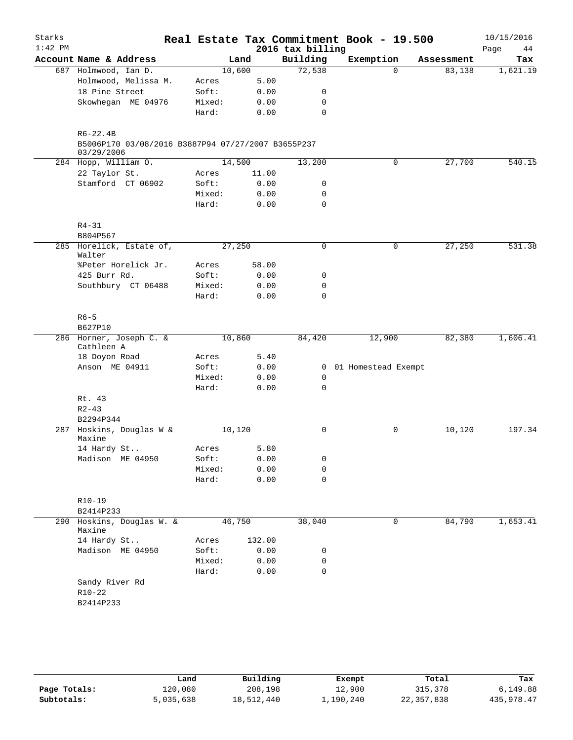| Starks<br>$1:42$ PM |                                                                                  |        |        | 2016 tax billing | Real Estate Tax Commitment Book - 19.500 |            | 10/15/2016<br>Page<br>44 |
|---------------------|----------------------------------------------------------------------------------|--------|--------|------------------|------------------------------------------|------------|--------------------------|
|                     | Account Name & Address                                                           |        | Land   | Building         | Exemption                                | Assessment | Tax                      |
|                     | 687 Holmwood, Ian D.                                                             | 10,600 |        | 72,538           | $\Omega$                                 | 83,138     | 1,621.19                 |
|                     | Holmwood, Melissa M.                                                             | Acres  | 5.00   |                  |                                          |            |                          |
|                     | 18 Pine Street                                                                   | Soft:  | 0.00   | 0                |                                          |            |                          |
|                     | Skowhegan ME 04976                                                               | Mixed: | 0.00   | 0                |                                          |            |                          |
|                     |                                                                                  | Hard:  | 0.00   | $\mathbf 0$      |                                          |            |                          |
|                     | $R6 - 22.4B$<br>B5006P170 03/08/2016 B3887P94 07/27/2007 B3655P237<br>03/29/2006 |        |        |                  |                                          |            |                          |
|                     | 284 Hopp, William O.                                                             | 14,500 |        | 13,200           | 0                                        | 27,700     | 540.15                   |
|                     | 22 Taylor St.                                                                    | Acres  | 11.00  |                  |                                          |            |                          |
|                     | Stamford CT 06902                                                                | Soft:  | 0.00   | 0                |                                          |            |                          |
|                     |                                                                                  | Mixed: | 0.00   | 0                |                                          |            |                          |
|                     |                                                                                  | Hard:  | 0.00   | $\mathbf 0$      |                                          |            |                          |
|                     | $R4 - 31$                                                                        |        |        |                  |                                          |            |                          |
|                     | B804P567                                                                         |        |        |                  |                                          |            |                          |
|                     | 285 Horelick, Estate of,<br>Walter                                               | 27,250 |        | 0                | 0                                        | 27,250     | 531.38                   |
|                     | %Peter Horelick Jr.                                                              | Acres  | 58.00  |                  |                                          |            |                          |
|                     | 425 Burr Rd.                                                                     | Soft:  | 0.00   | 0                |                                          |            |                          |
|                     | Southbury CT 06488                                                               | Mixed: | 0.00   | 0                |                                          |            |                          |
|                     |                                                                                  | Hard:  | 0.00   | $\mathbf 0$      |                                          |            |                          |
|                     | $R6 - 5$<br>B627P10                                                              |        |        |                  |                                          |            |                          |
|                     | 286 Horner, Joseph C. &                                                          | 10,860 |        | 84,420           | 12,900                                   | 82,380     | 1,606.41                 |
|                     | Cathleen A                                                                       |        |        |                  |                                          |            |                          |
|                     | 18 Doyon Road                                                                    | Acres  | 5.40   |                  |                                          |            |                          |
|                     | Anson ME 04911                                                                   | Soft:  | 0.00   |                  | 0 01 Homestead Exempt                    |            |                          |
|                     |                                                                                  | Mixed: | 0.00   | 0                |                                          |            |                          |
|                     |                                                                                  | Hard:  | 0.00   | 0                |                                          |            |                          |
|                     | Rt. 43                                                                           |        |        |                  |                                          |            |                          |
|                     | $R2 - 43$                                                                        |        |        |                  |                                          |            |                          |
|                     | B2294P344                                                                        |        |        |                  |                                          |            |                          |
|                     | 287 Hoskins, Douglas W &<br>Maxine                                               | 10,120 |        | $\mathbf 0$      | $\mathbf 0$                              | 10,120     | 197.34                   |
|                     | 14 Hardy St                                                                      | Acres  | 5.80   |                  |                                          |            |                          |
|                     | Madison ME 04950                                                                 | Soft:  | 0.00   | 0                |                                          |            |                          |
|                     |                                                                                  | Mixed: | 0.00   | 0                |                                          |            |                          |
|                     |                                                                                  | Hard:  | 0.00   | $\mathbf 0$      |                                          |            |                          |
|                     | $R10 - 19$                                                                       |        |        |                  |                                          |            |                          |
|                     | B2414P233                                                                        |        |        |                  |                                          |            |                          |
| 290                 | Hoskins, Douglas W. &<br>Maxine                                                  | 46,750 |        | 38,040           | 0                                        | 84,790     | 1,653.41                 |
|                     | 14 Hardy St                                                                      | Acres  | 132.00 |                  |                                          |            |                          |
|                     | Madison ME 04950                                                                 | Soft:  | 0.00   | 0                |                                          |            |                          |
|                     |                                                                                  | Mixed: | 0.00   | 0                |                                          |            |                          |
|                     |                                                                                  | Hard:  | 0.00   | $\mathbf 0$      |                                          |            |                          |
|                     | Sandy River Rd<br>$R10-22$                                                       |        |        |                  |                                          |            |                          |
|                     | B2414P233                                                                        |        |        |                  |                                          |            |                          |
|                     |                                                                                  |        |        |                  |                                          |            |                          |

|              | Land      | Building   | Exempt    | Total      | Tax          |
|--------------|-----------|------------|-----------|------------|--------------|
| Page Totals: | 120,080   | 208,198    | 12,900    | 315,378    | 6,149.88     |
| Subtotals:   | 5,035,638 | 18,512,440 | 1,190,240 | 22,357,838 | 435, 978, 47 |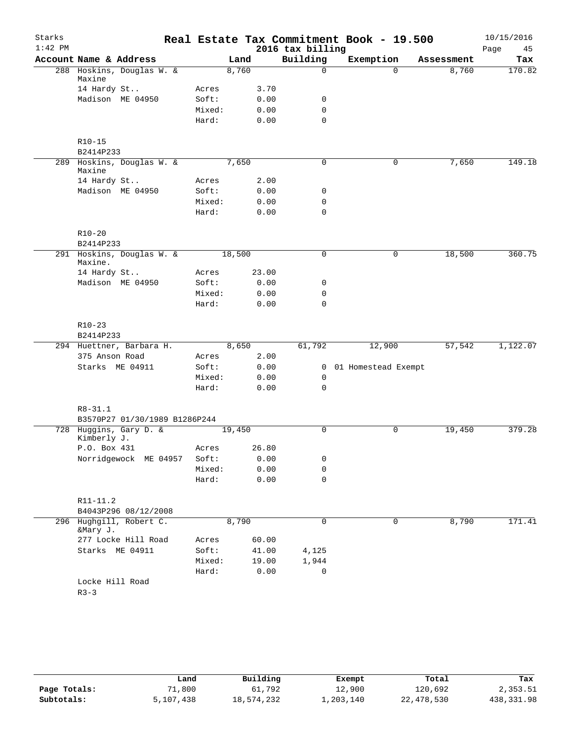| Starks    |                                       |        |        |       |                  | Real Estate Tax Commitment Book - 19.500 |            | 10/15/2016 |
|-----------|---------------------------------------|--------|--------|-------|------------------|------------------------------------------|------------|------------|
| $1:42$ PM |                                       |        |        |       | 2016 tax billing |                                          |            | Page<br>45 |
|           | Account Name & Address                |        | Land   |       | Building         | Exemption                                | Assessment | Tax        |
|           | 288 Hoskins, Douglas W. &<br>Maxine   |        | 8,760  |       | $\mathbf 0$      | $\Omega$                                 | 8,760      | 170.82     |
|           | 14 Hardy St                           | Acres  |        | 3.70  |                  |                                          |            |            |
|           | Madison ME 04950                      | Soft:  |        | 0.00  | 0                |                                          |            |            |
|           |                                       | Mixed: |        | 0.00  | $\mathbf 0$      |                                          |            |            |
|           |                                       | Hard:  |        | 0.00  | $\mathbf 0$      |                                          |            |            |
|           | $R10 - 15$                            |        |        |       |                  |                                          |            |            |
|           | B2414P233                             |        |        |       |                  |                                          |            |            |
|           | 289 Hoskins, Douglas W. &<br>Maxine   |        | 7,650  |       | $\mathbf 0$      | 0                                        | 7,650      | 149.18     |
|           | 14 Hardy St                           | Acres  |        | 2.00  |                  |                                          |            |            |
|           | Madison ME 04950                      | Soft:  |        | 0.00  | 0                |                                          |            |            |
|           |                                       | Mixed: |        | 0.00  | 0                |                                          |            |            |
|           |                                       | Hard:  |        | 0.00  | $\mathbf 0$      |                                          |            |            |
|           | $R10 - 20$                            |        |        |       |                  |                                          |            |            |
|           | B2414P233                             |        |        |       |                  |                                          |            |            |
|           | 291 Hoskins, Douglas W. &<br>Maxine.  |        | 18,500 |       | $\mathbf 0$      | $\mathbf 0$                              | 18,500     | 360.75     |
|           | 14 Hardy St                           | Acres  |        | 23.00 |                  |                                          |            |            |
|           | Madison ME 04950                      | Soft:  |        | 0.00  | 0                |                                          |            |            |
|           |                                       | Mixed: |        | 0.00  | $\mathbf 0$      |                                          |            |            |
|           |                                       | Hard:  |        | 0.00  | 0                |                                          |            |            |
|           | $R10-23$                              |        |        |       |                  |                                          |            |            |
|           | B2414P233                             |        |        |       |                  |                                          |            |            |
|           | 294 Huettner, Barbara H.              |        | 8,650  |       | 61,792           | 12,900                                   | 57,542     | 1,122.07   |
|           | 375 Anson Road                        | Acres  |        | 2.00  |                  |                                          |            |            |
|           | Starks ME 04911                       | Soft:  |        | 0.00  |                  | 0 01 Homestead Exempt                    |            |            |
|           |                                       | Mixed: |        | 0.00  | 0                |                                          |            |            |
|           |                                       | Hard:  |        | 0.00  | 0                |                                          |            |            |
|           | $R8 - 31.1$                           |        |        |       |                  |                                          |            |            |
|           | B3570P27 01/30/1989 B1286P244         |        |        |       |                  |                                          |            |            |
|           | 728 Huggins, Gary D. &<br>Kimberly J. |        | 19,450 |       | $\mathbf 0$      | 0                                        | 19,450     | 379.28     |
|           | P.O. Box 431                          | Acres  |        | 26.80 |                  |                                          |            |            |
|           | Norridgewock ME 04957                 | Soft:  |        | 0.00  | 0                |                                          |            |            |
|           |                                       | Mixed: |        | 0.00  | 0                |                                          |            |            |
|           |                                       | Hard:  |        | 0.00  | 0                |                                          |            |            |
|           | R11-11.2                              |        |        |       |                  |                                          |            |            |
|           | B4043P296 08/12/2008                  |        |        |       |                  |                                          |            |            |
|           | 296 Hughgill, Robert C.<br>&Mary J.   |        | 8,790  |       | 0                | 0                                        | 8,790      | 171.41     |
|           | 277 Locke Hill Road                   | Acres  |        | 60.00 |                  |                                          |            |            |
|           | Starks ME 04911                       | Soft:  |        | 41.00 | 4,125            |                                          |            |            |
|           |                                       | Mixed: |        | 19.00 | 1,944            |                                          |            |            |
|           |                                       | Hard:  |        | 0.00  | 0                |                                          |            |            |
|           | Locke Hill Road                       |        |        |       |                  |                                          |            |            |
|           | $R3 - 3$                              |        |        |       |                  |                                          |            |            |

|              | Land      | Building   | Exempt    | Total      | Tax        |
|--------------|-----------|------------|-----------|------------|------------|
| Page Totals: | 71,800    | 61,792     | 12,900    | 120,692    | 2,353.51   |
| Subtotals:   | 5,107,438 | 18,574,232 | ⊥,203,140 | 22,478,530 | 438,331.98 |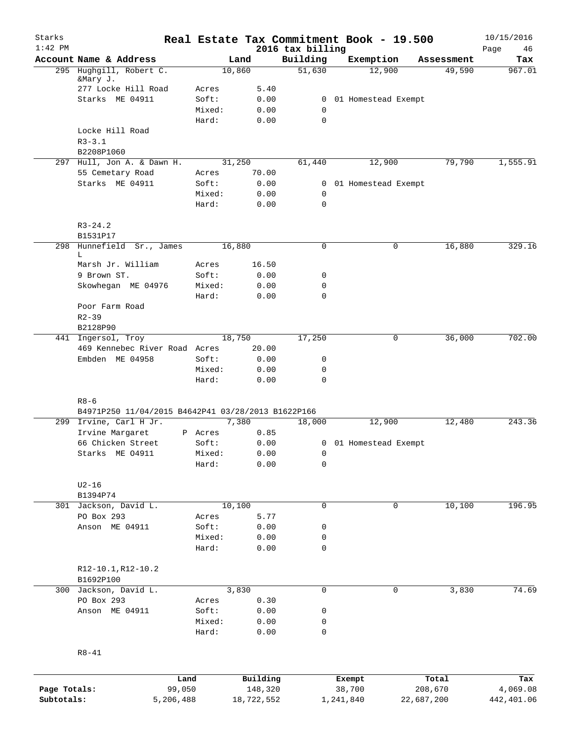| Starks       |                                                    |                 |              |                              | Real Estate Tax Commitment Book - 19.500 |             | 10/15/2016        |
|--------------|----------------------------------------------------|-----------------|--------------|------------------------------|------------------------------------------|-------------|-------------------|
| $1:42$ PM    | Account Name & Address                             |                 | Land         | 2016 tax billing<br>Building | Exemption                                | Assessment  | Page<br>46<br>Tax |
|              | 295 Hughgill, Robert C.                            |                 | 10,860       | 51,630                       | 12,900                                   | 49,590      | 967.01            |
|              | &Mary J.<br>277 Locke Hill Road                    | Acres           | 5.40         |                              |                                          |             |                   |
|              | Starks ME 04911                                    | Soft:           | 0.00         |                              | 0 01 Homestead Exempt                    |             |                   |
|              |                                                    | Mixed:          | 0.00         | $\mathbf 0$                  |                                          |             |                   |
|              |                                                    | Hard:           | 0.00         | $\mathbf 0$                  |                                          |             |                   |
|              | Locke Hill Road                                    |                 |              |                              |                                          |             |                   |
|              | $R3 - 3.1$                                         |                 |              |                              |                                          |             |                   |
|              | B2208P1060                                         |                 |              |                              |                                          |             |                   |
|              | 297 Hull, Jon A. & Dawn H.                         |                 | 31,250       | 61,440                       | 12,900                                   | 79,790      | 1,555.91          |
|              | 55 Cemetary Road                                   | Acres           | 70.00        |                              |                                          |             |                   |
|              | Starks ME 04911                                    | Soft:           | 0.00         |                              | 0 01 Homestead Exempt                    |             |                   |
|              |                                                    | Mixed:          | 0.00         | $\mathbf 0$                  |                                          |             |                   |
|              |                                                    | Hard:           | 0.00         | $\mathbf 0$                  |                                          |             |                   |
|              | $R3 - 24.2$                                        |                 |              |                              |                                          |             |                   |
|              | B1531P17                                           |                 |              |                              |                                          |             |                   |
|              | 298 Hunnefield Sr., James<br>L                     |                 | 16,880       | 0                            |                                          | 0<br>16,880 | 329.16            |
|              | Marsh Jr. William                                  | Acres           | 16.50        |                              |                                          |             |                   |
|              | 9 Brown ST.                                        | Soft:           | 0.00         | 0                            |                                          |             |                   |
|              | Skowhegan ME 04976                                 | Mixed:          | 0.00         | 0                            |                                          |             |                   |
|              |                                                    | Hard:           | 0.00         | 0                            |                                          |             |                   |
|              | Poor Farm Road                                     |                 |              |                              |                                          |             |                   |
|              | $R2 - 39$                                          |                 |              |                              |                                          |             |                   |
|              | B2128P90                                           |                 |              |                              |                                          |             |                   |
|              | 441 Ingersol, Troy                                 |                 | 18,750       | 17,250                       |                                          | 36,000<br>0 | 702.00            |
|              | 469 Kennebec River Road Acres                      |                 | 20.00        |                              |                                          |             |                   |
|              | Embden ME 04958                                    | Soft:           | 0.00         | 0                            |                                          |             |                   |
|              |                                                    | Mixed:          | 0.00         | 0                            |                                          |             |                   |
|              |                                                    | Hard:           | 0.00         | 0                            |                                          |             |                   |
|              | $R8 - 6$                                           |                 |              |                              |                                          |             |                   |
|              | B4971P250 11/04/2015 B4642P41 03/28/2013 B1622P166 |                 |              |                              |                                          |             |                   |
|              | 299 Irvine, Carl H Jr.                             |                 | 7,380        | 18,000                       | 12,900                                   | 12,480      | 243.36            |
|              | Irvine Margaret                                    | P Acres         | 0.85         |                              |                                          |             |                   |
|              | 66 Chicken Street                                  | Soft:           | 0.00         |                              | 0 01 Homestead Exempt                    |             |                   |
|              | Starks ME 04911                                    | Mixed:          | 0.00         | $\overline{0}$               |                                          |             |                   |
|              |                                                    | Hard:           | 0.00         | 0                            |                                          |             |                   |
|              | $U2-16$                                            |                 |              |                              |                                          |             |                   |
|              | B1394P74                                           |                 |              |                              |                                          |             |                   |
|              | 301 Jackson, David L.                              |                 | 10,100       | 0                            |                                          | 10,100<br>0 | 196.95            |
|              | PO Box 293                                         | Acres           | 5.77         |                              |                                          |             |                   |
|              | Anson ME 04911                                     | Soft:           | 0.00         | 0                            |                                          |             |                   |
|              |                                                    | Mixed:<br>Hard: | 0.00<br>0.00 | 0<br>0                       |                                          |             |                   |
|              |                                                    |                 |              |                              |                                          |             |                   |
|              | R12-10.1, R12-10.2<br>B1692P100                    |                 |              |                              |                                          |             |                   |
| 300          | Jackson, David L.                                  |                 | 3,830        | 0                            |                                          | 3,830<br>0  | 74.69             |
|              | PO Box 293                                         | Acres           | 0.30         |                              |                                          |             |                   |
|              | Anson ME 04911                                     | Soft:           | 0.00         | 0                            |                                          |             |                   |
|              |                                                    | Mixed:          | 0.00         | 0                            |                                          |             |                   |
|              |                                                    | Hard:           | 0.00         | 0                            |                                          |             |                   |
|              | $R8 - 41$                                          |                 |              |                              |                                          |             |                   |
|              |                                                    |                 |              |                              |                                          |             |                   |
|              |                                                    | Land            | Building     |                              | Exempt                                   | Total       | Tax               |
| Page Totals: | 99,050                                             |                 | 148,320      |                              | 38,700                                   | 208,670     | 4,069.08          |
| Subtotals:   | 5,206,488                                          |                 | 18,722,552   |                              | 1,241,840                                | 22,687,200  | 442,401.06        |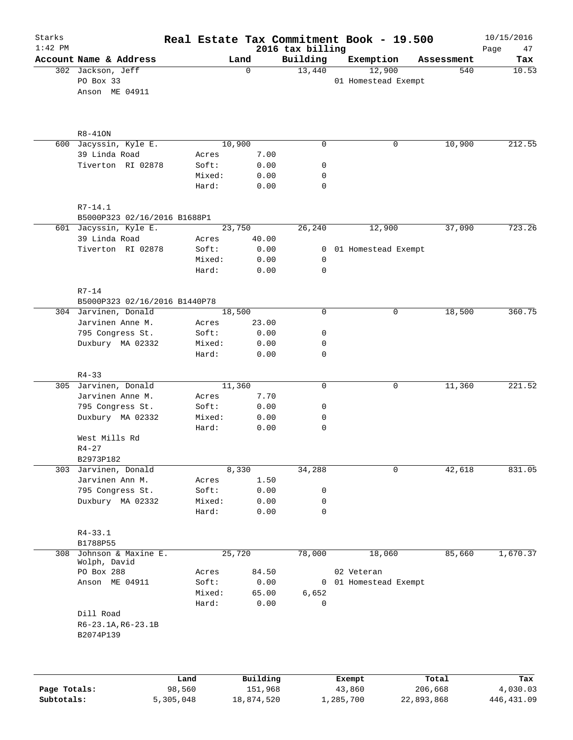| Starks<br>$1:42$ PM |                                                  |        |          | 2016 tax billing | Real Estate Tax Commitment Book - 19.500 |            | 10/15/2016<br>Page<br>47 |
|---------------------|--------------------------------------------------|--------|----------|------------------|------------------------------------------|------------|--------------------------|
|                     | Account Name & Address                           |        | Land     | Building         | Exemption                                | Assessment | Tax                      |
|                     | 302 Jackson, Jeff<br>PO Box 33<br>Anson ME 04911 |        | 0        | 13,440           | 12,900<br>01 Homestead Exempt            | 540        | 10.53                    |
|                     | $R8-410N$                                        |        |          |                  |                                          |            |                          |
|                     | 600 Jacyssin, Kyle E.                            |        | 10,900   | $\mathbf 0$      | $\mathbf 0$                              | 10,900     | 212.55                   |
|                     | 39 Linda Road                                    | Acres  | 7.00     |                  |                                          |            |                          |
|                     | Tiverton RI 02878                                | Soft:  | 0.00     | 0                |                                          |            |                          |
|                     |                                                  | Mixed: | 0.00     | 0                |                                          |            |                          |
|                     |                                                  | Hard:  | 0.00     | $\mathbf 0$      |                                          |            |                          |
|                     | $R7 - 14.1$                                      |        |          |                  |                                          |            |                          |
|                     | B5000P323 02/16/2016 B1688P1                     |        |          |                  |                                          |            |                          |
|                     | 601 Jacyssin, Kyle E.                            |        | 23,750   | 26,240           | 12,900                                   | 37,090     | 723.26                   |
|                     | 39 Linda Road                                    | Acres  | 40.00    |                  |                                          |            |                          |
|                     | Tiverton RI 02878                                | Soft:  | 0.00     |                  | 0 01 Homestead Exempt                    |            |                          |
|                     |                                                  | Mixed: | 0.00     | 0                |                                          |            |                          |
|                     |                                                  | Hard:  | 0.00     | 0                |                                          |            |                          |
|                     | $R7-14$                                          |        |          |                  |                                          |            |                          |
|                     | B5000P323 02/16/2016 B1440P78                    |        |          |                  |                                          |            |                          |
|                     | 304 Jarvinen, Donald                             |        | 18,500   | $\mathbf 0$      | 0                                        | 18,500     | 360.75                   |
|                     | Jarvinen Anne M.                                 | Acres  | 23.00    |                  |                                          |            |                          |
|                     | 795 Congress St.                                 | Soft:  | 0.00     | 0                |                                          |            |                          |
|                     | Duxbury MA 02332                                 | Mixed: | 0.00     | 0                |                                          |            |                          |
|                     |                                                  | Hard:  | 0.00     | $\mathbf 0$      |                                          |            |                          |
|                     | $R4 - 33$                                        |        |          |                  |                                          |            |                          |
|                     | 305 Jarvinen, Donald                             |        | 11,360   | 0                | 0                                        | 11,360     | 221.52                   |
|                     | Jarvinen Anne M.                                 | Acres  | 7.70     |                  |                                          |            |                          |
|                     | 795 Congress St.                                 | Soft:  | 0.00     | 0                |                                          |            |                          |
|                     | Duxbury MA 02332                                 | Mixed: | 0.00     | 0                |                                          |            |                          |
|                     |                                                  | Hard:  | 0.00     | 0                |                                          |            |                          |
|                     | West Mills Rd                                    |        |          |                  |                                          |            |                          |
|                     | $R4 - 27$                                        |        |          |                  |                                          |            |                          |
|                     | B2973P182                                        |        |          |                  |                                          |            |                          |
|                     | 303 Jarvinen, Donald                             |        | 8,330    | 34,288           | 0                                        | 42,618     | 831.05                   |
|                     | Jarvinen Ann M.                                  | Acres  | 1.50     |                  |                                          |            |                          |
|                     | 795 Congress St.                                 | Soft:  | 0.00     | 0                |                                          |            |                          |
|                     | Duxbury MA 02332                                 | Mixed: | 0.00     | 0                |                                          |            |                          |
|                     |                                                  | Hard:  | 0.00     | 0                |                                          |            |                          |
|                     | R4-33.1                                          |        |          |                  |                                          |            |                          |
|                     | B1788P55                                         |        |          |                  |                                          |            |                          |
| 308                 | Johnson & Maxine E.<br>Wolph, David              |        | 25,720   | 78,000           | 18,060                                   | 85,660     | 1,670.37                 |
|                     | PO Box 288                                       | Acres  | 84.50    |                  | 02 Veteran                               |            |                          |
|                     | Anson ME 04911                                   | Soft:  | 0.00     |                  | 0 01 Homestead Exempt                    |            |                          |
|                     |                                                  | Mixed: | 65.00    | 6,652            |                                          |            |                          |
|                     |                                                  | Hard:  | 0.00     | $\mathbf 0$      |                                          |            |                          |
|                     | Dill Road                                        |        |          |                  |                                          |            |                          |
|                     | $R6 - 23.1A, R6 - 23.1B$<br>B2074P139            |        |          |                  |                                          |            |                          |
|                     |                                                  |        |          |                  |                                          |            |                          |
|                     |                                                  | Land   | Building |                  | Exempt                                   | Total      | Tax                      |
|                     |                                                  |        |          |                  |                                          |            |                          |

|              | Land      | Building   | Exempt    | тосат      | тах        |
|--------------|-----------|------------|-----------|------------|------------|
| Page Totals: | 98,560    | 151.968    | 43,860    | 206,668    | 4,030.03   |
| Subtotals:   | 5,305,048 | 18,874,520 | 1,285,700 | 22,893,868 | 446,431.09 |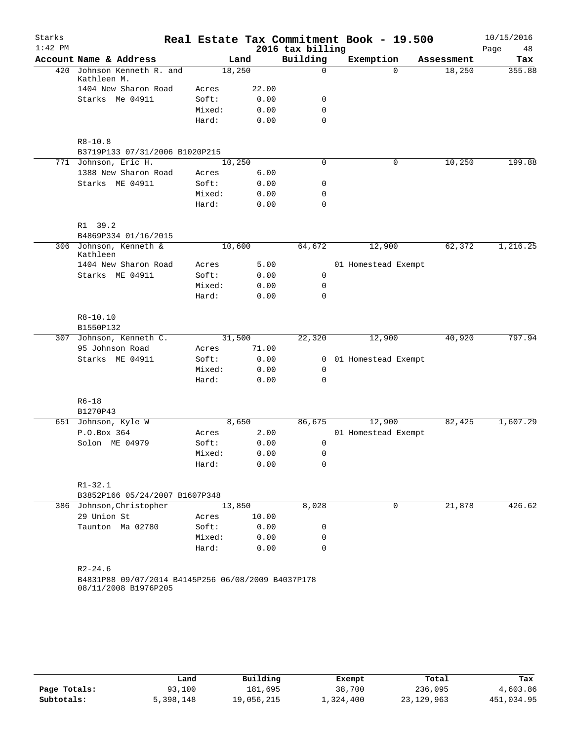| Starks    |                                                                            |        |       |                  | Real Estate Tax Commitment Book - 19.500 |            | 10/15/2016 |
|-----------|----------------------------------------------------------------------------|--------|-------|------------------|------------------------------------------|------------|------------|
| $1:42$ PM |                                                                            |        |       | 2016 tax billing |                                          |            | Page<br>48 |
|           | Account Name & Address                                                     |        | Land  | Building         | Exemption                                | Assessment | Tax        |
| 420       | Johnson Kenneth R. and<br>Kathleen M.                                      | 18,250 |       | $\Omega$         | $\Omega$                                 | 18,250     | 355.88     |
|           | 1404 New Sharon Road                                                       | Acres  | 22.00 |                  |                                          |            |            |
|           | Starks Me 04911                                                            | Soft:  | 0.00  | 0                |                                          |            |            |
|           |                                                                            | Mixed: | 0.00  | $\mathbf 0$      |                                          |            |            |
|           |                                                                            | Hard:  | 0.00  | $\mathbf 0$      |                                          |            |            |
|           | $R8 - 10.8$<br>B3719P133 07/31/2006 B1020P215                              |        |       |                  |                                          |            |            |
|           | 771 Johnson, Eric H.                                                       | 10,250 |       | 0                | 0                                        | 10,250     | 199.88     |
|           | 1388 New Sharon Road                                                       | Acres  | 6.00  |                  |                                          |            |            |
|           | Starks ME 04911                                                            | Soft:  | 0.00  | 0                |                                          |            |            |
|           |                                                                            | Mixed: | 0.00  | $\mathbf 0$      |                                          |            |            |
|           |                                                                            | Hard:  | 0.00  | $\mathbf 0$      |                                          |            |            |
|           | R1 39.2                                                                    |        |       |                  |                                          |            |            |
|           | B4869P334 01/16/2015                                                       |        |       |                  |                                          |            |            |
|           | 306 Johnson, Kenneth &<br>Kathleen                                         | 10,600 |       | 64,672           | 12,900                                   | 62,372     | 1,216.25   |
|           | 1404 New Sharon Road                                                       | Acres  | 5.00  |                  | 01 Homestead Exempt                      |            |            |
|           | Starks ME 04911                                                            | Soft:  | 0.00  | 0                |                                          |            |            |
|           |                                                                            | Mixed: | 0.00  | 0                |                                          |            |            |
|           |                                                                            | Hard:  | 0.00  | $\Omega$         |                                          |            |            |
|           | $R8 - 10.10$                                                               |        |       |                  |                                          |            |            |
|           | B1550P132                                                                  |        |       |                  |                                          |            |            |
| 307       | Johnson, Kenneth C.                                                        | 31,500 |       | 22,320           | 12,900                                   | 40,920     | 797.94     |
|           | 95 Johnson Road                                                            | Acres  | 71.00 |                  |                                          |            |            |
|           | Starks ME 04911                                                            | Soft:  | 0.00  | 0                | 01 Homestead Exempt                      |            |            |
|           |                                                                            | Mixed: | 0.00  | 0                |                                          |            |            |
|           |                                                                            | Hard:  | 0.00  | $\mathbf 0$      |                                          |            |            |
|           | $R6 - 18$                                                                  |        |       |                  |                                          |            |            |
|           | B1270P43                                                                   | 8,650  |       |                  |                                          |            | 1,607.29   |
|           | 651 Johnson, Kyle W                                                        |        |       | 86,675           | 12,900                                   | 82,425     |            |
|           | P.O.Box 364                                                                | Acres  | 2.00  |                  | 01 Homestead Exempt                      |            |            |
|           | Solon ME 04979                                                             | Soft:  | 0.00  | 0                |                                          |            |            |
|           |                                                                            | Mixed: | 0.00  | 0                |                                          |            |            |
|           |                                                                            | Hard:  | 0.00  | 0                |                                          |            |            |
|           | $R1 - 32.1$                                                                |        |       |                  |                                          |            |            |
|           | B3852P166 05/24/2007 B1607P348                                             |        |       |                  |                                          |            |            |
|           | 386 Johnson, Christopher                                                   | 13,850 |       | 8,028            | 0                                        | 21,878     | 426.62     |
|           | 29 Union St                                                                | Acres  | 10.00 |                  |                                          |            |            |
|           | Taunton Ma 02780                                                           | Soft:  | 0.00  | 0                |                                          |            |            |
|           |                                                                            | Mixed: | 0.00  | 0                |                                          |            |            |
|           |                                                                            | Hard:  | 0.00  | $\mathbf 0$      |                                          |            |            |
|           | $R2 - 24.6$                                                                |        |       |                  |                                          |            |            |
|           | B4831P88 09/07/2014 B4145P256 06/08/2009 B4037P178<br>08/11/2008 B1976P205 |        |       |                  |                                          |            |            |
|           |                                                                            |        |       |                  |                                          |            |            |
|           |                                                                            |        |       |                  |                                          |            |            |

|              | Land      | Building   | Exempt    | Total        | Tax        |
|--------------|-----------|------------|-----------|--------------|------------|
| Page Totals: | 93,100    | 181,695    | 38,700    | 236,095      | 4,603.86   |
| Subtotals:   | 5,398,148 | 19,056,215 | 1,324,400 | 23, 129, 963 | 451,034.95 |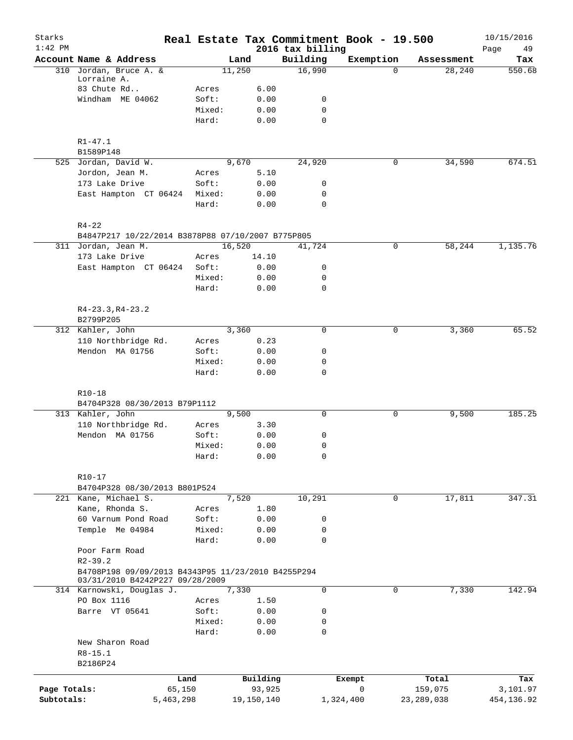| Starks<br>$1:42$ PM |                                                                                       |           |            | 2016 tax billing | Real Estate Tax Commitment Book - 19.500 |              | 10/15/2016<br>49<br>Page |
|---------------------|---------------------------------------------------------------------------------------|-----------|------------|------------------|------------------------------------------|--------------|--------------------------|
|                     | Account Name & Address                                                                |           | Land       | Building         | Exemption                                | Assessment   | Tax                      |
|                     | 310 Jordan, Bruce A. &                                                                |           | 11,250     | 16,990           | $\Omega$                                 | 28,240       | 550.68                   |
|                     | Lorraine A.                                                                           |           |            |                  |                                          |              |                          |
|                     | 83 Chute Rd                                                                           | Acres     | 6.00       |                  |                                          |              |                          |
|                     | Windham ME 04062                                                                      | Soft:     | 0.00       | 0                |                                          |              |                          |
|                     |                                                                                       | Mixed:    | 0.00       | $\mathbf 0$      |                                          |              |                          |
|                     |                                                                                       | Hard:     | 0.00       | $\mathbf 0$      |                                          |              |                          |
|                     | $R1 - 47.1$                                                                           |           |            |                  |                                          |              |                          |
|                     | B1589P148                                                                             |           |            |                  |                                          |              |                          |
|                     | 525 Jordan, David W.                                                                  |           | 9,670      | 24,920           | 0                                        | 34,590       | 674.51                   |
|                     | Jordon, Jean M.                                                                       | Acres     | 5.10       |                  |                                          |              |                          |
|                     | 173 Lake Drive                                                                        | Soft:     | 0.00       | 0                |                                          |              |                          |
|                     | East Hampton CT 06424                                                                 | Mixed:    | 0.00       | 0                |                                          |              |                          |
|                     |                                                                                       | Hard:     | 0.00       | $\mathbf 0$      |                                          |              |                          |
|                     | $R4 - 22$                                                                             |           |            |                  |                                          |              |                          |
|                     | B4847P217 10/22/2014 B3878P88 07/10/2007 B775P805                                     |           |            |                  |                                          |              |                          |
|                     | 311 Jordan, Jean M.                                                                   |           | 16,520     | 41,724           | 0                                        | 58,244       | 1,135.76                 |
|                     | 173 Lake Drive                                                                        | Acres     | 14.10      |                  |                                          |              |                          |
|                     | East Hampton CT 06424                                                                 | Soft:     | 0.00       | 0                |                                          |              |                          |
|                     |                                                                                       | Mixed:    | 0.00       | 0                |                                          |              |                          |
|                     |                                                                                       | Hard:     | 0.00       | $\mathbf 0$      |                                          |              |                          |
|                     | $R4-23.3, R4-23.2$                                                                    |           |            |                  |                                          |              |                          |
|                     | B2799P205                                                                             |           |            |                  |                                          |              |                          |
|                     | 312 Kahler, John                                                                      |           | 3,360      | $\Omega$         | 0                                        | 3,360        | 65.52                    |
|                     | 110 Northbridge Rd.                                                                   | Acres     | 0.23       |                  |                                          |              |                          |
|                     | Mendon MA 01756                                                                       | Soft:     | 0.00       | 0                |                                          |              |                          |
|                     |                                                                                       | Mixed:    | 0.00       | 0                |                                          |              |                          |
|                     |                                                                                       | Hard:     | 0.00       | $\mathbf 0$      |                                          |              |                          |
|                     | $R10 - 18$                                                                            |           |            |                  |                                          |              |                          |
|                     | B4704P328 08/30/2013 B79P1112                                                         |           |            |                  |                                          |              |                          |
|                     | 313 Kahler, John                                                                      |           | 9,500      | $\mathbf 0$      | 0                                        | 9,500        | 185.25                   |
|                     | 110 Northbridge Rd.                                                                   | Acres     | 3.30       |                  |                                          |              |                          |
|                     | Mendon MA 01756                                                                       | Soft:     | 0.00       | 0                |                                          |              |                          |
|                     |                                                                                       | Mixed:    | 0.00       | 0                |                                          |              |                          |
|                     |                                                                                       | Hard:     | 0.00       | 0                |                                          |              |                          |
|                     | $R10 - 17$                                                                            |           |            |                  |                                          |              |                          |
|                     | B4704P328 08/30/2013 B801P524                                                         |           |            |                  |                                          |              |                          |
|                     | 221 Kane, Michael S.                                                                  |           | 7,520      | 10,291           | 0                                        | 17,811       | 347.31                   |
|                     | Kane, Rhonda S.                                                                       | Acres     | 1.80       |                  |                                          |              |                          |
|                     | 60 Varnum Pond Road                                                                   | Soft:     | 0.00       | 0                |                                          |              |                          |
|                     | Temple Me 04984                                                                       | Mixed:    | 0.00       | 0                |                                          |              |                          |
|                     |                                                                                       | Hard:     | 0.00       | 0                |                                          |              |                          |
|                     | Poor Farm Road                                                                        |           |            |                  |                                          |              |                          |
|                     | $R2 - 39.2$                                                                           |           |            |                  |                                          |              |                          |
|                     | B4708P198 09/09/2013 B4343P95 11/23/2010 B4255P294<br>03/31/2010 B4242P227 09/28/2009 |           |            |                  |                                          |              |                          |
|                     | 314 Karnowski, Douglas J.                                                             |           | 7,330      | 0                | 0                                        | 7,330        | 142.94                   |
|                     | PO Box 1116                                                                           | Acres     | 1.50       |                  |                                          |              |                          |
|                     | Barre VT 05641                                                                        | Soft:     | 0.00       | 0                |                                          |              |                          |
|                     |                                                                                       | Mixed:    | 0.00       | 0                |                                          |              |                          |
|                     | New Sharon Road                                                                       | Hard:     | 0.00       | $\mathbf 0$      |                                          |              |                          |
|                     | $R8 - 15.1$                                                                           |           |            |                  |                                          |              |                          |
|                     | B2186P24                                                                              |           |            |                  |                                          |              |                          |
|                     |                                                                                       | Land      | Building   |                  | Exempt                                   | Total        | Tax                      |
| Page Totals:        |                                                                                       | 65,150    | 93,925     |                  | 0                                        | 159,075      | 3,101.97                 |
| Subtotals:          |                                                                                       | 5,463,298 | 19,150,140 |                  | 1,324,400                                | 23, 289, 038 | 454,136.92               |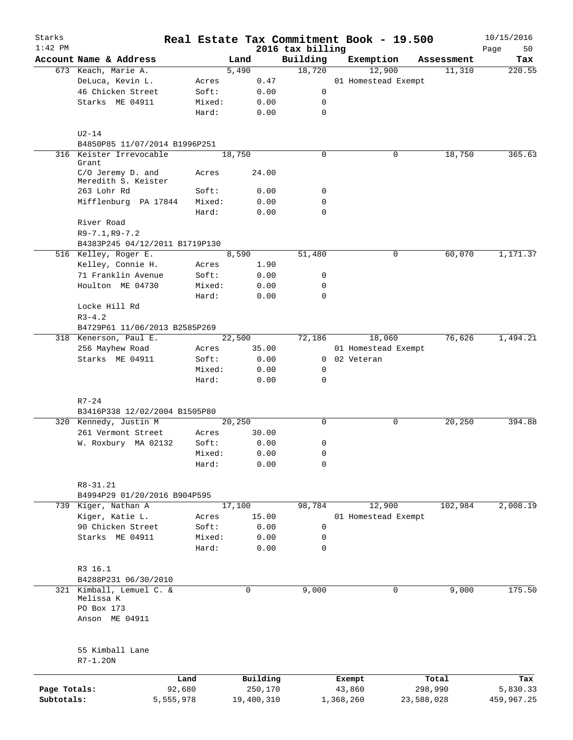| Starks       |                                                     | Real Estate Tax Commitment Book - 19.500 |        |              |                              |                     |        |            | 10/15/2016        |
|--------------|-----------------------------------------------------|------------------------------------------|--------|--------------|------------------------------|---------------------|--------|------------|-------------------|
| $1:42$ PM    | Account Name & Address                              |                                          | Land   |              | 2016 tax billing<br>Building | Exemption           |        | Assessment | Page<br>50<br>Tax |
|              | 673 Keach, Marie A.                                 |                                          | 5,490  |              | 18,720                       |                     | 12,900 | 11,310     | 220.55            |
|              | DeLuca, Kevin L.                                    | Acres                                    |        | 0.47         |                              | 01 Homestead Exempt |        |            |                   |
|              | 46 Chicken Street                                   | Soft:                                    |        | 0.00         | 0                            |                     |        |            |                   |
|              | Starks ME 04911                                     | Mixed:                                   |        | 0.00         | 0                            |                     |        |            |                   |
|              |                                                     | Hard:                                    |        | 0.00         | 0                            |                     |        |            |                   |
|              | $U2-14$                                             |                                          |        |              |                              |                     |        |            |                   |
|              | B4850P85 11/07/2014 B1996P251                       |                                          |        |              |                              |                     |        |            |                   |
|              | 316 Keister Irrevocable<br>Grant                    |                                          | 18,750 |              | 0                            |                     | 0      | 18,750     | 365.63            |
|              | C/O Jeremy D. and<br>Meredith S. Keister            | Acres                                    |        | 24.00        |                              |                     |        |            |                   |
|              | 263 Lohr Rd                                         | Soft:                                    |        | 0.00         | 0                            |                     |        |            |                   |
|              | Mifflenburg PA 17844                                | Mixed:                                   |        | 0.00         | 0                            |                     |        |            |                   |
|              |                                                     | Hard:                                    |        | 0.00         | 0                            |                     |        |            |                   |
|              | River Road                                          |                                          |        |              |                              |                     |        |            |                   |
|              | $R9 - 7.1, R9 - 7.2$                                |                                          |        |              |                              |                     |        |            |                   |
|              | B4383P245 04/12/2011 B1719P130                      |                                          |        |              |                              |                     |        |            |                   |
|              | 516 Kelley, Roger E.                                |                                          | 8,590  |              | 51,480                       |                     | 0      | 60,070     | 1,171.37          |
|              | Kelley, Connie H.                                   | Acres                                    |        | 1.90         |                              |                     |        |            |                   |
|              | 71 Franklin Avenue                                  | Soft:                                    |        | 0.00         | 0                            |                     |        |            |                   |
|              | Houlton ME 04730                                    | Mixed:                                   |        | 0.00         | 0                            |                     |        |            |                   |
|              |                                                     | Hard:                                    |        | 0.00         | 0                            |                     |        |            |                   |
|              | Locke Hill Rd<br>$R3 - 4.2$                         |                                          |        |              |                              |                     |        |            |                   |
|              | B4729P61 11/06/2013 B2585P269                       |                                          |        |              |                              |                     |        |            |                   |
|              | 318 Kenerson, Paul E.                               |                                          | 22,500 |              | 72,186                       |                     | 18,060 | 76,626     | 1,494.21          |
|              | 256 Mayhew Road                                     | Acres                                    |        | 35.00        |                              | 01 Homestead Exempt |        |            |                   |
|              | Starks ME 04911                                     | Soft:                                    |        | 0.00         |                              | 0 02 Veteran        |        |            |                   |
|              |                                                     | Mixed:                                   |        | 0.00         | 0                            |                     |        |            |                   |
|              |                                                     | Hard:                                    |        | 0.00         | $\mathbf 0$                  |                     |        |            |                   |
|              | $R7 - 24$                                           |                                          |        |              |                              |                     |        |            |                   |
|              | B3416P338 12/02/2004 B1505P80                       |                                          |        |              |                              |                     |        |            |                   |
|              | 320 Kennedy, Justin M                               |                                          | 20,250 |              | 0                            |                     | 0      | 20,250     | 394.88            |
|              | 261 Vermont Street                                  | Acres                                    |        | 30.00        |                              |                     |        |            |                   |
|              | W. Roxbury MA 02132                                 | Soft:                                    |        | 0.00         | 0                            |                     |        |            |                   |
|              |                                                     | Mixed:                                   |        | 0.00         | 0                            |                     |        |            |                   |
|              |                                                     | Hard:                                    |        | 0.00         | 0                            |                     |        |            |                   |
|              | R8-31.21                                            |                                          |        |              |                              |                     |        |            |                   |
|              | B4994P29 01/20/2016 B904P595<br>739 Kiger, Nathan A |                                          |        |              |                              |                     |        |            |                   |
|              | Kiger, Katie L.                                     |                                          | 17,100 |              | 98,784                       |                     | 12,900 | 102,984    | 2,008.19          |
|              | 90 Chicken Street                                   | Acres                                    |        | 15.00        |                              | 01 Homestead Exempt |        |            |                   |
|              | Starks ME 04911                                     | Soft:                                    |        | 0.00         | 0<br>0                       |                     |        |            |                   |
|              |                                                     | Mixed:<br>Hard:                          |        | 0.00<br>0.00 | $\mathbf 0$                  |                     |        |            |                   |
|              |                                                     |                                          |        |              |                              |                     |        |            |                   |
|              | R3 16.1<br>B4288P231 06/30/2010                     |                                          |        |              |                              |                     |        |            |                   |
|              | 321 Kimball, Lemuel C. &                            |                                          | 0      |              | 9,000                        |                     | 0      | 9,000      | 175.50            |
|              | Melissa K<br>PO Box 173                             |                                          |        |              |                              |                     |        |            |                   |
|              | Anson ME 04911                                      |                                          |        |              |                              |                     |        |            |                   |
|              |                                                     |                                          |        |              |                              |                     |        |            |                   |
|              | 55 Kimball Lane<br>$R7-1.20N$                       |                                          |        |              |                              |                     |        |            |                   |
|              |                                                     | Land                                     |        | Building     |                              | Exempt              |        | Total      | Tax               |
| Page Totals: |                                                     | 92,680                                   |        | 250,170      |                              | 43,860              |        | 298,990    | 5,830.33          |
| Subtotals:   |                                                     | 5,555,978                                |        | 19,400,310   |                              | 1,368,260           |        | 23,588,028 | 459,967.25        |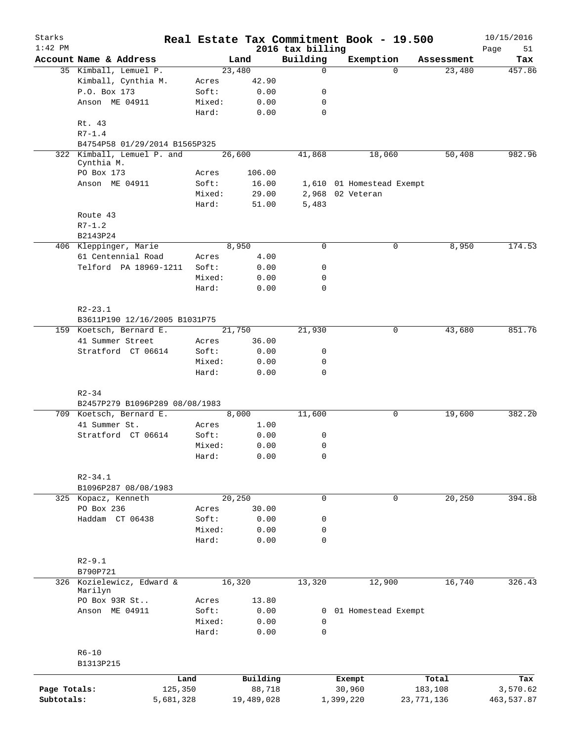| Starks<br>$1:42$ PM |                                |        |            | 2016 tax billing | Real Estate Tax Commitment Book - 19.500 |             | 10/15/2016<br>51 |
|---------------------|--------------------------------|--------|------------|------------------|------------------------------------------|-------------|------------------|
|                     | Account Name & Address         |        | Land       | Building         | Exemption                                | Assessment  | Page<br>Tax      |
|                     | 35 Kimball, Lemuel P.          |        | 23,480     | 0                |                                          | $\Omega$    | 457.86<br>23,480 |
|                     | Kimball, Cynthia M.            | Acres  | 42.90      |                  |                                          |             |                  |
|                     | P.O. Box 173                   | Soft:  | 0.00       | 0                |                                          |             |                  |
|                     | Anson ME 04911                 | Mixed: | 0.00       | 0                |                                          |             |                  |
|                     |                                | Hard:  | 0.00       | $\mathbf 0$      |                                          |             |                  |
|                     | Rt. 43<br>$R7 - 1.4$           |        |            |                  |                                          |             |                  |
|                     | B4754P58 01/29/2014 B1565P325  |        |            |                  |                                          |             |                  |
|                     | 322 Kimball, Lemuel P. and     |        | 26,600     | 41,868           | 18,060                                   | 50,408      | 982.96           |
|                     | Cynthia M.<br>PO Box 173       | Acres  | 106.00     |                  |                                          |             |                  |
|                     | Anson ME 04911                 | Soft:  | 16.00      |                  | 1,610 01 Homestead Exempt                |             |                  |
|                     |                                | Mixed: | 29.00      |                  | 2,968 02 Veteran                         |             |                  |
|                     |                                | Hard:  | 51.00      | 5,483            |                                          |             |                  |
|                     | Route 43                       |        |            |                  |                                          |             |                  |
|                     | $R7 - 1.2$                     |        |            |                  |                                          |             |                  |
|                     | B2143P24                       |        |            |                  |                                          |             |                  |
|                     | 406 Kleppinger, Marie          |        | 8,950      | $\mathbf 0$      |                                          | 0           | 8,950<br>174.53  |
|                     | 61 Centennial Road             | Acres  | 4.00       |                  |                                          |             |                  |
|                     | Telford PA 18969-1211          | Soft:  | 0.00       | 0                |                                          |             |                  |
|                     |                                | Mixed: | 0.00       | 0                |                                          |             |                  |
|                     |                                | Hard:  | 0.00       | 0                |                                          |             |                  |
|                     |                                |        |            |                  |                                          |             |                  |
|                     | $R2 - 23.1$                    |        |            |                  |                                          |             |                  |
|                     |                                |        |            |                  |                                          |             |                  |
|                     | B3611P190 12/16/2005 B1031P75  |        |            |                  |                                          | 0           | 43,680<br>851.76 |
|                     | 159 Koetsch, Bernard E.        |        | 21,750     | 21,930           |                                          |             |                  |
|                     | 41 Summer Street               | Acres  | 36.00      |                  |                                          |             |                  |
|                     | Stratford CT 06614             | Soft:  | 0.00       | 0                |                                          |             |                  |
|                     |                                | Mixed: | 0.00       | 0                |                                          |             |                  |
|                     |                                | Hard:  | 0.00       | $\mathbf 0$      |                                          |             |                  |
|                     |                                |        |            |                  |                                          |             |                  |
|                     | $R2 - 34$                      |        |            |                  |                                          |             |                  |
|                     | B2457P279 B1096P289 08/08/1983 |        |            |                  |                                          |             |                  |
|                     | 709 Koetsch, Bernard E.        |        | 8,000      | 11,600           |                                          | 0<br>19,600 | 382.20           |
|                     | 41 Summer St.                  | Acres  | 1.00       |                  |                                          |             |                  |
|                     | Stratford CT 06614             | Soft:  | 0.00       | 0                |                                          |             |                  |
|                     |                                | Mixed: | 0.00       | 0                |                                          |             |                  |
|                     |                                | Hard:  | 0.00       | 0                |                                          |             |                  |
|                     |                                |        |            |                  |                                          |             |                  |
|                     | $R2 - 34.1$                    |        |            |                  |                                          |             |                  |
|                     | B1096P287 08/08/1983           |        |            |                  |                                          |             |                  |
|                     | 325 Kopacz, Kenneth            |        | 20, 250    | 0                |                                          | $\mathbf 0$ | 20,250<br>394.88 |
|                     | PO Box 236                     | Acres  | 30.00      |                  |                                          |             |                  |
|                     | Haddam CT 06438                | Soft:  | 0.00       | 0                |                                          |             |                  |
|                     |                                | Mixed: | 0.00       | 0                |                                          |             |                  |
|                     |                                | Hard:  | 0.00       | 0                |                                          |             |                  |
|                     |                                |        |            |                  |                                          |             |                  |
|                     | $R2 - 9.1$                     |        |            |                  |                                          |             |                  |
|                     | B790P721                       |        |            |                  |                                          |             |                  |
|                     | 326 Kozielewicz, Edward &      |        | 16,320     | 13,320           | 12,900                                   |             | 16,740<br>326.43 |
|                     | Marilyn                        |        |            |                  |                                          |             |                  |
|                     | PO Box 93R St                  | Acres  | 13.80      |                  |                                          |             |                  |
|                     | Anson ME 04911                 | Soft:  | 0.00       |                  | 0 01 Homestead Exempt                    |             |                  |
|                     |                                | Mixed: | 0.00       | 0                |                                          |             |                  |
|                     |                                | Hard:  | 0.00       | $\mathbf 0$      |                                          |             |                  |
|                     |                                |        |            |                  |                                          |             |                  |
|                     | $R6 - 10$                      |        |            |                  |                                          |             |                  |
|                     | B1313P215                      |        |            |                  |                                          |             |                  |
|                     |                                | Land   | Building   |                  |                                          | Total       |                  |
| Page Totals:        | 125,350                        |        | 88,718     |                  | Exempt<br>30,960                         | 183,108     | Tax<br>3,570.62  |
|                     |                                |        |            |                  |                                          |             |                  |
| Subtotals:          | 5,681,328                      |        | 19,489,028 |                  | 1,399,220                                | 23,771,136  | 463,537.87       |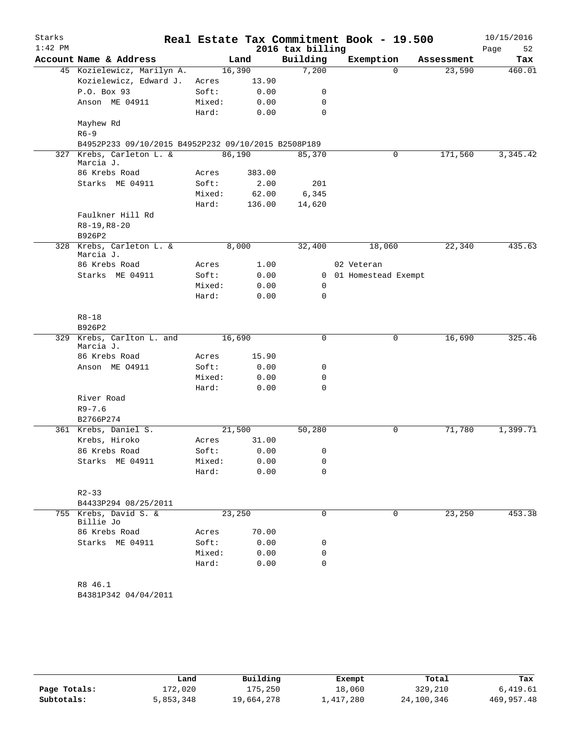| Starks    |                                                     |        |        |                  | Real Estate Tax Commitment Book - 19.500 |            | 10/15/2016 |
|-----------|-----------------------------------------------------|--------|--------|------------------|------------------------------------------|------------|------------|
| $1:42$ PM |                                                     |        |        | 2016 tax billing |                                          |            | Page<br>52 |
|           | Account Name & Address                              |        | Land   | Building         | Exemption                                | Assessment | Tax        |
|           | 45 Kozielewicz, Marilyn A.                          |        | 16,390 | 7,200            | $\Omega$                                 | 23,590     | 460.01     |
|           | Kozielewicz, Edward J.                              | Acres  | 13.90  |                  |                                          |            |            |
|           | P.O. Box 93                                         | Soft:  | 0.00   | 0                |                                          |            |            |
|           | Anson ME 04911                                      | Mixed: | 0.00   | 0                |                                          |            |            |
|           |                                                     | Hard:  | 0.00   | $\mathbf 0$      |                                          |            |            |
|           | Mayhew Rd                                           |        |        |                  |                                          |            |            |
|           | $R6 - 9$                                            |        |        |                  |                                          |            |            |
|           | B4952P233 09/10/2015 B4952P232 09/10/2015 B2508P189 |        |        |                  |                                          |            |            |
|           | 327 Krebs, Carleton L. &<br>Marcia J.               |        | 86,190 | 85,370           | $\mathbf 0$                              | 171,560    | 3,345.42   |
|           | 86 Krebs Road                                       | Acres  | 383.00 |                  |                                          |            |            |
|           | Starks ME 04911                                     | Soft:  | 2.00   | 201              |                                          |            |            |
|           |                                                     | Mixed: | 62.00  | 6,345            |                                          |            |            |
|           |                                                     | Hard:  | 136.00 | 14,620           |                                          |            |            |
|           | Faulkner Hill Rd                                    |        |        |                  |                                          |            |            |
|           | $R8-19, R8-20$                                      |        |        |                  |                                          |            |            |
|           | B926P2                                              |        |        |                  |                                          |            |            |
|           | 328 Krebs, Carleton L. &<br>Marcia J.               |        | 8,000  | 32,400           | 18,060                                   | 22,340     | 435.63     |
|           | 86 Krebs Road                                       | Acres  | 1.00   |                  | 02 Veteran                               |            |            |
|           | Starks ME 04911                                     | Soft:  | 0.00   | $\mathbf{0}$     | 01 Homestead Exempt                      |            |            |
|           |                                                     | Mixed: | 0.00   | 0                |                                          |            |            |
|           |                                                     | Hard:  | 0.00   | $\mathbf 0$      |                                          |            |            |
|           | $R8 - 18$                                           |        |        |                  |                                          |            |            |
|           | B926P2                                              |        |        |                  |                                          |            |            |
|           | 329 Krebs, Carlton L. and<br>Marcia J.              |        | 16,690 | 0                | 0                                        | 16,690     | 325.46     |
|           | 86 Krebs Road                                       | Acres  | 15.90  |                  |                                          |            |            |
|           | Anson ME 04911                                      | Soft:  | 0.00   | 0                |                                          |            |            |
|           |                                                     | Mixed: | 0.00   | 0                |                                          |            |            |
|           |                                                     | Hard:  | 0.00   | 0                |                                          |            |            |
|           | River Road                                          |        |        |                  |                                          |            |            |
|           | $R9 - 7.6$                                          |        |        |                  |                                          |            |            |
|           | B2766P274                                           |        |        |                  |                                          |            |            |
|           | 361 Krebs, Daniel S.                                |        | 21,500 | 50,280           | $\mathbf 0$                              | 71,780     | 1,399.71   |
|           | Krebs, Hiroko                                       | Acres  | 31.00  |                  |                                          |            |            |
|           | 86 Krebs Road                                       | Soft:  | 0.00   | 0                |                                          |            |            |
|           | Starks ME 04911                                     | Mixed: | 0.00   | 0                |                                          |            |            |
|           |                                                     | Hard:  | 0.00   | 0                |                                          |            |            |
|           | $R2 - 33$                                           |        |        |                  |                                          |            |            |
|           | B4433P294 08/25/2011                                |        |        |                  |                                          |            |            |
|           | 755 Krebs, David S. &                               |        | 23,250 | 0                | $\mathbf 0$                              | 23,250     | 453.38     |
|           | Billie Jo                                           |        |        |                  |                                          |            |            |
|           | 86 Krebs Road                                       | Acres  | 70.00  |                  |                                          |            |            |
|           | Starks ME 04911                                     | Soft:  | 0.00   | 0                |                                          |            |            |
|           |                                                     | Mixed: | 0.00   | 0                |                                          |            |            |
|           |                                                     | Hard:  | 0.00   | 0                |                                          |            |            |
|           | R8 46.1                                             |        |        |                  |                                          |            |            |
|           | B4381P342 04/04/2011                                |        |        |                  |                                          |            |            |
|           |                                                     |        |        |                  |                                          |            |            |

|              | Land      | Building   | Exempt    | Total      | Tax          |
|--------------|-----------|------------|-----------|------------|--------------|
| Page Totals: | 172,020   | 175,250    | 18,060    | 329,210    | 6.419.61     |
| Subtotals:   | 5,853,348 | 19,664,278 | 1,417,280 | 24,100,346 | 469, 957, 48 |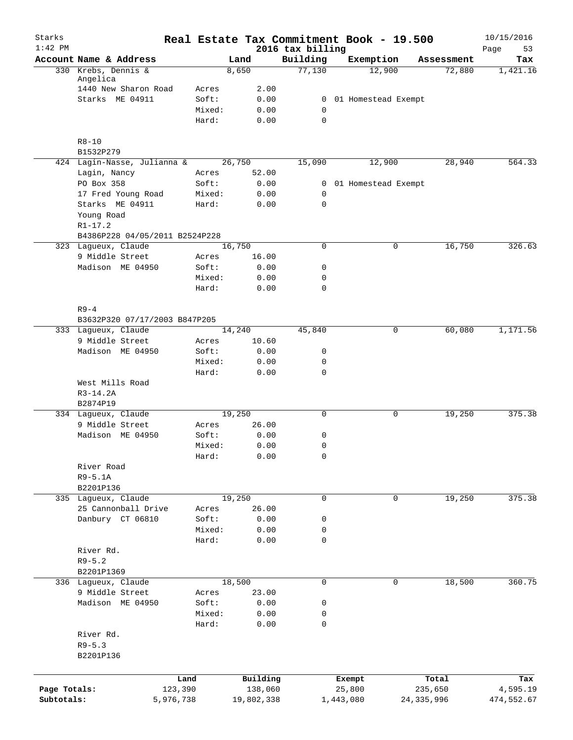| Starks<br>$1:42$ PM |                                               |                |              | 2016 tax billing |           | Real Estate Tax Commitment Book - 19.500 |            | 10/15/2016<br>53<br>Page |
|---------------------|-----------------------------------------------|----------------|--------------|------------------|-----------|------------------------------------------|------------|--------------------------|
|                     | Account Name & Address                        |                | Land         | Building         |           | Exemption                                | Assessment | Tax                      |
|                     | 330 Krebs, Dennis &                           |                | 8,650        | 77,130           |           | 12,900                                   | 72,880     | 1,421.16                 |
|                     | Angelica                                      |                |              |                  |           |                                          |            |                          |
|                     | 1440 New Sharon Road<br>Starks ME 04911       | Acres<br>Soft: | 2.00<br>0.00 |                  |           | 0 01 Homestead Exempt                    |            |                          |
|                     |                                               | Mixed:         | 0.00         | 0                |           |                                          |            |                          |
|                     |                                               | Hard:          | 0.00         | $\mathbf 0$      |           |                                          |            |                          |
|                     | $R8 - 10$                                     |                |              |                  |           |                                          |            |                          |
|                     | B1532P279                                     |                |              |                  |           |                                          |            |                          |
|                     | 424 Lagin-Nasse, Julianna &                   |                | 26,750       | 15,090           |           | 12,900                                   | 28,940     | 564.33                   |
|                     | Lagin, Nancy                                  | Acres          | 52.00        |                  |           |                                          |            |                          |
|                     | PO Box 358                                    | Soft:          | 0.00         |                  |           | 0 01 Homestead Exempt                    |            |                          |
|                     | 17 Fred Young Road                            | Mixed:         | 0.00         | $\mathbf 0$      |           |                                          |            |                          |
|                     | Starks ME 04911                               | Hard:          | 0.00         | $\mathbf 0$      |           |                                          |            |                          |
|                     | Young Road                                    |                |              |                  |           |                                          |            |                          |
|                     | $R1 - 17.2$<br>B4386P228 04/05/2011 B2524P228 |                |              |                  |           |                                          |            |                          |
|                     | 323 Lagueux, Claude                           |                | 16,750       | 0                |           | 0                                        | 16,750     | 326.63                   |
|                     | 9 Middle Street                               | Acres          | 16.00        |                  |           |                                          |            |                          |
|                     | Madison ME 04950                              | Soft:          | 0.00         | 0                |           |                                          |            |                          |
|                     |                                               | Mixed:         | 0.00         | 0                |           |                                          |            |                          |
|                     |                                               | Hard:          | 0.00         | $\mathbf 0$      |           |                                          |            |                          |
|                     | $R9 - 4$                                      |                |              |                  |           |                                          |            |                          |
|                     | B3632P320 07/17/2003 B847P205                 |                |              |                  |           |                                          |            |                          |
|                     | 333 Lagueux, Claude                           |                | 14,240       | 45,840           |           | 0                                        | 60,080     | 1,171.56                 |
|                     | 9 Middle Street                               | Acres          | 10.60        |                  |           |                                          |            |                          |
|                     | Madison ME 04950                              | Soft:          | 0.00         | $\mathsf{O}$     |           |                                          |            |                          |
|                     |                                               | Mixed:         | 0.00         | 0                |           |                                          |            |                          |
|                     |                                               | Hard:          | 0.00         | $\mathbf 0$      |           |                                          |            |                          |
|                     | West Mills Road                               |                |              |                  |           |                                          |            |                          |
|                     | $R3-14.2A$                                    |                |              |                  |           |                                          |            |                          |
|                     | B2874P19<br>334 Laqueux, Claude               |                | 19,250       | 0                |           | 0                                        | 19,250     | 375.38                   |
|                     | 9 Middle Street                               | Acres          | 26.00        |                  |           |                                          |            |                          |
|                     | Madison ME 04950                              | Soft:          | 0.00         | 0                |           |                                          |            |                          |
|                     |                                               | Mixed:         | 0.00         | 0                |           |                                          |            |                          |
|                     |                                               | Hard:          | 0.00         | 0                |           |                                          |            |                          |
|                     | River Road                                    |                |              |                  |           |                                          |            |                          |
|                     | $R9-5.1A$                                     |                |              |                  |           |                                          |            |                          |
|                     | B2201P136                                     |                |              |                  |           |                                          |            |                          |
|                     | 335 Lagueux, Claude                           |                | 19,250       | $\mathbf 0$      |           | 0                                        | 19,250     | 375.38                   |
|                     | 25 Cannonball Drive                           | Acres          | 26.00        |                  |           |                                          |            |                          |
|                     | Danbury CT 06810                              | Soft:          | 0.00         | 0                |           |                                          |            |                          |
|                     |                                               | Mixed:         | 0.00         | 0                |           |                                          |            |                          |
|                     |                                               | Hard:          | 0.00         | 0                |           |                                          |            |                          |
|                     | River Rd.                                     |                |              |                  |           |                                          |            |                          |
|                     | $R9 - 5.2$                                    |                |              |                  |           |                                          |            |                          |
|                     | B2201P1369                                    |                |              |                  |           |                                          |            |                          |
|                     | 336 Lagueux, Claude                           |                | 18,500       | $\mathbf 0$      |           | 0                                        | 18,500     | 360.75                   |
|                     | 9 Middle Street                               | Acres          | 23.00        |                  |           |                                          |            |                          |
|                     | Madison ME 04950                              | Soft:          | 0.00         | 0                |           |                                          |            |                          |
|                     |                                               | Mixed:         | 0.00         | 0                |           |                                          |            |                          |
|                     |                                               | Hard:          | 0.00         | 0                |           |                                          |            |                          |
|                     | River Rd.                                     |                |              |                  |           |                                          |            |                          |
|                     | $R9 - 5.3$                                    |                |              |                  |           |                                          |            |                          |
|                     | B2201P136                                     |                |              |                  |           |                                          |            |                          |
|                     | Land                                          |                | Building     |                  | Exempt    |                                          | Total      | Tax                      |
| Page Totals:        | 123,390                                       |                | 138,060      |                  | 25,800    |                                          | 235,650    | 4,595.19                 |
| Subtotals:          | 5,976,738                                     |                | 19,802,338   |                  | 1,443,080 | 24, 335, 996                             |            | 474,552.67               |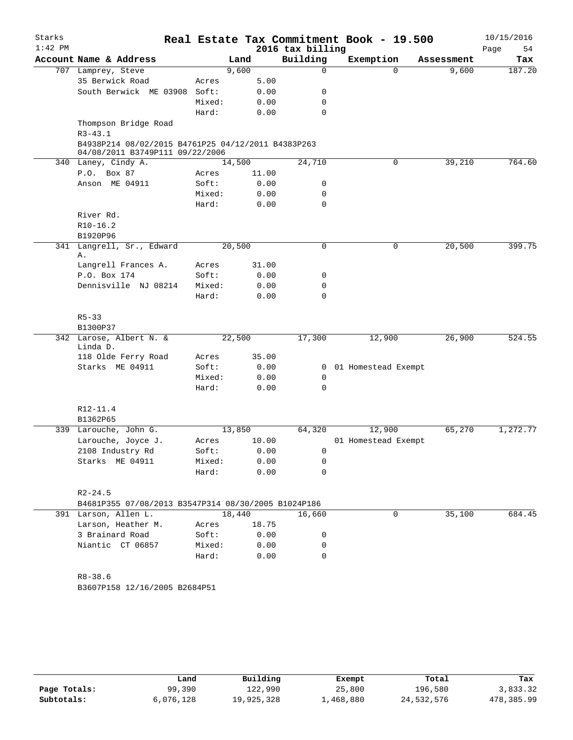| Starks<br>$1:42$ PM |                                                                                       |        |        |       | Real Estate Tax Commitment Book - 19.500<br>2016 tax billing |                     |          |            | 10/15/2016<br>Page<br>54 |
|---------------------|---------------------------------------------------------------------------------------|--------|--------|-------|--------------------------------------------------------------|---------------------|----------|------------|--------------------------|
|                     | Account Name & Address                                                                |        | Land   |       | Building                                                     | Exemption           |          | Assessment | Tax                      |
|                     | 707 Lamprey, Steve                                                                    |        | 9,600  |       | 0                                                            |                     | $\Omega$ | 9,600      | 187.20                   |
|                     | 35 Berwick Road                                                                       | Acres  |        | 5.00  |                                                              |                     |          |            |                          |
|                     | South Berwick ME 03908                                                                | Soft:  |        | 0.00  | 0                                                            |                     |          |            |                          |
|                     |                                                                                       | Mixed: |        | 0.00  | 0                                                            |                     |          |            |                          |
|                     |                                                                                       | Hard:  |        | 0.00  | 0                                                            |                     |          |            |                          |
|                     | Thompson Bridge Road<br>$R3 - 43.1$                                                   |        |        |       |                                                              |                     |          |            |                          |
|                     | B4938P214 08/02/2015 B4761P25 04/12/2011 B4383P263<br>04/08/2011 B3749P111 09/22/2006 |        |        |       |                                                              |                     |          |            |                          |
|                     | 340 Laney, Cindy A.                                                                   |        | 14,500 |       | 24,710                                                       |                     | 0        | 39,210     | 764.60                   |
|                     | P.O. Box 87                                                                           | Acres  |        | 11.00 |                                                              |                     |          |            |                          |
|                     | Anson ME 04911                                                                        | Soft:  |        | 0.00  | 0                                                            |                     |          |            |                          |
|                     |                                                                                       | Mixed: |        | 0.00  | 0                                                            |                     |          |            |                          |
|                     |                                                                                       | Hard:  |        | 0.00  | 0                                                            |                     |          |            |                          |
|                     | River Rd.                                                                             |        |        |       |                                                              |                     |          |            |                          |
|                     | $R10-16.2$                                                                            |        |        |       |                                                              |                     |          |            |                          |
|                     | B1920P96                                                                              |        |        |       |                                                              |                     |          |            |                          |
|                     | 341 Langrell, Sr., Edward                                                             |        | 20,500 |       | 0                                                            |                     | 0        | 20,500     | 399.75                   |
|                     | Α.<br>Langrell Frances A.                                                             | Acres  |        | 31.00 |                                                              |                     |          |            |                          |
|                     | P.O. Box 174                                                                          | Soft:  |        | 0.00  | 0                                                            |                     |          |            |                          |
|                     | Dennisville NJ 08214                                                                  | Mixed: |        | 0.00  | $\mathbf 0$                                                  |                     |          |            |                          |
|                     |                                                                                       | Hard:  |        | 0.00  | $\Omega$                                                     |                     |          |            |                          |
|                     |                                                                                       |        |        |       |                                                              |                     |          |            |                          |
|                     | $R5 - 33$                                                                             |        |        |       |                                                              |                     |          |            |                          |
|                     | B1300P37                                                                              |        |        |       |                                                              |                     |          |            |                          |
|                     | 342 Larose, Albert N. &                                                               |        | 22,500 |       | 17,300                                                       | 12,900              |          | 26,900     | 524.55                   |
|                     | Linda D.                                                                              |        |        |       |                                                              |                     |          |            |                          |
|                     | 118 Olde Ferry Road                                                                   | Acres  |        | 35.00 |                                                              |                     |          |            |                          |
|                     | Starks ME 04911                                                                       | Soft:  |        | 0.00  | $\mathbf{0}$                                                 | 01 Homestead Exempt |          |            |                          |
|                     |                                                                                       | Mixed: |        | 0.00  | 0                                                            |                     |          |            |                          |
|                     |                                                                                       | Hard:  |        | 0.00  | 0                                                            |                     |          |            |                          |
|                     | R12-11.4                                                                              |        |        |       |                                                              |                     |          |            |                          |
|                     | B1362P65                                                                              |        |        |       |                                                              |                     |          |            |                          |
|                     | 339 Larouche, John G.                                                                 |        | 13,850 |       | 64,320                                                       | 12,900              |          | 65,270     | 1,272.77                 |
|                     | Larouche, Joyce J.                                                                    | Acres  |        | 10.00 |                                                              | 01 Homestead Exempt |          |            |                          |
|                     | 2108 Industry Rd                                                                      | Soft:  |        | 0.00  | 0                                                            |                     |          |            |                          |
|                     | Starks ME 04911                                                                       | Mixed: |        | 0.00  | 0                                                            |                     |          |            |                          |
|                     |                                                                                       | Hard:  |        | 0.00  | 0                                                            |                     |          |            |                          |
|                     |                                                                                       |        |        |       |                                                              |                     |          |            |                          |
|                     | $R2 - 24.5$                                                                           |        |        |       |                                                              |                     |          |            |                          |
|                     | B4681P355 07/08/2013 B3547P314 08/30/2005 B1024P186                                   |        |        |       |                                                              |                     |          |            |                          |
|                     | 391 Larson, Allen L.                                                                  |        | 18,440 |       | 16,660                                                       |                     | 0        | 35,100     | 684.45                   |
|                     | Larson, Heather M.                                                                    | Acres  |        | 18.75 |                                                              |                     |          |            |                          |
|                     | 3 Brainard Road                                                                       | Soft:  |        | 0.00  | 0                                                            |                     |          |            |                          |
|                     | Niantic CT 06857                                                                      | Mixed: |        | 0.00  | 0                                                            |                     |          |            |                          |
|                     |                                                                                       | Hard:  |        | 0.00  | 0                                                            |                     |          |            |                          |
|                     |                                                                                       |        |        |       |                                                              |                     |          |            |                          |
|                     | $R8 - 38.6$                                                                           |        |        |       |                                                              |                     |          |            |                          |
|                     | B3607P158 12/16/2005 B2684P51                                                         |        |        |       |                                                              |                     |          |            |                          |
|                     |                                                                                       |        |        |       |                                                              |                     |          |            |                          |
|                     |                                                                                       |        |        |       |                                                              |                     |          |            |                          |
|                     |                                                                                       |        |        |       |                                                              |                     |          |            |                          |
|                     |                                                                                       |        |        |       |                                                              |                     |          |            |                          |

|              | Land      | Building   | Exempt    | Total      | Tax        |
|--------------|-----------|------------|-----------|------------|------------|
| Page Totals: | 99,390    | 122,990    | 25,800    | 196,580    | 3,833.32   |
| Subtotals:   | 6,076,128 | 19,925,328 | ⊥,468,880 | 24,532,576 | 478,385.99 |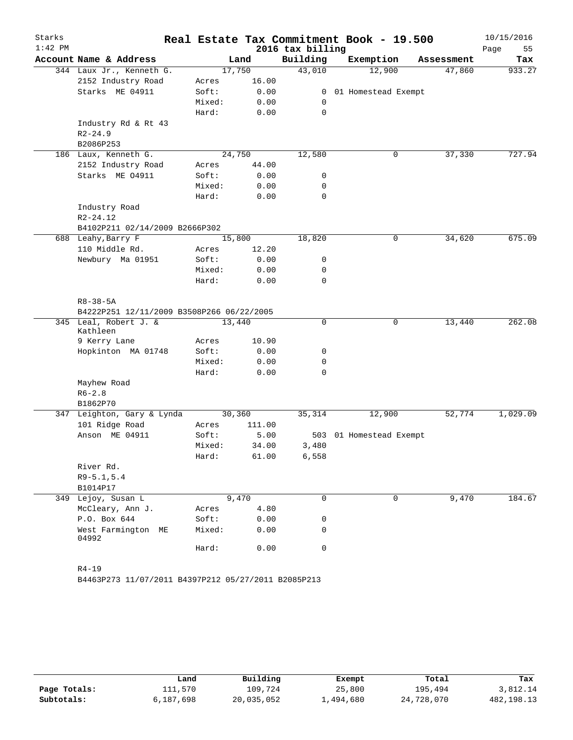| Starks    |                                            |  |                |        |                  | Real Estate Tax Commitment Book - 19.500 |            | 10/15/2016 |
|-----------|--------------------------------------------|--|----------------|--------|------------------|------------------------------------------|------------|------------|
| $1:42$ PM |                                            |  |                |        | 2016 tax billing |                                          |            | Page<br>55 |
|           | Account Name & Address                     |  |                | Land   | Building         | Exemption                                | Assessment | Tax        |
|           | 344 Laux Jr., Kenneth G.                   |  |                | 17,750 | 43,010           | 12,900                                   | 47,860     | 933.27     |
|           | 2152 Industry Road                         |  | Acres          | 16.00  |                  |                                          |            |            |
|           | Starks ME 04911                            |  | Soft:          | 0.00   | $\mathbf{0}$     | 01 Homestead Exempt                      |            |            |
|           |                                            |  | Mixed:         | 0.00   | 0                |                                          |            |            |
|           |                                            |  | Hard:          | 0.00   | $\mathbf 0$      |                                          |            |            |
|           | Industry Rd & Rt 43                        |  |                |        |                  |                                          |            |            |
|           | $R2 - 24.9$                                |  |                |        |                  |                                          |            |            |
|           | B2086P253                                  |  |                | 24,750 |                  | $\mathsf{O}$                             | 37,330     | 727.94     |
|           | 186 Laux, Kenneth G.<br>2152 Industry Road |  |                | 44.00  | 12,580           |                                          |            |            |
|           | Starks ME 04911                            |  | Acres<br>Soft: | 0.00   | 0                |                                          |            |            |
|           |                                            |  | Mixed:         | 0.00   | 0                |                                          |            |            |
|           |                                            |  | Hard:          | 0.00   | 0                |                                          |            |            |
|           | Industry Road                              |  |                |        |                  |                                          |            |            |
|           | $R2 - 24.12$                               |  |                |        |                  |                                          |            |            |
|           | B4102P211 02/14/2009 B2666P302             |  |                |        |                  |                                          |            |            |
|           | 688 Leahy, Barry F                         |  |                | 15,800 | 18,820           | 0                                        | 34,620     | 675.09     |
|           | 110 Middle Rd.                             |  | Acres          | 12.20  |                  |                                          |            |            |
|           | Newbury Ma 01951                           |  | Soft:          | 0.00   | 0                |                                          |            |            |
|           |                                            |  | Mixed:         | 0.00   | 0                |                                          |            |            |
|           |                                            |  | Hard:          | 0.00   | 0                |                                          |            |            |
|           |                                            |  |                |        |                  |                                          |            |            |
|           | $R8 - 38 - 5A$                             |  |                |        |                  |                                          |            |            |
|           | B4222P251 12/11/2009 B3508P266 06/22/2005  |  |                |        |                  |                                          |            |            |
|           | 345 Leal, Robert J. &                      |  |                | 13,440 | 0                | 0                                        | 13,440     | 262.08     |
|           | Kathleen                                   |  |                |        |                  |                                          |            |            |
|           | 9 Kerry Lane                               |  | Acres          | 10.90  |                  |                                          |            |            |
|           | Hopkinton MA 01748                         |  | Soft:          | 0.00   | 0                |                                          |            |            |
|           |                                            |  | Mixed:         | 0.00   | 0                |                                          |            |            |
|           |                                            |  | Hard:          | 0.00   | 0                |                                          |            |            |
|           | Mayhew Road                                |  |                |        |                  |                                          |            |            |
|           | $R6 - 2.8$                                 |  |                |        |                  |                                          |            |            |
|           | B1862P70                                   |  |                |        |                  |                                          |            |            |
|           | 347 Leighton, Gary & Lynda                 |  |                | 30,360 | 35,314           | 12,900                                   | 52,774     | 1,029.09   |
|           | 101 Ridge Road                             |  | Acres          | 111.00 |                  |                                          |            |            |
|           | Anson ME 04911                             |  | Soft:          | 5.00   | 503              | 01 Homestead Exempt                      |            |            |
|           |                                            |  | Mixed:         | 34.00  | 3,480            |                                          |            |            |
|           |                                            |  | Hard:          | 61.00  | 6,558            |                                          |            |            |
|           | River Rd.                                  |  |                |        |                  |                                          |            |            |
|           | $R9 - 5.1, 5.4$                            |  |                |        |                  |                                          |            |            |
|           | B1014P17                                   |  |                |        |                  |                                          |            |            |
|           | 349 Lejoy, Susan L                         |  |                | 9,470  | 0                | 0                                        | 9,470      | 184.67     |
|           | McCleary, Ann J.                           |  | Acres          | 4.80   |                  |                                          |            |            |
|           | P.O. Box 644                               |  | Soft:          | 0.00   | 0                |                                          |            |            |
|           | West Farmington ME<br>04992                |  | Mixed:         | 0.00   | 0                |                                          |            |            |
|           |                                            |  | Hard:          | 0.00   | 0                |                                          |            |            |
|           |                                            |  |                |        |                  |                                          |            |            |
|           | $R4 - 19$                                  |  |                |        |                  |                                          |            |            |

B4463P273 11/07/2011 B4397P212 05/27/2011 B2085P213

|              | Land      | Building   | Exempt    | Total      | Tax        |
|--------------|-----------|------------|-----------|------------|------------|
| Page Totals: | 111,570   | 109,724    | 25,800    | 195,494    | 3,812.14   |
| Subtotals:   | 6,187,698 | 20,035,052 | 1,494,680 | 24,728,070 | 482,198.13 |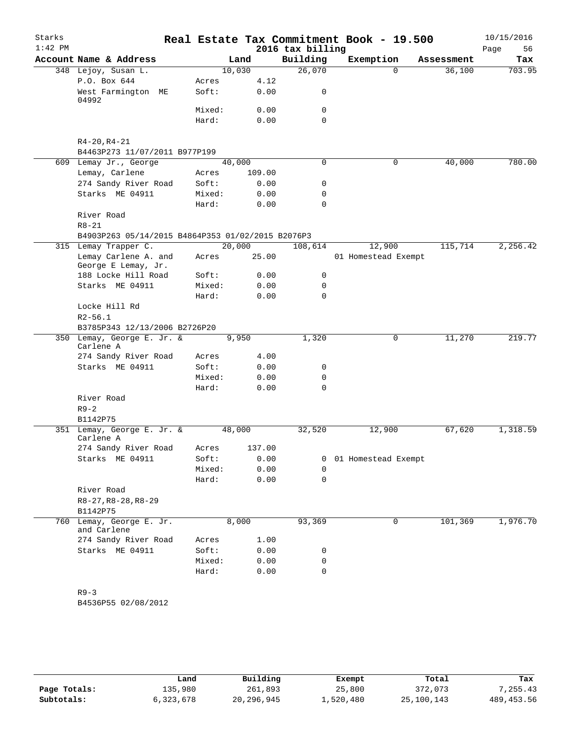| Starks    |                                                   |    |                 |        |                  | Real Estate Tax Commitment Book - 19.500 |            | 10/15/2016 |
|-----------|---------------------------------------------------|----|-----------------|--------|------------------|------------------------------------------|------------|------------|
| $1:42$ PM |                                                   |    |                 |        | 2016 tax billing |                                          |            | Page<br>56 |
|           | Account Name & Address                            |    |                 | Land   | Building         | Exemption                                | Assessment | Tax        |
|           | 348 Lejoy, Susan L.                               |    | 10,030          |        | 26,070           | $\Omega$                                 | 36,100     | 703.95     |
|           | P.O. Box 644                                      |    | Acres           | 4.12   |                  |                                          |            |            |
|           | West Farmington<br>04992                          | МE | Soft:           | 0.00   | 0                |                                          |            |            |
|           |                                                   |    | Mixed:          | 0.00   | 0                |                                          |            |            |
|           |                                                   |    | Hard:           | 0.00   | $\Omega$         |                                          |            |            |
|           |                                                   |    |                 |        |                  |                                          |            |            |
|           | $R4 - 20, R4 - 21$                                |    |                 |        |                  |                                          |            |            |
|           | B4463P273 11/07/2011 B977P199                     |    |                 |        | $\mathbf 0$      | $\mathbf 0$                              |            | 780.00     |
|           | 609 Lemay Jr., George<br>Lemay, Carlene           |    | 40,000<br>Acres | 109.00 |                  |                                          | 40,000     |            |
|           | 274 Sandy River Road                              |    | Soft:           | 0.00   | 0                |                                          |            |            |
|           | Starks ME 04911                                   |    | Mixed:          | 0.00   | 0                |                                          |            |            |
|           |                                                   |    | Hard:           | 0.00   | 0                |                                          |            |            |
|           | River Road                                        |    |                 |        |                  |                                          |            |            |
|           | $R8 - 21$                                         |    |                 |        |                  |                                          |            |            |
|           | B4903P263 05/14/2015 B4864P353 01/02/2015 B2076P3 |    |                 |        |                  |                                          |            |            |
|           | 315 Lemay Trapper C.                              |    | 20,000          |        | 108,614          | 12,900                                   | 115,714    | 2,256.42   |
|           | Lemay Carlene A. and<br>George E Lemay, Jr.       |    | Acres           | 25.00  |                  | 01 Homestead Exempt                      |            |            |
|           | 188 Locke Hill Road                               |    | Soft:           | 0.00   | 0                |                                          |            |            |
|           | Starks ME 04911                                   |    | Mixed:          | 0.00   | 0                |                                          |            |            |
|           |                                                   |    | Hard:           | 0.00   | $\Omega$         |                                          |            |            |
|           | Locke Hill Rd                                     |    |                 |        |                  |                                          |            |            |
|           | $R2 - 56.1$                                       |    |                 |        |                  |                                          |            |            |
|           | B3785P343 12/13/2006 B2726P20                     |    |                 |        |                  |                                          |            |            |
|           | 350 Lemay, George E. Jr. &<br>Carlene A           |    |                 | 9,950  | 1,320            | 0                                        | 11,270     | 219.77     |
|           | 274 Sandy River Road                              |    | Acres           | 4.00   |                  |                                          |            |            |
|           | Starks ME 04911                                   |    | Soft:           | 0.00   | 0                |                                          |            |            |
|           |                                                   |    | Mixed:          | 0.00   | $\mathbf 0$      |                                          |            |            |
|           |                                                   |    | Hard:           | 0.00   | $\Omega$         |                                          |            |            |
|           | River Road                                        |    |                 |        |                  |                                          |            |            |
|           | $R9 - 2$                                          |    |                 |        |                  |                                          |            |            |
|           | B1142P75                                          |    |                 |        |                  |                                          |            |            |
|           | 351 Lemay, George E. Jr. &<br>Carlene A           |    | 48,000          |        | 32,520           | 12,900                                   | 67,620     | 1,318.59   |
|           | 274 Sandy River Road                              |    | Acres           | 137.00 |                  |                                          |            |            |
|           | Starks ME 04911                                   |    | Soft:           | 0.00   | 0                | 01 Homestead Exempt                      |            |            |
|           |                                                   |    | Mixed:          | 0.00   | $\Omega$         |                                          |            |            |
|           |                                                   |    | Hard:           | 0.00   | 0                |                                          |            |            |
|           | River Road                                        |    |                 |        |                  |                                          |            |            |
|           | $R8-27, R8-28, R8-29$                             |    |                 |        |                  |                                          |            |            |
|           | B1142P75                                          |    |                 |        |                  |                                          |            |            |
| 760       | Lemay, George E. Jr.<br>and Carlene               |    |                 | 8,000  | 93,369           | 0                                        | 101,369    | 1,976.70   |
|           | 274 Sandy River Road                              |    | Acres           | 1.00   |                  |                                          |            |            |
|           | Starks ME 04911                                   |    | Soft:           | 0.00   | 0                |                                          |            |            |
|           |                                                   |    | Mixed:          | 0.00   | 0                |                                          |            |            |
|           |                                                   |    | Hard:           | 0.00   | 0                |                                          |            |            |
|           | $R9 - 3$                                          |    |                 |        |                  |                                          |            |            |
|           | B4536P55 02/08/2012                               |    |                 |        |                  |                                          |            |            |
|           |                                                   |    |                 |        |                  |                                          |            |            |

|              | Land      | Building   | Exempt    | Total      | Tax         |
|--------------|-----------|------------|-----------|------------|-------------|
| Page Totals: | 135,980   | 261,893    | 25,800    | 372,073    | 7.255.43    |
| Subtotals:   | 6,323,678 | 20,296,945 | 1,520,480 | 25,100,143 | 489, 453.56 |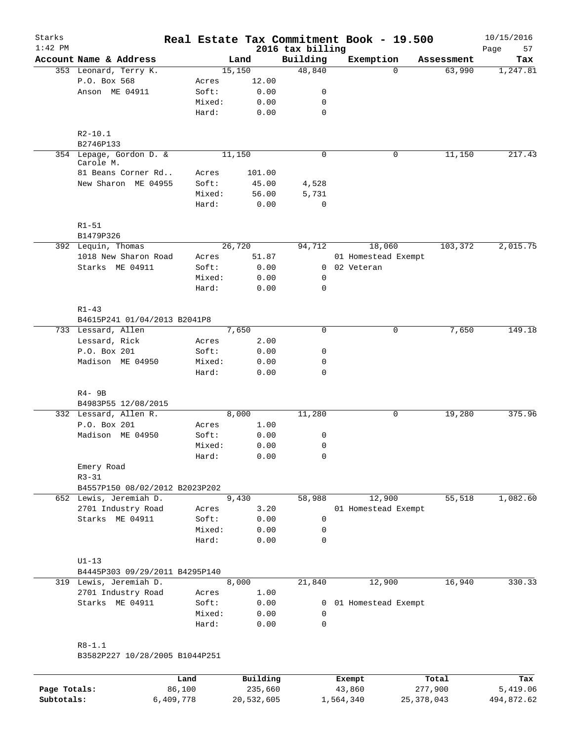| Starks<br>$1:42$ PM |                                              |        |          | 2016 tax billing | Real Estate Tax Commitment Book - 19.500 |            | 10/15/2016        |
|---------------------|----------------------------------------------|--------|----------|------------------|------------------------------------------|------------|-------------------|
|                     | Account Name & Address                       |        | Land     | Building         | Exemption                                | Assessment | Page<br>57<br>Tax |
|                     | 353 Leonard, Terry K.                        |        | 15,150   | 48,840           | $\Omega$                                 | 63,990     | 1,247.81          |
|                     | P.O. Box 568                                 | Acres  | 12.00    |                  |                                          |            |                   |
|                     | Anson ME 04911                               | Soft:  | 0.00     | 0                |                                          |            |                   |
|                     |                                              | Mixed: | 0.00     | 0                |                                          |            |                   |
|                     |                                              | Hard:  | 0.00     | $\mathbf 0$      |                                          |            |                   |
|                     | $R2 - 10.1$                                  |        |          |                  |                                          |            |                   |
|                     | B2746P133                                    |        |          |                  |                                          |            |                   |
|                     | 354 Lepage, Gordon D. &<br>Carole M.         |        | 11,150   | $\mathbf 0$      | 0                                        | 11,150     | 217.43            |
|                     | 81 Beans Corner Rd                           | Acres  | 101.00   |                  |                                          |            |                   |
|                     | New Sharon ME 04955                          | Soft:  | 45.00    | 4,528            |                                          |            |                   |
|                     |                                              | Mixed: | 56.00    | 5,731            |                                          |            |                   |
|                     |                                              | Hard:  | 0.00     | $\mathbf 0$      |                                          |            |                   |
|                     | $R1 - 51$<br>B1479P326                       |        |          |                  |                                          |            |                   |
|                     | 392 Lequin, Thomas                           |        | 26,720   | 94,712           | 18,060                                   | 103,372    | 2,015.75          |
|                     | 1018 New Sharon Road                         | Acres  | 51.87    |                  | 01 Homestead Exempt                      |            |                   |
|                     | Starks ME 04911                              | Soft:  | 0.00     | $\mathbf{0}$     | 02 Veteran                               |            |                   |
|                     |                                              | Mixed: | 0.00     | $\mathbf 0$      |                                          |            |                   |
|                     |                                              | Hard:  | 0.00     | 0                |                                          |            |                   |
|                     | $R1 - 43$                                    |        |          |                  |                                          |            |                   |
|                     | B4615P241 01/04/2013 B2041P8                 |        |          |                  |                                          |            |                   |
|                     | 733 Lessard, Allen                           |        | 7,650    | $\Omega$         | 0                                        | 7,650      | 149.18            |
|                     | Lessard, Rick                                | Acres  | 2.00     |                  |                                          |            |                   |
|                     | P.O. Box 201                                 | Soft:  | 0.00     | 0                |                                          |            |                   |
|                     | Madison ME 04950                             | Mixed: | 0.00     | $\mathbf 0$      |                                          |            |                   |
|                     |                                              | Hard:  | 0.00     | 0                |                                          |            |                   |
|                     | $R4 - 9B$                                    |        |          |                  |                                          |            |                   |
|                     | B4983P55 12/08/2015                          |        |          |                  |                                          |            |                   |
|                     | 332 Lessard, Allen R.                        |        | 8,000    | 11,280           | 0                                        | 19,280     | 375.96            |
|                     | P.O. Box 201                                 | Acres  | 1.00     |                  |                                          |            |                   |
|                     | Madison ME 04950                             | Soft:  | 0.00     | 0                |                                          |            |                   |
|                     |                                              | Mixed: | 0.00     | $\mathbf 0$      |                                          |            |                   |
|                     |                                              | Hard:  | 0.00     | 0                |                                          |            |                   |
|                     | Emery Road<br>$R3 - 31$                      |        |          |                  |                                          |            |                   |
|                     | B4557P150 08/02/2012 B2023P202               |        |          |                  |                                          |            |                   |
|                     | 652 Lewis, Jeremiah D.                       |        | 9,430    | 58,988           | 12,900                                   | 55,518     | 1,082.60          |
|                     | 2701 Industry Road                           | Acres  | 3.20     |                  | 01 Homestead Exempt                      |            |                   |
|                     | Starks ME 04911                              | Soft:  | 0.00     | $\mathbf 0$      |                                          |            |                   |
|                     |                                              | Mixed: | 0.00     | 0                |                                          |            |                   |
|                     |                                              | Hard:  | 0.00     | 0                |                                          |            |                   |
|                     | $U1-13$                                      |        |          |                  |                                          |            |                   |
|                     | B4445P303 09/29/2011 B4295P140               |        |          |                  |                                          |            |                   |
|                     | 319 Lewis, Jeremiah D.                       |        | 8,000    | 21,840           | 12,900                                   | 16,940     | 330.33            |
|                     | 2701 Industry Road                           | Acres  | 1.00     |                  |                                          |            |                   |
|                     | Starks ME 04911                              | Soft:  | 0.00     |                  | 0 01 Homestead Exempt                    |            |                   |
|                     |                                              | Mixed: | 0.00     | 0                |                                          |            |                   |
|                     |                                              | Hard:  | 0.00     | 0                |                                          |            |                   |
|                     | $R8 - 1.1$<br>B3582P227 10/28/2005 B1044P251 |        |          |                  |                                          |            |                   |
|                     |                                              | Land   | Building |                  | Exempt                                   | Total      | Tax               |

|              | Land      | Building   | Exempt    | Total        | Tax        |
|--------------|-----------|------------|-----------|--------------|------------|
| Page Totals: | 86,100    | 235,660    | 43,860    | 277,900      | 5,419.06   |
| Subtotals:   | 6,409,778 | 20,532,605 | 1,564,340 | 25, 378, 043 | 494,872.62 |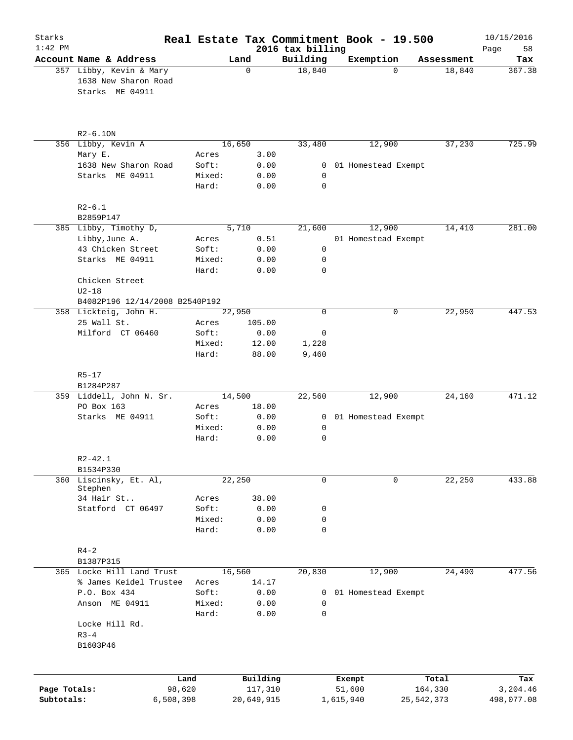| Starks<br>$1:42$ PM        |                                                                    |                 |                       | 2016 tax billing  | Real Estate Tax Commitment Book - 19.500 |                         | 10/15/2016             |
|----------------------------|--------------------------------------------------------------------|-----------------|-----------------------|-------------------|------------------------------------------|-------------------------|------------------------|
|                            | Account Name & Address                                             |                 | Land                  | Building          | Exemption                                | Assessment              | 58<br>Page<br>Tax      |
|                            | 357 Libby, Kevin & Mary<br>1638 New Sharon Road<br>Starks ME 04911 |                 | $\mathbf 0$           | 18,840            | $\Omega$                                 | 18,840                  | 367.38                 |
|                            | $R2 - 6.10N$                                                       |                 |                       |                   |                                          |                         |                        |
|                            | 356 Libby, Kevin A                                                 |                 | 16,650                | 33,480            | 12,900                                   | 37,230                  | 725.99                 |
|                            | Mary E.                                                            | Acres           | 3.00                  |                   |                                          |                         |                        |
|                            | 1638 New Sharon Road                                               | Soft:           | 0.00                  | 0                 | 01 Homestead Exempt                      |                         |                        |
|                            | Starks ME 04911                                                    | Mixed:<br>Hard: | 0.00<br>0.00          | 0<br>0            |                                          |                         |                        |
|                            | $R2 - 6.1$<br>B2859P147                                            |                 |                       |                   |                                          |                         |                        |
|                            | 385 Libby, Timothy D,                                              |                 | 5,710                 | 21,600            | 12,900                                   | 14,410                  | 281.00                 |
|                            | Libby, June A.                                                     | Acres           | 0.51                  |                   | 01 Homestead Exempt                      |                         |                        |
|                            | 43 Chicken Street                                                  | Soft:           | 0.00                  | $\mathsf{O}$      |                                          |                         |                        |
|                            | Starks ME 04911                                                    | Mixed:          | 0.00                  | 0                 |                                          |                         |                        |
|                            |                                                                    | Hard:           | 0.00                  | 0                 |                                          |                         |                        |
|                            | Chicken Street<br>$U2-18$                                          |                 |                       |                   |                                          |                         |                        |
|                            | B4082P196 12/14/2008 B2540P192<br>358 Lickteig, John H.            |                 |                       | $\mathbf 0$       |                                          |                         |                        |
|                            | 25 Wall St.                                                        | Acres           | 22,950<br>105.00      |                   | 0                                        | 22,950                  | 447.53                 |
|                            | Milford CT 06460                                                   | Soft:           | 0.00                  | 0                 |                                          |                         |                        |
|                            |                                                                    | Mixed:          | 12.00                 | 1,228             |                                          |                         |                        |
|                            |                                                                    | Hard:           | 88.00                 | 9,460             |                                          |                         |                        |
|                            | $R5 - 17$                                                          |                 |                       |                   |                                          |                         |                        |
|                            | B1284P287<br>359 Liddell, John N. Sr.                              |                 | 14,500                | 22,560            | 12,900                                   | 24,160                  | 471.12                 |
|                            | PO Box 163                                                         | Acres           | 18.00                 |                   |                                          |                         |                        |
|                            | Starks ME 04911                                                    | Soft:           | 0.00                  |                   | 0 01 Homestead Exempt                    |                         |                        |
|                            |                                                                    | Mixed:          | 0.00                  | 0                 |                                          |                         |                        |
|                            |                                                                    | Hard:           | 0.00                  | 0                 |                                          |                         |                        |
|                            | $R2 - 42.1$<br>B1534P330                                           |                 |                       |                   |                                          |                         |                        |
|                            | 360 Liscinsky, Et. Al,                                             |                 | 22,250                | 0                 | $\mathbf 0$                              | 22,250                  | 433.88                 |
|                            | Stephen                                                            |                 |                       |                   |                                          |                         |                        |
|                            | 34 Hair St<br>Statford CT 06497                                    | Acres           | 38.00                 |                   |                                          |                         |                        |
|                            |                                                                    | Soft:<br>Mixed: | 0.00<br>0.00          | 0<br>0            |                                          |                         |                        |
|                            |                                                                    | Hard:           | 0.00                  | 0                 |                                          |                         |                        |
|                            | $R4 - 2$                                                           |                 |                       |                   |                                          |                         |                        |
|                            | B1387P315<br>365 Locke Hill Land Trust                             |                 | 16,560                | 20,830            | 12,900                                   | 24,490                  | 477.56                 |
|                            | % James Keidel Trustee                                             | Acres           | 14.17                 |                   |                                          |                         |                        |
|                            | P.O. Box 434                                                       | Soft:           | 0.00                  | 0                 | 01 Homestead Exempt                      |                         |                        |
|                            | Anson ME 04911                                                     | Mixed:<br>Hard: | 0.00<br>0.00          | $\mathsf{O}$<br>0 |                                          |                         |                        |
|                            | Locke Hill Rd.<br>$R3 - 4$                                         |                 |                       |                   |                                          |                         |                        |
|                            | B1603P46                                                           |                 |                       |                   |                                          |                         |                        |
|                            |                                                                    |                 |                       |                   |                                          |                         |                        |
|                            |                                                                    | Land            | Building              |                   | Exempt                                   | Total                   | Tax                    |
| Page Totals:<br>Subtotals: | 6,508,398                                                          | 98,620          | 117,310<br>20,649,915 |                   | 51,600<br>1,615,940                      | 164,330<br>25, 542, 373 | 3,204.46<br>498,077.08 |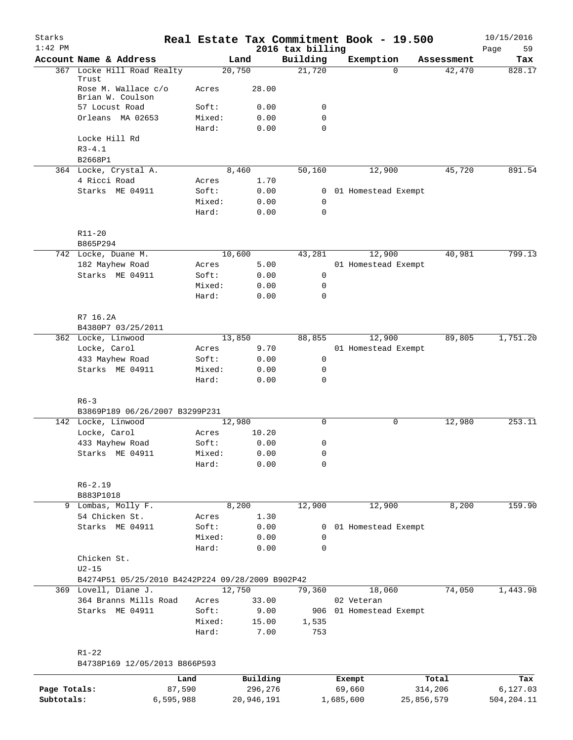| Starks<br>$1:42$ PM |                                                  |                 |               | 2016 tax billing | Real Estate Tax Commitment Book - 19.500 |                    | 10/15/2016<br>59<br>Page |
|---------------------|--------------------------------------------------|-----------------|---------------|------------------|------------------------------------------|--------------------|--------------------------|
|                     | Account Name & Address                           |                 | Land          | Building         | Exemption                                | Assessment         | Tax                      |
|                     | 367 Locke Hill Road Realty<br>Trust              | 20,750          |               | 21,720           |                                          | $\Omega$<br>42,470 | 828.17                   |
|                     | Rose M. Wallace c/o<br>Brian W. Coulson          | Acres           | 28.00         |                  |                                          |                    |                          |
|                     | 57 Locust Road                                   | Soft:           | 0.00          | 0                |                                          |                    |                          |
|                     | Orleans MA 02653                                 | Mixed:          | 0.00          | 0                |                                          |                    |                          |
|                     |                                                  | Hard:           | 0.00          | 0                |                                          |                    |                          |
|                     | Locke Hill Rd                                    |                 |               |                  |                                          |                    |                          |
|                     | $R3 - 4.1$                                       |                 |               |                  |                                          |                    |                          |
|                     | B2668P1                                          |                 |               |                  |                                          |                    |                          |
|                     | 364 Locke, Crystal A.                            | 8,460           |               | 50,160           | 12,900                                   | 45,720             | 891.54                   |
|                     | 4 Ricci Road<br>Starks ME 04911                  | Acres<br>Soft:  | 1.70<br>0.00  | $\mathbf{0}$     | 01 Homestead Exempt                      |                    |                          |
|                     |                                                  | Mixed:          | 0.00          | 0                |                                          |                    |                          |
|                     |                                                  | Hard:           | 0.00          | $\mathbf 0$      |                                          |                    |                          |
|                     |                                                  |                 |               |                  |                                          |                    |                          |
|                     | $R11 - 20$                                       |                 |               |                  |                                          |                    |                          |
|                     | B865P294                                         |                 |               |                  |                                          |                    |                          |
|                     | 742 Locke, Duane M.                              | 10,600          |               | 43,281           | 12,900                                   | 40,981             | 799.13                   |
|                     | 182 Mayhew Road                                  | Acres           | 5.00          |                  | 01 Homestead Exempt                      |                    |                          |
|                     | Starks ME 04911                                  | Soft:           | 0.00          | 0                |                                          |                    |                          |
|                     |                                                  | Mixed:          | 0.00          | 0                |                                          |                    |                          |
|                     |                                                  | Hard:           | 0.00          | 0                |                                          |                    |                          |
|                     |                                                  |                 |               |                  |                                          |                    |                          |
|                     | R7 16.2A                                         |                 |               |                  |                                          |                    |                          |
|                     | B4380P7 03/25/2011                               |                 |               |                  | 12,900                                   |                    | 1,751.20                 |
|                     | 362 Locke, Linwood<br>Locke, Carol               | 13,850<br>Acres | 9.70          | 88,855           | 01 Homestead Exempt                      | 89,805             |                          |
|                     | 433 Mayhew Road                                  | Soft:           | 0.00          | 0                |                                          |                    |                          |
|                     | Starks ME 04911                                  | Mixed:          | 0.00          | 0                |                                          |                    |                          |
|                     |                                                  | Hard:           | 0.00          | $\mathbf 0$      |                                          |                    |                          |
|                     |                                                  |                 |               |                  |                                          |                    |                          |
|                     | $R6 - 3$                                         |                 |               |                  |                                          |                    |                          |
|                     | B3869P189 06/26/2007 B3299P231                   |                 |               |                  |                                          |                    |                          |
|                     | 142 Locke, Linwood                               | 12,980          |               | $\mathbf 0$      |                                          | 12,980<br>0        | 253.11                   |
|                     | Locke, Carol                                     | Acres           | 10.20         |                  |                                          |                    |                          |
|                     | 433 Mayhew Road                                  | Soft:           | 0.00          | 0                |                                          |                    |                          |
|                     | Starks ME 04911                                  | Mixed:          | 0.00          | 0                |                                          |                    |                          |
|                     |                                                  | Hard:           | 0.00          | 0                |                                          |                    |                          |
|                     | $R6 - 2.19$                                      |                 |               |                  |                                          |                    |                          |
|                     | B883P1018                                        |                 |               |                  |                                          |                    |                          |
|                     | 9 Lombas, Molly F.                               | 8,200           |               | 12,900           | 12,900                                   | 8,200              | 159.90                   |
|                     | 54 Chicken St.                                   | Acres           | 1.30          |                  |                                          |                    |                          |
|                     | Starks ME 04911                                  | Soft:           | 0.00          | 0                | 01 Homestead Exempt                      |                    |                          |
|                     |                                                  | Mixed:          | 0.00          | 0                |                                          |                    |                          |
|                     |                                                  | Hard:           | 0.00          | $\mathbf 0$      |                                          |                    |                          |
|                     | Chicken St.                                      |                 |               |                  |                                          |                    |                          |
|                     | $U2-15$                                          |                 |               |                  |                                          |                    |                          |
|                     | B4274P51 05/25/2010 B4242P224 09/28/2009 B902P42 |                 |               |                  |                                          |                    |                          |
|                     | 369 Lovell, Diane J.                             | 12,750          |               | 79,360           | 18,060                                   | 74,050             | 1,443.98                 |
|                     | 364 Branns Mills Road<br>Starks ME 04911         | Acres<br>Soft:  | 33.00<br>9.00 |                  | 02 Veteran<br>906 01 Homestead Exempt    |                    |                          |
|                     |                                                  | Mixed:          | 15.00         | 1,535            |                                          |                    |                          |
|                     |                                                  | Hard:           | 7.00          | 753              |                                          |                    |                          |
|                     |                                                  |                 |               |                  |                                          |                    |                          |
|                     | $R1 - 22$                                        |                 |               |                  |                                          |                    |                          |
|                     | B4738P169 12/05/2013 B866P593                    |                 |               |                  |                                          |                    |                          |
|                     |                                                  | Land            | Building      |                  |                                          | Total              | Tax                      |
| Page Totals:        |                                                  | 87,590          | 296,276       |                  | Exempt<br>69,660                         | 314,206            | 6,127.03                 |
|                     |                                                  |                 |               |                  |                                          |                    |                          |

**Subtotals:** 6,595,988 20,946,191 1,685,600 25,856,579 504,204.11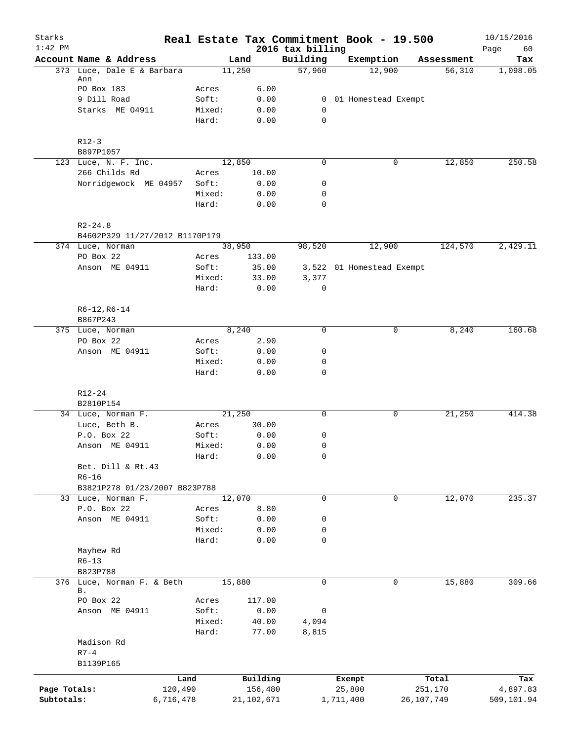| Starks       |                                            |           |                 |                              | Real Estate Tax Commitment Book - 19.500 |              | 10/15/2016        |
|--------------|--------------------------------------------|-----------|-----------------|------------------------------|------------------------------------------|--------------|-------------------|
| $1:42$ PM    | Account Name & Address                     |           | Land            | 2016 tax billing<br>Building | Exemption                                | Assessment   | 60<br>Page<br>Tax |
|              | 373 Luce, Dale E & Barbara                 |           | 11,250          | 57,960                       | 12,900                                   | 56,310       | 1,098.05          |
|              | Ann<br>PO Box 183                          | Acres     | 6.00            |                              |                                          |              |                   |
|              | 9 Dill Road                                | Soft:     | 0.00            | $\mathbf{0}$                 | 01 Homestead Exempt                      |              |                   |
|              | Starks ME 04911                            | Mixed:    | 0.00            | $\mathbf 0$                  |                                          |              |                   |
|              |                                            | Hard:     | 0.00            | $\mathbf 0$                  |                                          |              |                   |
|              | $R12-3$                                    |           |                 |                              |                                          |              |                   |
|              | B897P1057                                  |           |                 |                              |                                          |              |                   |
|              | 123 Luce, N. F. Inc.<br>266 Childs Rd      | Acres     | 12,850<br>10.00 | 0                            | 0                                        | 12,850       | 250.58            |
|              | Norridgewock ME 04957                      | Soft:     | 0.00            | 0                            |                                          |              |                   |
|              |                                            | Mixed:    | 0.00            | $\mathbf 0$                  |                                          |              |                   |
|              |                                            | Hard:     | 0.00            | $\mathbf 0$                  |                                          |              |                   |
|              | $R2 - 24.8$                                |           |                 |                              |                                          |              |                   |
|              | B4602P329 11/27/2012 B1170P179             |           |                 |                              |                                          |              |                   |
|              | 374 Luce, Norman                           |           | 38,950          | 98,520                       | 12,900                                   | 124,570      | 2,429.11          |
|              | PO Box 22                                  | Acres     | 133.00          |                              |                                          |              |                   |
|              | Anson ME 04911                             | Soft:     | 35.00           |                              | 3,522 01 Homestead Exempt                |              |                   |
|              |                                            | Mixed:    | 33.00           | 3,377                        |                                          |              |                   |
|              |                                            | Hard:     | 0.00            | 0                            |                                          |              |                   |
|              | $R6-12, R6-14$<br>B867P243                 |           |                 |                              |                                          |              |                   |
|              | 375 Luce, Norman                           |           | 8,240           | $\Omega$                     | $\mathbf 0$                              | 8,240        | 160.68            |
|              | PO Box 22                                  | Acres     | 2.90            |                              |                                          |              |                   |
|              | Anson ME 04911                             | Soft:     | 0.00            | 0                            |                                          |              |                   |
|              |                                            | Mixed:    | 0.00            | $\mathbf 0$                  |                                          |              |                   |
|              |                                            | Hard:     | 0.00            | $\mathbf 0$                  |                                          |              |                   |
|              | R12-24                                     |           |                 |                              |                                          |              |                   |
|              | B2810P154                                  |           |                 |                              |                                          |              |                   |
|              | 34 Luce, Norman F.                         |           | 21,250          | 0                            | 0                                        | 21,250       | 414.38            |
|              | Luce, Beth B.                              | Acres     | 30.00           |                              |                                          |              |                   |
|              | P.O. Box 22                                | Soft:     | 0.00            | 0                            |                                          |              |                   |
|              | Anson ME 04911                             | Mixed:    | 0.00            | $\mathbf 0$                  |                                          |              |                   |
|              |                                            | Hard:     | 0.00            | $\mathsf{O}\xspace$          |                                          |              |                   |
|              | Bet. Dill & Rt.43                          |           |                 |                              |                                          |              |                   |
|              | $R6 - 16$<br>B3821P278 01/23/2007 B823P788 |           |                 |                              |                                          |              |                   |
|              | 33 Luce, Norman F.                         |           | 12,070          | 0                            | 0                                        | 12,070       | 235.37            |
|              | P.O. Box 22                                | Acres     | 8.80            |                              |                                          |              |                   |
|              | Anson ME 04911                             | Soft:     | 0.00            | 0                            |                                          |              |                   |
|              |                                            | Mixed:    | 0.00            | 0                            |                                          |              |                   |
|              |                                            | Hard:     | 0.00            | $\mathbf 0$                  |                                          |              |                   |
|              | Mayhew Rd                                  |           |                 |                              |                                          |              |                   |
|              | $R6 - 13$                                  |           |                 |                              |                                          |              |                   |
|              | B823P788                                   |           |                 |                              |                                          |              |                   |
|              | 376 Luce, Norman F. & Beth                 |           | 15,880          | $\mathbf 0$                  | 0                                        | 15,880       | 309.66            |
|              | Β.                                         |           |                 |                              |                                          |              |                   |
|              | PO Box 22                                  | Acres     | 117.00          |                              |                                          |              |                   |
|              | Anson ME 04911                             | Soft:     | 0.00            | 0                            |                                          |              |                   |
|              |                                            | Mixed:    | 40.00           | 4,094                        |                                          |              |                   |
|              | Madison Rd                                 | Hard:     | 77.00           | 8,815                        |                                          |              |                   |
|              | $R7-4$                                     |           |                 |                              |                                          |              |                   |
|              | B1139P165                                  |           |                 |                              |                                          |              |                   |
|              |                                            | Land      | Building        |                              | Exempt                                   | Total        | Tax               |
| Page Totals: |                                            | 120,490   | 156,480         |                              | 25,800                                   | 251,170      | 4,897.83          |
| Subtotals:   |                                            | 6,716,478 | 21, 102, 671    |                              | 1,711,400                                | 26, 107, 749 | 509,101.94        |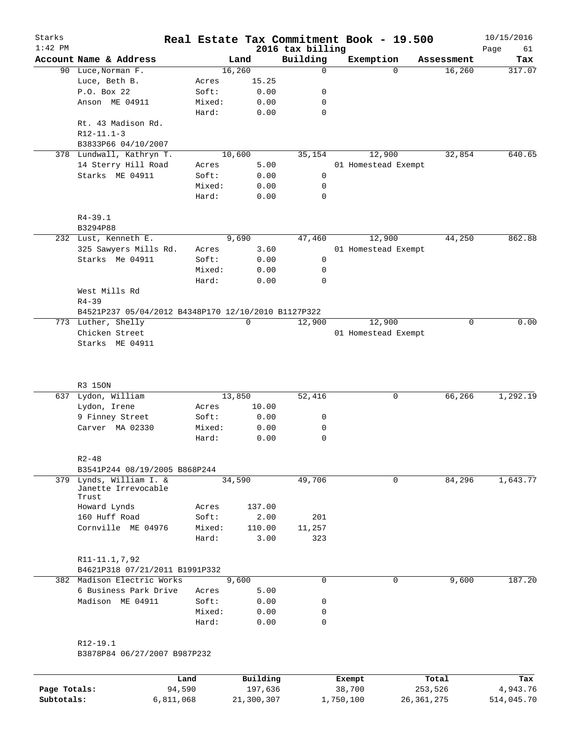| Starks<br>$1:42$ PM |                                                     |        |        |       | 2016 tax billing | Real Estate Tax Commitment Book - 19.500 |             | 10/15/2016<br>61<br>Page |
|---------------------|-----------------------------------------------------|--------|--------|-------|------------------|------------------------------------------|-------------|--------------------------|
|                     | Account Name & Address                              |        | Land   |       | Building         | Exemption                                | Assessment  | Tax                      |
|                     | 90 Luce, Norman F.                                  |        | 16,260 |       | $\mathbf 0$      | $\Omega$                                 | 16,260      | 317.07                   |
|                     | Luce, Beth B.                                       | Acres  |        | 15.25 |                  |                                          |             |                          |
|                     | P.O. Box 22                                         | Soft:  |        | 0.00  | 0                |                                          |             |                          |
|                     | Anson ME 04911                                      | Mixed: |        | 0.00  | 0                |                                          |             |                          |
|                     |                                                     | Hard:  |        | 0.00  | $\mathbf 0$      |                                          |             |                          |
|                     | Rt. 43 Madison Rd.                                  |        |        |       |                  |                                          |             |                          |
|                     | $R12 - 11.1 - 3$                                    |        |        |       |                  |                                          |             |                          |
|                     | B3833P66 04/10/2007                                 |        |        |       |                  |                                          |             |                          |
|                     | 378 Lundwall, Kathryn T.                            |        | 10,600 |       | 35,154           | 12,900                                   | 32,854      | 640.65                   |
|                     | 14 Sterry Hill Road                                 | Acres  |        | 5.00  |                  | 01 Homestead Exempt                      |             |                          |
|                     | Starks ME 04911                                     | Soft:  |        | 0.00  | $\mathbf 0$      |                                          |             |                          |
|                     |                                                     | Mixed: |        | 0.00  | 0                |                                          |             |                          |
|                     |                                                     | Hard:  |        | 0.00  | $\mathbf 0$      |                                          |             |                          |
|                     |                                                     |        |        |       |                  |                                          |             |                          |
|                     | $R4 - 39.1$                                         |        |        |       |                  |                                          |             |                          |
|                     | B3294P88                                            |        |        |       |                  |                                          |             |                          |
|                     | 232 Lust, Kenneth E.                                |        | 9,690  |       | 47,460           | 12,900                                   | 44,250      | 862.88                   |
|                     | 325 Sawyers Mills Rd.                               | Acres  |        | 3.60  |                  | 01 Homestead Exempt                      |             |                          |
|                     | Starks Me 04911                                     | Soft:  |        | 0.00  | $\mathbf 0$      |                                          |             |                          |
|                     |                                                     | Mixed: |        | 0.00  | 0                |                                          |             |                          |
|                     |                                                     | Hard:  |        | 0.00  | $\mathbf 0$      |                                          |             |                          |
|                     | West Mills Rd                                       |        |        |       |                  |                                          |             |                          |
|                     |                                                     |        |        |       |                  |                                          |             |                          |
|                     | $R4 - 39$                                           |        |        |       |                  |                                          |             |                          |
|                     | B4521P237 05/04/2012 B4348P170 12/10/2010 B1127P322 |        |        |       |                  |                                          |             |                          |
|                     | 773 Luther, Shelly                                  |        | 0      |       | 12,900           | 12,900                                   | $\mathbf 0$ | 0.00                     |
|                     | Chicken Street<br>Starks ME 04911                   |        |        |       |                  | 01 Homestead Exempt                      |             |                          |
|                     | R3 150N                                             |        |        |       |                  |                                          |             |                          |
|                     | 637 Lydon, William                                  |        | 13,850 |       | 52,416           | 0                                        | 66,266      | 1,292.19                 |
|                     | Lydon, Irene                                        | Acres  |        | 10.00 |                  |                                          |             |                          |
|                     | 9 Finney Street                                     | Soft:  |        | 0.00  | $\mathbf 0$      |                                          |             |                          |
|                     | Carver MA 02330                                     | Mixed: |        | 0.00  | 0                |                                          |             |                          |
|                     |                                                     | Hard:  |        | 0.00  | 0                |                                          |             |                          |
|                     |                                                     |        |        |       |                  |                                          |             |                          |
|                     | $R2 - 48$                                           |        |        |       |                  |                                          |             |                          |
|                     | B3541P244 08/19/2005 B868P244                       |        |        |       |                  |                                          |             |                          |
|                     | 379 Lynds, William I. &                             |        | 34,590 |       | 49,706           | 0                                        | 84,296      | 1,643.77                 |
|                     | Janette Irrevocable                                 |        |        |       |                  |                                          |             |                          |
|                     | Trust                                               |        |        |       |                  |                                          |             |                          |
|                     | Howard Lynds                                        | Acres  | 137.00 |       |                  |                                          |             |                          |
|                     | 160 Huff Road                                       | Soft:  |        | 2.00  | 201              |                                          |             |                          |
|                     | Cornville ME 04976                                  | Mixed: | 110.00 |       | 11,257           |                                          |             |                          |
|                     |                                                     | Hard:  |        | 3.00  | 323              |                                          |             |                          |
|                     |                                                     |        |        |       |                  |                                          |             |                          |
|                     | R11-11.1,7,92                                       |        |        |       |                  |                                          |             |                          |
|                     | B4621P318 07/21/2011 B1991P332                      |        |        |       | $\mathbf 0$      |                                          |             |                          |
|                     | 382 Madison Electric Works                          |        | 9,600  |       |                  | 0                                        | 9,600       | 187.20                   |
|                     | 6 Business Park Drive                               | Acres  |        | 5.00  |                  |                                          |             |                          |
|                     | Madison ME 04911                                    | Soft:  |        | 0.00  | 0                |                                          |             |                          |
|                     |                                                     | Mixed: |        | 0.00  | 0                |                                          |             |                          |
|                     |                                                     | Hard:  |        | 0.00  | 0                |                                          |             |                          |
|                     |                                                     |        |        |       |                  |                                          |             |                          |
|                     | R12-19.1                                            |        |        |       |                  |                                          |             |                          |
|                     | B3878P84 06/27/2007 B987P232                        |        |        |       |                  |                                          |             |                          |
|                     |                                                     |        |        |       |                  |                                          |             |                          |
|                     |                                                     |        |        |       |                  |                                          |             |                          |

|              | Land      | Building   | Exempt    | Total        | Tax        |
|--------------|-----------|------------|-----------|--------------|------------|
| Page Totals: | 94,590    | 197,636    | 38,700    | 253,526      | 4,943.76   |
| Subtotals:   | 6,811,068 | 21,300,307 | 1,750,100 | 26, 361, 275 | 514,045.70 |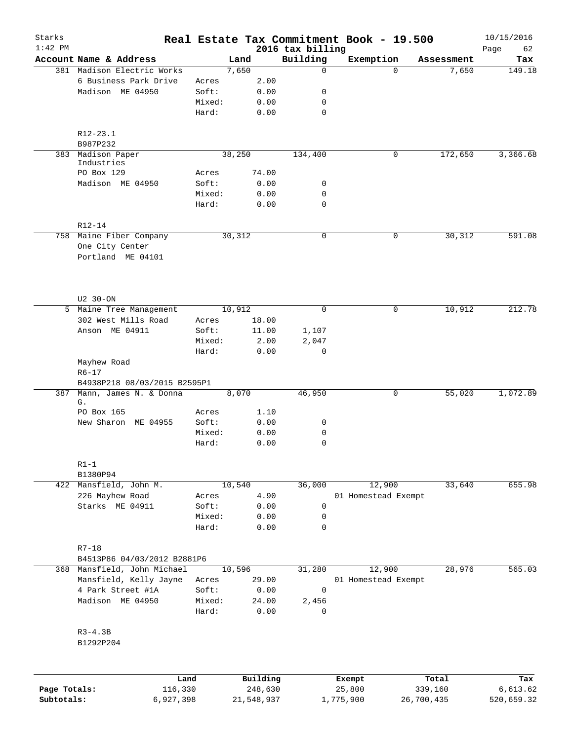| Starks<br>$1:42$ PM |                                                                 |        |                     |                              | Real Estate Tax Commitment Book - 19.500 |                  | 10/15/2016        |
|---------------------|-----------------------------------------------------------------|--------|---------------------|------------------------------|------------------------------------------|------------------|-------------------|
|                     | Account Name & Address                                          |        | Land                | 2016 tax billing<br>Building | Exemption                                | Assessment       | Page<br>62<br>Tax |
|                     | 381 Madison Electric Works                                      |        | 7,650               | 0                            | $\Omega$                                 | 7,650            | 149.18            |
|                     | 6 Business Park Drive                                           | Acres  | 2.00                |                              |                                          |                  |                   |
|                     | Madison ME 04950                                                | Soft:  | 0.00                | 0                            |                                          |                  |                   |
|                     |                                                                 | Mixed: | 0.00                | 0                            |                                          |                  |                   |
|                     |                                                                 | Hard:  | 0.00                | $\mathbf 0$                  |                                          |                  |                   |
|                     | $R12 - 23.1$                                                    |        |                     |                              |                                          |                  |                   |
|                     | B987P232                                                        |        |                     |                              |                                          |                  |                   |
|                     | 383 Madison Paper<br>Industries<br>PO Box 129                   | Acres  | 38,250<br>74.00     | 134,400                      | 0                                        | 172,650          | 3,366.68          |
|                     | Madison ME 04950                                                | Soft:  | 0.00                | 0                            |                                          |                  |                   |
|                     |                                                                 | Mixed: | 0.00                | 0                            |                                          |                  |                   |
|                     |                                                                 | Hard:  | 0.00                | 0                            |                                          |                  |                   |
|                     | R12-14                                                          |        |                     |                              |                                          |                  |                   |
|                     | 758 Maine Fiber Company<br>One City Center<br>Portland ME 04101 |        | 30,312              | 0                            | 0                                        | 30,312           | 591.08            |
|                     | U2 30-ON                                                        |        |                     |                              |                                          |                  |                   |
|                     | 5 Maine Tree Management                                         |        | 10,912              | $\mathbf 0$                  | 0                                        | 10,912           | 212.78            |
|                     | 302 West Mills Road                                             | Acres  | 18.00               |                              |                                          |                  |                   |
|                     | Anson ME 04911                                                  | Soft:  | 11.00               | 1,107                        |                                          |                  |                   |
|                     |                                                                 | Mixed: | 2.00                | 2,047                        |                                          |                  |                   |
|                     |                                                                 | Hard:  | 0.00                | 0                            |                                          |                  |                   |
|                     | Mayhew Road<br>$R6 - 17$                                        |        |                     |                              |                                          |                  |                   |
|                     | B4938P218 08/03/2015 B2595P1                                    |        |                     |                              |                                          |                  |                   |
| 387                 | Mann, James N. & Donna<br>G.                                    |        | 8,070               | 46,950                       | 0                                        | 55,020           | 1,072.89          |
|                     | PO Box 165                                                      | Acres  | 1.10                |                              |                                          |                  |                   |
|                     | New Sharon ME 04955                                             | Soft:  | 0.00                | 0                            |                                          |                  |                   |
|                     |                                                                 | Mixed: | 0.00                | 0                            |                                          |                  |                   |
|                     |                                                                 | Hard:  | 0.00                | $\mathbf 0$                  |                                          |                  |                   |
|                     | $R1-1$                                                          |        |                     |                              |                                          |                  |                   |
|                     | B1380P94<br>422 Mansfield, John M.                              |        | 10,540              | 36,000                       | 12,900                                   | 33,640           | 655.98            |
|                     | 226 Mayhew Road                                                 | Acres  | 4.90                |                              | 01 Homestead Exempt                      |                  |                   |
|                     | Starks ME 04911                                                 | Soft:  | 0.00                | $\mathsf{O}$                 |                                          |                  |                   |
|                     |                                                                 | Mixed: | 0.00                | 0                            |                                          |                  |                   |
|                     |                                                                 | Hard:  | 0.00                | $\mathbf 0$                  |                                          |                  |                   |
|                     | $R7 - 18$                                                       |        |                     |                              |                                          |                  |                   |
|                     | B4513P86 04/03/2012 B2881P6                                     |        |                     |                              |                                          |                  |                   |
|                     | 368 Mansfield, John Michael                                     |        | 10,596              | 31,280                       | 12,900                                   | 28,976           | 565.03            |
|                     | Mansfield, Kelly Jayne                                          | Acres  | 29.00               |                              | 01 Homestead Exempt                      |                  |                   |
|                     | 4 Park Street #1A                                               | Soft:  | 0.00                | 0                            |                                          |                  |                   |
|                     | Madison ME 04950                                                | Mixed: | 24.00               | 2,456                        |                                          |                  |                   |
|                     |                                                                 | Hard:  | 0.00                | 0                            |                                          |                  |                   |
|                     | $R3-4.3B$<br>B1292P204                                          |        |                     |                              |                                          |                  |                   |
|                     |                                                                 |        |                     |                              |                                          |                  |                   |
| Page Totals:        | Land<br>116,330                                                 |        | Building<br>248,630 |                              | Exempt<br>25,800                         | Total<br>339,160 | Tax<br>6,613.62   |

**Subtotals:** 6,927,398 21,548,937 1,775,900 26,700,435 520,659.32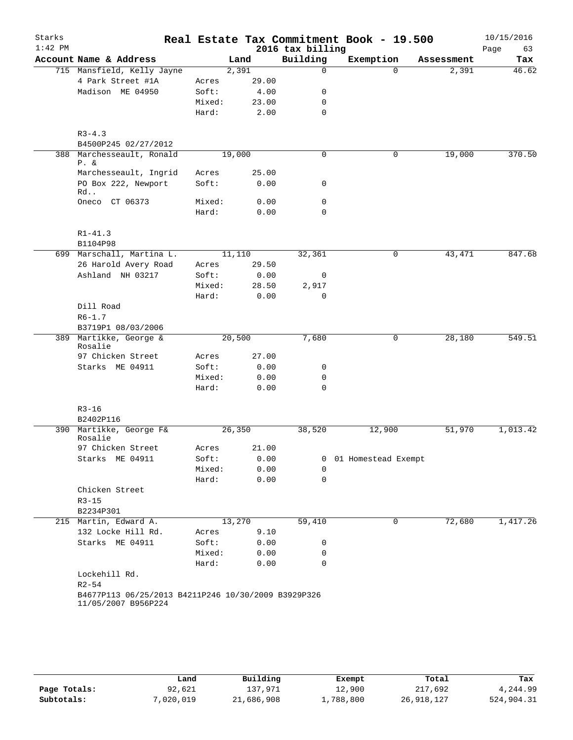| $1:42$ PM<br>Account Name & Address<br>715 Mansfield, Kelly Jayne<br>4 Park Street #1A<br>Madison ME 04950<br>$R3 - 4.3$<br>B4500P245 02/27/2012<br>388 Marchesseault, Ronald<br>$P. \&$<br>Marchesseault, Ingrid<br>PO Box 222, Newport<br>Rd<br>Oneco CT 06373<br>$R1 - 41.3$<br>B1104P98<br>699 Marschall, Martina L.<br>26 Harold Avery Road<br>Ashland NH 03217<br>Dill Road<br>$R6 - 1.7$<br>B3719P1 08/03/2006<br>389 Martikke, George &<br>Rosalie<br>97 Chicken Street<br>Starks ME 04911<br>$R3 - 16$<br>B2402P116<br>390 Martikke, George F&<br>Rosalie<br>97 Chicken Street<br>Starks ME 04911<br>Chicken Street<br>$R3 - 15$<br>B2234P301<br>215 Martin, Edward A.<br>132 Locke Hill Rd.<br>Starks ME 04911 |                 |        |              |                              | Real Estate Tax Commitment Book - 19.500 |            |      | 10/15/2016 |
|--------------------------------------------------------------------------------------------------------------------------------------------------------------------------------------------------------------------------------------------------------------------------------------------------------------------------------------------------------------------------------------------------------------------------------------------------------------------------------------------------------------------------------------------------------------------------------------------------------------------------------------------------------------------------------------------------------------------------|-----------------|--------|--------------|------------------------------|------------------------------------------|------------|------|------------|
|                                                                                                                                                                                                                                                                                                                                                                                                                                                                                                                                                                                                                                                                                                                          |                 | Land   |              | 2016 tax billing<br>Building | Exemption                                | Assessment | Page | 63<br>Tax  |
|                                                                                                                                                                                                                                                                                                                                                                                                                                                                                                                                                                                                                                                                                                                          |                 | 2,391  |              | $\Omega$                     | $\Omega$                                 | 2,391      |      | 46.62      |
|                                                                                                                                                                                                                                                                                                                                                                                                                                                                                                                                                                                                                                                                                                                          | Acres           |        | 29.00        |                              |                                          |            |      |            |
|                                                                                                                                                                                                                                                                                                                                                                                                                                                                                                                                                                                                                                                                                                                          | Soft:           |        | 4.00         | 0                            |                                          |            |      |            |
|                                                                                                                                                                                                                                                                                                                                                                                                                                                                                                                                                                                                                                                                                                                          | Mixed:          |        | 23.00        | $\mathbf 0$                  |                                          |            |      |            |
|                                                                                                                                                                                                                                                                                                                                                                                                                                                                                                                                                                                                                                                                                                                          | Hard:           |        | 2.00         | $\mathbf 0$                  |                                          |            |      |            |
|                                                                                                                                                                                                                                                                                                                                                                                                                                                                                                                                                                                                                                                                                                                          |                 |        |              |                              |                                          |            |      |            |
|                                                                                                                                                                                                                                                                                                                                                                                                                                                                                                                                                                                                                                                                                                                          |                 |        |              |                              |                                          |            |      |            |
|                                                                                                                                                                                                                                                                                                                                                                                                                                                                                                                                                                                                                                                                                                                          |                 | 19,000 |              | 0                            | 0                                        | 19,000     |      | 370.50     |
|                                                                                                                                                                                                                                                                                                                                                                                                                                                                                                                                                                                                                                                                                                                          | Acres           |        | 25.00        |                              |                                          |            |      |            |
|                                                                                                                                                                                                                                                                                                                                                                                                                                                                                                                                                                                                                                                                                                                          | Soft:           |        | 0.00         | 0                            |                                          |            |      |            |
|                                                                                                                                                                                                                                                                                                                                                                                                                                                                                                                                                                                                                                                                                                                          | Mixed:          |        | 0.00         | $\mathbf 0$                  |                                          |            |      |            |
|                                                                                                                                                                                                                                                                                                                                                                                                                                                                                                                                                                                                                                                                                                                          | Hard:           |        | 0.00         | 0                            |                                          |            |      |            |
|                                                                                                                                                                                                                                                                                                                                                                                                                                                                                                                                                                                                                                                                                                                          |                 |        |              |                              |                                          |            |      |            |
|                                                                                                                                                                                                                                                                                                                                                                                                                                                                                                                                                                                                                                                                                                                          |                 |        |              |                              |                                          |            |      |            |
|                                                                                                                                                                                                                                                                                                                                                                                                                                                                                                                                                                                                                                                                                                                          |                 | 11,110 |              | 32,361                       | 0                                        | 43,471     |      | 847.68     |
|                                                                                                                                                                                                                                                                                                                                                                                                                                                                                                                                                                                                                                                                                                                          | Acres           |        | 29.50        |                              |                                          |            |      |            |
|                                                                                                                                                                                                                                                                                                                                                                                                                                                                                                                                                                                                                                                                                                                          | Soft:           |        | 0.00         | 0                            |                                          |            |      |            |
|                                                                                                                                                                                                                                                                                                                                                                                                                                                                                                                                                                                                                                                                                                                          | Mixed:          |        | 28.50        | 2,917                        |                                          |            |      |            |
|                                                                                                                                                                                                                                                                                                                                                                                                                                                                                                                                                                                                                                                                                                                          | Hard:           |        | 0.00         | 0                            |                                          |            |      |            |
|                                                                                                                                                                                                                                                                                                                                                                                                                                                                                                                                                                                                                                                                                                                          |                 |        |              |                              |                                          |            |      |            |
|                                                                                                                                                                                                                                                                                                                                                                                                                                                                                                                                                                                                                                                                                                                          |                 |        |              |                              |                                          |            |      |            |
|                                                                                                                                                                                                                                                                                                                                                                                                                                                                                                                                                                                                                                                                                                                          |                 | 20,500 |              | 7,680                        | 0                                        | 28,180     |      | 549.51     |
|                                                                                                                                                                                                                                                                                                                                                                                                                                                                                                                                                                                                                                                                                                                          |                 |        |              |                              |                                          |            |      |            |
|                                                                                                                                                                                                                                                                                                                                                                                                                                                                                                                                                                                                                                                                                                                          | Acres           |        | 27.00        |                              |                                          |            |      |            |
|                                                                                                                                                                                                                                                                                                                                                                                                                                                                                                                                                                                                                                                                                                                          | Soft:           |        | 0.00         | 0                            |                                          |            |      |            |
|                                                                                                                                                                                                                                                                                                                                                                                                                                                                                                                                                                                                                                                                                                                          | Mixed:          |        | 0.00         | 0                            |                                          |            |      |            |
|                                                                                                                                                                                                                                                                                                                                                                                                                                                                                                                                                                                                                                                                                                                          | Hard:           |        | 0.00         | $\mathbf 0$                  |                                          |            |      |            |
|                                                                                                                                                                                                                                                                                                                                                                                                                                                                                                                                                                                                                                                                                                                          |                 |        |              |                              |                                          |            |      |            |
|                                                                                                                                                                                                                                                                                                                                                                                                                                                                                                                                                                                                                                                                                                                          |                 |        |              |                              |                                          |            |      |            |
|                                                                                                                                                                                                                                                                                                                                                                                                                                                                                                                                                                                                                                                                                                                          |                 | 26,350 |              | 38,520                       | 12,900                                   | 51,970     |      | 1,013.42   |
|                                                                                                                                                                                                                                                                                                                                                                                                                                                                                                                                                                                                                                                                                                                          | Acres           |        | 21.00        |                              |                                          |            |      |            |
|                                                                                                                                                                                                                                                                                                                                                                                                                                                                                                                                                                                                                                                                                                                          | Soft:<br>Mixed: |        | 0.00<br>0.00 | 0                            | 0 01 Homestead Exempt                    |            |      |            |
|                                                                                                                                                                                                                                                                                                                                                                                                                                                                                                                                                                                                                                                                                                                          | Hard:           |        | 0.00         | $\mathbf 0$                  |                                          |            |      |            |
|                                                                                                                                                                                                                                                                                                                                                                                                                                                                                                                                                                                                                                                                                                                          |                 |        |              |                              |                                          |            |      |            |
|                                                                                                                                                                                                                                                                                                                                                                                                                                                                                                                                                                                                                                                                                                                          |                 |        |              |                              |                                          |            |      |            |
|                                                                                                                                                                                                                                                                                                                                                                                                                                                                                                                                                                                                                                                                                                                          |                 |        |              |                              |                                          |            |      |            |
|                                                                                                                                                                                                                                                                                                                                                                                                                                                                                                                                                                                                                                                                                                                          |                 | 13,270 |              | 59,410                       | 0                                        | 72,680     |      | 1,417.26   |
|                                                                                                                                                                                                                                                                                                                                                                                                                                                                                                                                                                                                                                                                                                                          | Acres           |        | 9.10         |                              |                                          |            |      |            |
|                                                                                                                                                                                                                                                                                                                                                                                                                                                                                                                                                                                                                                                                                                                          | Soft:           |        | 0.00         | 0                            |                                          |            |      |            |
|                                                                                                                                                                                                                                                                                                                                                                                                                                                                                                                                                                                                                                                                                                                          | Mixed:          |        | 0.00         | 0                            |                                          |            |      |            |
|                                                                                                                                                                                                                                                                                                                                                                                                                                                                                                                                                                                                                                                                                                                          | Hard:           |        | 0.00         | 0                            |                                          |            |      |            |
| Lockehill Rd.                                                                                                                                                                                                                                                                                                                                                                                                                                                                                                                                                                                                                                                                                                            |                 |        |              |                              |                                          |            |      |            |
| $R2 - 54$                                                                                                                                                                                                                                                                                                                                                                                                                                                                                                                                                                                                                                                                                                                |                 |        |              |                              |                                          |            |      |            |

|              | Land      | Building   | Exempt    | Total      | Tax        |
|--------------|-----------|------------|-----------|------------|------------|
| Page Totals: | 92,621    | 137.971    | 12,900    | 217,692    | 4,244.99   |
| Subtotals:   | 7,020,019 | 21,686,908 | 1,788,800 | 26,918,127 | 524,904.31 |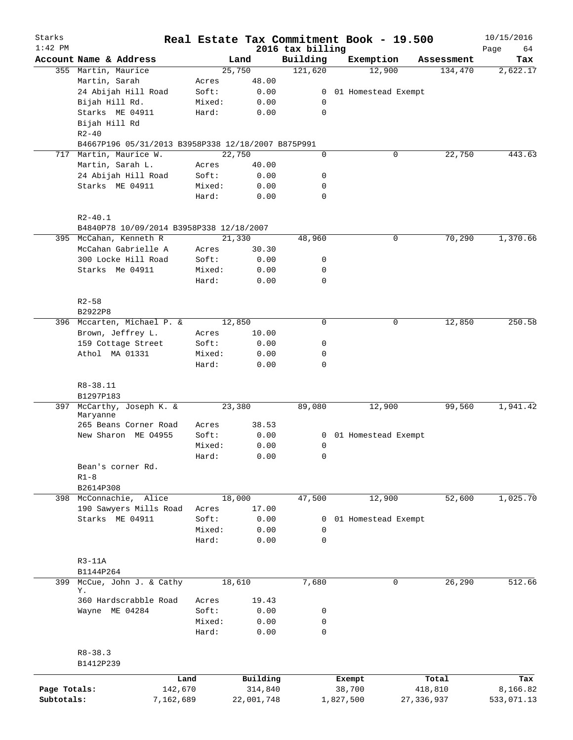| Starks<br>$1:42$ PM |                                                         |           |        |            |                              | Real Estate Tax Commitment Book - 19.500 |              |            | 10/15/2016        |
|---------------------|---------------------------------------------------------|-----------|--------|------------|------------------------------|------------------------------------------|--------------|------------|-------------------|
|                     | Account Name & Address                                  |           |        | Land       | 2016 tax billing<br>Building | Exemption                                |              | Assessment | Page<br>64<br>Tax |
|                     | 355 Martin, Maurice                                     |           |        | 25,750     | 121,620                      | 12,900                                   |              | 134,470    | 2,622.17          |
|                     | Martin, Sarah                                           |           | Acres  | 48.00      |                              |                                          |              |            |                   |
|                     | 24 Abijah Hill Road                                     |           | Soft:  | 0.00       | $\mathbf{0}$                 | 01 Homestead Exempt                      |              |            |                   |
|                     | Bijah Hill Rd.                                          |           | Mixed: | 0.00       | 0                            |                                          |              |            |                   |
|                     | Starks ME 04911                                         |           | Hard:  | 0.00       | 0                            |                                          |              |            |                   |
|                     | Bijah Hill Rd                                           |           |        |            |                              |                                          |              |            |                   |
|                     | $R2 - 40$                                               |           |        |            |                              |                                          |              |            |                   |
|                     | B4667P196 05/31/2013 B3958P338 12/18/2007 B875P991      |           |        |            |                              |                                          |              |            |                   |
| 717                 | Martin, Maurice W.                                      |           |        | 22,750     | $\mathbf 0$                  | 0                                        |              | 22,750     | 443.63            |
|                     | Martin, Sarah L.                                        |           | Acres  | 40.00      |                              |                                          |              |            |                   |
|                     | 24 Abijah Hill Road                                     |           | Soft:  | 0.00       | 0                            |                                          |              |            |                   |
|                     | Starks ME 04911                                         |           | Mixed: | 0.00       | 0                            |                                          |              |            |                   |
|                     |                                                         |           | Hard:  | 0.00       | $\mathbf 0$                  |                                          |              |            |                   |
|                     |                                                         |           |        |            |                              |                                          |              |            |                   |
|                     | $R2 - 40.1$<br>B4840P78 10/09/2014 B3958P338 12/18/2007 |           |        |            |                              |                                          |              |            |                   |
|                     | 395 McCahan, Kenneth R                                  |           |        | 21,330     | 48,960                       | 0                                        |              | 70,290     | 1,370.66          |
|                     | McCahan Gabrielle A                                     |           | Acres  | 30.30      |                              |                                          |              |            |                   |
|                     | 300 Locke Hill Road                                     |           | Soft:  | 0.00       | 0                            |                                          |              |            |                   |
|                     | Starks Me 04911                                         |           | Mixed: | 0.00       | 0                            |                                          |              |            |                   |
|                     |                                                         |           | Hard:  | 0.00       | $\mathbf 0$                  |                                          |              |            |                   |
|                     | $R2 - 58$                                               |           |        |            |                              |                                          |              |            |                   |
|                     | B2922P8                                                 |           |        |            |                              |                                          |              |            |                   |
|                     | 396 Mccarten, Michael P. &                              |           |        | 12,850     | $\mathbf 0$                  | 0                                        |              | 12,850     | 250.58            |
|                     | Brown, Jeffrey L.                                       |           | Acres  | 10.00      |                              |                                          |              |            |                   |
|                     | 159 Cottage Street                                      |           | Soft:  | 0.00       | 0                            |                                          |              |            |                   |
|                     | Athol MA 01331                                          |           | Mixed: | 0.00       | 0                            |                                          |              |            |                   |
|                     |                                                         |           | Hard:  | 0.00       | 0                            |                                          |              |            |                   |
|                     | R8-38.11                                                |           |        |            |                              |                                          |              |            |                   |
|                     | B1297P183                                               |           |        |            |                              |                                          |              |            |                   |
| 397                 | McCarthy, Joseph K. &<br>Maryanne                       |           |        | 23,380     | 89,080                       | 12,900                                   |              | 99,560     | 1,941.42          |
|                     | 265 Beans Corner Road                                   |           | Acres  | 38.53      |                              |                                          |              |            |                   |
|                     | New Sharon ME 04955                                     |           | Soft:  | 0.00       | 0                            | 01 Homestead Exempt                      |              |            |                   |
|                     |                                                         |           | Mixed: | 0.00       | 0                            |                                          |              |            |                   |
|                     |                                                         |           | Hard:  | 0.00       | 0                            |                                          |              |            |                   |
|                     | Bean's corner Rd.                                       |           |        |            |                              |                                          |              |            |                   |
|                     | $R1 - 8$                                                |           |        |            |                              |                                          |              |            |                   |
|                     | B2614P308                                               |           |        |            |                              |                                          |              |            |                   |
|                     | 398 McConnachie,<br>Alice                               |           |        | 18,000     | 47,500                       | 12,900                                   |              | 52,600     | 1,025.70          |
|                     | 190 Sawyers Mills Road                                  |           | Acres  | 17.00      |                              |                                          |              |            |                   |
|                     | Starks ME 04911                                         |           | Soft:  | 0.00       | 0                            | 01 Homestead Exempt                      |              |            |                   |
|                     |                                                         |           | Mixed: | 0.00       | $\mathbf 0$                  |                                          |              |            |                   |
|                     |                                                         |           | Hard:  | 0.00       | 0                            |                                          |              |            |                   |
|                     | $R3-11A$                                                |           |        |            |                              |                                          |              |            |                   |
|                     | B1144P264                                               |           |        |            |                              |                                          |              |            |                   |
| 399                 | McCue, John J. & Cathy                                  |           |        | 18,610     | 7,680                        | 0                                        |              | 26,290     | 512.66            |
|                     | Υ.                                                      |           |        |            |                              |                                          |              |            |                   |
|                     | 360 Hardscrabble Road                                   |           | Acres  | 19.43      |                              |                                          |              |            |                   |
|                     | Wayne ME 04284                                          |           | Soft:  | 0.00       | 0                            |                                          |              |            |                   |
|                     |                                                         |           | Mixed: | 0.00       | 0                            |                                          |              |            |                   |
|                     |                                                         |           | Hard:  | 0.00       | $\mathbf 0$                  |                                          |              |            |                   |
|                     | $R8 - 38.3$                                             |           |        |            |                              |                                          |              |            |                   |
|                     | B1412P239                                               |           |        |            |                              |                                          |              |            |                   |
|                     |                                                         | Land      |        | Building   |                              | Exempt                                   |              | Total      | Tax               |
| Page Totals:        |                                                         | 142,670   |        | 314,840    |                              | 38,700                                   |              | 418,810    | 8,166.82          |
| Subtotals:          |                                                         | 7,162,689 |        | 22,001,748 |                              | 1,827,500                                | 27, 336, 937 |            | 533,071.13        |
|                     |                                                         |           |        |            |                              |                                          |              |            |                   |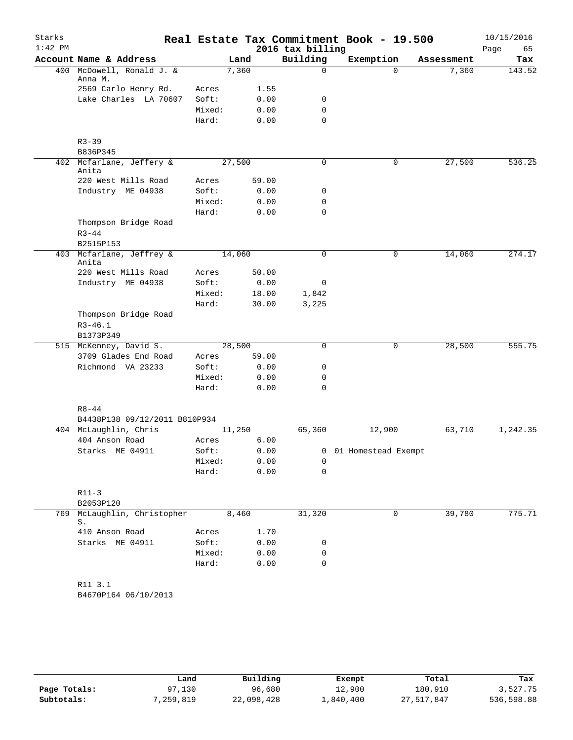| $1:42$ PM<br>2016 tax billing<br>Page<br>65<br>Building<br>Account Name & Address<br>Exemption<br>Land<br>Assessment<br>400 McDowell, Ronald J. &<br>7,360<br>0<br>7,360<br>$\Omega$<br>Anna M.<br>2569 Carlo Henry Rd.<br>Acres<br>1.55<br>Lake Charles LA 70607<br>Soft:<br>0.00<br>0<br>$\mathbf 0$<br>Mixed:<br>0.00<br>0.00<br>$\mathbf 0$<br>Hard:<br>$R3 - 39$<br>B836P345<br>402 Mcfarlane, Jeffery &<br>27,500<br>27,500<br>0<br>0<br>Anita<br>220 West Mills Road<br>59.00<br>Acres<br>Industry ME 04938<br>Soft:<br>0.00<br>0<br>Mixed:<br>0.00<br>0<br>Hard:<br>0.00<br>$\mathbf 0$<br>Thompson Bridge Road<br>$R3 - 44$<br>B2515P153<br>403 Mcfarlane, Jeffrey &<br>14,060<br>$\mathbf 0$<br>0<br>14,060<br>274.17<br>Anita<br>220 West Mills Road<br>50.00<br>Acres<br>Soft:<br>0.00<br>Industry ME 04938<br>0<br>18.00<br>Mixed:<br>1,842<br>Hard:<br>30.00<br>3,225<br>Thompson Bridge Road<br>$R3 - 46.1$<br>B1373P349<br>28,500<br>28,500<br>515 McKenney, David S.<br>$\mathbf 0$<br>0<br>3709 Glades End Road<br>59.00<br>Acres<br>Richmond VA 23233<br>0.00<br>Soft:<br>0<br>0.00<br>Mixed:<br>0<br>Hard:<br>0.00<br>$\mathbf 0$<br>$R8 - 44$<br>B4438P138 09/12/2011 B810P934<br>65,360<br>12,900<br>1,242.35<br>404 McLaughlin, Chris<br>11,250<br>63,710<br>404 Anson Road<br>6.00<br>Acres<br>Starks ME 04911<br>Soft:<br>0.00<br>0 01 Homestead Exempt<br>Mixed:<br>0.00<br>0<br>Hard:<br>0.00<br>$\mathbf 0$<br>$R11 - 3$<br>B2053P120<br>McLaughlin, Christopher<br>39,780<br>775.71<br>8,460<br>31,320<br>0<br>769<br>S.<br>410 Anson Road<br>Acres<br>1.70<br>Soft:<br>Starks ME 04911<br>0.00<br>0<br>Mixed:<br>0.00<br>0<br>$\mathbf 0$<br>Hard:<br>0.00<br>R11 3.1<br>B4670P164 06/10/2013 | Starks |  |  | Real Estate Tax Commitment Book - 19.500 |  |  | 10/15/2016 |
|-----------------------------------------------------------------------------------------------------------------------------------------------------------------------------------------------------------------------------------------------------------------------------------------------------------------------------------------------------------------------------------------------------------------------------------------------------------------------------------------------------------------------------------------------------------------------------------------------------------------------------------------------------------------------------------------------------------------------------------------------------------------------------------------------------------------------------------------------------------------------------------------------------------------------------------------------------------------------------------------------------------------------------------------------------------------------------------------------------------------------------------------------------------------------------------------------------------------------------------------------------------------------------------------------------------------------------------------------------------------------------------------------------------------------------------------------------------------------------------------------------------------------------------------------------------------------------------------------------------------------------------------------------------------------------------------------------------------------------|--------|--|--|------------------------------------------|--|--|------------|
|                                                                                                                                                                                                                                                                                                                                                                                                                                                                                                                                                                                                                                                                                                                                                                                                                                                                                                                                                                                                                                                                                                                                                                                                                                                                                                                                                                                                                                                                                                                                                                                                                                                                                                                             |        |  |  |                                          |  |  |            |
|                                                                                                                                                                                                                                                                                                                                                                                                                                                                                                                                                                                                                                                                                                                                                                                                                                                                                                                                                                                                                                                                                                                                                                                                                                                                                                                                                                                                                                                                                                                                                                                                                                                                                                                             |        |  |  |                                          |  |  | Tax        |
|                                                                                                                                                                                                                                                                                                                                                                                                                                                                                                                                                                                                                                                                                                                                                                                                                                                                                                                                                                                                                                                                                                                                                                                                                                                                                                                                                                                                                                                                                                                                                                                                                                                                                                                             |        |  |  |                                          |  |  | 143.52     |
|                                                                                                                                                                                                                                                                                                                                                                                                                                                                                                                                                                                                                                                                                                                                                                                                                                                                                                                                                                                                                                                                                                                                                                                                                                                                                                                                                                                                                                                                                                                                                                                                                                                                                                                             |        |  |  |                                          |  |  |            |
|                                                                                                                                                                                                                                                                                                                                                                                                                                                                                                                                                                                                                                                                                                                                                                                                                                                                                                                                                                                                                                                                                                                                                                                                                                                                                                                                                                                                                                                                                                                                                                                                                                                                                                                             |        |  |  |                                          |  |  |            |
|                                                                                                                                                                                                                                                                                                                                                                                                                                                                                                                                                                                                                                                                                                                                                                                                                                                                                                                                                                                                                                                                                                                                                                                                                                                                                                                                                                                                                                                                                                                                                                                                                                                                                                                             |        |  |  |                                          |  |  |            |
|                                                                                                                                                                                                                                                                                                                                                                                                                                                                                                                                                                                                                                                                                                                                                                                                                                                                                                                                                                                                                                                                                                                                                                                                                                                                                                                                                                                                                                                                                                                                                                                                                                                                                                                             |        |  |  |                                          |  |  |            |
|                                                                                                                                                                                                                                                                                                                                                                                                                                                                                                                                                                                                                                                                                                                                                                                                                                                                                                                                                                                                                                                                                                                                                                                                                                                                                                                                                                                                                                                                                                                                                                                                                                                                                                                             |        |  |  |                                          |  |  |            |
|                                                                                                                                                                                                                                                                                                                                                                                                                                                                                                                                                                                                                                                                                                                                                                                                                                                                                                                                                                                                                                                                                                                                                                                                                                                                                                                                                                                                                                                                                                                                                                                                                                                                                                                             |        |  |  |                                          |  |  |            |
|                                                                                                                                                                                                                                                                                                                                                                                                                                                                                                                                                                                                                                                                                                                                                                                                                                                                                                                                                                                                                                                                                                                                                                                                                                                                                                                                                                                                                                                                                                                                                                                                                                                                                                                             |        |  |  |                                          |  |  | 536.25     |
|                                                                                                                                                                                                                                                                                                                                                                                                                                                                                                                                                                                                                                                                                                                                                                                                                                                                                                                                                                                                                                                                                                                                                                                                                                                                                                                                                                                                                                                                                                                                                                                                                                                                                                                             |        |  |  |                                          |  |  |            |
|                                                                                                                                                                                                                                                                                                                                                                                                                                                                                                                                                                                                                                                                                                                                                                                                                                                                                                                                                                                                                                                                                                                                                                                                                                                                                                                                                                                                                                                                                                                                                                                                                                                                                                                             |        |  |  |                                          |  |  |            |
|                                                                                                                                                                                                                                                                                                                                                                                                                                                                                                                                                                                                                                                                                                                                                                                                                                                                                                                                                                                                                                                                                                                                                                                                                                                                                                                                                                                                                                                                                                                                                                                                                                                                                                                             |        |  |  |                                          |  |  |            |
|                                                                                                                                                                                                                                                                                                                                                                                                                                                                                                                                                                                                                                                                                                                                                                                                                                                                                                                                                                                                                                                                                                                                                                                                                                                                                                                                                                                                                                                                                                                                                                                                                                                                                                                             |        |  |  |                                          |  |  |            |
|                                                                                                                                                                                                                                                                                                                                                                                                                                                                                                                                                                                                                                                                                                                                                                                                                                                                                                                                                                                                                                                                                                                                                                                                                                                                                                                                                                                                                                                                                                                                                                                                                                                                                                                             |        |  |  |                                          |  |  |            |
|                                                                                                                                                                                                                                                                                                                                                                                                                                                                                                                                                                                                                                                                                                                                                                                                                                                                                                                                                                                                                                                                                                                                                                                                                                                                                                                                                                                                                                                                                                                                                                                                                                                                                                                             |        |  |  |                                          |  |  |            |
|                                                                                                                                                                                                                                                                                                                                                                                                                                                                                                                                                                                                                                                                                                                                                                                                                                                                                                                                                                                                                                                                                                                                                                                                                                                                                                                                                                                                                                                                                                                                                                                                                                                                                                                             |        |  |  |                                          |  |  |            |
|                                                                                                                                                                                                                                                                                                                                                                                                                                                                                                                                                                                                                                                                                                                                                                                                                                                                                                                                                                                                                                                                                                                                                                                                                                                                                                                                                                                                                                                                                                                                                                                                                                                                                                                             |        |  |  |                                          |  |  |            |
|                                                                                                                                                                                                                                                                                                                                                                                                                                                                                                                                                                                                                                                                                                                                                                                                                                                                                                                                                                                                                                                                                                                                                                                                                                                                                                                                                                                                                                                                                                                                                                                                                                                                                                                             |        |  |  |                                          |  |  |            |
|                                                                                                                                                                                                                                                                                                                                                                                                                                                                                                                                                                                                                                                                                                                                                                                                                                                                                                                                                                                                                                                                                                                                                                                                                                                                                                                                                                                                                                                                                                                                                                                                                                                                                                                             |        |  |  |                                          |  |  |            |
|                                                                                                                                                                                                                                                                                                                                                                                                                                                                                                                                                                                                                                                                                                                                                                                                                                                                                                                                                                                                                                                                                                                                                                                                                                                                                                                                                                                                                                                                                                                                                                                                                                                                                                                             |        |  |  |                                          |  |  |            |
|                                                                                                                                                                                                                                                                                                                                                                                                                                                                                                                                                                                                                                                                                                                                                                                                                                                                                                                                                                                                                                                                                                                                                                                                                                                                                                                                                                                                                                                                                                                                                                                                                                                                                                                             |        |  |  |                                          |  |  |            |
|                                                                                                                                                                                                                                                                                                                                                                                                                                                                                                                                                                                                                                                                                                                                                                                                                                                                                                                                                                                                                                                                                                                                                                                                                                                                                                                                                                                                                                                                                                                                                                                                                                                                                                                             |        |  |  |                                          |  |  |            |
|                                                                                                                                                                                                                                                                                                                                                                                                                                                                                                                                                                                                                                                                                                                                                                                                                                                                                                                                                                                                                                                                                                                                                                                                                                                                                                                                                                                                                                                                                                                                                                                                                                                                                                                             |        |  |  |                                          |  |  |            |
|                                                                                                                                                                                                                                                                                                                                                                                                                                                                                                                                                                                                                                                                                                                                                                                                                                                                                                                                                                                                                                                                                                                                                                                                                                                                                                                                                                                                                                                                                                                                                                                                                                                                                                                             |        |  |  |                                          |  |  |            |
|                                                                                                                                                                                                                                                                                                                                                                                                                                                                                                                                                                                                                                                                                                                                                                                                                                                                                                                                                                                                                                                                                                                                                                                                                                                                                                                                                                                                                                                                                                                                                                                                                                                                                                                             |        |  |  |                                          |  |  | 555.75     |
|                                                                                                                                                                                                                                                                                                                                                                                                                                                                                                                                                                                                                                                                                                                                                                                                                                                                                                                                                                                                                                                                                                                                                                                                                                                                                                                                                                                                                                                                                                                                                                                                                                                                                                                             |        |  |  |                                          |  |  |            |
|                                                                                                                                                                                                                                                                                                                                                                                                                                                                                                                                                                                                                                                                                                                                                                                                                                                                                                                                                                                                                                                                                                                                                                                                                                                                                                                                                                                                                                                                                                                                                                                                                                                                                                                             |        |  |  |                                          |  |  |            |
|                                                                                                                                                                                                                                                                                                                                                                                                                                                                                                                                                                                                                                                                                                                                                                                                                                                                                                                                                                                                                                                                                                                                                                                                                                                                                                                                                                                                                                                                                                                                                                                                                                                                                                                             |        |  |  |                                          |  |  |            |
|                                                                                                                                                                                                                                                                                                                                                                                                                                                                                                                                                                                                                                                                                                                                                                                                                                                                                                                                                                                                                                                                                                                                                                                                                                                                                                                                                                                                                                                                                                                                                                                                                                                                                                                             |        |  |  |                                          |  |  |            |
|                                                                                                                                                                                                                                                                                                                                                                                                                                                                                                                                                                                                                                                                                                                                                                                                                                                                                                                                                                                                                                                                                                                                                                                                                                                                                                                                                                                                                                                                                                                                                                                                                                                                                                                             |        |  |  |                                          |  |  |            |
|                                                                                                                                                                                                                                                                                                                                                                                                                                                                                                                                                                                                                                                                                                                                                                                                                                                                                                                                                                                                                                                                                                                                                                                                                                                                                                                                                                                                                                                                                                                                                                                                                                                                                                                             |        |  |  |                                          |  |  |            |
|                                                                                                                                                                                                                                                                                                                                                                                                                                                                                                                                                                                                                                                                                                                                                                                                                                                                                                                                                                                                                                                                                                                                                                                                                                                                                                                                                                                                                                                                                                                                                                                                                                                                                                                             |        |  |  |                                          |  |  |            |
|                                                                                                                                                                                                                                                                                                                                                                                                                                                                                                                                                                                                                                                                                                                                                                                                                                                                                                                                                                                                                                                                                                                                                                                                                                                                                                                                                                                                                                                                                                                                                                                                                                                                                                                             |        |  |  |                                          |  |  |            |
|                                                                                                                                                                                                                                                                                                                                                                                                                                                                                                                                                                                                                                                                                                                                                                                                                                                                                                                                                                                                                                                                                                                                                                                                                                                                                                                                                                                                                                                                                                                                                                                                                                                                                                                             |        |  |  |                                          |  |  |            |
|                                                                                                                                                                                                                                                                                                                                                                                                                                                                                                                                                                                                                                                                                                                                                                                                                                                                                                                                                                                                                                                                                                                                                                                                                                                                                                                                                                                                                                                                                                                                                                                                                                                                                                                             |        |  |  |                                          |  |  |            |
|                                                                                                                                                                                                                                                                                                                                                                                                                                                                                                                                                                                                                                                                                                                                                                                                                                                                                                                                                                                                                                                                                                                                                                                                                                                                                                                                                                                                                                                                                                                                                                                                                                                                                                                             |        |  |  |                                          |  |  |            |
|                                                                                                                                                                                                                                                                                                                                                                                                                                                                                                                                                                                                                                                                                                                                                                                                                                                                                                                                                                                                                                                                                                                                                                                                                                                                                                                                                                                                                                                                                                                                                                                                                                                                                                                             |        |  |  |                                          |  |  |            |
|                                                                                                                                                                                                                                                                                                                                                                                                                                                                                                                                                                                                                                                                                                                                                                                                                                                                                                                                                                                                                                                                                                                                                                                                                                                                                                                                                                                                                                                                                                                                                                                                                                                                                                                             |        |  |  |                                          |  |  |            |
|                                                                                                                                                                                                                                                                                                                                                                                                                                                                                                                                                                                                                                                                                                                                                                                                                                                                                                                                                                                                                                                                                                                                                                                                                                                                                                                                                                                                                                                                                                                                                                                                                                                                                                                             |        |  |  |                                          |  |  |            |
|                                                                                                                                                                                                                                                                                                                                                                                                                                                                                                                                                                                                                                                                                                                                                                                                                                                                                                                                                                                                                                                                                                                                                                                                                                                                                                                                                                                                                                                                                                                                                                                                                                                                                                                             |        |  |  |                                          |  |  |            |
|                                                                                                                                                                                                                                                                                                                                                                                                                                                                                                                                                                                                                                                                                                                                                                                                                                                                                                                                                                                                                                                                                                                                                                                                                                                                                                                                                                                                                                                                                                                                                                                                                                                                                                                             |        |  |  |                                          |  |  |            |
|                                                                                                                                                                                                                                                                                                                                                                                                                                                                                                                                                                                                                                                                                                                                                                                                                                                                                                                                                                                                                                                                                                                                                                                                                                                                                                                                                                                                                                                                                                                                                                                                                                                                                                                             |        |  |  |                                          |  |  |            |
|                                                                                                                                                                                                                                                                                                                                                                                                                                                                                                                                                                                                                                                                                                                                                                                                                                                                                                                                                                                                                                                                                                                                                                                                                                                                                                                                                                                                                                                                                                                                                                                                                                                                                                                             |        |  |  |                                          |  |  |            |
|                                                                                                                                                                                                                                                                                                                                                                                                                                                                                                                                                                                                                                                                                                                                                                                                                                                                                                                                                                                                                                                                                                                                                                                                                                                                                                                                                                                                                                                                                                                                                                                                                                                                                                                             |        |  |  |                                          |  |  |            |
|                                                                                                                                                                                                                                                                                                                                                                                                                                                                                                                                                                                                                                                                                                                                                                                                                                                                                                                                                                                                                                                                                                                                                                                                                                                                                                                                                                                                                                                                                                                                                                                                                                                                                                                             |        |  |  |                                          |  |  |            |

|              | Land        | Building   | Exempt    | Total      | Tax        |
|--------------|-------------|------------|-----------|------------|------------|
| Page Totals: | '.130<br>97 | 96,680     | 12,900    | 180,910    | 3,527.75   |
| Subtotals:   | 7,259,819   | 22,098,428 | ⊥,840,400 | 27,517,847 | 536,598.88 |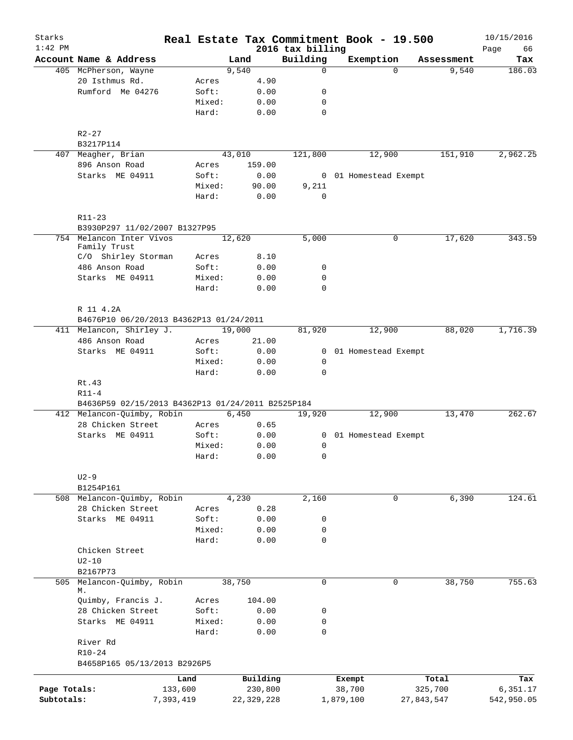| Starks<br>$1:42$ PM |                                                   |                 |              |                              | Real Estate Tax Commitment Book - 19.500 |            | 10/15/2016        |
|---------------------|---------------------------------------------------|-----------------|--------------|------------------------------|------------------------------------------|------------|-------------------|
|                     | Account Name & Address                            |                 | Land         | 2016 tax billing<br>Building | Exemption                                | Assessment | Page<br>66<br>Tax |
|                     | 405 McPherson, Wayne                              |                 | 9,540        | 0                            | $\Omega$                                 | 9,540      | 186.03            |
|                     | 20 Isthmus Rd.                                    | Acres           | 4.90         |                              |                                          |            |                   |
|                     | Rumford Me 04276                                  | Soft:           | 0.00         | 0                            |                                          |            |                   |
|                     |                                                   | Mixed:          | 0.00         | 0                            |                                          |            |                   |
|                     |                                                   | Hard:           | 0.00         | $\mathbf 0$                  |                                          |            |                   |
|                     | $R2 - 27$                                         |                 |              |                              |                                          |            |                   |
|                     | B3217P114                                         |                 |              |                              |                                          |            |                   |
|                     | 407 Meagher, Brian                                |                 | 43,010       | 121,800                      | 12,900                                   | 151,910    | 2,962.25          |
|                     | 896 Anson Road                                    | Acres           | 159.00       |                              |                                          |            |                   |
|                     | Starks ME 04911                                   | Soft:           | 0.00         |                              | 0 01 Homestead Exempt                    |            |                   |
|                     |                                                   | Mixed:          | 90.00        | 9,211                        |                                          |            |                   |
|                     |                                                   | Hard:           | 0.00         | $\mathbf 0$                  |                                          |            |                   |
|                     | R11-23<br>B3930P297 11/02/2007 B1327P95           |                 |              |                              |                                          |            |                   |
| 754                 | Melancon Inter Vivos                              |                 | 12,620       | 5,000                        | 0                                        | 17,620     | 343.59            |
|                     | Family Trust                                      |                 |              |                              |                                          |            |                   |
|                     | C/O Shirley Storman                               | Acres           | 8.10         |                              |                                          |            |                   |
|                     | 486 Anson Road                                    | Soft:           | 0.00         | 0                            |                                          |            |                   |
|                     | Starks ME 04911                                   | Mixed:          | 0.00         | $\mathbf 0$                  |                                          |            |                   |
|                     |                                                   | Hard:           | 0.00         | $\mathbf 0$                  |                                          |            |                   |
|                     | R 11 4.2A                                         |                 |              |                              |                                          |            |                   |
|                     | B4676P10 06/20/2013 B4362P13 01/24/2011           |                 |              |                              |                                          |            |                   |
|                     | 411 Melancon, Shirley J.                          |                 | 19,000       | 81,920                       | 12,900                                   | 88,020     | 1,716.39          |
|                     | 486 Anson Road                                    | Acres           | 21.00        |                              |                                          |            |                   |
|                     | Starks ME 04911                                   | Soft:           | 0.00         | $\mathbf{0}$                 | 01 Homestead Exempt                      |            |                   |
|                     |                                                   | Mixed:<br>Hard: | 0.00<br>0.00 | $\mathsf{O}$<br>$\mathbf 0$  |                                          |            |                   |
|                     | Rt.43                                             |                 |              |                              |                                          |            |                   |
|                     | $R11-4$                                           |                 |              |                              |                                          |            |                   |
|                     | B4636P59 02/15/2013 B4362P13 01/24/2011 B2525P184 |                 |              |                              |                                          |            |                   |
|                     | 412 Melancon-Quimby, Robin                        |                 | 6,450        | 19,920                       | 12,900                                   | 13,470     | 262.67            |
|                     | 28 Chicken Street                                 | Acres           | 0.65         |                              |                                          |            |                   |
|                     | Starks ME 04911                                   | Soft:           | 0.00         | $\overline{0}$               | 01 Homestead Exempt                      |            |                   |
|                     |                                                   | Mixed:          | 0.00         | 0                            |                                          |            |                   |
|                     |                                                   | Hard:           | 0.00         | 0                            |                                          |            |                   |
|                     | $U2-9$                                            |                 |              |                              |                                          |            |                   |
|                     | B1254P161                                         |                 |              |                              |                                          |            |                   |
|                     | 508 Melancon-Quimby, Robin                        |                 | 4,230        | 2,160                        | 0                                        | 6,390      | 124.61            |
|                     | 28 Chicken Street                                 | Acres           | 0.28         |                              |                                          |            |                   |
|                     | Starks ME 04911                                   | Soft:           | 0.00         | 0                            |                                          |            |                   |
|                     |                                                   | Mixed:          | 0.00         | 0                            |                                          |            |                   |
|                     |                                                   | Hard:           | 0.00         | 0                            |                                          |            |                   |
|                     | Chicken Street                                    |                 |              |                              |                                          |            |                   |
|                     | $U2-10$                                           |                 |              |                              |                                          |            |                   |
|                     | B2167P73                                          |                 |              |                              |                                          |            |                   |
| 505                 | Melancon-Quimby, Robin<br>М.                      |                 | 38,750       | $\mathbf 0$                  | $\mathbf 0$                              | 38,750     | 755.63            |
|                     | Quimby, Francis J.                                | Acres           | 104.00       |                              |                                          |            |                   |
|                     | 28 Chicken Street                                 | Soft:           | 0.00         | 0                            |                                          |            |                   |
|                     | Starks ME 04911                                   | Mixed:          | 0.00         | 0                            |                                          |            |                   |
|                     | River Rd                                          | Hard:           | 0.00         | 0                            |                                          |            |                   |
|                     | $R10 - 24$                                        |                 |              |                              |                                          |            |                   |
|                     | B4658P165 05/13/2013 B2926P5                      |                 |              |                              |                                          |            |                   |
|                     |                                                   | Land            | Building     |                              | Exempt                                   | Total      | Tax               |
| Page Totals:        | 133,600                                           |                 | 230,800      |                              | 38,700                                   | 325,700    | 6,351.17          |
| Subtotals:          | 7,393,419                                         |                 | 22, 329, 228 |                              | 1,879,100                                | 27,843,547 | 542,950.05        |
|                     |                                                   |                 |              |                              |                                          |            |                   |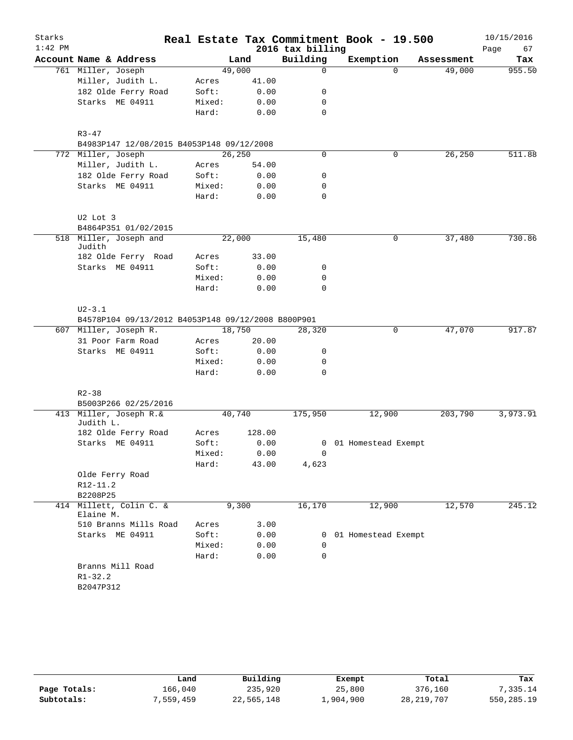| Starks<br>$1:42$ PM |                                                    |         |        | 2016 tax billing | Real Estate Tax Commitment Book - 19.500 |            | 10/15/2016<br>Page<br>67 |
|---------------------|----------------------------------------------------|---------|--------|------------------|------------------------------------------|------------|--------------------------|
|                     | Account Name & Address                             |         | Land   | Building         | Exemption                                | Assessment | Tax                      |
|                     | 761 Miller, Joseph                                 | 49,000  |        | 0                | $\Omega$                                 | 49,000     | 955.50                   |
|                     | Miller, Judith L.                                  | Acres   | 41.00  |                  |                                          |            |                          |
|                     | 182 Olde Ferry Road                                | Soft:   | 0.00   | 0                |                                          |            |                          |
|                     | Starks ME 04911                                    | Mixed:  | 0.00   | 0                |                                          |            |                          |
|                     |                                                    | Hard:   | 0.00   | $\mathbf 0$      |                                          |            |                          |
|                     | $R3 - 47$                                          |         |        |                  |                                          |            |                          |
|                     | B4983P147 12/08/2015 B4053P148 09/12/2008          |         |        |                  |                                          |            |                          |
|                     | 772 Miller, Joseph                                 | 26, 250 |        | $\mathbf 0$      | 0                                        | 26,250     | 511.88                   |
|                     | Miller, Judith L.                                  | Acres   | 54.00  |                  |                                          |            |                          |
|                     | 182 Olde Ferry Road                                | Soft:   | 0.00   | 0                |                                          |            |                          |
|                     | Starks ME 04911                                    | Mixed:  | 0.00   | 0                |                                          |            |                          |
|                     |                                                    | Hard:   | 0.00   | $\mathbf 0$      |                                          |            |                          |
|                     | U2 Lot 3                                           |         |        |                  |                                          |            |                          |
|                     | B4864P351 01/02/2015                               |         |        |                  |                                          |            |                          |
|                     | 518 Miller, Joseph and<br>Judith                   | 22,000  |        | 15,480           | 0                                        | 37,480     | 730.86                   |
|                     | 182 Olde Ferry Road                                | Acres   | 33.00  |                  |                                          |            |                          |
|                     | Starks ME 04911                                    | Soft:   | 0.00   | 0                |                                          |            |                          |
|                     |                                                    | Mixed:  | 0.00   | $\mathbf 0$      |                                          |            |                          |
|                     |                                                    | Hard:   | 0.00   | $\mathbf 0$      |                                          |            |                          |
|                     | $U2 - 3.1$                                         |         |        |                  |                                          |            |                          |
|                     | B4578P104 09/13/2012 B4053P148 09/12/2008 B800P901 |         |        |                  |                                          |            |                          |
|                     | 607 Miller, Joseph R.                              | 18,750  |        | 28,320           | 0                                        | 47,070     | 917.87                   |
|                     | 31 Poor Farm Road                                  | Acres   | 20.00  |                  |                                          |            |                          |
|                     | Starks ME 04911                                    | Soft:   | 0.00   | 0                |                                          |            |                          |
|                     |                                                    | Mixed:  | 0.00   | 0                |                                          |            |                          |
|                     |                                                    | Hard:   | 0.00   | $\mathbf 0$      |                                          |            |                          |
|                     | $R2 - 38$                                          |         |        |                  |                                          |            |                          |
|                     | B5003P266 02/25/2016                               |         |        |                  |                                          |            |                          |
|                     | 413 Miller, Joseph R.&<br>Judith L.                | 40,740  |        | 175,950          | 12,900                                   | 203,790    | 3,973.91                 |
|                     | 182 Olde Ferry Road                                | Acres   | 128.00 |                  |                                          |            |                          |
|                     | Starks ME 04911                                    | Soft:   | 0.00   |                  | 0 01 Homestead Exempt                    |            |                          |
|                     |                                                    | Mixed:  | 0.00   | $\Omega$         |                                          |            |                          |
|                     |                                                    | Hard:   | 43.00  | 4,623            |                                          |            |                          |
|                     | Olde Ferry Road                                    |         |        |                  |                                          |            |                          |
|                     | R12-11.2                                           |         |        |                  |                                          |            |                          |
|                     | B2208P25                                           |         |        |                  |                                          |            |                          |
|                     | 414 Millett, Colin C. &<br>Elaine M.               |         | 9,300  | 16,170           | 12,900                                   | 12,570     | 245.12                   |
|                     | 510 Branns Mills Road                              | Acres   | 3.00   |                  |                                          |            |                          |
|                     | Starks ME 04911                                    | Soft:   | 0.00   |                  | 0 01 Homestead Exempt                    |            |                          |
|                     |                                                    | Mixed:  | 0.00   | 0                |                                          |            |                          |
|                     |                                                    | Hard:   | 0.00   | 0                |                                          |            |                          |
|                     | Branns Mill Road                                   |         |        |                  |                                          |            |                          |
|                     | $R1 - 32.2$                                        |         |        |                  |                                          |            |                          |
|                     | B2047P312                                          |         |        |                  |                                          |            |                          |
|                     |                                                    |         |        |                  |                                          |            |                          |

|              | Land      | Building   | Exempt    | Total        | Tax        |
|--------------|-----------|------------|-----------|--------------|------------|
| Page Totals: | 166.040   | 235,920    | 25,800    | 376,160      | 7.335.14   |
| Subtotals:   | 7,559,459 | 22,565,148 | 1,904,900 | 28, 219, 707 | 550,285.19 |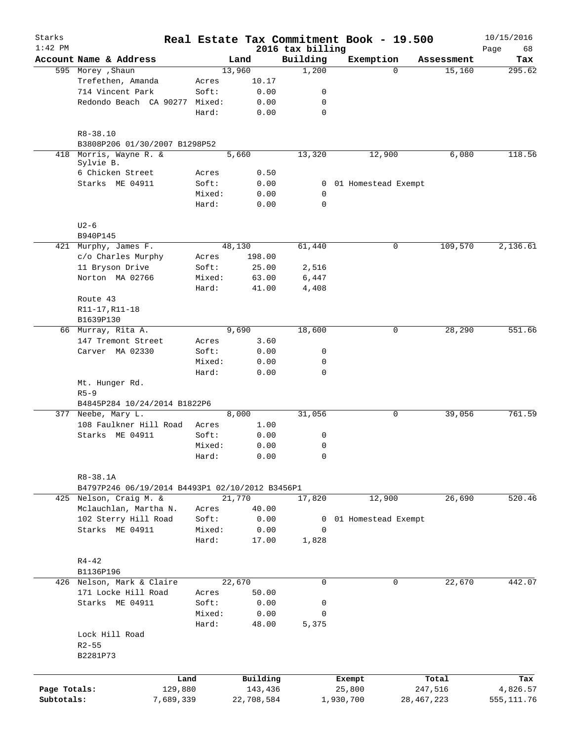| Starks       |                                                 |                 |                     |                              | Real Estate Tax Commitment Book - 19.500 |                  | 10/15/2016        |
|--------------|-------------------------------------------------|-----------------|---------------------|------------------------------|------------------------------------------|------------------|-------------------|
| $1:42$ PM    | Account Name & Address                          |                 | Land                | 2016 tax billing<br>Building | Exemption                                | Assessment       | 68<br>Page<br>Tax |
|              | 595 Morey , Shaun                               |                 | 13,960              | 1,200                        | $\Omega$                                 | 15,160           | 295.62            |
|              | Trefethen, Amanda                               | Acres           | 10.17               |                              |                                          |                  |                   |
|              | 714 Vincent Park                                | Soft:           | 0.00                | 0                            |                                          |                  |                   |
|              | Redondo Beach CA 90277                          | Mixed:          | 0.00                | 0                            |                                          |                  |                   |
|              |                                                 | Hard:           | 0.00                | $\mathbf 0$                  |                                          |                  |                   |
|              | $R8 - 38.10$                                    |                 |                     |                              |                                          |                  |                   |
|              | B3808P206 01/30/2007 B1298P52                   |                 |                     |                              |                                          |                  |                   |
| 418          | Morris, Wayne R. &<br>Sylvie B.                 |                 | 5,660               | 13,320                       | 12,900                                   | 6,080            | 118.56            |
|              | 6 Chicken Street                                | Acres           | 0.50                |                              |                                          |                  |                   |
|              | Starks ME 04911                                 | Soft:           | 0.00                | $\mathbf{0}$                 | 01 Homestead Exempt                      |                  |                   |
|              |                                                 | Mixed:<br>Hard: | 0.00<br>0.00        | $\mathbf 0$<br>$\mathbf 0$   |                                          |                  |                   |
|              | $U2-6$                                          |                 |                     |                              |                                          |                  |                   |
|              | B940P145                                        |                 |                     |                              |                                          |                  |                   |
|              | 421 Murphy, James F.                            |                 | 48,130              | 61,440                       | 0                                        | 109,570          | 2,136.61          |
|              | c/o Charles Murphy                              | Acres           | 198.00              |                              |                                          |                  |                   |
|              | 11 Bryson Drive                                 | Soft:           | 25.00               | 2,516                        |                                          |                  |                   |
|              | Norton MA 02766                                 | Mixed:          | 63.00               | 6,447                        |                                          |                  |                   |
|              |                                                 | Hard:           | 41.00               | 4,408                        |                                          |                  |                   |
|              | Route 43                                        |                 |                     |                              |                                          |                  |                   |
|              | R11-17, R11-18                                  |                 |                     |                              |                                          |                  |                   |
|              | B1639P130                                       |                 |                     |                              |                                          |                  |                   |
|              | 66 Murray, Rita A.                              |                 | 9,690               | 18,600                       | $\mathbf 0$                              | 28,290           | 551.66            |
|              | 147 Tremont Street                              | Acres           | 3.60                |                              |                                          |                  |                   |
|              | Carver MA 02330                                 | Soft:           | 0.00                | 0                            |                                          |                  |                   |
|              |                                                 | Mixed:          | 0.00                | 0                            |                                          |                  |                   |
|              |                                                 | Hard:           | 0.00                | $\mathbf 0$                  |                                          |                  |                   |
|              | Mt. Hunger Rd.                                  |                 |                     |                              |                                          |                  |                   |
|              | $R5 - 9$                                        |                 |                     |                              |                                          |                  |                   |
|              | B4845P284 10/24/2014 B1822P6                    |                 |                     |                              |                                          |                  |                   |
|              | 377 Neebe, Mary L.                              |                 | 8,000               | 31,056                       | 0                                        | 39,056           | 761.59            |
|              | 108 Faulkner Hill Road                          | Acres           | 1.00                |                              |                                          |                  |                   |
|              | Starks ME 04911                                 | Soft:           | 0.00                | 0                            |                                          |                  |                   |
|              |                                                 | Mixed:          | 0.00                | 0                            |                                          |                  |                   |
|              |                                                 | Hard:           | 0.00                | 0                            |                                          |                  |                   |
|              | R8-38.1A                                        |                 |                     |                              |                                          |                  |                   |
|              | B4797P246 06/19/2014 B4493P1 02/10/2012 B3456P1 |                 |                     |                              |                                          |                  |                   |
|              | 425 Nelson, Craig M. &                          |                 | 21,770              | 17,820                       | 12,900                                   | 26,690           | 520.46            |
|              | Mclauchlan, Martha N.                           | Acres           | 40.00               |                              |                                          |                  |                   |
|              | 102 Sterry Hill Road                            | Soft:           | 0.00                | 0                            | 01 Homestead Exempt                      |                  |                   |
|              | Starks ME 04911                                 | Mixed:<br>Hard: | 0.00<br>17.00       | $\Omega$<br>1,828            |                                          |                  |                   |
|              | $R4 - 42$                                       |                 |                     |                              |                                          |                  |                   |
|              | B1136P196                                       |                 |                     |                              |                                          |                  |                   |
|              | 426 Nelson, Mark & Claire                       |                 | 22,670              | $\mathbf 0$                  | $\mathbf 0$                              | 22,670           | 442.07            |
|              | 171 Locke Hill Road                             | Acres           | 50.00               |                              |                                          |                  |                   |
|              | Starks ME 04911                                 | Soft:           | 0.00                | 0                            |                                          |                  |                   |
|              |                                                 | Mixed:          | 0.00                | 0                            |                                          |                  |                   |
|              |                                                 | Hard:           | 48.00               | 5,375                        |                                          |                  |                   |
|              | Lock Hill Road<br>$R2 - 55$<br>B2281P73         |                 |                     |                              |                                          |                  |                   |
|              |                                                 |                 |                     |                              |                                          |                  |                   |
| Page Totals: | Land<br>129,880                                 |                 | Building<br>143,436 |                              | Exempt<br>25,800                         | Total<br>247,516 | Tax<br>4,826.57   |
| Subtotals:   | 7,689,339                                       |                 | 22,708,584          |                              | 1,930,700                                | 28, 467, 223     | 555, 111.76       |
|              |                                                 |                 |                     |                              |                                          |                  |                   |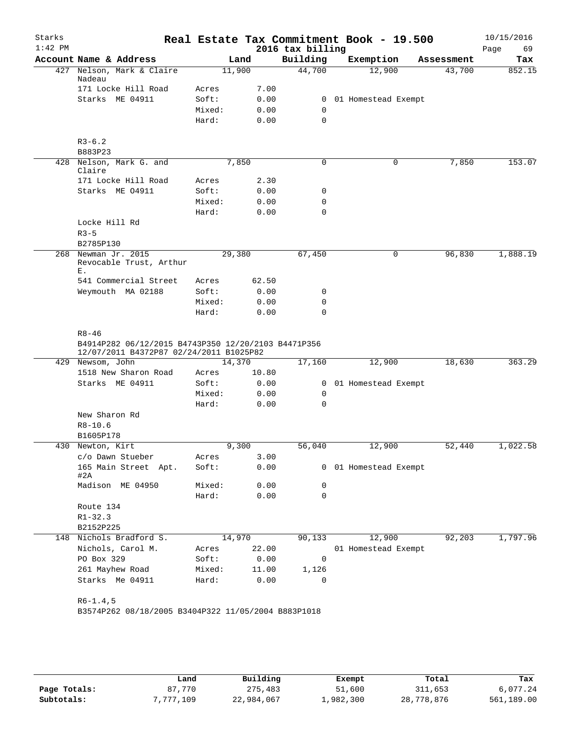| Starks    |                                                                                                |                |        |                  | Real Estate Tax Commitment Book - 19.500 |            | 10/15/2016 |
|-----------|------------------------------------------------------------------------------------------------|----------------|--------|------------------|------------------------------------------|------------|------------|
| $1:42$ PM |                                                                                                |                |        | 2016 tax billing |                                          |            | Page<br>69 |
|           | Account Name & Address                                                                         |                | Land   | Building         | Exemption                                | Assessment | Tax        |
| 427       | Nelson, Mark & Claire<br>Nadeau                                                                |                | 11,900 | 44,700           | 12,900                                   | 43,700     | 852.15     |
|           | 171 Locke Hill Road                                                                            | Acres          | 7.00   |                  |                                          |            |            |
|           | Starks ME 04911                                                                                | Soft:          | 0.00   | $\mathbf{0}$     | 01 Homestead Exempt                      |            |            |
|           |                                                                                                | Mixed:         | 0.00   | 0                |                                          |            |            |
|           |                                                                                                | Hard:          | 0.00   | $\mathbf 0$      |                                          |            |            |
|           | $R3-6.2$                                                                                       |                |        |                  |                                          |            |            |
|           | B883P23                                                                                        |                |        |                  |                                          |            |            |
|           | 428 Nelson, Mark G. and                                                                        |                | 7,850  | $\mathbf 0$      | 0                                        | 7,850      | 153.07     |
|           | Claire<br>171 Locke Hill Road                                                                  |                | 2.30   |                  |                                          |            |            |
|           | Starks ME 04911                                                                                | Acres<br>Soft: | 0.00   | 0                |                                          |            |            |
|           |                                                                                                | Mixed:         | 0.00   | 0                |                                          |            |            |
|           |                                                                                                | Hard:          | 0.00   | $\mathbf 0$      |                                          |            |            |
|           | Locke Hill Rd                                                                                  |                |        |                  |                                          |            |            |
|           | $R3 - 5$                                                                                       |                |        |                  |                                          |            |            |
|           | B2785P130                                                                                      |                |        |                  |                                          |            |            |
| 268       | Newman Jr. 2015                                                                                |                | 29,380 | 67,450           | 0                                        | 96,830     | 1,888.19   |
|           | Revocable Trust, Arthur<br>Ε.                                                                  |                |        |                  |                                          |            |            |
|           | 541 Commercial Street                                                                          | Acres          | 62.50  |                  |                                          |            |            |
|           | Weymouth MA 02188                                                                              | Soft:          | 0.00   | 0                |                                          |            |            |
|           |                                                                                                | Mixed:         | 0.00   | 0                |                                          |            |            |
|           |                                                                                                | Hard:          | 0.00   | $\mathbf 0$      |                                          |            |            |
|           |                                                                                                |                |        |                  |                                          |            |            |
|           | $R8 - 46$                                                                                      |                |        |                  |                                          |            |            |
|           | B4914P282 06/12/2015 B4743P350 12/20/2103 B4471P356<br>12/07/2011 B4372P87 02/24/2011 B1025P82 |                |        |                  |                                          |            |            |
|           | 429 Newsom, John                                                                               |                | 14,370 | 17,160           | 12,900                                   | 18,630     | 363.29     |
|           | 1518 New Sharon Road                                                                           | Acres          | 10.80  |                  |                                          |            |            |
|           | Starks ME 04911                                                                                | Soft:          | 0.00   | $\overline{0}$   | 01 Homestead Exempt                      |            |            |
|           |                                                                                                | Mixed:         | 0.00   | $\mathbf 0$      |                                          |            |            |
|           |                                                                                                | Hard:          | 0.00   | 0                |                                          |            |            |
|           | New Sharon Rd<br>$R8 - 10.6$                                                                   |                |        |                  |                                          |            |            |
|           | B1605P178                                                                                      |                |        |                  |                                          |            |            |
|           | 430 Newton, Kirt                                                                               |                | 9,300  | 56,040           | 12,900                                   | 52,440     | 1,022.58   |
|           | c/o Dawn Stueber                                                                               | Acres          | 3.00   |                  |                                          |            |            |
|           | 165 Main Street Apt.<br>#2A                                                                    | Soft:          | 0.00   |                  | 0 01 Homestead Exempt                    |            |            |
|           | Madison ME 04950                                                                               | Mixed:         | 0.00   | 0                |                                          |            |            |
|           |                                                                                                | Hard:          | 0.00   | 0                |                                          |            |            |
|           | Route 134                                                                                      |                |        |                  |                                          |            |            |
|           | $R1 - 32.3$                                                                                    |                |        |                  |                                          |            |            |
|           | B2152P225                                                                                      |                |        |                  |                                          |            |            |
|           | 148 Nichols Bradford S.                                                                        |                | 14,970 | 90,133           | 12,900                                   | 92,203     | 1,797.96   |
|           | Nichols, Carol M.                                                                              | Acres          | 22.00  |                  | 01 Homestead Exempt                      |            |            |
|           | PO Box 329                                                                                     | Soft:          | 0.00   | $\mathbf 0$      |                                          |            |            |
|           | 261 Mayhew Road                                                                                | Mixed:         | 11.00  | 1,126            |                                          |            |            |
|           | Starks Me 04911                                                                                | Hard:          | 0.00   | 0                |                                          |            |            |
|           |                                                                                                |                |        |                  |                                          |            |            |
|           | $R6-1.4,5$                                                                                     |                |        |                  |                                          |            |            |
|           | B3574P262 08/18/2005 B3404P322 11/05/2004 B883P1018                                            |                |        |                  |                                          |            |            |
|           |                                                                                                |                |        |                  |                                          |            |            |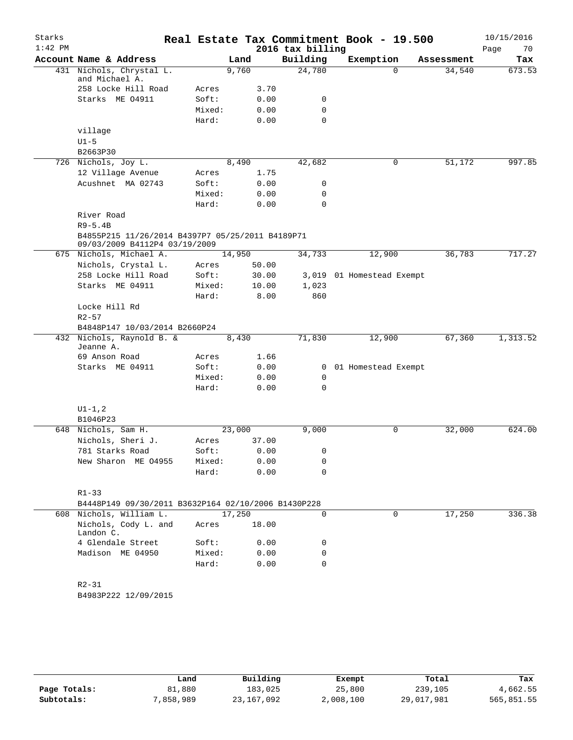| Starks<br>$1:42$ PM |                                                                                   |        |        |       | 2016 tax billing | Real Estate Tax Commitment Book - 19.500 |             |            | 10/15/2016<br>70<br>Page |
|---------------------|-----------------------------------------------------------------------------------|--------|--------|-------|------------------|------------------------------------------|-------------|------------|--------------------------|
|                     | Account Name & Address                                                            |        | Land   |       | Building         | Exemption                                |             | Assessment | Tax                      |
|                     | 431 Nichols, Chrystal L.<br>and Michael A.                                        |        | 9,760  |       | 24,780           |                                          | $\Omega$    | 34,540     | 673.53                   |
|                     | 258 Locke Hill Road                                                               | Acres  |        | 3.70  |                  |                                          |             |            |                          |
|                     | Starks ME 04911                                                                   | Soft:  |        | 0.00  | 0                |                                          |             |            |                          |
|                     |                                                                                   | Mixed: |        | 0.00  | $\mathbf 0$      |                                          |             |            |                          |
|                     |                                                                                   | Hard:  |        | 0.00  | $\Omega$         |                                          |             |            |                          |
|                     | village                                                                           |        |        |       |                  |                                          |             |            |                          |
|                     | $U1-5$                                                                            |        |        |       |                  |                                          |             |            |                          |
|                     | B2663P30                                                                          |        |        |       |                  |                                          |             |            |                          |
|                     | 726 Nichols, Joy L.                                                               |        | 8,490  |       | 42,682           |                                          | 0           | 51,172     | 997.85                   |
|                     | 12 Village Avenue                                                                 | Acres  |        | 1.75  |                  |                                          |             |            |                          |
|                     | Acushnet MA 02743                                                                 | Soft:  |        | 0.00  | 0                |                                          |             |            |                          |
|                     |                                                                                   | Mixed: |        | 0.00  | 0                |                                          |             |            |                          |
|                     |                                                                                   | Hard:  |        | 0.00  | 0                |                                          |             |            |                          |
|                     | River Road                                                                        |        |        |       |                  |                                          |             |            |                          |
|                     | $R9-5.4B$                                                                         |        |        |       |                  |                                          |             |            |                          |
|                     | B4855P215 11/26/2014 B4397P7 05/25/2011 B4189P71<br>09/03/2009 B4112P4 03/19/2009 |        |        |       |                  |                                          |             |            |                          |
|                     | 675 Nichols, Michael A.                                                           |        | 14,950 |       | 34,733           | 12,900                                   |             | 36,783     | 717.27                   |
|                     | Nichols, Crystal L.                                                               | Acres  |        | 50.00 |                  |                                          |             |            |                          |
|                     | 258 Locke Hill Road                                                               | Soft:  |        | 30.00 |                  | 3,019 01 Homestead Exempt                |             |            |                          |
|                     | Starks ME 04911                                                                   | Mixed: |        | 10.00 | 1,023            |                                          |             |            |                          |
|                     |                                                                                   | Hard:  |        | 8.00  | 860              |                                          |             |            |                          |
|                     | Locke Hill Rd                                                                     |        |        |       |                  |                                          |             |            |                          |
|                     | $R2 - 57$                                                                         |        |        |       |                  |                                          |             |            |                          |
|                     | B4848P147 10/03/2014 B2660P24                                                     |        |        |       |                  |                                          |             |            |                          |
|                     | 432 Nichols, Raynold B. &<br>Jeanne A.                                            |        | 8,430  |       | 71,830           | 12,900                                   |             | 67,360     | 1,313.52                 |
|                     | 69 Anson Road                                                                     | Acres  |        | 1.66  |                  |                                          |             |            |                          |
|                     | Starks ME 04911                                                                   | Soft:  |        | 0.00  |                  | 0 01 Homestead Exempt                    |             |            |                          |
|                     |                                                                                   | Mixed: |        | 0.00  | 0                |                                          |             |            |                          |
|                     |                                                                                   | Hard:  |        | 0.00  | 0                |                                          |             |            |                          |
|                     | $UI-1, 2$                                                                         |        |        |       |                  |                                          |             |            |                          |
|                     | B1046P23                                                                          |        |        |       |                  |                                          |             |            |                          |
|                     | 648 Nichols, Sam H.                                                               |        | 23,000 |       | 9,000            |                                          | $\mathbf 0$ | 32,000     | 624.00                   |
|                     | Nichols, Sheri J.                                                                 | Acres  |        | 37.00 |                  |                                          |             |            |                          |
|                     | 781 Starks Road                                                                   | Soft:  |        | 0.00  | 0                |                                          |             |            |                          |
|                     | New Sharon ME 04955                                                               | Mixed: |        | 0.00  | 0                |                                          |             |            |                          |
|                     |                                                                                   | Hard:  |        | 0.00  | $\Omega$         |                                          |             |            |                          |
|                     | $R1 - 33$                                                                         |        |        |       |                  |                                          |             |            |                          |
|                     | B4448P149 09/30/2011 B3632P164 02/10/2006 B1430P228                               |        |        |       |                  |                                          |             |            |                          |
|                     | 608 Nichols, William L.                                                           |        | 17,250 |       | 0                |                                          | $\mathbf 0$ | 17,250     | 336.38                   |
|                     | Nichols, Cody L. and<br>Landon C.                                                 | Acres  |        | 18.00 |                  |                                          |             |            |                          |
|                     | 4 Glendale Street                                                                 | Soft:  |        | 0.00  | 0                |                                          |             |            |                          |
|                     | Madison ME 04950                                                                  | Mixed: |        | 0.00  | 0                |                                          |             |            |                          |
|                     |                                                                                   | Hard:  |        | 0.00  | $\mathbf 0$      |                                          |             |            |                          |
|                     | $R2 - 31$                                                                         |        |        |       |                  |                                          |             |            |                          |
|                     | B4983P222 12/09/2015                                                              |        |        |       |                  |                                          |             |            |                          |
|                     |                                                                                   |        |        |       |                  |                                          |             |            |                          |
|                     |                                                                                   |        |        |       |                  |                                          |             |            |                          |

|              | Land      | Building   | Exempt    | Total      | Tax        |
|--------------|-----------|------------|-----------|------------|------------|
| Page Totals: | 81,880    | 183,025    | 25,800    | 239,105    | 4,662.55   |
| Subtotals:   | 7,858,989 | 23,167,092 | 2,008,100 | 29,017,981 | 565,851.55 |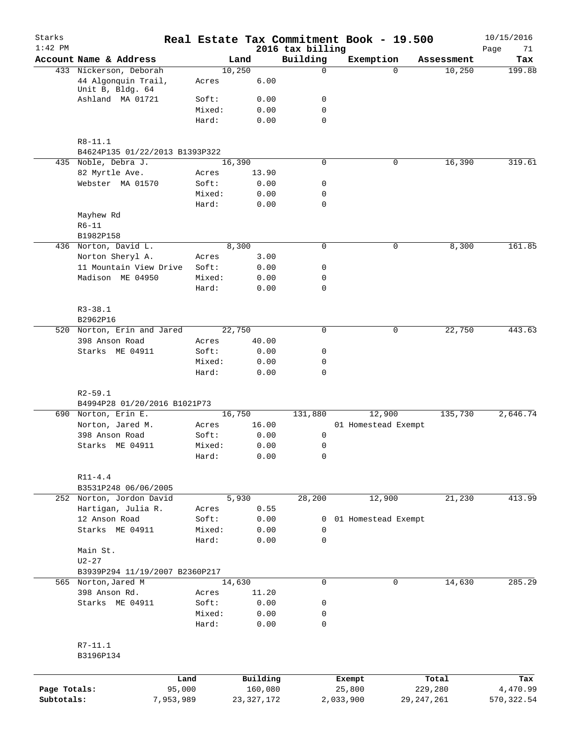| Starks<br>$1:42$ PM |                                             |                 |              |              | 2016 tax billing           |           | Real Estate Tax Commitment Book - 19.500 |              | 10/15/2016<br>Page<br>71 |
|---------------------|---------------------------------------------|-----------------|--------------|--------------|----------------------------|-----------|------------------------------------------|--------------|--------------------------|
|                     | Account Name & Address                      |                 | Land         |              | Building                   |           | Exemption                                | Assessment   | Tax                      |
|                     | 433 Nickerson, Deborah                      |                 | 10,250       |              | 0                          |           | $\Omega$                                 | 10,250       | 199.88                   |
|                     | 44 Algonquin Trail,<br>Unit B, Bldg. 64     | Acres           |              | 6.00         |                            |           |                                          |              |                          |
|                     | Ashland MA 01721                            | Soft:           |              | 0.00         | 0                          |           |                                          |              |                          |
|                     |                                             | Mixed:          |              | 0.00         | 0                          |           |                                          |              |                          |
|                     |                                             | Hard:           |              | 0.00         | $\mathbf 0$                |           |                                          |              |                          |
|                     | $R8 - 11.1$                                 |                 |              |              |                            |           |                                          |              |                          |
|                     | B4624P135 01/22/2013 B1393P322              |                 |              |              |                            |           |                                          |              |                          |
|                     | 435 Noble, Debra J.                         |                 | 16,390       |              | $\mathbf 0$                |           | $\mathbf 0$                              | 16,390       | 319.61                   |
|                     | 82 Myrtle Ave.                              | Acres           |              | 13.90        |                            |           |                                          |              |                          |
|                     | Webster MA 01570                            | Soft:           |              | 0.00         | 0                          |           |                                          |              |                          |
|                     |                                             | Mixed:          |              | 0.00         | 0                          |           |                                          |              |                          |
|                     |                                             | Hard:           |              | 0.00         | $\mathbf 0$                |           |                                          |              |                          |
|                     | Mayhew Rd                                   |                 |              |              |                            |           |                                          |              |                          |
|                     | $R6 - 11$                                   |                 |              |              |                            |           |                                          |              |                          |
|                     | B1982P158                                   |                 |              |              |                            |           |                                          |              |                          |
|                     | 436 Norton, David L.                        |                 | 8,300        |              | 0                          |           | 0                                        | 8,300        | 161.85                   |
|                     | Norton Sheryl A.                            | Acres           |              | 3.00         |                            |           |                                          |              |                          |
|                     | 11 Mountain View Drive                      | Soft:           |              | 0.00         | 0                          |           |                                          |              |                          |
|                     | Madison ME 04950                            | Mixed:          |              | 0.00         | 0                          |           |                                          |              |                          |
|                     |                                             | Hard:           |              | 0.00         | $\mathbf 0$                |           |                                          |              |                          |
|                     | $R3 - 38.1$                                 |                 |              |              |                            |           |                                          |              |                          |
|                     | B2962P16                                    |                 |              |              |                            |           |                                          |              |                          |
|                     | 520 Norton, Erin and Jared                  |                 | 22,750       |              | $\mathbf 0$                |           | 0                                        | 22,750       | 443.63                   |
|                     | 398 Anson Road                              | Acres           |              | 40.00        |                            |           |                                          |              |                          |
|                     | Starks ME 04911                             | Soft:           |              | 0.00         | 0                          |           |                                          |              |                          |
|                     |                                             | Mixed:<br>Hard: |              | 0.00<br>0.00 | $\mathbf 0$<br>$\mathbf 0$ |           |                                          |              |                          |
|                     |                                             |                 |              |              |                            |           |                                          |              |                          |
|                     | $R2 - 59.1$<br>B4994P28 01/20/2016 B1021P73 |                 |              |              |                            |           |                                          |              |                          |
|                     | 690 Norton, Erin E.                         |                 | 16,750       |              | 131,880                    |           | 12,900                                   | 135,730      | 2,646.74                 |
|                     | Norton, Jared M.                            | Acres           |              | 16.00        |                            |           | 01 Homestead Exempt                      |              |                          |
|                     | 398 Anson Road                              | Soft:           |              | 0.00         | 0                          |           |                                          |              |                          |
|                     | Starks ME 04911                             | Mixed:          |              | 0.00         | 0                          |           |                                          |              |                          |
|                     |                                             | Hard:           |              | 0.00         | 0                          |           |                                          |              |                          |
|                     | $R11 - 4.4$                                 |                 |              |              |                            |           |                                          |              |                          |
|                     | B3531P248 06/06/2005                        |                 |              |              |                            |           |                                          |              |                          |
|                     | 252 Norton, Jordon David                    |                 | 5,930        |              | 28,200                     |           | 12,900                                   | 21,230       | 413.99                   |
|                     | Hartigan, Julia R.                          | Acres           |              | 0.55         |                            |           |                                          |              |                          |
|                     | 12 Anson Road                               | Soft:           |              | 0.00         | 0                          |           | 01 Homestead Exempt                      |              |                          |
|                     | Starks ME 04911                             | Mixed:          |              | 0.00         | 0                          |           |                                          |              |                          |
|                     |                                             | Hard:           |              | 0.00         | 0                          |           |                                          |              |                          |
|                     | Main St.                                    |                 |              |              |                            |           |                                          |              |                          |
|                     | $U2 - 27$                                   |                 |              |              |                            |           |                                          |              |                          |
|                     | B3939P294 11/19/2007 B2360P217              |                 |              |              |                            |           |                                          |              |                          |
|                     | 565 Norton, Jared M                         |                 | 14,630       |              | $\mathbf 0$                |           | 0                                        | 14,630       | 285.29                   |
|                     | 398 Anson Rd.                               | Acres           |              | 11.20        |                            |           |                                          |              |                          |
|                     | Starks ME 04911                             | Soft:           |              | 0.00         | 0                          |           |                                          |              |                          |
|                     |                                             | Mixed:          |              | 0.00         | 0                          |           |                                          |              |                          |
|                     |                                             | Hard:           |              | 0.00         | 0                          |           |                                          |              |                          |
|                     | R7-11.1                                     |                 |              |              |                            |           |                                          |              |                          |
|                     | B3196P134                                   |                 |              |              |                            |           |                                          |              |                          |
|                     |                                             | Land            |              | Building     |                            | Exempt    |                                          | Total        | Tax                      |
| Page Totals:        | 95,000                                      |                 |              | 160,080      |                            | 25,800    |                                          | 229,280      | 4,470.99                 |
| Subtotals:          | 7,953,989                                   |                 | 23, 327, 172 |              |                            | 2,033,900 |                                          | 29, 247, 261 | 570, 322.54              |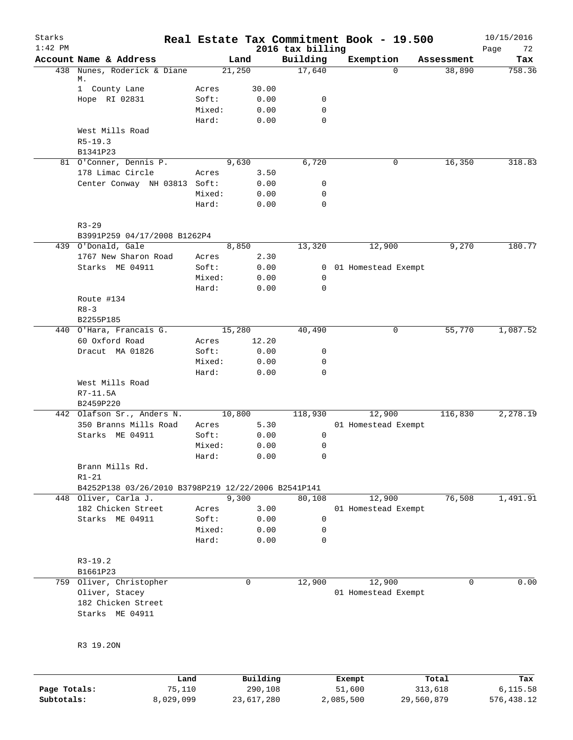| Starks<br>$1:42$ PM |                                                     |                 |             | 2016 tax billing           | Real Estate Tax Commitment Book - 19.500 |            | 10/15/2016<br>Page<br>72 |
|---------------------|-----------------------------------------------------|-----------------|-------------|----------------------------|------------------------------------------|------------|--------------------------|
|                     | Account Name & Address                              |                 | Land        | Building                   | Exemption                                | Assessment | Tax                      |
|                     | 438 Nunes, Roderick & Diane                         |                 | 21,250      | 17,640                     | $\Omega$                                 | 38,890     | 758.36                   |
|                     | М.                                                  |                 |             |                            |                                          |            |                          |
|                     | 1 County Lane                                       | Acres           | 30.00       |                            |                                          |            |                          |
|                     | Hope RI 02831                                       | Soft:           | 0.00        | 0<br>$\mathbf 0$           |                                          |            |                          |
|                     |                                                     | Mixed:          | 0.00        | $\mathbf 0$                |                                          |            |                          |
|                     |                                                     | Hard:           | 0.00        |                            |                                          |            |                          |
|                     | West Mills Road<br>$R5 - 19.3$                      |                 |             |                            |                                          |            |                          |
|                     | B1341P23                                            |                 |             |                            |                                          |            |                          |
|                     | 81 O'Conner, Dennis P.                              |                 | 9,630       | 6,720                      | 0                                        | 16,350     | 318.83                   |
|                     | 178 Limac Circle                                    | Acres           | 3.50        |                            |                                          |            |                          |
|                     | Center Conway NH 03813 Soft:                        |                 | 0.00        | 0                          |                                          |            |                          |
|                     |                                                     | Mixed:          | 0.00        | $\mathbf 0$                |                                          |            |                          |
|                     |                                                     | Hard:           | 0.00        | $\mathbf 0$                |                                          |            |                          |
|                     |                                                     |                 |             |                            |                                          |            |                          |
|                     | $R3 - 29$                                           |                 |             |                            |                                          |            |                          |
|                     | B3991P259 04/17/2008 B1262P4<br>439 O'Donald, Gale  |                 | 8,850       |                            |                                          |            | 180.77                   |
|                     |                                                     |                 |             | 13,320                     | 12,900                                   | 9,270      |                          |
|                     | 1767 New Sharon Road                                | Acres           | 2.30        |                            |                                          |            |                          |
|                     | Starks ME 04911                                     | Soft:<br>Mixed: | 0.00        | $\overline{0}$             | 01 Homestead Exempt                      |            |                          |
|                     |                                                     | Hard:           | 0.00        | $\mathbf 0$<br>$\mathbf 0$ |                                          |            |                          |
|                     |                                                     |                 | 0.00        |                            |                                          |            |                          |
|                     | Route #134<br>$R8 - 3$                              |                 |             |                            |                                          |            |                          |
|                     | B2255P185                                           |                 |             |                            |                                          |            |                          |
|                     | 440 O'Hara, Francais G.                             |                 | 15,280      | 40,490                     | 0                                        | 55,770     | 1,087.52                 |
|                     | 60 Oxford Road                                      | Acres           | 12.20       |                            |                                          |            |                          |
|                     | Dracut MA 01826                                     | Soft:           | 0.00        | 0                          |                                          |            |                          |
|                     |                                                     | Mixed:          | 0.00        | 0                          |                                          |            |                          |
|                     |                                                     | Hard:           | 0.00        | 0                          |                                          |            |                          |
|                     | West Mills Road                                     |                 |             |                            |                                          |            |                          |
|                     | R7-11.5A                                            |                 |             |                            |                                          |            |                          |
|                     | B2459P220                                           |                 |             |                            |                                          |            |                          |
|                     | 442 Olafson Sr., Anders N.                          |                 | 10,800      | 118,930                    | 12,900                                   | 116,830    | 2,278.19                 |
|                     | 350 Branns Mills Road                               | Acres           | 5.30        |                            | 01 Homestead Exempt                      |            |                          |
|                     | Starks ME 04911                                     | Soft:           | 0.00        | 0                          |                                          |            |                          |
|                     |                                                     | Mixed:          | 0.00        | 0                          |                                          |            |                          |
|                     |                                                     | Hard:           | 0.00        | 0                          |                                          |            |                          |
|                     | Brann Mills Rd.                                     |                 |             |                            |                                          |            |                          |
|                     | $R1 - 21$                                           |                 |             |                            |                                          |            |                          |
|                     | B4252P138 03/26/2010 B3798P219 12/22/2006 B2541P141 |                 |             |                            |                                          |            |                          |
|                     | 448 Oliver, Carla J.                                |                 | 9,300       | 80,108                     | 12,900                                   | 76,508     | 1,491.91                 |
|                     | 182 Chicken Street                                  | Acres           | 3.00        |                            | 01 Homestead Exempt                      |            |                          |
|                     | Starks ME 04911                                     | Soft:           | 0.00        | $\mathbf 0$                |                                          |            |                          |
|                     |                                                     | Mixed:          | 0.00        | 0                          |                                          |            |                          |
|                     |                                                     | Hard:           | 0.00        | 0                          |                                          |            |                          |
|                     | $R3-19.2$                                           |                 |             |                            |                                          |            |                          |
|                     | B1661P23                                            |                 |             |                            |                                          |            |                          |
|                     | 759 Oliver, Christopher                             |                 | $\mathbf 0$ | 12,900                     | 12,900                                   | 0          | 0.00                     |
|                     | Oliver, Stacey                                      |                 |             |                            | 01 Homestead Exempt                      |            |                          |
|                     | 182 Chicken Street                                  |                 |             |                            |                                          |            |                          |
|                     | Starks ME 04911                                     |                 |             |                            |                                          |            |                          |
|                     |                                                     |                 |             |                            |                                          |            |                          |
|                     | R3 19.20N                                           |                 |             |                            |                                          |            |                          |
|                     | Land                                                |                 | Building    |                            | Exempt                                   | Total      | Tax                      |
|                     |                                                     |                 |             |                            |                                          |            |                          |

| Page Totals: | 75,110    | 290,108    | 51,600    | 313,618    | 6,115.58   |
|--------------|-----------|------------|-----------|------------|------------|
| Subtotals:   | 8,029,099 | 23,617,280 | 2,085,500 | 29,560,879 | 576,438.12 |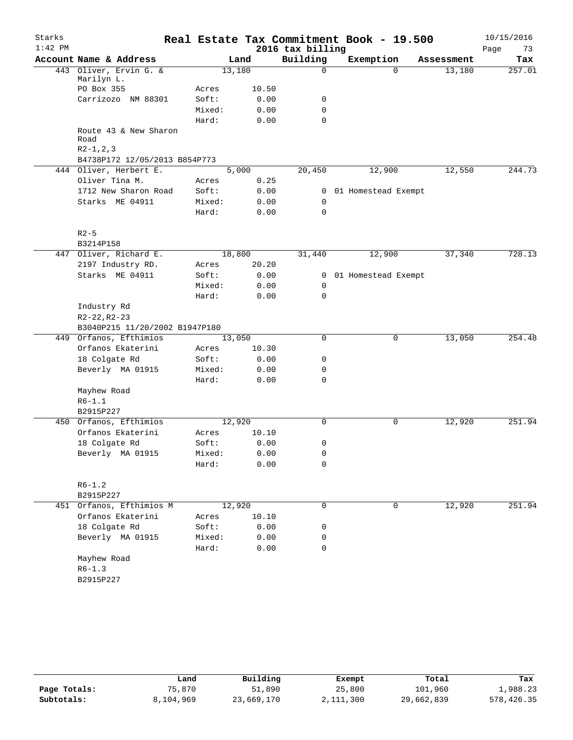| Starks<br>$1:42$ PM |                                               |        |        |       | 2016 tax billing | Real Estate Tax Commitment Book - 19.500 |                       | 10/15/2016<br>Page<br>73 |
|---------------------|-----------------------------------------------|--------|--------|-------|------------------|------------------------------------------|-----------------------|--------------------------|
|                     | Account Name & Address                        |        |        | Land  | Building         | Exemption                                | Assessment            | Tax                      |
|                     | 443 Oliver, Ervin G. &<br>Marilyn L.          |        | 13,180 |       | 0                |                                          | $\Omega$<br>13,180    | 257.01                   |
|                     | PO Box 355                                    | Acres  |        | 10.50 |                  |                                          |                       |                          |
|                     | Carrizozo NM 88301                            | Soft:  |        | 0.00  | 0                |                                          |                       |                          |
|                     |                                               | Mixed: |        | 0.00  | 0                |                                          |                       |                          |
|                     |                                               | Hard:  |        | 0.00  | $\Omega$         |                                          |                       |                          |
|                     | Route 43 & New Sharon<br>Road<br>$R2-1, 2, 3$ |        |        |       |                  |                                          |                       |                          |
|                     | B4738P172 12/05/2013 B854P773                 |        |        |       |                  |                                          |                       |                          |
|                     | 444 Oliver, Herbert E.                        |        | 5,000  |       | 20,450           | 12,900                                   | 12,550                | 244.73                   |
|                     | Oliver Tina M.                                | Acres  |        | 0.25  |                  |                                          |                       |                          |
|                     | 1712 New Sharon Road                          | Soft:  |        | 0.00  |                  | 0 01 Homestead Exempt                    |                       |                          |
|                     | Starks ME 04911                               | Mixed: |        | 0.00  | 0                |                                          |                       |                          |
|                     |                                               | Hard:  |        | 0.00  | $\mathbf 0$      |                                          |                       |                          |
|                     | $R2-5$                                        |        |        |       |                  |                                          |                       |                          |
|                     | B3214P158                                     |        |        |       |                  |                                          |                       |                          |
|                     | 447 Oliver, Richard E.                        |        | 18,800 |       | 31,440           | 12,900                                   | 37,340                | 728.13                   |
|                     | 2197 Industry RD.                             | Acres  |        | 20.20 |                  |                                          |                       |                          |
|                     | Starks ME 04911                               | Soft:  |        | 0.00  | 0                | 01 Homestead Exempt                      |                       |                          |
|                     |                                               | Mixed: |        | 0.00  | 0                |                                          |                       |                          |
|                     |                                               | Hard:  |        | 0.00  | $\Omega$         |                                          |                       |                          |
|                     | Industry Rd                                   |        |        |       |                  |                                          |                       |                          |
|                     | $R2 - 22, R2 - 23$                            |        |        |       |                  |                                          |                       |                          |
|                     | B3040P215 11/20/2002 B1947P180                |        |        |       |                  |                                          |                       |                          |
|                     | 449 Orfanos, Efthimios                        |        | 13,050 |       | 0                |                                          | 0<br>13,050           | 254.48                   |
|                     | Orfanos Ekaterini                             | Acres  |        | 10.30 |                  |                                          |                       |                          |
|                     | 18 Colgate Rd                                 | Soft:  |        | 0.00  | 0                |                                          |                       |                          |
|                     | Beverly MA 01915                              | Mixed: |        | 0.00  | 0                |                                          |                       |                          |
|                     |                                               | Hard:  |        | 0.00  | 0                |                                          |                       |                          |
|                     | Mayhew Road                                   |        |        |       |                  |                                          |                       |                          |
|                     | $R6 - 1.1$                                    |        |        |       |                  |                                          |                       |                          |
|                     | B2915P227                                     |        |        |       |                  |                                          |                       |                          |
| 450                 | Orfanos, Efthimios                            |        | 12,920 |       | 0                |                                          | 0<br>12,920           | 251.94                   |
|                     | Orfanos Ekaterini                             | Acres  |        | 10.10 |                  |                                          |                       |                          |
|                     | 18 Colgate Rd                                 | Soft:  |        | 0.00  | 0                |                                          |                       |                          |
|                     | Beverly MA 01915                              | Mixed: |        | 0.00  | 0                |                                          |                       |                          |
|                     |                                               | Hard:  |        | 0.00  | 0                |                                          |                       |                          |
|                     | $R6 - 1.2$                                    |        |        |       |                  |                                          |                       |                          |
|                     | B2915P227                                     |        |        |       |                  |                                          |                       |                          |
|                     | 451 Orfanos, Efthimios M                      |        | 12,920 |       | 0                |                                          | 12,920<br>$\mathbf 0$ | 251.94                   |
|                     | Orfanos Ekaterini                             | Acres  |        | 10.10 |                  |                                          |                       |                          |
|                     | 18 Colgate Rd                                 | Soft:  |        | 0.00  | 0                |                                          |                       |                          |
|                     | Beverly MA 01915                              | Mixed: |        | 0.00  | 0                |                                          |                       |                          |
|                     |                                               | Hard:  |        | 0.00  | 0                |                                          |                       |                          |
|                     | Mayhew Road                                   |        |        |       |                  |                                          |                       |                          |
|                     | $R6 - 1.3$                                    |        |        |       |                  |                                          |                       |                          |
|                     | B2915P227                                     |        |        |       |                  |                                          |                       |                          |

|              | Land      | Building   | Exempt    | Total      | Tax        |
|--------------|-----------|------------|-----------|------------|------------|
| Page Totals: | 75,870    | 51,890     | 25,800    | 101,960    | 1,988.23   |
| Subtotals:   | 8,104,969 | 23,669,170 | 2,111,300 | 29,662,839 | 578,426.35 |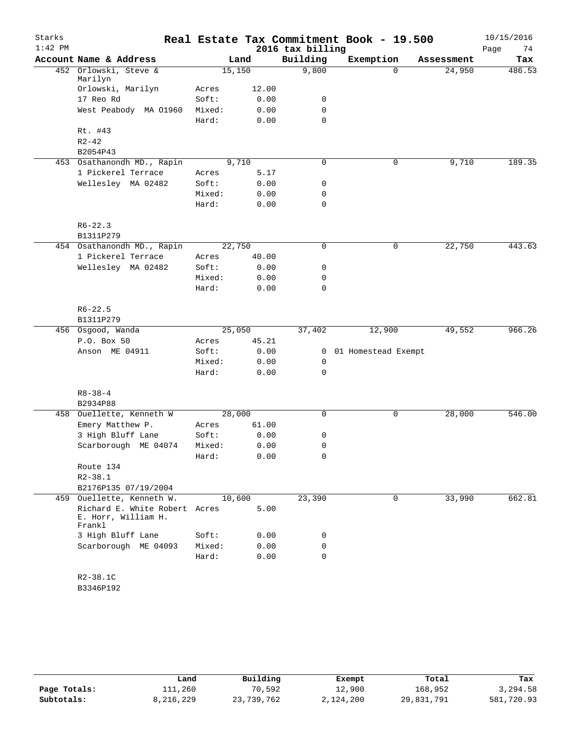| Starks    |                                                                |        |        |                  | Real Estate Tax Commitment Book - 19.500 |            | 10/15/2016 |
|-----------|----------------------------------------------------------------|--------|--------|------------------|------------------------------------------|------------|------------|
| $1:42$ PM |                                                                |        |        | 2016 tax billing |                                          |            | Page<br>74 |
|           | Account Name & Address                                         |        | Land   | Building         | Exemption                                | Assessment | Tax        |
|           | 452 Orlowski, Steve &<br>Marilyn                               | 15,150 |        | 9,800            | $\Omega$                                 | 24,950     | 486.53     |
|           | Orlowski, Marilyn                                              | Acres  | 12.00  |                  |                                          |            |            |
|           | 17 Reo Rd                                                      | Soft:  | 0.00   | 0                |                                          |            |            |
|           | West Peabody MA 01960                                          | Mixed: | 0.00   | 0                |                                          |            |            |
|           |                                                                | Hard:  | 0.00   | $\mathbf 0$      |                                          |            |            |
|           | Rt. #43                                                        |        |        |                  |                                          |            |            |
|           | $R2 - 42$                                                      |        |        |                  |                                          |            |            |
|           | B2054P43                                                       |        |        |                  |                                          |            |            |
|           | 453 Osathanondh MD., Rapin                                     |        | 9,710  | 0                | $\mathbf 0$                              | 9,710      | 189.35     |
|           | 1 Pickerel Terrace                                             | Acres  | 5.17   |                  |                                          |            |            |
|           | Wellesley MA 02482                                             | Soft:  | 0.00   | 0                |                                          |            |            |
|           |                                                                | Mixed: | 0.00   | 0                |                                          |            |            |
|           |                                                                | Hard:  | 0.00   | 0                |                                          |            |            |
|           |                                                                |        |        |                  |                                          |            |            |
|           | $R6 - 22.3$                                                    |        |        |                  |                                          |            |            |
|           | B1311P279                                                      |        |        |                  |                                          |            |            |
|           | 454 Osathanondh MD., Rapin                                     | 22,750 |        | 0                | 0                                        | 22,750     | 443.63     |
|           | 1 Pickerel Terrace                                             | Acres  | 40.00  |                  |                                          |            |            |
|           | Wellesley MA 02482                                             | Soft:  | 0.00   | 0                |                                          |            |            |
|           |                                                                | Mixed: | 0.00   | 0                |                                          |            |            |
|           |                                                                | Hard:  | 0.00   | 0                |                                          |            |            |
|           | $R6 - 22.5$                                                    |        |        |                  |                                          |            |            |
|           | B1311P279                                                      |        |        |                  |                                          |            |            |
|           | 456 Osgood, Wanda                                              |        | 25,050 | 37,402           | 12,900                                   | 49,552     | 966.26     |
|           | P.O. Box 50                                                    | Acres  | 45.21  |                  |                                          |            |            |
|           | Anson ME 04911                                                 | Soft:  | 0.00   | $\mathbf{0}$     | 01 Homestead Exempt                      |            |            |
|           |                                                                | Mixed: | 0.00   | 0                |                                          |            |            |
|           |                                                                | Hard:  | 0.00   | 0                |                                          |            |            |
|           |                                                                |        |        |                  |                                          |            |            |
|           | $R8 - 38 - 4$                                                  |        |        |                  |                                          |            |            |
|           | B2934P88                                                       |        |        |                  |                                          |            |            |
|           | 458 Ouellette, Kenneth W                                       | 28,000 |        | 0                | 0                                        | 28,000     | 546.00     |
|           | Emery Matthew P.                                               | Acres  | 61.00  |                  |                                          |            |            |
|           | 3 High Bluff Lane                                              | Soft:  | 0.00   | 0                |                                          |            |            |
|           | Scarborough ME 04074                                           | Mixed: | 0.00   | 0                |                                          |            |            |
|           |                                                                | Hard:  | 0.00   | 0                |                                          |            |            |
|           | Route 134                                                      |        |        |                  |                                          |            |            |
|           | $R2 - 38.1$                                                    |        |        |                  |                                          |            |            |
|           | B2176P135 07/19/2004                                           |        |        |                  |                                          |            |            |
|           | 459 Ouellette, Kenneth W.                                      | 10,600 |        | 23,390           | 0                                        | 33,990     | 662.81     |
|           | Richard E. White Robert Acres<br>E. Horr, William H.<br>Frankl |        | 5.00   |                  |                                          |            |            |
|           | 3 High Bluff Lane                                              | Soft:  | 0.00   | 0                |                                          |            |            |
|           | Scarborough ME 04093                                           | Mixed: | 0.00   | 0                |                                          |            |            |
|           |                                                                | Hard:  | 0.00   | $\mathbf 0$      |                                          |            |            |
|           |                                                                |        |        |                  |                                          |            |            |
|           | $R2 - 38.1C$                                                   |        |        |                  |                                          |            |            |
|           |                                                                |        |        |                  |                                          |            |            |

B3346P192

|              | Land      | Building   | Exempt    | Total      | Tax        |
|--------------|-----------|------------|-----------|------------|------------|
| Page Totals: | 111,260   | 70,592     | 12,900    | 168,952    | 3,294.58   |
| Subtotals:   | 8,216,229 | 23,739,762 | 2,124,200 | 29,831,791 | 581,720.93 |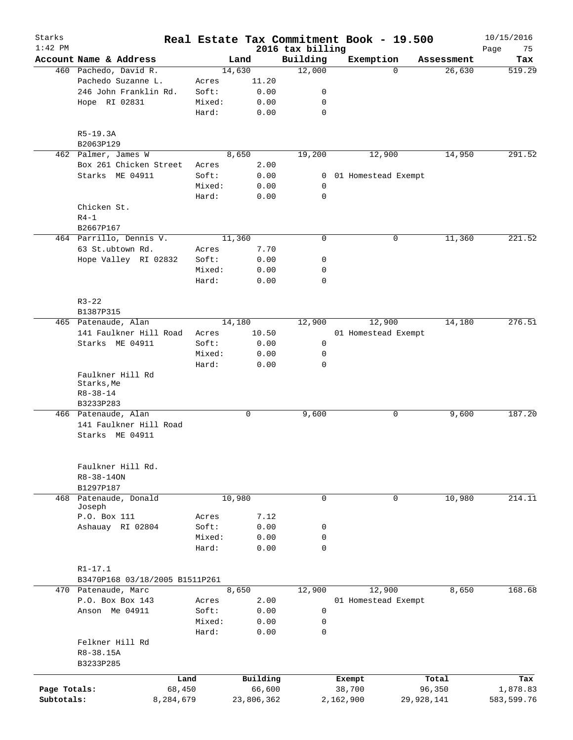| Starks<br>$1:42$ PM |                                |           |        |        |            | 2016 tax billing | Real Estate Tax Commitment Book - 19.500 |            |            | 10/15/2016<br>Page<br>75 |
|---------------------|--------------------------------|-----------|--------|--------|------------|------------------|------------------------------------------|------------|------------|--------------------------|
|                     | Account Name & Address         |           |        | Land   |            | Building         | Exemption                                |            | Assessment | Tax                      |
|                     | 460 Pachedo, David R.          |           |        | 14,630 |            | 12,000           |                                          | $\Omega$   | 26,630     | 519.29                   |
|                     | Pachedo Suzanne L.             |           | Acres  |        | 11.20      |                  |                                          |            |            |                          |
|                     | 246 John Franklin Rd.          |           | Soft:  |        | 0.00       | 0                |                                          |            |            |                          |
|                     | Hope RI 02831                  |           | Mixed: |        | 0.00       | 0                |                                          |            |            |                          |
|                     |                                |           | Hard:  |        | 0.00       | 0                |                                          |            |            |                          |
|                     |                                |           |        |        |            |                  |                                          |            |            |                          |
|                     | $R5-19.3A$                     |           |        |        |            |                  |                                          |            |            |                          |
|                     | B2063P129                      |           |        |        |            |                  |                                          |            |            |                          |
|                     | 462 Palmer, James W            |           |        | 8,650  |            | 19,200           | 12,900                                   |            | 14,950     | 291.52                   |
|                     | Box 261 Chicken Street         |           | Acres  |        | 2.00       |                  |                                          |            |            |                          |
|                     | Starks ME 04911                |           | Soft:  |        | 0.00       | 0                | 01 Homestead Exempt                      |            |            |                          |
|                     |                                |           | Mixed: |        | 0.00       | 0                |                                          |            |            |                          |
|                     |                                |           | Hard:  |        | 0.00       | 0                |                                          |            |            |                          |
|                     | Chicken St.                    |           |        |        |            |                  |                                          |            |            |                          |
|                     | $R4-1$                         |           |        |        |            |                  |                                          |            |            |                          |
|                     | B2667P167                      |           |        |        |            |                  |                                          |            |            |                          |
|                     | 464 Parrillo, Dennis V.        |           |        | 11,360 |            | $\mathbf 0$      |                                          | 0          | 11,360     | 221.52                   |
|                     | 63 St.ubtown Rd.               |           | Acres  |        | 7.70       |                  |                                          |            |            |                          |
|                     | Hope Valley RI 02832           |           | Soft:  |        | 0.00       | 0                |                                          |            |            |                          |
|                     |                                |           | Mixed: |        | 0.00       | 0                |                                          |            |            |                          |
|                     |                                |           | Hard:  |        | 0.00       | 0                |                                          |            |            |                          |
|                     |                                |           |        |        |            |                  |                                          |            |            |                          |
|                     | $R3 - 22$                      |           |        |        |            |                  |                                          |            |            |                          |
|                     | B1387P315                      |           |        |        |            |                  |                                          |            |            |                          |
|                     |                                |           |        |        |            |                  |                                          |            |            |                          |
|                     | 465 Patenaude, Alan            |           |        | 14,180 |            | 12,900           | 12,900                                   |            | 14,180     | 276.51                   |
|                     | 141 Faulkner Hill Road         |           | Acres  |        | 10.50      |                  | 01 Homestead Exempt                      |            |            |                          |
|                     | Starks ME 04911                |           | Soft:  |        | 0.00       | 0                |                                          |            |            |                          |
|                     |                                |           | Mixed: |        | 0.00       | 0                |                                          |            |            |                          |
|                     |                                |           | Hard:  |        | 0.00       | $\mathbf 0$      |                                          |            |            |                          |
|                     | Faulkner Hill Rd<br>Starks, Me |           |        |        |            |                  |                                          |            |            |                          |
|                     | $R8 - 38 - 14$                 |           |        |        |            |                  |                                          |            |            |                          |
|                     | B3233P283                      |           |        |        |            |                  |                                          |            |            |                          |
|                     | 466 Patenaude, Alan            |           |        |        | 0          | 9,600            |                                          | 0          | 9,600      | 187.20                   |
|                     | 141 Faulkner Hill Road         |           |        |        |            |                  |                                          |            |            |                          |
|                     | Starks ME 04911                |           |        |        |            |                  |                                          |            |            |                          |
|                     |                                |           |        |        |            |                  |                                          |            |            |                          |
|                     |                                |           |        |        |            |                  |                                          |            |            |                          |
|                     |                                |           |        |        |            |                  |                                          |            |            |                          |
|                     | Faulkner Hill Rd.              |           |        |        |            |                  |                                          |            |            |                          |
|                     | R8-38-140N                     |           |        |        |            |                  |                                          |            |            |                          |
|                     | B1297P187                      |           |        |        |            |                  |                                          |            |            |                          |
| 468                 | Patenaude, Donald<br>Joseph    |           |        | 10,980 |            | 0                |                                          | 0          | 10,980     | 214.11                   |
|                     | P.O. Box 111                   |           | Acres  |        | 7.12       |                  |                                          |            |            |                          |
|                     | Ashauay RI 02804               |           | Soft:  |        | 0.00       | 0                |                                          |            |            |                          |
|                     |                                |           | Mixed: |        | 0.00       | 0                |                                          |            |            |                          |
|                     |                                |           | Hard:  |        | 0.00       | $\mathbf 0$      |                                          |            |            |                          |
|                     |                                |           |        |        |            |                  |                                          |            |            |                          |
|                     | $R1 - 17.1$                    |           |        |        |            |                  |                                          |            |            |                          |
|                     | B3470P168 03/18/2005 B1511P261 |           |        |        |            |                  |                                          |            |            |                          |
|                     | 470 Patenaude, Marc            |           |        | 8,650  |            | 12,900           | 12,900                                   |            | 8,650      | 168.68                   |
|                     | P.O. Box Box 143               |           | Acres  |        | 2.00       |                  | 01 Homestead Exempt                      |            |            |                          |
|                     | Anson Me 04911                 |           | Soft:  |        |            | 0                |                                          |            |            |                          |
|                     |                                |           |        |        | 0.00       |                  |                                          |            |            |                          |
|                     |                                |           | Mixed: |        | 0.00       | 0                |                                          |            |            |                          |
|                     |                                |           | Hard:  |        | 0.00       | $\mathbf 0$      |                                          |            |            |                          |
|                     | Felkner Hill Rd                |           |        |        |            |                  |                                          |            |            |                          |
|                     | R8-38.15A                      |           |        |        |            |                  |                                          |            |            |                          |
|                     | B3233P285                      |           |        |        |            |                  |                                          |            |            |                          |
|                     |                                | Land      |        |        | Building   |                  | Exempt                                   |            | Total      | Tax                      |
| Page Totals:        |                                | 68,450    |        |        | 66,600     |                  | 38,700                                   |            | 96,350     | 1,878.83                 |
| Subtotals:          |                                | 8,284,679 |        |        | 23,806,362 |                  | 2,162,900                                | 29,928,141 |            | 583,599.76               |
|                     |                                |           |        |        |            |                  |                                          |            |            |                          |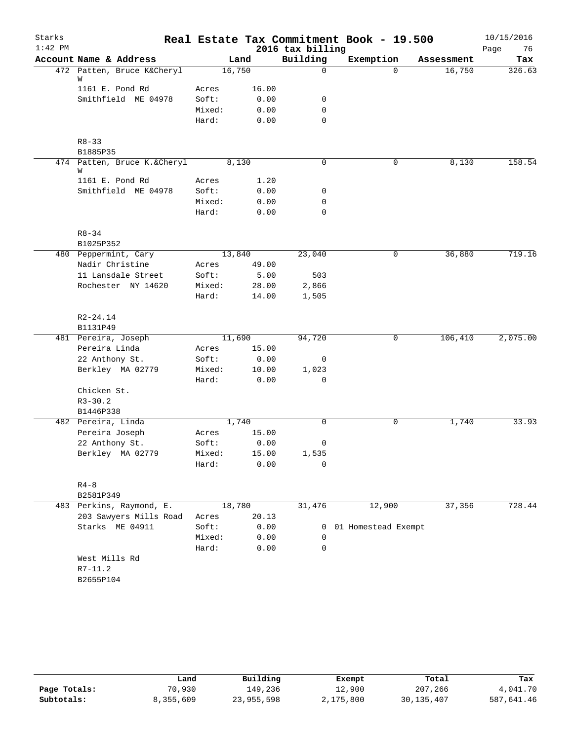| Starks    |                                  |        |       |                  | Real Estate Tax Commitment Book - 19.500 |            | 10/15/2016 |
|-----------|----------------------------------|--------|-------|------------------|------------------------------------------|------------|------------|
| $1:42$ PM |                                  |        |       | 2016 tax billing |                                          |            | 76<br>Page |
|           | Account Name & Address           |        | Land  | Building         | Exemption                                | Assessment | Tax        |
|           | 472 Patten, Bruce K&Cheryl       | 16,750 |       | 0                | $\Omega$                                 | 16,750     | 326.63     |
|           | W<br>1161 E. Pond Rd             | Acres  | 16.00 |                  |                                          |            |            |
|           | Smithfield ME 04978              | Soft:  | 0.00  | 0                |                                          |            |            |
|           |                                  | Mixed: | 0.00  | 0                |                                          |            |            |
|           |                                  | Hard:  | 0.00  | 0                |                                          |            |            |
|           |                                  |        |       |                  |                                          |            |            |
|           | $R8 - 33$                        |        |       |                  |                                          |            |            |
|           | B1885P35                         |        |       |                  |                                          |            |            |
|           | 474 Patten, Bruce K.&Cheryl<br>W | 8,130  |       | 0                | 0                                        | 8,130      | 158.54     |
|           | 1161 E. Pond Rd                  | Acres  | 1.20  |                  |                                          |            |            |
|           | Smithfield ME 04978              | Soft:  | 0.00  | 0                |                                          |            |            |
|           |                                  | Mixed: | 0.00  | 0                |                                          |            |            |
|           |                                  | Hard:  | 0.00  | $\mathbf 0$      |                                          |            |            |
|           |                                  |        |       |                  |                                          |            |            |
|           | $R8 - 34$                        |        |       |                  |                                          |            |            |
|           | B1025P352                        |        |       |                  |                                          |            |            |
|           | 480 Peppermint, Cary             | 13,840 |       | 23,040           | 0                                        | 36,880     | 719.16     |
|           | Nadir Christine                  | Acres  | 49.00 |                  |                                          |            |            |
|           | 11 Lansdale Street               | Soft:  | 5.00  | 503              |                                          |            |            |
|           | Rochester NY 14620               | Mixed: | 28.00 | 2,866            |                                          |            |            |
|           |                                  | Hard:  | 14.00 | 1,505            |                                          |            |            |
|           |                                  |        |       |                  |                                          |            |            |
|           | $R2 - 24.14$                     |        |       |                  |                                          |            |            |
|           | B1131P49                         |        |       |                  |                                          |            |            |
|           | 481 Pereira, Joseph              | 11,690 |       | 94,720           | 0                                        | 106,410    | 2,075.00   |
|           | Pereira Linda                    | Acres  | 15.00 |                  |                                          |            |            |
|           | 22 Anthony St.                   | Soft:  | 0.00  | 0                |                                          |            |            |
|           | Berkley MA 02779                 | Mixed: | 10.00 | 1,023            |                                          |            |            |
|           |                                  | Hard:  | 0.00  | 0                |                                          |            |            |
|           | Chicken St.                      |        |       |                  |                                          |            |            |
|           | $R3 - 30.2$                      |        |       |                  |                                          |            |            |
|           | B1446P338<br>482 Pereira, Linda  | 1,740  |       | 0                | 0                                        | 1,740      | 33.93      |
|           | Pereira Joseph                   | Acres  | 15.00 |                  |                                          |            |            |
|           | 22 Anthony St.                   | Soft:  | 0.00  | 0                |                                          |            |            |
|           | Berkley MA 02779                 | Mixed: | 15.00 |                  |                                          |            |            |
|           |                                  | Hard:  | 0.00  | 1,535<br>0       |                                          |            |            |
|           |                                  |        |       |                  |                                          |            |            |
|           | $R4 - 8$                         |        |       |                  |                                          |            |            |
|           | B2581P349                        |        |       |                  |                                          |            |            |
|           | 483 Perkins, Raymond, E.         | 18,780 |       | 31,476           | 12,900                                   | 37,356     | 728.44     |
|           | 203 Sawyers Mills Road           | Acres  | 20.13 |                  |                                          |            |            |
|           | Starks ME 04911                  | Soft:  | 0.00  | 0                | 01 Homestead Exempt                      |            |            |
|           |                                  | Mixed: | 0.00  | 0                |                                          |            |            |
|           |                                  | Hard:  | 0.00  | $\Omega$         |                                          |            |            |
|           | West Mills Rd                    |        |       |                  |                                          |            |            |
|           | $R7 - 11.2$                      |        |       |                  |                                          |            |            |
|           |                                  |        |       |                  |                                          |            |            |

|              | Land      | Building   | Exempt    | Total        | Tax        |
|--------------|-----------|------------|-----------|--------------|------------|
| Page Totals: | 70,930    | 149.236    | 12,900    | 207,266      | 4,041.70   |
| Subtotals:   | 8,355,609 | 23,955,598 | 2,175,800 | 30, 135, 407 | 587,641.46 |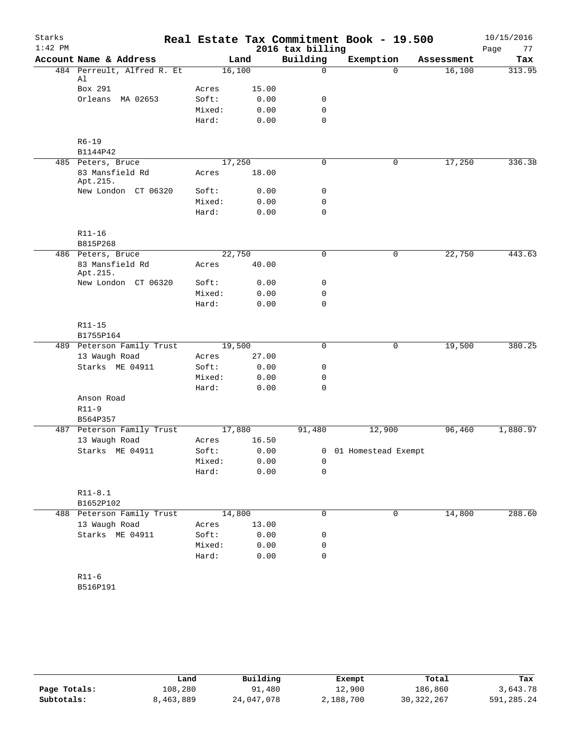| Starks    |                             |        |        |                  | Real Estate Tax Commitment Book - 19.500 |            | 10/15/2016 |
|-----------|-----------------------------|--------|--------|------------------|------------------------------------------|------------|------------|
| $1:42$ PM |                             |        |        | 2016 tax billing |                                          |            | 77<br>Page |
|           | Account Name & Address      |        | Land   | Building         | Exemption                                | Assessment | Tax        |
|           | 484 Perreult, Alfred R. Et  |        | 16,100 | $\mathbf 0$      | $\Omega$                                 | 16,100     | 313.95     |
|           | Al<br>Box 291               | Acres  | 15.00  |                  |                                          |            |            |
|           | Orleans MA 02653            | Soft:  | 0.00   | 0                |                                          |            |            |
|           |                             | Mixed: | 0.00   | $\mathbf 0$      |                                          |            |            |
|           |                             | Hard:  | 0.00   | $\mathbf 0$      |                                          |            |            |
|           |                             |        |        |                  |                                          |            |            |
|           | $R6 - 19$<br>B1144P42       |        |        |                  |                                          |            |            |
|           | 485 Peters, Bruce           |        | 17,250 | $\mathbf 0$      | $\mathbf 0$                              | 17,250     | 336.38     |
|           | 83 Mansfield Rd<br>Apt.215. | Acres  | 18.00  |                  |                                          |            |            |
|           | New London CT 06320         | Soft:  | 0.00   | 0                |                                          |            |            |
|           |                             | Mixed: | 0.00   | 0                |                                          |            |            |
|           |                             | Hard:  | 0.00   | $\mathbf 0$      |                                          |            |            |
|           | R11-16                      |        |        |                  |                                          |            |            |
|           | B815P268                    |        |        |                  |                                          |            |            |
|           | 486 Peters, Bruce           |        | 22,750 | $\mathbf 0$      | 0                                        | 22,750     | 443.63     |
|           | 83 Mansfield Rd<br>Apt.215. | Acres  | 40.00  |                  |                                          |            |            |
|           | New London CT 06320         | Soft:  | 0.00   | 0                |                                          |            |            |
|           |                             | Mixed: | 0.00   | 0                |                                          |            |            |
|           |                             | Hard:  | 0.00   | $\mathbf 0$      |                                          |            |            |
|           | R11-15                      |        |        |                  |                                          |            |            |
|           | B1755P164                   |        |        |                  |                                          |            |            |
|           | 489 Peterson Family Trust   |        | 19,500 | 0                | $\mathsf{O}$                             | 19,500     | 380.25     |
|           | 13 Waugh Road               | Acres  | 27.00  |                  |                                          |            |            |
|           | Starks ME 04911             | Soft:  | 0.00   | 0                |                                          |            |            |
|           |                             | Mixed: | 0.00   | 0                |                                          |            |            |
|           |                             | Hard:  | 0.00   | $\mathbf 0$      |                                          |            |            |
|           | Anson Road                  |        |        |                  |                                          |            |            |
|           | $R11-9$                     |        |        |                  |                                          |            |            |
|           | B564P357                    |        |        |                  |                                          |            |            |
|           | 487 Peterson Family Trust   |        | 17,880 | 91,480           | 12,900                                   | 96,460     | 1,880.97   |
|           | 13 Waugh Road               | Acres  | 16.50  |                  |                                          |            |            |
|           | Starks ME 04911             | Soft:  | 0.00   |                  | 0 01 Homestead Exempt                    |            |            |
|           |                             | Mixed: | 0.00   | 0                |                                          |            |            |
|           |                             | Hard:  | 0.00   | $\mathbf 0$      |                                          |            |            |
|           | $R11-8.1$                   |        |        |                  |                                          |            |            |
|           | B1652P102                   |        |        |                  |                                          |            |            |
|           | 488 Peterson Family Trust   |        | 14,800 | $\mathbf 0$      | $\mathbf 0$                              | 14,800     | 288.60     |
|           | 13 Waugh Road               | Acres  | 13.00  |                  |                                          |            |            |
|           | Starks ME 04911             | Soft:  | 0.00   | 0                |                                          |            |            |
|           |                             | Mixed: | 0.00   | 0                |                                          |            |            |
|           |                             | Hard:  | 0.00   | 0                |                                          |            |            |
|           | $R11-6$                     |        |        |                  |                                          |            |            |
|           | B516P191                    |        |        |                  |                                          |            |            |
|           |                             |        |        |                  |                                          |            |            |

|              | Land      | Building   | Exempt    | Total        | Tax        |
|--------------|-----------|------------|-----------|--------------|------------|
| Page Totals: | 108,280   | 91,480     | 12,900    | 186,860      | 3,643.78   |
| Subtotals:   | 8,463,889 | 24,047,078 | 2,188,700 | 30, 322, 267 | 591,285.24 |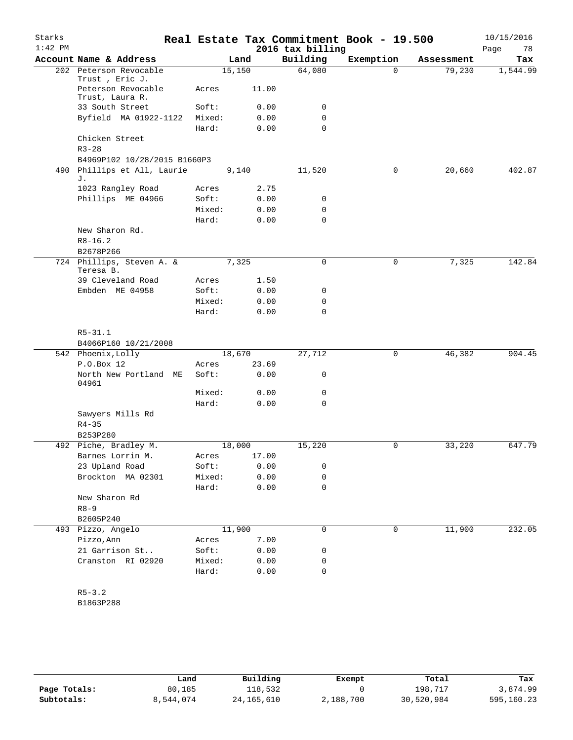| Starks<br>$1:42$ PM |                                          |        |        | 2016 tax billing | Real Estate Tax Commitment Book - 19.500 |            | 10/15/2016<br>Page<br>78 |
|---------------------|------------------------------------------|--------|--------|------------------|------------------------------------------|------------|--------------------------|
|                     | Account Name & Address                   |        | Land   | Building         | Exemption                                | Assessment | Tax                      |
|                     | 202 Peterson Revocable<br>Trust, Eric J. |        | 15,150 | 64,080           | $\Omega$                                 | 79,230     | 1,544.99                 |
|                     | Peterson Revocable<br>Trust, Laura R.    | Acres  | 11.00  |                  |                                          |            |                          |
|                     | 33 South Street                          | Soft:  | 0.00   | 0                |                                          |            |                          |
|                     | Byfield MA 01922-1122                    | Mixed: | 0.00   | 0                |                                          |            |                          |
|                     |                                          | Hard:  | 0.00   | $\Omega$         |                                          |            |                          |
|                     | Chicken Street<br>$R3 - 28$              |        |        |                  |                                          |            |                          |
|                     | B4969P102 10/28/2015 B1660P3             |        |        |                  |                                          |            |                          |
| 490                 | Phillips et All, Laurie<br>J.            |        | 9,140  | 11,520           | 0                                        | 20,660     | 402.87                   |
|                     | 1023 Rangley Road                        | Acres  | 2.75   |                  |                                          |            |                          |
|                     | Phillips ME 04966                        | Soft:  | 0.00   | 0                |                                          |            |                          |
|                     |                                          | Mixed: | 0.00   | 0                |                                          |            |                          |
|                     |                                          | Hard:  | 0.00   | $\mathbf 0$      |                                          |            |                          |
|                     | New Sharon Rd.                           |        |        |                  |                                          |            |                          |
|                     | $R8 - 16.2$                              |        |        |                  |                                          |            |                          |
|                     | B2678P266                                |        |        |                  |                                          |            |                          |
|                     | 724 Phillips, Steven A. &<br>Teresa B.   |        | 7,325  | $\mathbf 0$      | $\mathbf 0$                              | 7,325      | 142.84                   |
|                     | 39 Cleveland Road                        | Acres  | 1.50   |                  |                                          |            |                          |
|                     | Embden ME 04958                          | Soft:  | 0.00   | 0                |                                          |            |                          |
|                     |                                          | Mixed: | 0.00   | $\mathbf 0$      |                                          |            |                          |
|                     |                                          | Hard:  | 0.00   | 0                |                                          |            |                          |
|                     | $R5 - 31.1$                              |        |        |                  |                                          |            |                          |
|                     | B4066P160 10/21/2008                     |        |        |                  |                                          |            |                          |
|                     | 542 Phoenix, Lolly                       |        | 18,670 | 27,712           | $\mathbf 0$                              | 46,382     | 904.45                   |
|                     | P.O.Box 12                               | Acres  | 23.69  |                  |                                          |            |                          |
|                     | North New Portland ME<br>04961           | Soft:  | 0.00   | 0                |                                          |            |                          |
|                     |                                          | Mixed: | 0.00   | 0                |                                          |            |                          |
|                     |                                          | Hard:  | 0.00   | $\mathbf 0$      |                                          |            |                          |
|                     | Sawyers Mills Rd<br>$R4 - 35$            |        |        |                  |                                          |            |                          |
|                     | B253P280                                 |        |        |                  |                                          |            |                          |
|                     | 492 Piche, Bradley M.                    |        | 18,000 | 15,220           | 0                                        | 33,220     | 647.79                   |
|                     | Barnes Lorrin M.                         | Acres  | 17.00  |                  |                                          |            |                          |
|                     | 23 Upland Road                           | Soft:  | 0.00   | 0                |                                          |            |                          |
|                     | Brockton MA 02301                        | Mixed: | 0.00   | 0                |                                          |            |                          |
|                     |                                          | Hard:  | 0.00   | 0                |                                          |            |                          |
|                     | New Sharon Rd                            |        |        |                  |                                          |            |                          |
|                     | $R8 - 9$                                 |        |        |                  |                                          |            |                          |
|                     | B2605P240                                |        |        |                  |                                          |            |                          |
|                     | 493 Pizzo, Angelo                        |        | 11,900 | 0                | 0                                        | 11,900     | 232.05                   |
|                     | Pizzo, Ann                               | Acres  | 7.00   |                  |                                          |            |                          |
|                     | 21 Garrison St                           | Soft:  | 0.00   | 0                |                                          |            |                          |
|                     | Cranston RI 02920                        | Mixed: | 0.00   | 0                |                                          |            |                          |
|                     |                                          | Hard:  | 0.00   | 0                |                                          |            |                          |
|                     |                                          |        |        |                  |                                          |            |                          |
|                     | $R5 - 3.2$                               |        |        |                  |                                          |            |                          |

B1863P288

|              | Land      | Building     | Exempt    | Total      | Tax        |
|--------------|-----------|--------------|-----------|------------|------------|
| Page Totals: | 80,185    | 118,532      |           | 198,717    | 3,874.99   |
| Subtotals:   | 8,544,074 | 24, 165, 610 | 2,188,700 | 30,520,984 | 595,160.23 |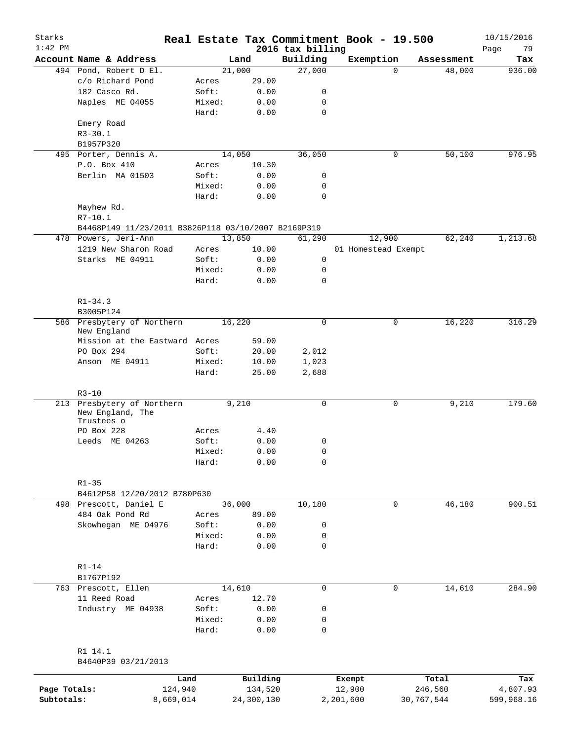| Starks<br>$1:42$ PM |                                                     |        |            | 2016 tax billing | Real Estate Tax Commitment Book - 19.500 |            |            | 10/15/2016<br>79<br>Page |
|---------------------|-----------------------------------------------------|--------|------------|------------------|------------------------------------------|------------|------------|--------------------------|
|                     | Account Name & Address                              |        | Land       | Building         | Exemption                                |            | Assessment | Tax                      |
|                     | 494 Pond, Robert D El.                              |        | 21,000     | 27,000           |                                          | $\Omega$   | 48,000     | 936.00                   |
|                     | c/o Richard Pond                                    | Acres  | 29.00      |                  |                                          |            |            |                          |
|                     | 182 Casco Rd.                                       | Soft:  | 0.00       | 0                |                                          |            |            |                          |
|                     | Naples ME 04055                                     | Mixed: | 0.00       | 0                |                                          |            |            |                          |
|                     |                                                     | Hard:  | 0.00       | $\mathbf 0$      |                                          |            |            |                          |
|                     | Emery Road                                          |        |            |                  |                                          |            |            |                          |
|                     | $R3 - 30.1$                                         |        |            |                  |                                          |            |            |                          |
|                     | B1957P320                                           |        |            |                  |                                          |            |            |                          |
|                     | 495 Porter, Dennis A.                               |        | 14,050     | 36,050           |                                          | 0          | 50,100     | 976.95                   |
|                     | P.O. Box 410                                        | Acres  | 10.30      |                  |                                          |            |            |                          |
|                     | Berlin MA 01503                                     | Soft:  | 0.00       | 0                |                                          |            |            |                          |
|                     |                                                     | Mixed: | 0.00       | 0                |                                          |            |            |                          |
|                     |                                                     | Hard:  | 0.00       | $\mathbf 0$      |                                          |            |            |                          |
|                     | Mayhew Rd.                                          |        |            |                  |                                          |            |            |                          |
|                     | $R7 - 10.1$                                         |        |            |                  |                                          |            |            |                          |
|                     | B4468P149 11/23/2011 B3826P118 03/10/2007 B2169P319 |        |            |                  |                                          |            |            |                          |
|                     | 478 Powers, Jeri-Ann                                |        | 13,850     | 61,290           | 12,900                                   |            | 62,240     | 1,213.68                 |
|                     | 1219 New Sharon Road                                | Acres  | 10.00      |                  | 01 Homestead Exempt                      |            |            |                          |
|                     | Starks ME 04911                                     | Soft:  | 0.00       | 0                |                                          |            |            |                          |
|                     |                                                     | Mixed: | 0.00       | 0                |                                          |            |            |                          |
|                     |                                                     | Hard:  | 0.00       | $\mathbf 0$      |                                          |            |            |                          |
|                     |                                                     |        |            |                  |                                          |            |            |                          |
|                     | $R1 - 34.3$                                         |        |            |                  |                                          |            |            |                          |
|                     | B3005P124                                           |        |            |                  |                                          |            |            |                          |
|                     | 586 Presbytery of Northern                          |        | 16,220     | $\mathbf 0$      |                                          | 0          | 16,220     | 316.29                   |
|                     | New England                                         |        |            |                  |                                          |            |            |                          |
|                     | Mission at the Eastward Acres                       |        | 59.00      |                  |                                          |            |            |                          |
|                     | PO Box 294                                          | Soft:  | 20.00      | 2,012            |                                          |            |            |                          |
|                     | Anson ME 04911                                      | Mixed: | 10.00      | 1,023            |                                          |            |            |                          |
|                     |                                                     | Hard:  | 25.00      | 2,688            |                                          |            |            |                          |
|                     |                                                     |        |            |                  |                                          |            |            |                          |
|                     | $R3 - 10$                                           |        |            |                  |                                          |            |            |                          |
|                     | 213 Presbytery of Northern                          |        | 9,210      | $\mathsf{O}$     |                                          | 0          | 9,210      | 179.60                   |
|                     | New England, The<br>Trustees o                      |        |            |                  |                                          |            |            |                          |
|                     | PO Box 228                                          | Acres  | 4.40       |                  |                                          |            |            |                          |
|                     | Leeds ME 04263                                      | Soft:  | 0.00       | 0                |                                          |            |            |                          |
|                     |                                                     | Mixed: | 0.00       | 0                |                                          |            |            |                          |
|                     |                                                     | Hard:  | 0.00       | $\mathbf 0$      |                                          |            |            |                          |
|                     |                                                     |        |            |                  |                                          |            |            |                          |
|                     | $R1 - 35$                                           |        |            |                  |                                          |            |            |                          |
|                     | B4612P58 12/20/2012 B780P630                        |        |            |                  |                                          |            |            |                          |
|                     | 498 Prescott, Daniel E                              |        | 36,000     | 10,180           |                                          | 0          | 46,180     | 900.51                   |
|                     | 484 Oak Pond Rd                                     | Acres  | 89.00      |                  |                                          |            |            |                          |
|                     | Skowhegan ME 04976                                  | Soft:  | 0.00       | 0                |                                          |            |            |                          |
|                     |                                                     | Mixed: | 0.00       | $\mathbf 0$      |                                          |            |            |                          |
|                     |                                                     | Hard:  | 0.00       | $\mathbf 0$      |                                          |            |            |                          |
|                     |                                                     |        |            |                  |                                          |            |            |                          |
|                     | $R1-14$                                             |        |            |                  |                                          |            |            |                          |
|                     | B1767P192                                           |        |            |                  |                                          |            |            |                          |
|                     | 763 Prescott, Ellen                                 |        | 14,610     | 0                |                                          | 0          | 14,610     | 284.90                   |
|                     | 11 Reed Road                                        | Acres  | 12.70      |                  |                                          |            |            |                          |
|                     | Industry ME 04938                                   | Soft:  | 0.00       | 0                |                                          |            |            |                          |
|                     |                                                     | Mixed: | 0.00       | 0                |                                          |            |            |                          |
|                     |                                                     | Hard:  | 0.00       | 0                |                                          |            |            |                          |
|                     |                                                     |        |            |                  |                                          |            |            |                          |
|                     | R1 14.1                                             |        |            |                  |                                          |            |            |                          |
|                     | B4640P39 03/21/2013                                 |        |            |                  |                                          |            |            |                          |
|                     |                                                     |        |            |                  |                                          |            |            |                          |
|                     | Land                                                |        | Building   |                  | Exempt                                   |            | Total      | Tax                      |
| Page Totals:        | 124,940                                             |        | 134,520    |                  | 12,900                                   |            | 246,560    | 4,807.93                 |
| Subtotals:          | 8,669,014                                           |        | 24,300,130 |                  | 2,201,600                                | 30,767,544 |            | 599,968.16               |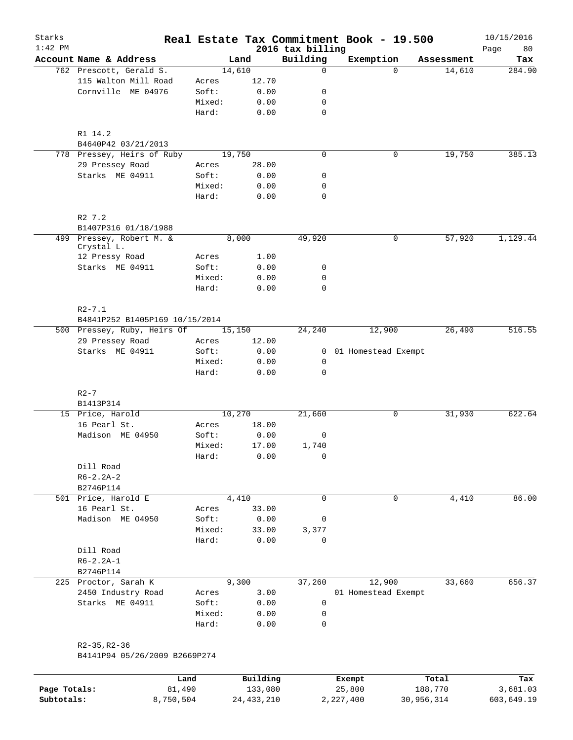| Starks<br>$1:42$ PM |                                                     |                 |               | 2016 tax billing | Real Estate Tax Commitment Book - 19.500 |            | 10/15/2016        |
|---------------------|-----------------------------------------------------|-----------------|---------------|------------------|------------------------------------------|------------|-------------------|
|                     | Account Name & Address                              |                 | Land          | Building         | Exemption                                | Assessment | 80<br>Page<br>Tax |
|                     | 762 Prescott, Gerald S.                             |                 | 14,610        | 0                | $\Omega$                                 | 14,610     | 284.90            |
|                     | 115 Walton Mill Road                                | Acres           | 12.70         |                  |                                          |            |                   |
|                     | Cornville ME 04976                                  | Soft:           | 0.00          | 0                |                                          |            |                   |
|                     |                                                     | Mixed:          | 0.00          | 0                |                                          |            |                   |
|                     |                                                     | Hard:           | 0.00          | $\mathbf 0$      |                                          |            |                   |
|                     | R1 14.2                                             |                 |               |                  |                                          |            |                   |
|                     | B4640P42 03/21/2013                                 |                 |               |                  |                                          |            |                   |
|                     | 778 Pressey, Heirs of Ruby                          |                 | 19,750        | $\mathbf 0$      | 0                                        | 19,750     | 385.13            |
|                     | 29 Pressey Road                                     | Acres           | 28.00         |                  |                                          |            |                   |
|                     | Starks ME 04911                                     | Soft:           | 0.00          | 0                |                                          |            |                   |
|                     |                                                     | Mixed:          | 0.00          | 0                |                                          |            |                   |
|                     |                                                     | Hard:           | 0.00          | $\mathbf 0$      |                                          |            |                   |
|                     | R2 7.2                                              |                 |               |                  |                                          |            |                   |
|                     | B1407P316 01/18/1988                                |                 |               |                  |                                          |            |                   |
|                     | 499 Pressey, Robert M. &<br>Crystal L.              |                 | 8,000         | 49,920           | 0                                        | 57,920     | 1,129.44          |
|                     | 12 Pressy Road                                      | Acres           | 1.00          |                  |                                          |            |                   |
|                     | Starks ME 04911                                     | Soft:           | 0.00          | 0                |                                          |            |                   |
|                     |                                                     | Mixed:          | 0.00          | 0                |                                          |            |                   |
|                     |                                                     | Hard:           | 0.00          | 0                |                                          |            |                   |
|                     | $R2 - 7.1$                                          |                 |               |                  |                                          |            |                   |
|                     | B4841P252 B1405P169 10/15/2014                      |                 |               |                  |                                          |            |                   |
|                     | 500 Pressey, Ruby, Heirs Of                         |                 | 15,150        | 24,240           | 12,900                                   | 26,490     | 516.55            |
|                     | 29 Pressey Road                                     | Acres           | 12.00         |                  |                                          |            |                   |
|                     | Starks ME 04911                                     | Soft:           | 0.00          |                  | 0 01 Homestead Exempt                    |            |                   |
|                     |                                                     | Mixed:          | 0.00          | $\mathsf{O}$     |                                          |            |                   |
|                     |                                                     | Hard:           | 0.00          | 0                |                                          |            |                   |
|                     | $R2-7$                                              |                 |               |                  |                                          |            |                   |
|                     | B1413P314                                           |                 |               |                  |                                          |            |                   |
|                     | 15 Price, Harold                                    |                 | 10,270        | 21,660           | 0                                        | 31,930     | 622.64            |
|                     | 16 Pearl St.                                        | Acres           | 18.00         |                  |                                          |            |                   |
|                     | Madison ME 04950                                    | Soft:           | 0.00          | 0                |                                          |            |                   |
|                     |                                                     | Mixed:<br>Hard: | 17.00<br>0.00 | 1,740<br>0       |                                          |            |                   |
|                     | Dill Road                                           |                 |               |                  |                                          |            |                   |
|                     | $R6 - 2.2A - 2$                                     |                 |               |                  |                                          |            |                   |
|                     | B2746P114                                           |                 |               |                  |                                          |            |                   |
|                     | 501 Price, Harold E                                 |                 | 4,410         | $\mathbf 0$      | $\mathbf 0$                              | 4,410      | 86.00             |
|                     | 16 Pearl St.                                        | Acres           | 33.00         |                  |                                          |            |                   |
|                     | Madison ME 04950                                    | Soft:           | 0.00          | 0                |                                          |            |                   |
|                     |                                                     | Mixed:          | 33.00         | 3,377            |                                          |            |                   |
|                     |                                                     | Hard:           | 0.00          | 0                |                                          |            |                   |
|                     | Dill Road                                           |                 |               |                  |                                          |            |                   |
|                     | $R6 - 2.2A - 1$                                     |                 |               |                  |                                          |            |                   |
|                     | B2746P114                                           |                 |               |                  |                                          |            |                   |
|                     | 225 Proctor, Sarah K                                |                 | 9,300         | 37,260           | 12,900                                   | 33,660     | 656.37            |
|                     | 2450 Industry Road                                  | Acres           | 3.00          |                  | 01 Homestead Exempt                      |            |                   |
|                     | Starks ME 04911                                     | Soft:           | 0.00          | 0                |                                          |            |                   |
|                     |                                                     | Mixed:          | 0.00          | 0                |                                          |            |                   |
|                     |                                                     | Hard:           | 0.00          | 0                |                                          |            |                   |
|                     |                                                     |                 |               |                  |                                          |            |                   |
|                     | $R2 - 35, R2 - 36$<br>B4141P94 05/26/2009 B2669P274 |                 |               |                  |                                          |            |                   |
|                     |                                                     |                 |               |                  |                                          |            |                   |
|                     | Land                                                |                 | Building      |                  | Exempt                                   | Total      | Tax               |

| Page Totals: | 81,490    | 133,080      | 25,800    | 188,770    | 3,681.03   |
|--------------|-----------|--------------|-----------|------------|------------|
| Subtotals:   | 8,750,504 | 24, 433, 210 | 2,227,400 | 30,956,314 | 603,649.19 |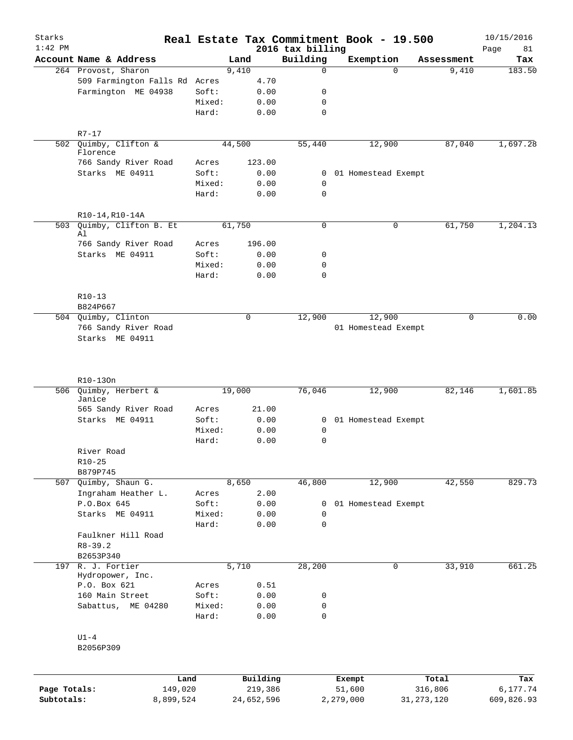| Starks       |                                         |        |             |                              | Real Estate Tax Commitment Book - 19.500 |              |            | 10/15/2016        |
|--------------|-----------------------------------------|--------|-------------|------------------------------|------------------------------------------|--------------|------------|-------------------|
| $1:42$ PM    | Account Name & Address                  |        | Land        | 2016 tax billing<br>Building | Exemption                                |              | Assessment | 81<br>Page<br>Tax |
|              | 264 Provost, Sharon                     |        | 9,410       | 0                            |                                          | $\Omega$     | 9,410      | 183.50            |
|              | 509 Farmington Falls Rd Acres           |        | 4.70        |                              |                                          |              |            |                   |
|              | Farmington ME 04938                     | Soft:  | 0.00        | 0                            |                                          |              |            |                   |
|              |                                         | Mixed: | 0.00        | 0                            |                                          |              |            |                   |
|              |                                         | Hard:  | 0.00        | 0                            |                                          |              |            |                   |
|              |                                         |        |             |                              |                                          |              |            |                   |
|              | $R7 - 17$                               |        |             |                              |                                          |              |            |                   |
|              | 502 Quimby, Clifton &<br>Florence       |        | 44,500      | 55,440                       | 12,900                                   |              | 87,040     | 1,697.28          |
|              | 766 Sandy River Road<br>Starks ME 04911 | Acres  | 123.00      |                              |                                          |              |            |                   |
|              |                                         | Soft:  | 0.00        |                              | 0 01 Homestead Exempt                    |              |            |                   |
|              |                                         | Mixed: | 0.00        | 0<br>$\mathbf 0$             |                                          |              |            |                   |
|              |                                         | Hard:  | 0.00        |                              |                                          |              |            |                   |
|              | R10-14, R10-14A                         |        |             |                              |                                          |              |            |                   |
| 503          | Quimby, Clifton B. Et<br>Al             |        | 61,750      | 0                            |                                          | 0            | 61,750     | 1,204.13          |
|              | 766 Sandy River Road                    | Acres  | 196.00      |                              |                                          |              |            |                   |
|              | Starks ME 04911                         | Soft:  | 0.00        | 0                            |                                          |              |            |                   |
|              |                                         | Mixed: | 0.00        | 0                            |                                          |              |            |                   |
|              |                                         | Hard:  | 0.00        | 0                            |                                          |              |            |                   |
|              | $R10-13$                                |        |             |                              |                                          |              |            |                   |
|              | B824P667                                |        |             |                              |                                          |              |            |                   |
|              | 504 Quimby, Clinton                     |        | $\mathbf 0$ | 12,900                       | 12,900                                   |              | $\Omega$   | 0.00              |
|              | 766 Sandy River Road                    |        |             |                              | 01 Homestead Exempt                      |              |            |                   |
|              | Starks ME 04911                         |        |             |                              |                                          |              |            |                   |
|              | R10-130n<br>506 Quimby, Herbert &       | 19,000 |             | 76,046                       | 12,900                                   |              | 82,146     | 1,601.85          |
|              | Janice                                  |        |             |                              |                                          |              |            |                   |
|              | 565 Sandy River Road                    | Acres  | 21.00       |                              |                                          |              |            |                   |
|              | Starks ME 04911                         | Soft:  | 0.00        |                              | 0 01 Homestead Exempt                    |              |            |                   |
|              |                                         | Mixed: | 0.00        | 0                            |                                          |              |            |                   |
|              |                                         | Hard:  | 0.00        | 0                            |                                          |              |            |                   |
|              | River Road                              |        |             |                              |                                          |              |            |                   |
|              | R10-25                                  |        |             |                              |                                          |              |            |                   |
|              | B879P745<br>507 Quimby, Shaun G.        |        | 8,650       | 46,800                       | 12,900                                   |              | 42,550     | 829.73            |
|              | Ingraham Heather L.                     | Acres  | 2.00        |                              |                                          |              |            |                   |
|              | P.O.Box 645                             | Soft:  | 0.00        | 0                            | 01 Homestead Exempt                      |              |            |                   |
|              | Starks ME 04911                         | Mixed: | 0.00        | 0                            |                                          |              |            |                   |
|              |                                         | Hard:  | 0.00        | $\mathbf 0$                  |                                          |              |            |                   |
|              | Faulkner Hill Road                      |        |             |                              |                                          |              |            |                   |
|              | $R8 - 39.2$                             |        |             |                              |                                          |              |            |                   |
|              | B2653P340                               |        |             |                              |                                          |              |            |                   |
| 197          | R. J. Fortier<br>Hydropower, Inc.       |        | 5,710       | 28,200                       |                                          | 0            | 33,910     | 661.25            |
|              | P.O. Box 621                            | Acres  | 0.51        |                              |                                          |              |            |                   |
|              | 160 Main Street                         | Soft:  | 0.00        | 0                            |                                          |              |            |                   |
|              | Sabattus, ME 04280                      | Mixed: | 0.00        | 0                            |                                          |              |            |                   |
|              |                                         | Hard:  | 0.00        | 0                            |                                          |              |            |                   |
|              | $U1-4$                                  |        |             |                              |                                          |              |            |                   |
|              | B2056P309                               |        |             |                              |                                          |              |            |                   |
|              | Land                                    |        | Building    |                              | Exempt                                   |              | Total      | Tax               |
| Page Totals: | 149,020                                 |        | 219,386     |                              | 51,600                                   | 316,806      |            | 6,177.74          |
| Subtotals:   | 8,899,524                               |        | 24,652,596  |                              | 2,279,000                                | 31, 273, 120 |            | 609,826.93        |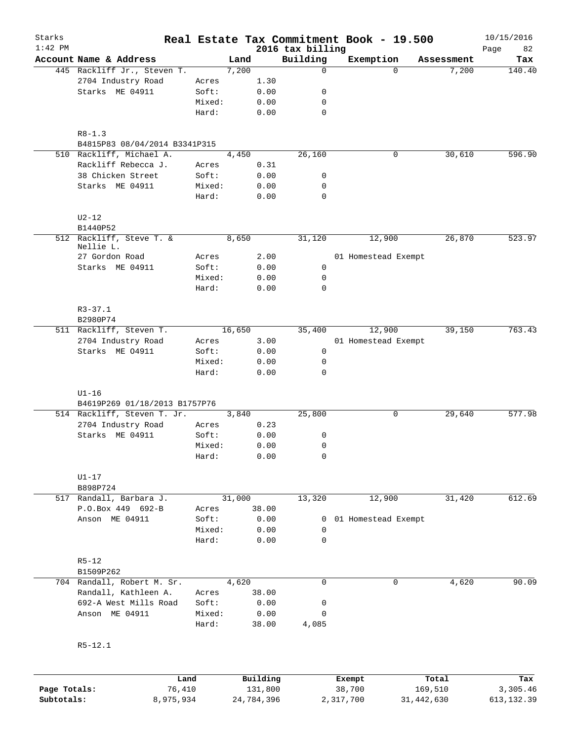| Starks       |                                             |                 |        |                     |                              | Real Estate Tax Commitment Book - 19.500 |                  | 10/15/2016        |
|--------------|---------------------------------------------|-----------------|--------|---------------------|------------------------------|------------------------------------------|------------------|-------------------|
| $1:42$ PM    | Account Name & Address                      |                 | Land   |                     | 2016 tax billing<br>Building | Exemption                                | Assessment       | 82<br>Page<br>Tax |
|              | 445 Rackliff Jr., Steven T.                 |                 | 7,200  |                     | 0                            | $\Omega$                                 | 7,200            | 140.40            |
|              | 2704 Industry Road                          | Acres           |        | 1.30                |                              |                                          |                  |                   |
|              | Starks ME 04911                             | Soft:           |        | 0.00                | 0                            |                                          |                  |                   |
|              |                                             | Mixed:          |        | 0.00                | 0                            |                                          |                  |                   |
|              |                                             | Hard:           |        | 0.00                | $\mathbf 0$                  |                                          |                  |                   |
|              |                                             |                 |        |                     |                              |                                          |                  |                   |
|              | $R8 - 1.3$<br>B4815P83 08/04/2014 B3341P315 |                 |        |                     |                              |                                          |                  |                   |
|              | 510 Rackliff, Michael A.                    |                 | 4,450  |                     | 26,160                       | 0                                        | 30,610           | 596.90            |
|              | Rackliff Rebecca J.                         | Acres           |        | 0.31                |                              |                                          |                  |                   |
|              | 38 Chicken Street                           | Soft:           |        | 0.00                | 0                            |                                          |                  |                   |
|              | Starks ME 04911                             | Mixed:          |        | 0.00                | 0                            |                                          |                  |                   |
|              |                                             | Hard:           |        | 0.00                | 0                            |                                          |                  |                   |
|              | $U2-12$                                     |                 |        |                     |                              |                                          |                  |                   |
|              | B1440P52                                    |                 |        |                     |                              |                                          |                  |                   |
|              | 512 Rackliff, Steve T. &<br>Nellie L.       |                 | 8,650  |                     | 31,120                       | 12,900                                   | 26,870           | 523.97            |
|              | 27 Gordon Road                              | Acres           |        | 2.00                |                              | 01 Homestead Exempt                      |                  |                   |
|              | Starks ME 04911                             | Soft:           |        | 0.00                | 0                            |                                          |                  |                   |
|              |                                             | Mixed:          |        | 0.00                | 0                            |                                          |                  |                   |
|              |                                             | Hard:           |        | 0.00                | $\mathbf 0$                  |                                          |                  |                   |
|              | $R3 - 37.1$                                 |                 |        |                     |                              |                                          |                  |                   |
|              | B2980P74                                    |                 |        |                     |                              |                                          |                  |                   |
|              | 511 Rackliff, Steven T.                     |                 | 16,650 |                     | 35,400                       | 12,900                                   | 39,150           | 763.43            |
|              | 2704 Industry Road                          | Acres           |        | 3.00                |                              | 01 Homestead Exempt                      |                  |                   |
|              | Starks ME 04911                             | Soft:           |        | 0.00                | $\mathsf{O}$                 |                                          |                  |                   |
|              |                                             | Mixed:          |        | 0.00                | 0                            |                                          |                  |                   |
|              |                                             | Hard:           |        | 0.00                | 0                            |                                          |                  |                   |
|              | $UI-16$                                     |                 |        |                     |                              |                                          |                  |                   |
|              | B4619P269 01/18/2013 B1757P76               |                 |        |                     |                              |                                          |                  |                   |
|              | 514 Rackliff, Steven T. Jr.                 |                 | 3,840  |                     | 25,800                       | 0                                        | 29,640           | 577.98            |
|              | 2704 Industry Road                          | Acres           |        | 0.23                |                              |                                          |                  |                   |
|              | Starks ME 04911                             | Soft:           |        | 0.00                | 0                            |                                          |                  |                   |
|              |                                             | Mixed:          |        | 0.00                | 0                            |                                          |                  |                   |
|              |                                             | Hard:           |        | 0.00                | 0                            |                                          |                  |                   |
|              | $U1-17$                                     |                 |        |                     |                              |                                          |                  |                   |
|              | B898P724                                    |                 |        |                     |                              |                                          |                  |                   |
|              | 517 Randall, Barbara J.                     |                 | 31,000 |                     | 13,320                       | 12,900                                   | 31,420           | 612.69            |
|              | P.O.Box 449 692-B                           | Acres           |        | 38.00               |                              |                                          |                  |                   |
|              | Anson ME 04911                              | Soft:           |        | 0.00                | 0                            | 01 Homestead Exempt                      |                  |                   |
|              |                                             | Mixed:          |        | 0.00                | 0                            |                                          |                  |                   |
|              |                                             | Hard:           |        | 0.00                | 0                            |                                          |                  |                   |
|              | $R5 - 12$                                   |                 |        |                     |                              |                                          |                  |                   |
|              | B1509P262                                   |                 |        |                     |                              |                                          |                  |                   |
|              | 704 Randall, Robert M. Sr.                  |                 | 4,620  |                     | 0                            | 0                                        | 4,620            | 90.09             |
|              | Randall, Kathleen A.                        | Acres           |        | 38.00               |                              |                                          |                  |                   |
|              | 692-A West Mills Road                       | Soft:           |        | 0.00                | 0                            |                                          |                  |                   |
|              | Anson ME 04911                              | Mixed:<br>Hard: |        | 0.00<br>38.00       | 0<br>4,085                   |                                          |                  |                   |
|              |                                             |                 |        |                     |                              |                                          |                  |                   |
|              | $R5 - 12.1$                                 |                 |        |                     |                              |                                          |                  |                   |
|              |                                             |                 |        |                     |                              |                                          |                  |                   |
| Page Totals: | 76,410                                      | Land            |        | Building<br>131,800 |                              | Exempt<br>38,700                         | Total<br>169,510 | Tax<br>3,305.46   |
|              |                                             |                 |        |                     |                              |                                          |                  |                   |

**Subtotals:** 8,975,934 24,784,396 2,317,700 31,442,630 613,132.39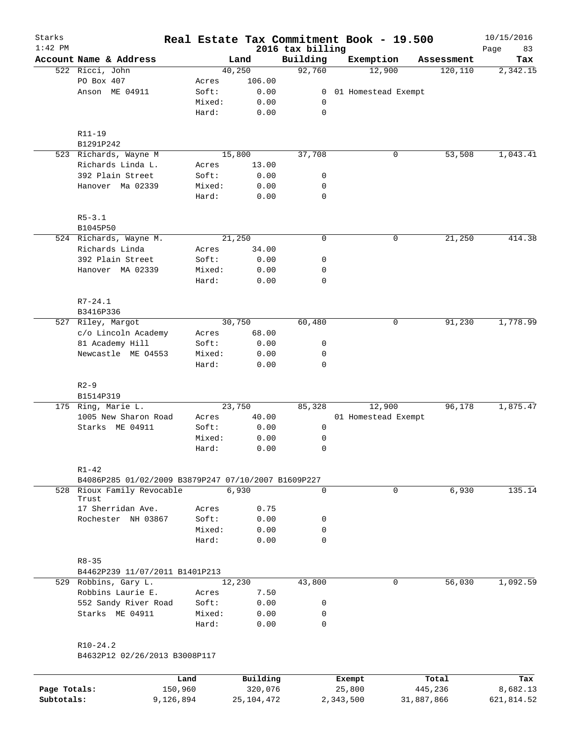| Starks<br>$1:42$ PM |                                                     |        |          | 2016 tax billing | Real Estate Tax Commitment Book - 19.500 |            | 10/15/2016<br>83<br>Page |
|---------------------|-----------------------------------------------------|--------|----------|------------------|------------------------------------------|------------|--------------------------|
|                     | Account Name & Address                              |        | Land     | Building         | Exemption                                | Assessment | Tax                      |
|                     | 522 Ricci, John                                     |        | 40,250   | 92,760           | 12,900                                   | 120, 110   | 2,342.15                 |
|                     | PO Box 407                                          | Acres  | 106.00   |                  |                                          |            |                          |
|                     | Anson ME 04911                                      | Soft:  | 0.00     | $\overline{0}$   | 01 Homestead Exempt                      |            |                          |
|                     |                                                     | Mixed: | 0.00     | 0                |                                          |            |                          |
|                     |                                                     | Hard:  | 0.00     | $\mathbf 0$      |                                          |            |                          |
|                     | $R11 - 19$                                          |        |          |                  |                                          |            |                          |
|                     | B1291P242                                           |        |          |                  |                                          |            |                          |
|                     | 523 Richards, Wayne M                               |        | 15,800   | 37,708           | 0                                        | 53,508     | 1,043.41                 |
|                     | Richards Linda L.                                   | Acres  | 13.00    |                  |                                          |            |                          |
|                     | 392 Plain Street                                    | Soft:  | 0.00     | 0                |                                          |            |                          |
|                     | Hanover Ma 02339                                    | Mixed: | 0.00     | 0                |                                          |            |                          |
|                     |                                                     | Hard:  | 0.00     | $\mathbf 0$      |                                          |            |                          |
|                     | $R5 - 3.1$                                          |        |          |                  |                                          |            |                          |
|                     | B1045P50                                            |        |          |                  |                                          |            |                          |
|                     | 524 Richards, Wayne M.                              |        | 21,250   | $\mathbf 0$      | 0                                        | 21,250     | 414.38                   |
|                     | Richards Linda                                      | Acres  | 34.00    |                  |                                          |            |                          |
|                     | 392 Plain Street                                    | Soft:  | 0.00     | 0                |                                          |            |                          |
|                     | Hanover MA 02339                                    | Mixed: | 0.00     | 0                |                                          |            |                          |
|                     |                                                     | Hard:  | 0.00     | $\mathbf 0$      |                                          |            |                          |
|                     | $R7 - 24.1$                                         |        |          |                  |                                          |            |                          |
|                     | B3416P336                                           |        |          |                  |                                          |            |                          |
|                     | 527 Riley, Margot                                   |        | 30,750   | 60,480           | 0                                        | 91,230     | 1,778.99                 |
|                     | c/o Lincoln Academy                                 | Acres  | 68.00    |                  |                                          |            |                          |
|                     | 81 Academy Hill                                     | Soft:  | 0.00     | 0                |                                          |            |                          |
|                     | Newcastle ME 04553                                  | Mixed: | 0.00     | 0                |                                          |            |                          |
|                     |                                                     | Hard:  | 0.00     | 0                |                                          |            |                          |
|                     | $R2 - 9$                                            |        |          |                  |                                          |            |                          |
|                     | B1514P319                                           |        |          |                  |                                          |            |                          |
|                     | 175 Ring, Marie L.                                  |        | 23,750   | 85,328           | 12,900                                   | 96,178     | 1,875.47                 |
|                     | 1005 New Sharon Road                                | Acres  | 40.00    |                  | 01 Homestead Exempt                      |            |                          |
|                     | Starks ME 04911                                     | Soft:  | 0.00     | 0                |                                          |            |                          |
|                     |                                                     | Mixed: | 0.00     | 0                |                                          |            |                          |
|                     |                                                     | Hard:  | 0.00     | 0                |                                          |            |                          |
|                     | $R1 - 42$                                           |        |          |                  |                                          |            |                          |
|                     | B4086P285 01/02/2009 B3879P247 07/10/2007 B1609P227 |        |          |                  |                                          |            |                          |
|                     | 528 Rioux Family Revocable<br>Trust                 |        | 6,930    | 0                | 0                                        | 6,930      | 135.14                   |
|                     | 17 Sherridan Ave.                                   | Acres  | 0.75     |                  |                                          |            |                          |
|                     | Rochester NH 03867                                  | Soft:  | 0.00     | 0                |                                          |            |                          |
|                     |                                                     | Mixed: | 0.00     | 0                |                                          |            |                          |
|                     |                                                     | Hard:  | 0.00     | $\Omega$         |                                          |            |                          |
|                     | $R8 - 35$                                           |        |          |                  |                                          |            |                          |
|                     | B4462P239 11/07/2011 B1401P213                      |        |          |                  |                                          |            |                          |
|                     | 529 Robbins, Gary L.                                |        | 12,230   | 43,800           | 0                                        | 56,030     | 1,092.59                 |
|                     | Robbins Laurie E.                                   | Acres  | 7.50     |                  |                                          |            |                          |
|                     | 552 Sandy River Road                                | Soft:  | 0.00     | 0                |                                          |            |                          |
|                     | Starks ME 04911                                     | Mixed: | 0.00     | 0                |                                          |            |                          |
|                     |                                                     | Hard:  | 0.00     | 0                |                                          |            |                          |
|                     | $R10-24.2$                                          |        |          |                  |                                          |            |                          |
|                     | B4632P12 02/26/2013 B3008P117                       |        |          |                  |                                          |            |                          |
|                     |                                                     | Land   | Building |                  | Exempt                                   | Total      | Tax                      |

|              | Land      | Building   | Exempt    | Total      | Tax        |
|--------------|-----------|------------|-----------|------------|------------|
| Page Totals: | 150,960   | 320,076    | 25,800    | 445,236    | 8,682.13   |
| Subtotals:   | 9,126,894 | 25,104,472 | 2,343,500 | 31,887,866 | 621,814.52 |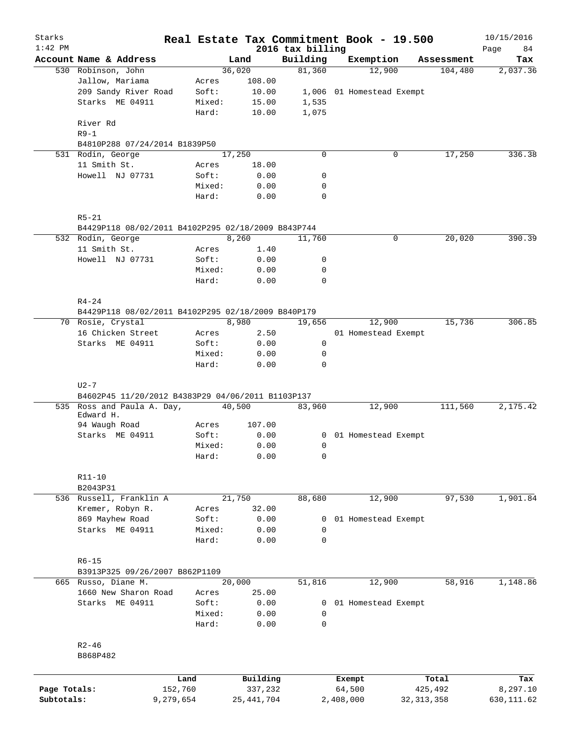| Starks<br>$1:42$ PM |                                                                                 |                 |              | 2016 tax billing | Real Estate Tax Commitment Book - 19.500 |              |            | 10/15/2016<br>84<br>Page |
|---------------------|---------------------------------------------------------------------------------|-----------------|--------------|------------------|------------------------------------------|--------------|------------|--------------------------|
|                     | Account Name & Address                                                          |                 | Land         | Building         | Exemption                                |              | Assessment | Tax                      |
|                     | 530 Robinson, John                                                              |                 | 36,020       | 81,360           | 12,900                                   |              | 104,480    | 2,037.36                 |
|                     | Jallow, Mariama                                                                 | Acres           | 108.00       |                  |                                          |              |            |                          |
|                     | 209 Sandy River Road                                                            | Soft:           | 10.00        |                  | 1,006 01 Homestead Exempt                |              |            |                          |
|                     | Starks ME 04911                                                                 | Mixed:          | 15.00        | 1,535            |                                          |              |            |                          |
|                     |                                                                                 | Hard:           | 10.00        | 1,075            |                                          |              |            |                          |
|                     | River Rd<br>$R9-1$                                                              |                 |              |                  |                                          |              |            |                          |
|                     | B4810P288 07/24/2014 B1839P50                                                   |                 |              |                  |                                          |              |            |                          |
|                     | 531 Rodin, George                                                               |                 | 17,250       | $\mathbf 0$      |                                          | 0            | 17,250     | 336.38                   |
|                     | 11 Smith St.                                                                    | Acres           | 18.00        |                  |                                          |              |            |                          |
|                     | Howell NJ 07731                                                                 | Soft:           | 0.00         | 0                |                                          |              |            |                          |
|                     |                                                                                 |                 |              |                  |                                          |              |            |                          |
|                     |                                                                                 | Mixed:          | 0.00         | 0                |                                          |              |            |                          |
|                     |                                                                                 | Hard:           | 0.00         | 0                |                                          |              |            |                          |
|                     | $R5 - 21$<br>B4429P118 08/02/2011 B4102P295 02/18/2009 B843P744                 |                 |              |                  |                                          |              |            |                          |
|                     | 532 Rodin, George                                                               |                 | 8,260        | 11,760           |                                          | 0            | 20,020     | 390.39                   |
|                     | 11 Smith St.                                                                    | Acres           | 1.40         |                  |                                          |              |            |                          |
|                     |                                                                                 |                 |              |                  |                                          |              |            |                          |
|                     | Howell NJ 07731                                                                 | Soft:           | 0.00         | 0                |                                          |              |            |                          |
|                     |                                                                                 | Mixed:          | 0.00         | 0                |                                          |              |            |                          |
|                     |                                                                                 | Hard:           | 0.00         | 0                |                                          |              |            |                          |
|                     | $R4 - 24$<br>B4429P118 08/02/2011 B4102P295 02/18/2009 B840P179                 |                 |              |                  |                                          |              |            |                          |
|                     | 70 Rosie, Crystal                                                               |                 | 8,980        |                  | 12,900                                   |              | 15,736     | 306.85                   |
|                     |                                                                                 |                 |              | 19,656           |                                          |              |            |                          |
|                     | 16 Chicken Street                                                               | Acres           | 2.50         |                  | 01 Homestead Exempt                      |              |            |                          |
|                     | Starks ME 04911                                                                 | Soft:           | 0.00         | 0                |                                          |              |            |                          |
|                     |                                                                                 | Mixed:<br>Hard: | 0.00<br>0.00 | 0<br>$\Omega$    |                                          |              |            |                          |
|                     | B4602P45 11/20/2012 B4383P29 04/06/2011 B1103P137<br>535 Ross and Paula A. Day, |                 | 40,500       | 83,960           | 12,900                                   |              | 111,560    | 2,175.42                 |
|                     | Edward H.                                                                       |                 |              |                  |                                          |              |            |                          |
|                     | 94 Waugh Road                                                                   | Acres           | 107.00       |                  |                                          |              |            |                          |
|                     | Starks ME 04911                                                                 | Soft:           | 0.00         |                  | 0 01 Homestead Exempt                    |              |            |                          |
|                     |                                                                                 | Mixed:          | 0.00         | 0                |                                          |              |            |                          |
|                     |                                                                                 | Hard:           | 0.00         | 0                |                                          |              |            |                          |
|                     | R11-10                                                                          |                 |              |                  |                                          |              |            |                          |
|                     | B2043P31                                                                        |                 |              |                  |                                          |              |            |                          |
|                     | 536 Russell, Franklin A                                                         |                 | 21,750       | 88,680           | 12,900                                   |              | 97,530     | 1,901.84                 |
|                     | Kremer, Robyn R.                                                                | Acres           | 32.00        |                  |                                          |              |            |                          |
|                     | 869 Mayhew Road                                                                 | Soft:           | 0.00         | 0                | 01 Homestead Exempt                      |              |            |                          |
|                     | Starks ME 04911                                                                 | Mixed:          | 0.00         | 0                |                                          |              |            |                          |
|                     |                                                                                 | Hard:           | 0.00         | 0                |                                          |              |            |                          |
|                     | $R6 - 15$                                                                       |                 |              |                  |                                          |              |            |                          |
|                     | B3913P325 09/26/2007 B862P1109                                                  |                 |              |                  |                                          |              |            |                          |
|                     | 665 Russo, Diane M.                                                             |                 | 20,000       | 51,816           | 12,900                                   |              | 58,916     | 1,148.86                 |
|                     | 1660 New Sharon Road                                                            | Acres           | 25.00        |                  |                                          |              |            |                          |
|                     | Starks ME 04911                                                                 | Soft:           | 0.00         | 0                | 01 Homestead Exempt                      |              |            |                          |
|                     |                                                                                 | Mixed:          | 0.00         | 0                |                                          |              |            |                          |
|                     |                                                                                 | Hard:           | 0.00         | 0                |                                          |              |            |                          |
|                     | $R2 - 46$                                                                       |                 |              |                  |                                          |              |            |                          |
|                     | B868P482                                                                        |                 |              |                  |                                          |              |            |                          |
|                     |                                                                                 | Land            | Building     |                  | Exempt                                   |              | Total      | Tax                      |
| Page Totals:        |                                                                                 | 152,760         | 337,232      |                  | 64,500                                   |              | 425,492    | 8,297.10                 |
| Subtotals:          |                                                                                 | 9,279,654       | 25, 441, 704 |                  | 2,408,000                                | 32, 313, 358 |            | 630, 111.62              |
|                     |                                                                                 |                 |              |                  |                                          |              |            |                          |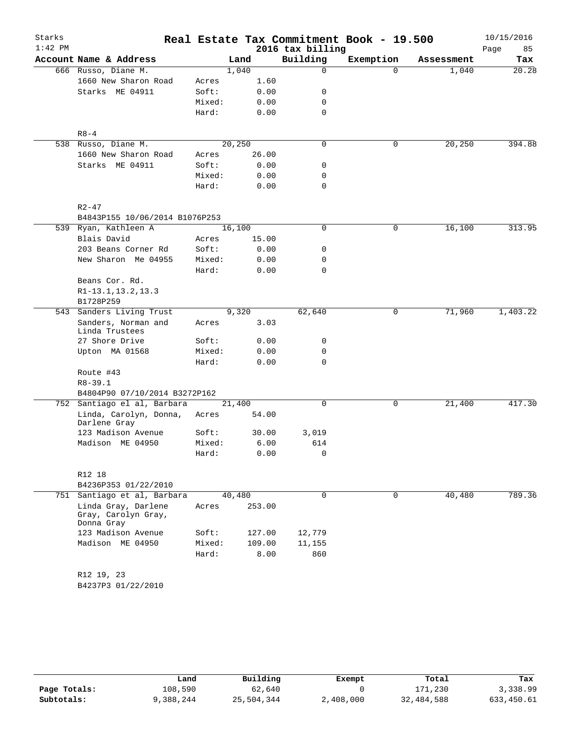| Starks    |                                                          |        |        |        |                  | Real Estate Tax Commitment Book - 19.500 |            | 10/15/2016 |
|-----------|----------------------------------------------------------|--------|--------|--------|------------------|------------------------------------------|------------|------------|
| $1:42$ PM |                                                          |        |        |        | 2016 tax billing |                                          |            | Page<br>85 |
|           | Account Name & Address                                   |        | Land   |        | Building         | Exemption                                | Assessment | Tax        |
|           | 666 Russo, Diane M.                                      |        | 1,040  |        | 0                | $\Omega$                                 | 1,040      | 20.28      |
|           | 1660 New Sharon Road                                     | Acres  |        | 1.60   |                  |                                          |            |            |
|           | Starks ME 04911                                          | Soft:  |        | 0.00   | 0                |                                          |            |            |
|           |                                                          | Mixed: |        | 0.00   | 0                |                                          |            |            |
|           |                                                          | Hard:  |        | 0.00   | 0                |                                          |            |            |
|           | $R8 - 4$                                                 |        |        |        |                  |                                          |            |            |
|           | 538 Russo, Diane M.                                      |        | 20,250 |        | 0                | 0                                        | 20,250     | 394.88     |
|           | 1660 New Sharon Road                                     | Acres  |        | 26.00  |                  |                                          |            |            |
|           | Starks ME 04911                                          | Soft:  |        | 0.00   | 0                |                                          |            |            |
|           |                                                          | Mixed: |        | 0.00   | 0                |                                          |            |            |
|           |                                                          | Hard:  |        | 0.00   | 0                |                                          |            |            |
|           |                                                          |        |        |        |                  |                                          |            |            |
|           | $R2 - 47$<br>B4843P155 10/06/2014 B1076P253              |        |        |        |                  |                                          |            |            |
|           | 539 Ryan, Kathleen A                                     |        | 16,100 |        | 0                | 0                                        | 16,100     | 313.95     |
|           | Blais David                                              |        |        | 15.00  |                  |                                          |            |            |
|           |                                                          | Acres  |        |        |                  |                                          |            |            |
|           | 203 Beans Corner Rd                                      | Soft:  |        | 0.00   | 0                |                                          |            |            |
|           | New Sharon Me 04955                                      | Mixed: |        | 0.00   | 0                |                                          |            |            |
|           |                                                          | Hard:  |        | 0.00   | 0                |                                          |            |            |
|           | Beans Cor. Rd.                                           |        |        |        |                  |                                          |            |            |
|           | R1-13.1, 13.2, 13.3                                      |        |        |        |                  |                                          |            |            |
|           | B1728P259                                                |        |        |        |                  |                                          |            |            |
| 543       | Sanders Living Trust                                     |        | 9,320  |        | 62,640           | 0                                        | 71,960     | 1,403.22   |
|           | Sanders, Norman and<br>Linda Trustees                    | Acres  |        | 3.03   |                  |                                          |            |            |
|           | 27 Shore Drive                                           | Soft:  |        | 0.00   | 0                |                                          |            |            |
|           | Upton MA 01568                                           | Mixed: |        | 0.00   | $\mathbf 0$      |                                          |            |            |
|           |                                                          | Hard:  |        | 0.00   | $\Omega$         |                                          |            |            |
|           | Route #43                                                |        |        |        |                  |                                          |            |            |
|           | $R8 - 39.1$                                              |        |        |        |                  |                                          |            |            |
|           | B4804P90 07/10/2014 B3272P162                            |        |        |        |                  |                                          |            |            |
|           | 752 Santiago el al, Barbara                              |        | 21,400 |        | 0                | 0                                        | 21,400     | 417.30     |
|           | Linda, Carolyn, Donna,                                   | Acres  |        | 54.00  |                  |                                          |            |            |
|           | Darlene Gray                                             |        |        |        |                  |                                          |            |            |
|           | 123 Madison Avenue                                       | Soft:  |        | 30.00  | 3,019            |                                          |            |            |
|           | Madison ME 04950                                         | Mixed: |        | 6.00   | 614              |                                          |            |            |
|           |                                                          | Hard:  |        | 0.00   | $\overline{0}$   |                                          |            |            |
|           | R12 18                                                   |        |        |        |                  |                                          |            |            |
|           | B4236P353 01/22/2010                                     |        |        |        |                  |                                          |            |            |
| 751       | Santiago et al, Barbara                                  |        | 40,480 |        | 0                | $\mathbf 0$                              | 40,480     | 789.36     |
|           | Linda Gray, Darlene<br>Gray, Carolyn Gray,<br>Donna Gray | Acres  |        | 253.00 |                  |                                          |            |            |
|           | 123 Madison Avenue                                       | Soft:  |        | 127.00 | 12,779           |                                          |            |            |
|           | Madison ME 04950                                         | Mixed: |        | 109.00 | 11,155           |                                          |            |            |
|           |                                                          | Hard:  |        |        |                  |                                          |            |            |
|           |                                                          |        |        | 8.00   | 860              |                                          |            |            |
|           | R12 19, 23                                               |        |        |        |                  |                                          |            |            |
|           | B4237P3 01/22/2010                                       |        |        |        |                  |                                          |            |            |
|           |                                                          |        |        |        |                  |                                          |            |            |

|              | Land      | Building   | Exempt    | Total      | Tax        |
|--------------|-----------|------------|-----------|------------|------------|
| Page Totals: | 108,590   | 62,640     |           | 171,230    | 3,338.99   |
| Subtotals:   | 9,388,244 | 25,504,344 | 2,408,000 | 32,484,588 | 633,450.61 |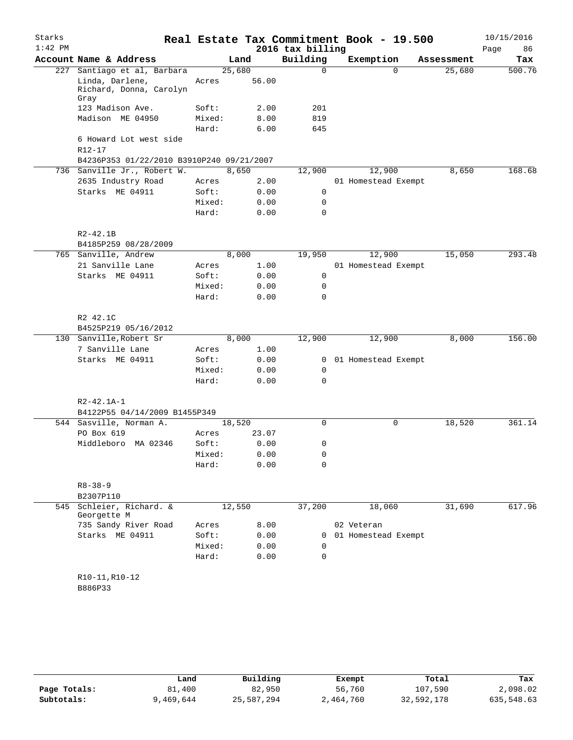| 86<br>Tax<br>500.76 |
|---------------------|
|                     |
|                     |
|                     |
|                     |
|                     |
|                     |
|                     |
|                     |
|                     |
|                     |
|                     |
| 168.68              |
|                     |
|                     |
|                     |
|                     |
|                     |
|                     |
| 293.48              |
|                     |
|                     |
|                     |
|                     |
|                     |
|                     |
|                     |
| 156.00              |
|                     |
|                     |
|                     |
|                     |
|                     |
|                     |
| 361.14              |
|                     |
|                     |
|                     |
|                     |
|                     |
|                     |
|                     |
|                     |
| 617.96              |
|                     |
|                     |
|                     |
|                     |
|                     |
|                     |
|                     |

|              | Land      | Building   | Exempt    | Total      | Tax        |
|--------------|-----------|------------|-----------|------------|------------|
| Page Totals: | 81,400    | 82,950     | 56,760    | 107,590    | 2,098.02   |
| Subtotals:   | 9,469,644 | 25,587,294 | 2,464,760 | 32,592,178 | 635,548.63 |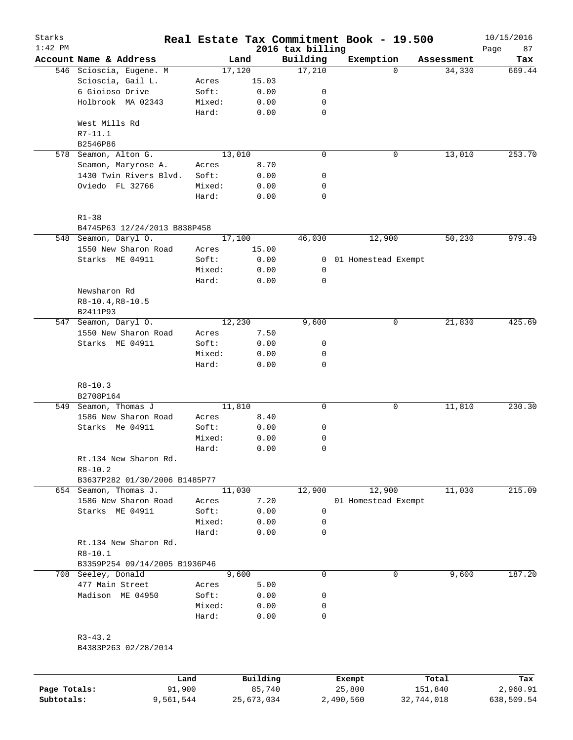| Starks<br>$1:42$ PM |                                               |                 |                | 2016 tax billing | Real Estate Tax Commitment Book - 19.500 |            | 10/15/2016<br>Page<br>87 |
|---------------------|-----------------------------------------------|-----------------|----------------|------------------|------------------------------------------|------------|--------------------------|
|                     | Account Name & Address                        |                 | Land           | Building         | Exemption                                | Assessment | Tax                      |
|                     | 546 Scioscia, Eugene. M                       |                 | 17,120         | 17,210           | $\Omega$                                 | 34,330     | 669.44                   |
|                     | Scioscia, Gail L.                             | Acres           | 15.03          |                  |                                          |            |                          |
|                     | 6 Gioioso Drive                               | Soft:           | 0.00           | 0                |                                          |            |                          |
|                     | Holbrook MA 02343                             | Mixed:          | 0.00           | 0                |                                          |            |                          |
|                     |                                               | Hard:           | 0.00           | $\mathbf 0$      |                                          |            |                          |
|                     | West Mills Rd<br>R7-11.1                      |                 |                |                  |                                          |            |                          |
|                     | B2546P86                                      |                 |                |                  |                                          |            |                          |
|                     | 578 Seamon, Alton G.                          |                 | 13,010         | $\mathbf 0$      | 0                                        | 13,010     | 253.70                   |
|                     | Seamon, Maryrose A.                           | Acres           | 8.70           |                  |                                          |            |                          |
|                     | 1430 Twin Rivers Blvd.                        | Soft:           | 0.00           | 0                |                                          |            |                          |
|                     | Oviedo FL 32766                               | Mixed:<br>Hard: | 0.00<br>0.00   | 0<br>$\mathbf 0$ |                                          |            |                          |
|                     | $R1 - 38$                                     |                 |                |                  |                                          |            |                          |
|                     | B4745P63 12/24/2013 B838P458                  |                 |                |                  |                                          |            |                          |
|                     | 548 Seamon, Daryl O.                          |                 | 17,100         | 46,030           | 12,900                                   | 50,230     | 979.49                   |
|                     | 1550 New Sharon Road                          | Acres           | 15.00          |                  |                                          |            |                          |
|                     | Starks ME 04911                               | Soft:           | 0.00           | 0                | 01 Homestead Exempt                      |            |                          |
|                     |                                               | Mixed:          | 0.00           | 0                |                                          |            |                          |
|                     |                                               | Hard:           | 0.00           | $\mathbf 0$      |                                          |            |                          |
|                     | Newsharon Rd                                  |                 |                |                  |                                          |            |                          |
|                     | $R8-10.4, R8-10.5$                            |                 |                |                  |                                          |            |                          |
|                     | B2411P93                                      |                 |                |                  |                                          |            |                          |
| 547                 | Seamon, Daryl O.                              |                 | 12,230         | 9,600            | 0                                        | 21,830     | 425.69                   |
|                     | 1550 New Sharon Road                          | Acres           | 7.50           |                  |                                          |            |                          |
|                     | Starks ME 04911                               | Soft:           | 0.00           | 0<br>0           |                                          |            |                          |
|                     |                                               | Mixed:<br>Hard: | 0.00<br>0.00   | $\mathbf 0$      |                                          |            |                          |
|                     | $R8 - 10.3$                                   |                 |                |                  |                                          |            |                          |
|                     | B2708P164                                     |                 |                |                  |                                          |            |                          |
|                     | 549 Seamon, Thomas J                          |                 | 11,810         | $\mathbf 0$      | 0                                        | 11,810     | 230.30                   |
|                     | 1586 New Sharon Road                          | Acres           | 8.40           |                  |                                          |            |                          |
|                     | Starks Me 04911                               | Soft:           | 0.00           | 0                |                                          |            |                          |
|                     |                                               | Mixed:          | 0.00           | 0                |                                          |            |                          |
|                     |                                               | Hard:           | 0.00           | $\mathbf 0$      |                                          |            |                          |
|                     | Rt.134 New Sharon Rd.                         |                 |                |                  |                                          |            |                          |
|                     | $R8 - 10.2$                                   |                 |                |                  |                                          |            |                          |
|                     | B3637P282 01/30/2006 B1485P77                 |                 |                |                  |                                          |            |                          |
|                     | 654 Seamon, Thomas J.<br>1586 New Sharon Road |                 | 11,030<br>7.20 | 12,900           | 12,900<br>01 Homestead Exempt            | 11,030     | 215.09                   |
|                     | Starks ME 04911                               | Acres<br>Soft:  | 0.00           | 0                |                                          |            |                          |
|                     |                                               | Mixed:          | 0.00           | 0                |                                          |            |                          |
|                     |                                               | Hard:           | 0.00           | $\mathbf 0$      |                                          |            |                          |
|                     | Rt.134 New Sharon Rd.                         |                 |                |                  |                                          |            |                          |
|                     | $R8 - 10.1$                                   |                 |                |                  |                                          |            |                          |
|                     | B3359P254 09/14/2005 B1936P46                 |                 |                |                  |                                          |            |                          |
|                     | 708 Seeley, Donald                            |                 | 9,600          | 0                | 0                                        | 9,600      | 187.20                   |
|                     | 477 Main Street                               | Acres           | 5.00           |                  |                                          |            |                          |
|                     | Madison ME 04950                              | Soft:           | 0.00           | 0                |                                          |            |                          |
|                     |                                               | Mixed:          | 0.00           | 0                |                                          |            |                          |
|                     |                                               | Hard:           | 0.00           | $\mathbf 0$      |                                          |            |                          |
|                     | $R3 - 43.2$                                   |                 |                |                  |                                          |            |                          |
|                     | B4383P263 02/28/2014                          |                 |                |                  |                                          |            |                          |
|                     |                                               |                 |                |                  |                                          |            |                          |
|                     |                                               |                 |                |                  |                                          |            |                          |

|              | Land      | Building   | Exempt    | Total      | Tax        |
|--------------|-----------|------------|-----------|------------|------------|
| Page Totals: | 91,900    | 85,740     | 25,800    | 151,840    | 2,960.91   |
| Subtotals:   | 9,561,544 | 25,673,034 | 2,490,560 | 32,744,018 | 638,509.54 |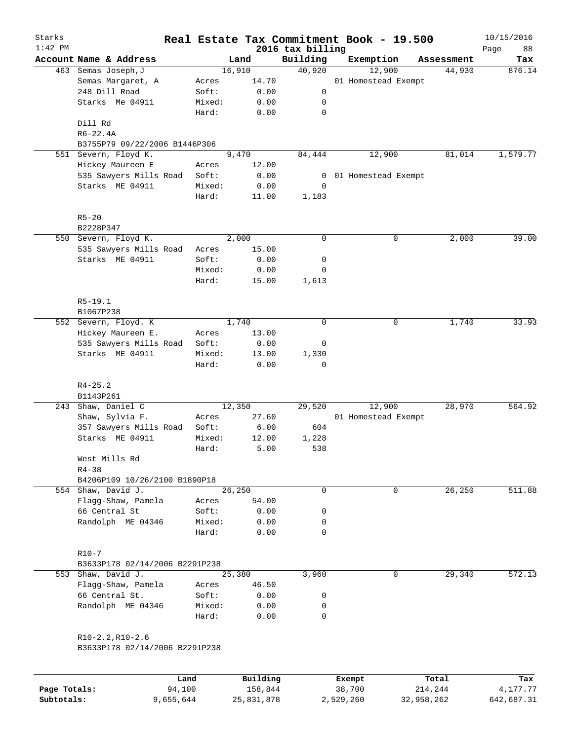| Starks<br>$1:42$ PM |                                |                 |               | 2016 tax billing | Real Estate Tax Commitment Book - 19.500 |             | 10/15/2016        |
|---------------------|--------------------------------|-----------------|---------------|------------------|------------------------------------------|-------------|-------------------|
|                     | Account Name & Address         |                 | Land          | Building         | Exemption                                | Assessment  | 88<br>Page<br>Tax |
|                     | 463 Semas Joseph, J            |                 | 16,910        | 40,920           | 12,900                                   | 44,930      | 876.14            |
|                     | Semas Margaret, A              | Acres           | 14.70         |                  | 01 Homestead Exempt                      |             |                   |
|                     | 248 Dill Road                  | Soft:           | 0.00          | 0                |                                          |             |                   |
|                     | Starks Me 04911                | Mixed:          | 0.00          | 0                |                                          |             |                   |
|                     |                                | Hard:           | 0.00          | $\mathbf 0$      |                                          |             |                   |
|                     | Dill Rd                        |                 |               |                  |                                          |             |                   |
|                     | $R6 - 22.4A$                   |                 |               |                  |                                          |             |                   |
|                     | B3755P79 09/22/2006 B1446P306  |                 |               |                  |                                          |             |                   |
|                     | 551 Severn, Floyd K.           |                 | 9,470         | 84,444           | 12,900                                   | 81,014      | 1,579.77          |
|                     | Hickey Maureen E               | Acres           | 12.00         |                  |                                          |             |                   |
|                     | 535 Sawyers Mills Road         | Soft:           | 0.00          | 0                | 01 Homestead Exempt                      |             |                   |
|                     | Starks ME 04911                | Mixed:<br>Hard: | 0.00<br>11.00 | 0<br>1,183       |                                          |             |                   |
|                     | $R5 - 20$                      |                 |               |                  |                                          |             |                   |
|                     | B2228P347                      |                 |               |                  |                                          |             |                   |
|                     | 550 Severn, Floyd K.           |                 | 2,000         | 0                |                                          | 0<br>2,000  | 39.00             |
|                     | 535 Sawyers Mills Road         | Acres           | 15.00         |                  |                                          |             |                   |
|                     | Starks ME 04911                | Soft:           | 0.00          | 0                |                                          |             |                   |
|                     |                                | Mixed:          | 0.00          | 0                |                                          |             |                   |
|                     |                                | Hard:           | 15.00         | 1,613            |                                          |             |                   |
|                     | $R5-19.1$                      |                 |               |                  |                                          |             |                   |
|                     | B1067P238                      |                 |               |                  |                                          |             |                   |
|                     | 552 Severn, Floyd. K           |                 | 1,740         | $\mathbf 0$      |                                          | 1,740<br>0  | 33.93             |
|                     | Hickey Maureen E.              | Acres           | 13.00         |                  |                                          |             |                   |
|                     | 535 Sawyers Mills Road         | Soft:           | 0.00          | 0                |                                          |             |                   |
|                     | Starks ME 04911                | Mixed:          | 13.00         | 1,330            |                                          |             |                   |
|                     |                                | Hard:           | 0.00          | 0                |                                          |             |                   |
|                     | $R4 - 25.2$                    |                 |               |                  |                                          |             |                   |
|                     | B1143P261                      |                 |               |                  |                                          |             |                   |
|                     | 243 Shaw, Daniel C             |                 | 12,350        | 29,520           | 12,900                                   | 28,970      | 564.92            |
|                     | Shaw, Sylvia F.                | Acres           | 27.60         |                  | 01 Homestead Exempt                      |             |                   |
|                     | 357 Sawyers Mills Road         | Soft:           | 6.00          | 604              |                                          |             |                   |
|                     | Starks ME 04911                | Mixed:          | 12.00         | 1,228            |                                          |             |                   |
|                     |                                | Hard:           | 5.00          | 538              |                                          |             |                   |
|                     | West Mills Rd                  |                 |               |                  |                                          |             |                   |
|                     | $R4 - 38$                      |                 |               |                  |                                          |             |                   |
|                     | B4206P109 10/26/2100 B1890P18  |                 |               |                  |                                          |             |                   |
|                     | 554 Shaw, David J.             |                 | 26,250        | 0                |                                          | 26,250<br>0 | 511.88            |
|                     | Flagg-Shaw, Pamela             | Acres           | 54.00         |                  |                                          |             |                   |
|                     | 66 Central St                  | Soft:           | 0.00          | 0                |                                          |             |                   |
|                     | Randolph ME 04346              | Mixed:          | 0.00          | 0                |                                          |             |                   |
|                     |                                | Hard:           | 0.00          | 0                |                                          |             |                   |
|                     | $R10-7$                        |                 |               |                  |                                          |             |                   |
|                     | B3633P178 02/14/2006 B2291P238 |                 |               |                  |                                          |             |                   |
|                     | 553 Shaw, David J.             |                 | 25,380        | 3,960            |                                          | 29,340<br>0 | 572.13            |
|                     | Flagg-Shaw, Pamela             | Acres           | 46.50         |                  |                                          |             |                   |
|                     | 66 Central St.                 | Soft:           | 0.00          | 0                |                                          |             |                   |
|                     | Randolph ME 04346              | Mixed:          | 0.00          | 0                |                                          |             |                   |
|                     |                                | Hard:           | 0.00          | 0                |                                          |             |                   |
|                     | $R10-2.2, R10-2.6$             |                 |               |                  |                                          |             |                   |
|                     | B3633P178 02/14/2006 B2291P238 |                 |               |                  |                                          |             |                   |
|                     |                                | Land            | Building      |                  | Exempt                                   | Total       | Tax               |
|                     |                                |                 |               |                  |                                          |             |                   |

**Page Totals:** 94,100 158,844 38,700 214,244 4,177.77 **Subtotals:** 9,655,644 25,831,878 2,529,260 32,958,262 642,687.31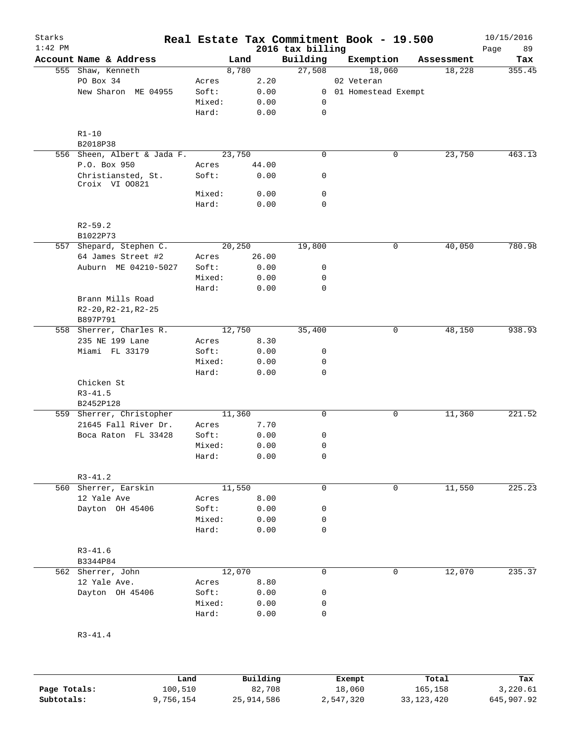| Starks<br>$1:42$ PM |                                            |        |                 | 2016 tax billing | Real Estate Tax Commitment Book - 19.500 |            | 10/15/2016<br>Page<br>89 |
|---------------------|--------------------------------------------|--------|-----------------|------------------|------------------------------------------|------------|--------------------------|
|                     | Account Name & Address                     |        | Land            | Building         | Exemption                                | Assessment | Tax                      |
|                     | 555 Shaw, Kenneth                          |        | 8,780           | 27,508           | 18,060                                   | 18,228     | 355.45                   |
|                     | PO Box 34                                  | Acres  | 2.20            |                  | 02 Veteran                               |            |                          |
|                     | New Sharon ME 04955                        | Soft:  | 0.00            | $\overline{0}$   | 01 Homestead Exempt                      |            |                          |
|                     |                                            | Mixed: | 0.00            | 0                |                                          |            |                          |
|                     |                                            | Hard:  | 0.00            | $\mathsf{O}$     |                                          |            |                          |
|                     | $R1 - 10$                                  |        |                 |                  |                                          |            |                          |
|                     | B2018P38                                   |        |                 |                  |                                          |            |                          |
|                     | 556 Sheen, Albert & Jada F.                |        | 23,750          | $\mathbf 0$      | 0                                        | 23,750     | 463.13                   |
|                     | P.O. Box 950                               | Acres  | 44.00           |                  |                                          |            |                          |
|                     | Christiansted, St.                         | Soft:  | 0.00            | 0                |                                          |            |                          |
|                     | Croix VI 00821                             |        |                 |                  |                                          |            |                          |
|                     |                                            | Mixed: | 0.00            | $\mathbf 0$      |                                          |            |                          |
|                     |                                            | Hard:  | 0.00            | $\mathbf 0$      |                                          |            |                          |
|                     | $R2 - 59.2$<br>B1022P73                    |        |                 |                  |                                          |            |                          |
|                     |                                            |        |                 |                  | 0                                        |            | 780.98                   |
|                     | 557 Shepard, Stephen C.                    |        | 20,250<br>26.00 | 19,800           |                                          | 40,050     |                          |
|                     | 64 James Street #2<br>Auburn ME 04210-5027 | Acres  | 0.00            |                  |                                          |            |                          |
|                     |                                            | Soft:  |                 | 0<br>0           |                                          |            |                          |
|                     |                                            | Mixed: | 0.00            | $\mathbf 0$      |                                          |            |                          |
|                     | Brann Mills Road<br>R2-20, R2-21, R2-25    | Hard:  | 0.00            |                  |                                          |            |                          |
|                     | B897P791                                   |        |                 |                  |                                          |            |                          |
|                     | 558 Sherrer, Charles R.                    |        | 12,750          | 35,400           | 0                                        | 48,150     | 938.93                   |
|                     | 235 NE 199 Lane                            | Acres  | 8.30            |                  |                                          |            |                          |
|                     | Miami FL 33179                             | Soft:  | 0.00            | 0                |                                          |            |                          |
|                     |                                            | Mixed: | 0.00            | 0                |                                          |            |                          |
|                     |                                            | Hard:  | 0.00            | 0                |                                          |            |                          |
|                     | Chicken St                                 |        |                 |                  |                                          |            |                          |
|                     | $R3 - 41.5$                                |        |                 |                  |                                          |            |                          |
|                     | B2452P128                                  |        |                 |                  |                                          |            |                          |
|                     | 559 Sherrer, Christopher                   |        | 11,360          | $\mathbf 0$      | 0                                        | 11,360     | 221.52                   |
|                     | 21645 Fall River Dr.                       | Acres  | 7.70            |                  |                                          |            |                          |
|                     | Boca Raton FL 33428                        | Soft:  | 0.00            | 0                |                                          |            |                          |
|                     |                                            | Mixed: | 0.00            | 0                |                                          |            |                          |
|                     |                                            | Hard:  | 0.00            | 0                |                                          |            |                          |
|                     |                                            |        |                 |                  |                                          |            |                          |
|                     | $R3 - 41.2$                                |        |                 |                  |                                          |            |                          |
|                     | 560 Sherrer, Earskin                       |        | 11,550          | 0                | 0                                        | 11,550     | 225.23                   |
|                     | 12 Yale Ave                                | Acres  | 8.00            |                  |                                          |            |                          |
|                     | Dayton OH 45406                            | Soft:  | 0.00            | 0                |                                          |            |                          |
|                     |                                            | Mixed: | 0.00            | 0                |                                          |            |                          |
|                     |                                            | Hard:  | 0.00            | $\mathbf 0$      |                                          |            |                          |
|                     | $R3 - 41.6$                                |        |                 |                  |                                          |            |                          |
|                     | B3344P84                                   |        |                 |                  |                                          |            |                          |
|                     | 562 Sherrer, John                          |        | 12,070          | 0                | $\mathbf{0}$                             | 12,070     | 235.37                   |
|                     | 12 Yale Ave.                               | Acres  | 8.80            |                  |                                          |            |                          |
|                     | Dayton OH 45406                            | Soft:  | 0.00            | 0                |                                          |            |                          |
|                     |                                            | Mixed: | 0.00            | 0                |                                          |            |                          |
|                     |                                            | Hard:  | 0.00            | 0                |                                          |            |                          |
|                     | $R3 - 41.4$                                |        |                 |                  |                                          |            |                          |
|                     |                                            |        |                 |                  |                                          |            |                          |

|              | Land      | Building   | Exempt    | Total        | Tax        |
|--------------|-----------|------------|-----------|--------------|------------|
| Page Totals: | 100,510   | 82,708     | 18,060    | 165,158      | 3,220.61   |
| Subtotals:   | 9,756,154 | 25,914,586 | 2,547,320 | 33, 123, 420 | 645,907.92 |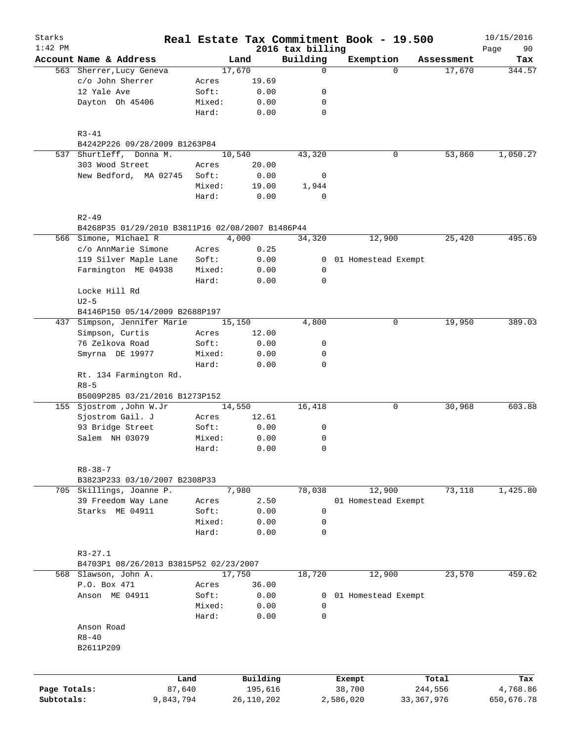| Starks<br>$1:42$ PM |                                                  |        |              |                              | Real Estate Tax Commitment Book - 19.500 |              | 10/15/2016        |
|---------------------|--------------------------------------------------|--------|--------------|------------------------------|------------------------------------------|--------------|-------------------|
|                     | Account Name & Address                           |        | Land         | 2016 tax billing<br>Building | Exemption                                | Assessment   | Page<br>90<br>Tax |
|                     | 563 Sherrer, Lucy Geneva                         |        | 17,670       | 0                            | $\Omega$                                 | 17,670       | 344.57            |
|                     | c/o John Sherrer                                 | Acres  | 19.69        |                              |                                          |              |                   |
|                     | 12 Yale Ave                                      | Soft:  | 0.00         | 0                            |                                          |              |                   |
|                     | Dayton Oh 45406                                  | Mixed: | 0.00         | 0                            |                                          |              |                   |
|                     |                                                  | Hard:  | 0.00         | $\mathbf 0$                  |                                          |              |                   |
|                     | $R3 - 41$                                        |        |              |                              |                                          |              |                   |
|                     | B4242P226 09/28/2009 B1263P84                    |        |              |                              |                                          |              |                   |
|                     | 537 Shurtleff, Donna M.                          |        | 10,540       | 43,320                       | 0                                        | 53,860       | 1,050.27          |
|                     | 303 Wood Street                                  | Acres  | 20.00        |                              |                                          |              |                   |
|                     | New Bedford, MA 02745                            | Soft:  | 0.00         | 0                            |                                          |              |                   |
|                     |                                                  | Mixed: | 19.00        | 1,944                        |                                          |              |                   |
|                     |                                                  | Hard:  | 0.00         | $\mathbf 0$                  |                                          |              |                   |
|                     | $R2 - 49$                                        |        |              |                              |                                          |              |                   |
|                     | B4268P35 01/29/2010 B3811P16 02/08/2007 B1486P44 |        |              |                              |                                          |              |                   |
|                     | 566 Simone, Michael R                            |        | 4,000        | 34,320                       | 12,900                                   | 25,420       | 495.69            |
|                     | c/o AnnMarie Simone                              | Acres  | 0.25         |                              |                                          |              |                   |
|                     | 119 Silver Maple Lane                            | Soft:  | 0.00         | $\overline{0}$               | 01 Homestead Exempt                      |              |                   |
|                     | Farmington ME 04938                              | Mixed: | 0.00         | 0                            |                                          |              |                   |
|                     |                                                  | Hard:  | 0.00         | $\mathbf 0$                  |                                          |              |                   |
|                     | Locke Hill Rd                                    |        |              |                              |                                          |              |                   |
|                     | $U2-5$                                           |        |              |                              |                                          |              |                   |
|                     | B4146P150 05/14/2009 B2688P197                   |        |              |                              |                                          |              |                   |
| 437                 | Simpson, Jennifer Marie                          |        | 15,150       | 4,800                        | 0                                        | 19,950       | 389.03            |
|                     | Simpson, Curtis                                  | Acres  | 12.00        |                              |                                          |              |                   |
|                     | 76 Zelkova Road                                  | Soft:  | 0.00         | 0                            |                                          |              |                   |
|                     | Smyrna DE 19977                                  | Mixed: | 0.00         | 0                            |                                          |              |                   |
|                     |                                                  | Hard:  | 0.00         | $\mathbf 0$                  |                                          |              |                   |
|                     | Rt. 134 Farmington Rd.<br>$R8 - 5$               |        |              |                              |                                          |              |                   |
|                     | B5009P285 03/21/2016 B1273P152                   |        |              |                              |                                          |              |                   |
|                     | 155 Sjostrom , John W.Jr                         |        | 14,550       | 16,418                       | 0                                        | 30,968       | 603.88            |
|                     | Sjostrom Gail. J                                 | Acres  | 12.61        |                              |                                          |              |                   |
|                     | 93 Bridge Street                                 | Soft:  | 0.00         | 0                            |                                          |              |                   |
|                     | Salem NH 03079                                   | Mixed: | 0.00         | 0                            |                                          |              |                   |
|                     |                                                  | Hard:  | 0.00         | $\mathbf 0$                  |                                          |              |                   |
|                     | $R8 - 38 - 7$                                    |        |              |                              |                                          |              |                   |
|                     | B3823P233 03/10/2007 B2308P33                    |        |              |                              |                                          |              |                   |
|                     | 705 Skillings, Joanne P.                         |        | 7,980        | 78,038                       | 12,900                                   | 73,118       | 1,425.80          |
|                     | 39 Freedom Way Lane                              | Acres  | 2.50         |                              | 01 Homestead Exempt                      |              |                   |
|                     | Starks ME 04911                                  | Soft:  | 0.00         | 0                            |                                          |              |                   |
|                     |                                                  | Mixed: | 0.00         | $\mathbf 0$                  |                                          |              |                   |
|                     |                                                  | Hard:  | 0.00         | $\mathbf 0$                  |                                          |              |                   |
|                     | $R3 - 27.1$                                      |        |              |                              |                                          |              |                   |
|                     | B4703P1 08/26/2013 B3815P52 02/23/2007           |        |              |                              |                                          |              |                   |
|                     | 568 Slawson, John A.                             |        | 17,750       | 18,720                       | 12,900                                   | 23,570       | 459.62            |
|                     | P.O. Box 471                                     | Acres  | 36.00        |                              |                                          |              |                   |
|                     | Anson ME 04911                                   | Soft:  | 0.00         | 0                            | 01 Homestead Exempt                      |              |                   |
|                     |                                                  | Mixed: | 0.00         | 0                            |                                          |              |                   |
|                     |                                                  | Hard:  | 0.00         | $\mathbf 0$                  |                                          |              |                   |
|                     | Anson Road                                       |        |              |                              |                                          |              |                   |
|                     | $R8 - 40$                                        |        |              |                              |                                          |              |                   |
|                     | B2611P209                                        |        |              |                              |                                          |              |                   |
|                     |                                                  |        |              |                              |                                          |              |                   |
|                     | Land                                             |        | Building     |                              | Exempt                                   | Total        | Tax               |
| Page Totals:        | 87,640                                           |        | 195,616      |                              | 38,700                                   | 244,556      | 4,768.86          |
| Subtotals:          | 9,843,794                                        |        | 26, 110, 202 |                              | 2,586,020                                | 33, 367, 976 | 650,676.78        |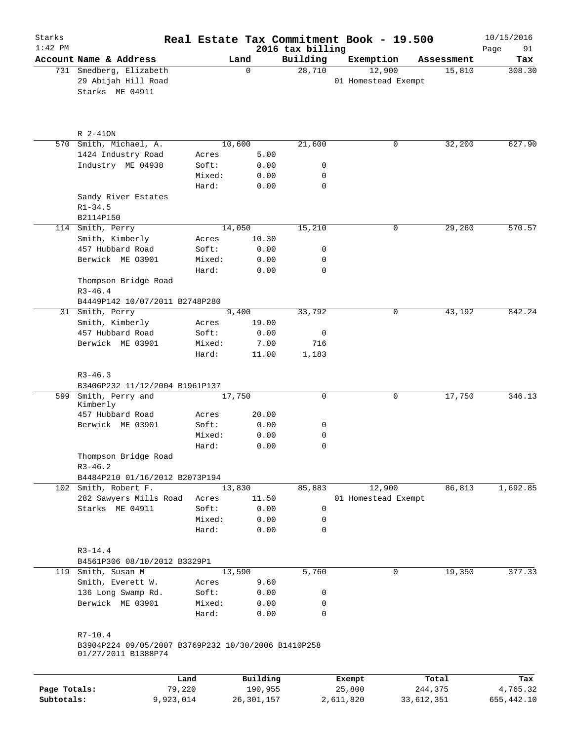| Starks       |                                                                            |                 |                 |                              | Real Estate Tax Commitment Book - 19.500 |            | 10/15/2016        |
|--------------|----------------------------------------------------------------------------|-----------------|-----------------|------------------------------|------------------------------------------|------------|-------------------|
| $1:42$ PM    | Account Name & Address                                                     |                 | Land            | 2016 tax billing<br>Building | Exemption                                | Assessment | 91<br>Page<br>Tax |
|              | 731 Smedberg, Elizabeth<br>29 Abijah Hill Road<br>Starks ME 04911          |                 | $\Omega$        | 28,710                       | 12,900<br>01 Homestead Exempt            | 15,810     | 308.30            |
|              | R 2-410N                                                                   |                 |                 |                              |                                          |            |                   |
|              | 570 Smith, Michael, A.                                                     |                 | 10,600          | 21,600                       | 0                                        | 32,200     | 627.90            |
|              | 1424 Industry Road                                                         | Acres           | 5.00            |                              |                                          |            |                   |
|              | Industry ME 04938                                                          | Soft:           | 0.00            | 0                            |                                          |            |                   |
|              |                                                                            | Mixed:          | 0.00            | 0                            |                                          |            |                   |
|              |                                                                            | Hard:           | 0.00            | $\mathbf 0$                  |                                          |            |                   |
|              | Sandy River Estates<br>$R1 - 34.5$                                         |                 |                 |                              |                                          |            |                   |
|              | B2114P150                                                                  |                 |                 |                              |                                          | 29,260     |                   |
|              | 114 Smith, Perry<br>Smith, Kimberly                                        | Acres           | 14,050<br>10.30 | 15,210                       | 0                                        |            | 570.57            |
|              | 457 Hubbard Road                                                           | Soft:           | 0.00            | 0                            |                                          |            |                   |
|              | Berwick ME 03901                                                           | Mixed:          | 0.00            | 0                            |                                          |            |                   |
|              |                                                                            | Hard:           | 0.00            | 0                            |                                          |            |                   |
|              | Thompson Bridge Road<br>$R3 - 46.4$                                        |                 |                 |                              |                                          |            |                   |
|              | B4449P142 10/07/2011 B2748P280                                             |                 |                 |                              |                                          |            |                   |
|              | 31 Smith, Perry                                                            |                 | 9,400           | 33,792                       | 0                                        | 43,192     | 842.24            |
|              | Smith, Kimberly                                                            | Acres           | 19.00           |                              |                                          |            |                   |
|              | 457 Hubbard Road                                                           | Soft:           | 0.00            | 0                            |                                          |            |                   |
|              | Berwick ME 03901                                                           | Mixed:<br>Hard: | 7.00<br>11.00   | 716<br>1,183                 |                                          |            |                   |
|              | $R3 - 46.3$<br>B3406P232 11/12/2004 B1961P137                              |                 |                 |                              |                                          |            |                   |
|              | 599 Smith, Perry and                                                       |                 | 17,750          | 0                            | 0                                        | 17,750     | 346.13            |
|              | Kimberly                                                                   |                 |                 |                              |                                          |            |                   |
|              | 457 Hubbard Road                                                           | Acres           | 20.00           |                              |                                          |            |                   |
|              | Berwick ME 03901                                                           | Soft:           | 0.00            | 0                            |                                          |            |                   |
|              |                                                                            | Mixed:          | 0.00            | 0                            |                                          |            |                   |
|              | Thompson Bridge Road<br>$R3 - 46.2$                                        | Hard:           | 0.00            | 0                            |                                          |            |                   |
|              | B4484P210 01/16/2012 B2073P194                                             |                 |                 |                              |                                          |            |                   |
|              | 102 Smith, Robert F.                                                       |                 | 13,830          | 85,883                       | 12,900                                   | 86,813     | 1,692.85          |
|              | 282 Sawyers Mills Road                                                     | Acres           | 11.50           |                              | 01 Homestead Exempt                      |            |                   |
|              | Starks ME 04911                                                            | Soft:           | 0.00            | 0                            |                                          |            |                   |
|              |                                                                            | Mixed:          | 0.00            | 0                            |                                          |            |                   |
|              |                                                                            | Hard:           | 0.00            | 0                            |                                          |            |                   |
|              | $R3 - 14.4$                                                                |                 |                 |                              |                                          |            |                   |
|              | B4561P306 08/10/2012 B3329P1                                               |                 |                 |                              |                                          |            |                   |
|              | 119 Smith, Susan M                                                         |                 | 13,590          | 5,760                        | 0                                        | 19,350     | 377.33            |
|              | Smith, Everett W.                                                          | Acres           | 9.60            |                              |                                          |            |                   |
|              | 136 Long Swamp Rd.                                                         | Soft:           | 0.00            | 0                            |                                          |            |                   |
|              | Berwick ME 03901                                                           | Mixed:<br>Hard: | 0.00<br>0.00    | 0<br>$\mathbf 0$             |                                          |            |                   |
|              | $R7 - 10.4$                                                                |                 |                 |                              |                                          |            |                   |
|              | B3904P224 09/05/2007 B3769P232 10/30/2006 B1410P258<br>01/27/2011 B1388P74 |                 |                 |                              |                                          |            |                   |
|              |                                                                            | Land            | Building        |                              | Exempt                                   | Total      | Tax               |
| Page Totals: |                                                                            | 79,220          | 190,955         |                              | 25,800                                   | 244,375    | 4,765.32          |

**Subtotals:** 9,923,014 26,301,157 2,611,820 33,612,351 655,442.10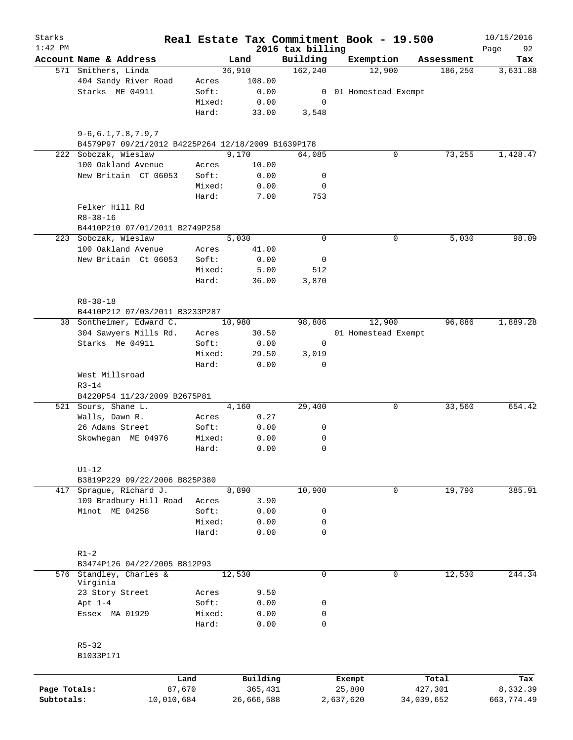| Starks<br>$1:42$ PM |                                                    |        | Real Estate Tax Commitment Book - 19.500 | 2016 tax billing |           |                     |            | 10/15/2016<br>Page<br>92 |
|---------------------|----------------------------------------------------|--------|------------------------------------------|------------------|-----------|---------------------|------------|--------------------------|
|                     | Account Name & Address                             |        | Land                                     | Building         | Exemption |                     | Assessment | Tax                      |
|                     | 571 Smithers, Linda                                |        | 36,910                                   | 162,240          |           | 12,900              | 186,250    | 3,631.88                 |
|                     | 404 Sandy River Road                               | Acres  | 108.00                                   |                  |           |                     |            |                          |
|                     | Starks ME 04911                                    | Soft:  | 0.00                                     | $\overline{0}$   |           | 01 Homestead Exempt |            |                          |
|                     |                                                    | Mixed: | 0.00                                     | 0                |           |                     |            |                          |
|                     |                                                    | Hard:  | 33.00                                    | 3,548            |           |                     |            |                          |
|                     | $9 - 6, 6.1, 7.8, 7.9, 7$                          |        |                                          |                  |           |                     |            |                          |
|                     | B4579P97 09/21/2012 B4225P264 12/18/2009 B1639P178 |        |                                          |                  |           |                     |            |                          |
|                     | 222 Sobczak, Wieslaw                               |        | 9,170                                    | 64,085           |           | 0                   | 73,255     | 1,428.47                 |
|                     | 100 Oakland Avenue                                 | Acres  | 10.00                                    |                  |           |                     |            |                          |
|                     | New Britain CT 06053                               | Soft:  | 0.00                                     | 0                |           |                     |            |                          |
|                     |                                                    | Mixed: | 0.00                                     | 0                |           |                     |            |                          |
|                     |                                                    | Hard:  | 7.00                                     | 753              |           |                     |            |                          |
|                     | Felker Hill Rd                                     |        |                                          |                  |           |                     |            |                          |
|                     | $R8 - 38 - 16$                                     |        |                                          |                  |           |                     |            |                          |
|                     | B4410P210 07/01/2011 B2749P258                     |        |                                          |                  |           |                     |            |                          |
|                     | 223 Sobczak, Wieslaw                               |        | 5,030                                    | $\mathbf 0$      |           | 0                   | 5,030      | 98.09                    |
|                     | 100 Oakland Avenue                                 | Acres  | 41.00                                    |                  |           |                     |            |                          |
|                     | New Britain Ct 06053                               | Soft:  | 0.00                                     | 0                |           |                     |            |                          |
|                     |                                                    | Mixed: | 5.00                                     | 512              |           |                     |            |                          |
|                     |                                                    | Hard:  | 36.00                                    | 3,870            |           |                     |            |                          |
|                     | $R8 - 38 - 18$                                     |        |                                          |                  |           |                     |            |                          |
|                     | B4410P212 07/03/2011 B3233P287                     |        |                                          |                  |           |                     |            |                          |
|                     | 38 Sontheimer, Edward C.                           |        | 10,980                                   | 98,806           |           | 12,900              | 96,886     | 1,889.28                 |
|                     | 304 Sawyers Mills Rd.                              | Acres  | 30.50                                    |                  |           | 01 Homestead Exempt |            |                          |
|                     | Starks Me 04911                                    | Soft:  | 0.00                                     | 0                |           |                     |            |                          |
|                     |                                                    | Mixed: | 29.50                                    | 3,019            |           |                     |            |                          |
|                     |                                                    | Hard:  | 0.00                                     | $\Omega$         |           |                     |            |                          |
|                     | West Millsroad<br>$R3 - 14$                        |        |                                          |                  |           |                     |            |                          |
|                     | B4220P54 11/23/2009 B2675P81                       |        |                                          |                  |           |                     |            |                          |
|                     | 521 Sours, Shane L.                                |        | 4,160                                    | 29,400           |           | 0                   | 33,560     | 654.42                   |
|                     | Walls, Dawn R.                                     | Acres  | 0.27                                     |                  |           |                     |            |                          |
|                     | 26 Adams Street                                    | Soft:  | 0.00                                     | 0                |           |                     |            |                          |
|                     | Skowhegan ME 04976                                 | Mixed: | 0.00                                     | 0                |           |                     |            |                          |
|                     |                                                    | Hard:  | 0.00                                     | $\mathbf 0$      |           |                     |            |                          |
|                     |                                                    |        |                                          |                  |           |                     |            |                          |
|                     | $U1-12$                                            |        |                                          |                  |           |                     |            |                          |
|                     | B3819P229 09/22/2006 B825P380                      |        |                                          |                  |           |                     |            |                          |
|                     | 417 Sprague, Richard J.                            |        | 8,890                                    | 10,900           |           | 0                   | 19,790     | 385.91                   |
|                     | 109 Bradbury Hill Road                             | Acres  | 3.90                                     |                  |           |                     |            |                          |
|                     | Minot ME 04258                                     | Soft:  | 0.00                                     | 0                |           |                     |            |                          |
|                     |                                                    | Mixed: | 0.00                                     | 0                |           |                     |            |                          |
|                     |                                                    | Hard:  | 0.00                                     | $\mathbf 0$      |           |                     |            |                          |
|                     | $R1-2$                                             |        |                                          |                  |           |                     |            |                          |
|                     | B3474P126 04/22/2005 B812P93                       |        |                                          |                  |           |                     |            |                          |
|                     | 576 Standley, Charles &                            |        | 12,530                                   | $\mathbf 0$      |           | 0                   | 12,530     | 244.34                   |
|                     | Virginia                                           |        |                                          |                  |           |                     |            |                          |
|                     | 23 Story Street                                    | Acres  | 9.50                                     |                  |           |                     |            |                          |
|                     | Apt $1-4$                                          | Soft:  | 0.00                                     | 0                |           |                     |            |                          |
|                     | Essex MA 01929                                     | Mixed: | 0.00                                     | 0                |           |                     |            |                          |
|                     |                                                    | Hard:  | 0.00                                     | 0                |           |                     |            |                          |
|                     | $R5 - 32$                                          |        |                                          |                  |           |                     |            |                          |
|                     | B1033P171                                          |        |                                          |                  |           |                     |            |                          |
|                     |                                                    |        |                                          |                  |           |                     |            |                          |
|                     |                                                    | Land   | Building                                 |                  | Exempt    |                     | Total      | Tax                      |
| Page Totals:        | 87,670                                             |        | 365,431                                  |                  | 25,800    |                     | 427,301    | 8,332.39                 |
| Subtotals:          | 10,010,684                                         |        | 26,666,588                               |                  | 2,637,620 |                     | 34,039,652 | 663,774.49               |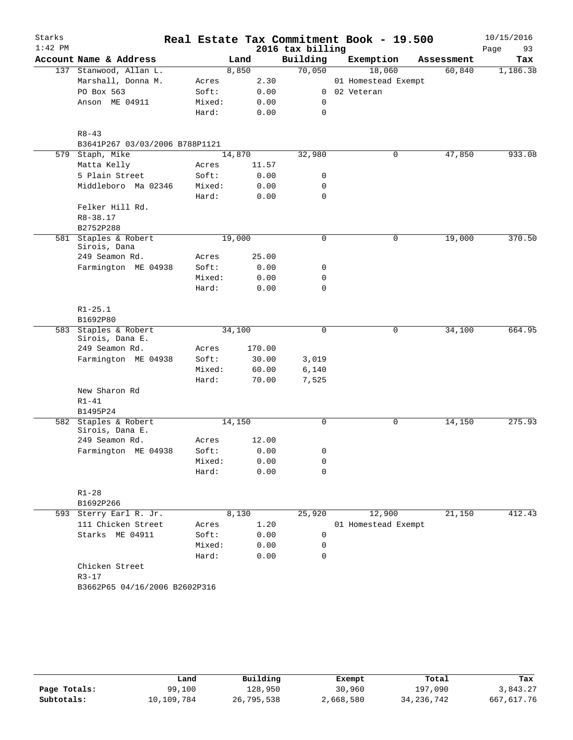| Starks    |                                         |        |        |                  | Real Estate Tax Commitment Book - 19.500 |            | 10/15/2016 |
|-----------|-----------------------------------------|--------|--------|------------------|------------------------------------------|------------|------------|
| $1:42$ PM |                                         |        |        | 2016 tax billing |                                          |            | Page<br>93 |
|           | Account Name & Address                  |        | Land   | Building         | Exemption                                | Assessment | Tax        |
|           | 137 Stanwood, Allan L.                  |        | 8,850  | 70,050           | 18,060                                   | 60,840     | 1,186.38   |
|           | Marshall, Donna M.                      | Acres  | 2.30   |                  | 01 Homestead Exempt                      |            |            |
|           | PO Box 563                              | Soft:  | 0.00   | 0                | 02 Veteran                               |            |            |
|           | Anson ME 04911                          | Mixed: | 0.00   | 0                |                                          |            |            |
|           |                                         | Hard:  | 0.00   | 0                |                                          |            |            |
|           | $R8 - 43$                               |        |        |                  |                                          |            |            |
|           | B3641P267 03/03/2006 B788P1121          |        |        |                  |                                          |            |            |
|           | 579 Staph, Mike                         |        | 14,870 | 32,980           | 0                                        | 47,850     | 933.08     |
|           | Matta Kelly                             | Acres  | 11.57  |                  |                                          |            |            |
|           | 5 Plain Street                          | Soft:  | 0.00   | 0                |                                          |            |            |
|           | Middleboro Ma 02346                     | Mixed: | 0.00   | 0                |                                          |            |            |
|           |                                         | Hard:  | 0.00   | $\mathbf 0$      |                                          |            |            |
|           | Felker Hill Rd.                         |        |        |                  |                                          |            |            |
|           | $R8 - 38.17$                            |        |        |                  |                                          |            |            |
|           | B2752P288                               |        |        |                  |                                          |            |            |
|           | 581 Staples & Robert<br>Sirois, Dana    |        | 19,000 | 0                | 0                                        | 19,000     | 370.50     |
|           | 249 Seamon Rd.                          | Acres  | 25.00  |                  |                                          |            |            |
|           | Farmington ME 04938                     | Soft:  | 0.00   | 0                |                                          |            |            |
|           |                                         | Mixed: | 0.00   | $\mathbf 0$      |                                          |            |            |
|           |                                         | Hard:  | 0.00   | 0                |                                          |            |            |
|           | $R1 - 25.1$                             |        |        |                  |                                          |            |            |
|           | B1692P80                                |        |        |                  |                                          |            |            |
|           | 583 Staples & Robert<br>Sirois, Dana E. |        | 34,100 | $\mathbf 0$      | $\mathbf 0$                              | 34,100     | 664.95     |
|           | 249 Seamon Rd.                          | Acres  | 170.00 |                  |                                          |            |            |
|           | Farmington ME 04938                     | Soft:  | 30.00  | 3,019            |                                          |            |            |
|           |                                         | Mixed: | 60.00  | 6,140            |                                          |            |            |
|           |                                         | Hard:  | 70.00  | 7,525            |                                          |            |            |
|           | New Sharon Rd                           |        |        |                  |                                          |            |            |
|           | $R1 - 41$                               |        |        |                  |                                          |            |            |
|           | B1495P24                                |        |        |                  |                                          |            |            |
| 582       | Staples & Robert                        |        | 14,150 | 0                | 0                                        | 14,150     | 275.93     |
|           | Sirois, Dana E.                         |        |        |                  |                                          |            |            |
|           | 249 Seamon Rd.                          | Acres  | 12.00  |                  |                                          |            |            |
|           | Farmington ME 04938                     | Soft:  | 0.00   | 0                |                                          |            |            |
|           |                                         | Mixed: | 0.00   | 0                |                                          |            |            |
|           |                                         | Hard:  | 0.00   | $\Omega$         |                                          |            |            |
|           | $R1 - 28$                               |        |        |                  |                                          |            |            |
|           | B1692P266                               |        |        |                  |                                          |            |            |
|           | 593 Sterry Earl R. Jr.                  |        | 8,130  | 25,920           | 12,900                                   | 21,150     | 412.43     |
|           | 111 Chicken Street                      | Acres  | 1.20   |                  | 01 Homestead Exempt                      |            |            |
|           | Starks ME 04911                         | Soft:  | 0.00   | 0                |                                          |            |            |
|           |                                         | Mixed: | 0.00   | 0                |                                          |            |            |
|           |                                         | Hard:  | 0.00   | 0                |                                          |            |            |
|           | Chicken Street                          |        |        |                  |                                          |            |            |
|           | $R3 - 17$                               |        |        |                  |                                          |            |            |
|           | B3662P65 04/16/2006 B2602P316           |        |        |                  |                                          |            |            |
|           |                                         |        |        |                  |                                          |            |            |

|              | Land       | Building   | Exempt    | Total        | Tax        |
|--------------|------------|------------|-----------|--------------|------------|
| Page Totals: | 99,100     | 128,950    | 30,960    | 197,090      | 3,843.27   |
| Subtotals:   | 10,109,784 | 26,795,538 | 2,668,580 | 34, 236, 742 | 667,617.76 |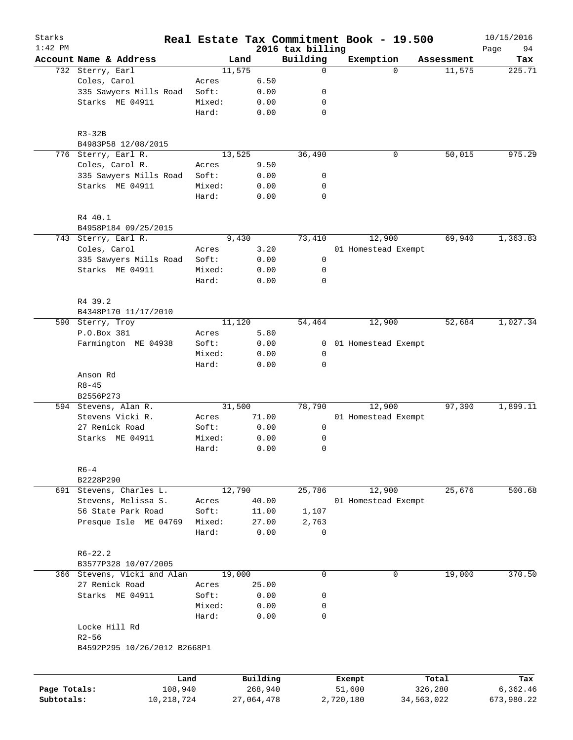| Starks                     |                              |         |                       |                              | Real Estate Tax Commitment Book - 19.500 |                       | 10/15/2016             |
|----------------------------|------------------------------|---------|-----------------------|------------------------------|------------------------------------------|-----------------------|------------------------|
| $1:42$ PM                  | Account Name & Address       |         | Land                  | 2016 tax billing<br>Building | Exemption                                | Assessment            | 94<br>Page<br>Tax      |
|                            | 732 Sterry, Earl             |         | 11,575                | $\mathbf 0$                  | $\Omega$                                 | 11,575                | 225.71                 |
|                            | Coles, Carol                 | Acres   | 6.50                  |                              |                                          |                       |                        |
|                            | 335 Sawyers Mills Road       | Soft:   | 0.00                  | 0                            |                                          |                       |                        |
|                            | Starks ME 04911              | Mixed:  | 0.00                  | 0                            |                                          |                       |                        |
|                            |                              | Hard:   | 0.00                  | $\mathbf 0$                  |                                          |                       |                        |
|                            |                              |         |                       |                              |                                          |                       |                        |
|                            | $R3-32B$                     |         |                       |                              |                                          |                       |                        |
|                            | B4983P58 12/08/2015          |         |                       |                              |                                          |                       |                        |
|                            | 776 Sterry, Earl R.          |         | 13,525                | 36,490                       | 0                                        | 50,015                | 975.29                 |
|                            | Coles, Carol R.              | Acres   | 9.50                  |                              |                                          |                       |                        |
|                            | 335 Sawyers Mills Road       | Soft:   | 0.00                  | 0                            |                                          |                       |                        |
|                            | Starks ME 04911              | Mixed:  | 0.00                  | 0                            |                                          |                       |                        |
|                            |                              | Hard:   | 0.00                  | $\mathbf 0$                  |                                          |                       |                        |
|                            | R4 40.1                      |         |                       |                              |                                          |                       |                        |
|                            | B4958P184 09/25/2015         |         |                       |                              |                                          |                       |                        |
|                            | 743 Sterry, Earl R.          |         | 9,430                 | 73,410                       | 12,900                                   | 69,940                | 1,363.83               |
|                            | Coles, Carol                 | Acres   | 3.20                  |                              | 01 Homestead Exempt                      |                       |                        |
|                            | 335 Sawyers Mills Road       | Soft:   | 0.00                  | 0                            |                                          |                       |                        |
|                            | Starks ME 04911              | Mixed:  | 0.00                  | 0                            |                                          |                       |                        |
|                            |                              | Hard:   | 0.00                  | $\mathbf 0$                  |                                          |                       |                        |
|                            | R4 39.2                      |         |                       |                              |                                          |                       |                        |
|                            | B4348P170 11/17/2010         |         |                       |                              |                                          |                       |                        |
|                            | 590 Sterry, Troy             |         | 11,120                | 54,464                       | 12,900                                   | 52,684                | 1,027.34               |
|                            | P.O.Box 381                  | Acres   | 5.80                  |                              |                                          |                       |                        |
|                            | Farmington ME 04938          | Soft:   | 0.00                  | 0                            | 01 Homestead Exempt                      |                       |                        |
|                            |                              | Mixed:  | 0.00                  | 0                            |                                          |                       |                        |
|                            |                              | Hard:   | 0.00                  | $\mathbf 0$                  |                                          |                       |                        |
|                            | Anson Rd                     |         |                       |                              |                                          |                       |                        |
|                            | $R8 - 45$                    |         |                       |                              |                                          |                       |                        |
|                            | B2556P273                    |         |                       |                              |                                          |                       |                        |
|                            | 594 Stevens, Alan R.         |         | 31,500                | 78,790                       | 12,900                                   | 97,390                | 1,899.11               |
|                            | Stevens Vicki R.             | Acres   | 71.00                 |                              | 01 Homestead Exempt                      |                       |                        |
|                            | 27 Remick Road               | Soft:   | 0.00                  | 0                            |                                          |                       |                        |
|                            | Starks ME 04911              | Mixed:  | 0.00                  | 0                            |                                          |                       |                        |
|                            |                              | Hard:   | 0.00                  | $\mathbf 0$                  |                                          |                       |                        |
|                            | $R6 - 4$                     |         |                       |                              |                                          |                       |                        |
|                            | B2228P290                    |         |                       |                              |                                          |                       |                        |
|                            | 691 Stevens, Charles L.      |         | 12,790                | 25,786                       | 12,900                                   | 25,676                | 500.68                 |
|                            | Stevens, Melissa S.          | Acres   | 40.00                 |                              | 01 Homestead Exempt                      |                       |                        |
|                            | 56 State Park Road           | Soft:   | 11.00                 | 1,107                        |                                          |                       |                        |
|                            | Presque Isle ME 04769        | Mixed:  | 27.00                 | 2,763                        |                                          |                       |                        |
|                            |                              | Hard:   | 0.00                  | 0                            |                                          |                       |                        |
|                            | $R6 - 22.2$                  |         |                       |                              |                                          |                       |                        |
|                            | B3577P328 10/07/2005         |         |                       |                              |                                          |                       |                        |
|                            | 366 Stevens, Vicki and Alan  |         | 19,000                | 0                            | 0                                        | 19,000                | 370.50                 |
|                            | 27 Remick Road               | Acres   | 25.00                 |                              |                                          |                       |                        |
|                            | Starks ME 04911              | Soft:   | 0.00                  | 0                            |                                          |                       |                        |
|                            |                              | Mixed:  | 0.00                  | 0                            |                                          |                       |                        |
|                            |                              | Hard:   | 0.00                  | $\mathbf 0$                  |                                          |                       |                        |
|                            | Locke Hill Rd                |         |                       |                              |                                          |                       |                        |
|                            | $R2 - 56$                    |         |                       |                              |                                          |                       |                        |
|                            | B4592P295 10/26/2012 B2668P1 |         |                       |                              |                                          |                       |                        |
|                            |                              |         |                       |                              |                                          |                       |                        |
|                            |                              | Land    | Building              |                              | Exempt                                   | Total                 | Tax                    |
| Page Totals:<br>Subtotals: | 10,218,724                   | 108,940 | 268,940<br>27,064,478 |                              | 51,600<br>2,720,180                      | 326,280<br>34,563,022 | 6,362.46<br>673,980.22 |
|                            |                              |         |                       |                              |                                          |                       |                        |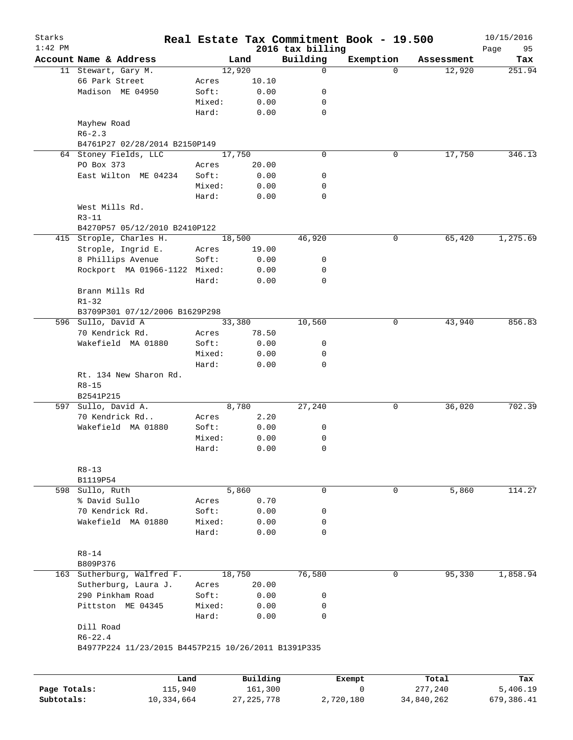| $1:42$ PM |                                                     |        |        | 2016 tax billing | Real Estate Tax Commitment Book - 19.500 |            | 10/15/2016        |
|-----------|-----------------------------------------------------|--------|--------|------------------|------------------------------------------|------------|-------------------|
|           | Account Name & Address                              |        | Land   | Building         | Exemption                                | Assessment | Page<br>95<br>Tax |
|           | 11 Stewart, Gary M.                                 |        | 12,920 | $\mathbf 0$      | $\Omega$                                 | 12,920     | 251.94            |
|           | 66 Park Street                                      | Acres  | 10.10  |                  |                                          |            |                   |
|           | Madison ME 04950                                    | Soft:  | 0.00   | 0                |                                          |            |                   |
|           |                                                     | Mixed: | 0.00   | 0                |                                          |            |                   |
|           |                                                     | Hard:  | 0.00   | $\mathbf 0$      |                                          |            |                   |
|           | Mayhew Road                                         |        |        |                  |                                          |            |                   |
|           | $R6 - 2.3$                                          |        |        |                  |                                          |            |                   |
|           | B4761P27 02/28/2014 B2150P149                       |        |        |                  |                                          |            |                   |
|           | 64 Stoney Fields, LLC                               |        | 17,750 | $\mathbf 0$      | 0                                        | 17,750     | 346.13            |
|           | PO Box 373                                          | Acres  | 20.00  |                  |                                          |            |                   |
|           | East Wilton ME 04234                                | Soft:  | 0.00   | 0                |                                          |            |                   |
|           |                                                     | Mixed: | 0.00   | 0                |                                          |            |                   |
|           |                                                     | Hard:  | 0.00   | $\mathbf 0$      |                                          |            |                   |
|           | West Mills Rd.                                      |        |        |                  |                                          |            |                   |
|           | $R3 - 11$<br>B4270P57 05/12/2010 B2410P122          |        |        |                  |                                          |            |                   |
|           | 415 Strople, Charles H.                             |        | 18,500 | 46,920           | 0                                        | 65,420     | 1,275.69          |
|           | Strople, Ingrid E.                                  | Acres  | 19.00  |                  |                                          |            |                   |
|           | 8 Phillips Avenue                                   | Soft:  | 0.00   | 0                |                                          |            |                   |
|           | Rockport MA 01966-1122 Mixed:                       |        | 0.00   | 0                |                                          |            |                   |
|           |                                                     | Hard:  | 0.00   | $\mathbf 0$      |                                          |            |                   |
|           | Brann Mills Rd                                      |        |        |                  |                                          |            |                   |
|           | $R1 - 32$                                           |        |        |                  |                                          |            |                   |
|           | B3709P301 07/12/2006 B1629P298                      |        |        |                  |                                          |            |                   |
|           | 596 Sullo, David A                                  |        | 33,380 | 10,560           | 0                                        | 43,940     | 856.83            |
|           | 70 Kendrick Rd.                                     | Acres  | 78.50  |                  |                                          |            |                   |
|           | Wakefield MA 01880                                  | Soft:  | 0.00   | 0                |                                          |            |                   |
|           |                                                     | Mixed: | 0.00   | 0                |                                          |            |                   |
|           |                                                     | Hard:  | 0.00   | $\mathbf 0$      |                                          |            |                   |
|           | Rt. 134 New Sharon Rd.                              |        |        |                  |                                          |            |                   |
|           | $R8 - 15$                                           |        |        |                  |                                          |            |                   |
|           | B2541P215                                           |        |        |                  |                                          |            |                   |
| 597       | Sullo, David A.                                     |        | 8,780  | 27,240           | 0                                        | 36,020     | 702.39            |
|           | 70 Kendrick Rd                                      | Acres  | 2.20   |                  |                                          |            |                   |
|           | Wakefield MA 01880                                  | Soft:  | 0.00   | 0                |                                          |            |                   |
|           |                                                     | Mixed: | 0.00   | 0                |                                          |            |                   |
|           |                                                     | Hard:  | 0.00   | 0                |                                          |            |                   |
|           |                                                     |        |        |                  |                                          |            |                   |
|           | $R8 - 13$                                           |        |        |                  |                                          |            |                   |
|           | B1119P54<br>598 Sullo, Ruth                         |        | 5,860  | 0                | 0                                        | 5,860      | 114.27            |
|           | % David Sullo                                       | Acres  | 0.70   |                  |                                          |            |                   |
|           | 70 Kendrick Rd.                                     | Soft:  | 0.00   | 0                |                                          |            |                   |
|           | Wakefield MA 01880                                  | Mixed: | 0.00   | 0                |                                          |            |                   |
|           |                                                     | Hard:  | 0.00   | 0                |                                          |            |                   |
|           |                                                     |        |        |                  |                                          |            |                   |
|           | $R8 - 14$                                           |        |        |                  |                                          |            |                   |
|           | B809P376                                            |        |        |                  |                                          |            |                   |
|           | 163 Sutherburg, Walfred F.                          |        | 18,750 | 76,580           | 0                                        | 95,330     | 1,858.94          |
|           | Sutherburg, Laura J.                                | Acres  | 20.00  |                  |                                          |            |                   |
|           | 290 Pinkham Road                                    | Soft:  | 0.00   | 0                |                                          |            |                   |
|           | Pittston ME 04345                                   | Mixed: | 0.00   | 0                |                                          |            |                   |
|           |                                                     | Hard:  | 0.00   | 0                |                                          |            |                   |
|           | Dill Road                                           |        |        |                  |                                          |            |                   |
|           |                                                     |        |        |                  |                                          |            |                   |
|           | $R6 - 22.4$                                         |        |        |                  |                                          |            |                   |
|           | B4977P224 11/23/2015 B4457P215 10/26/2011 B1391P335 |        |        |                  |                                          |            |                   |

|              | Land       | Building     | Exempt    | Total      | Tax        |
|--------------|------------|--------------|-----------|------------|------------|
| Page Totals: | 115,940    | 161,300      |           | 277.240    | 5,406.19   |
| Subtotals:   | 10,334,664 | 27, 225, 778 | 2,720,180 | 34,840,262 | 679,386.41 |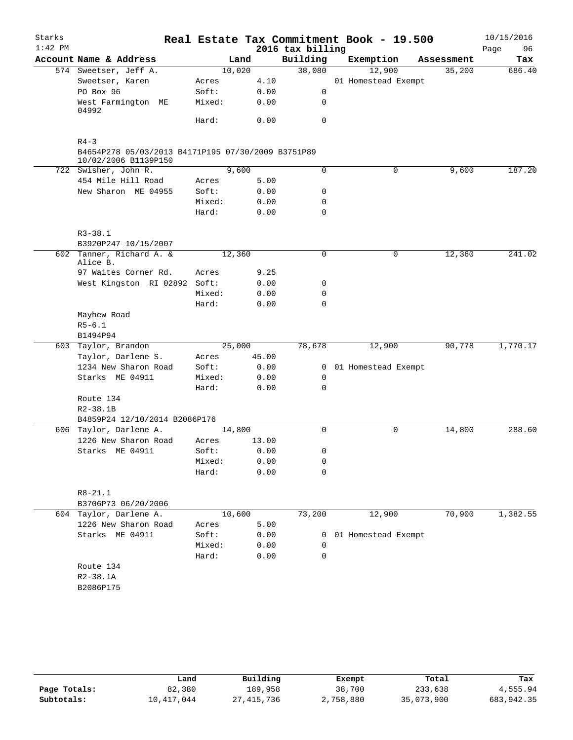| Starks    |                                                                            |        |        |                  | Real Estate Tax Commitment Book - 19.500 |            | 10/15/2016 |
|-----------|----------------------------------------------------------------------------|--------|--------|------------------|------------------------------------------|------------|------------|
| $1:42$ PM |                                                                            |        |        | 2016 tax billing |                                          |            | 96<br>Page |
|           | Account Name & Address                                                     |        | Land   | Building         | Exemption                                | Assessment | Tax        |
|           | 574 Sweetser, Jeff A.                                                      |        | 10,020 | 38,080           | 12,900                                   | 35,200     | 686.40     |
|           | Sweetser, Karen                                                            | Acres  | 4.10   |                  | 01 Homestead Exempt                      |            |            |
|           | PO Box 96                                                                  | Soft:  | 0.00   | $\mathbf 0$      |                                          |            |            |
|           | West Farmington ME<br>04992                                                | Mixed: | 0.00   | $\mathbf 0$      |                                          |            |            |
|           |                                                                            | Hard:  | 0.00   | 0                |                                          |            |            |
|           | $R4 - 3$                                                                   |        |        |                  |                                          |            |            |
|           | B4654P278 05/03/2013 B4171P195 07/30/2009 B3751P89<br>10/02/2006 B1139P150 |        |        |                  |                                          |            |            |
|           | 722 Swisher, John R.                                                       |        | 9,600  | 0                | $\mathbf 0$                              | 9,600      | 187.20     |
|           | 454 Mile Hill Road                                                         | Acres  | 5.00   |                  |                                          |            |            |
|           | New Sharon ME 04955                                                        | Soft:  | 0.00   | 0                |                                          |            |            |
|           |                                                                            | Mixed: | 0.00   | 0                |                                          |            |            |
|           |                                                                            | Hard:  | 0.00   | 0                |                                          |            |            |
|           | $R3 - 38.1$                                                                |        |        |                  |                                          |            |            |
|           | B3920P247 10/15/2007                                                       |        |        |                  |                                          |            |            |
|           | 602 Tanner, Richard A. &                                                   |        | 12,360 | 0                | 0                                        | 12,360     | 241.02     |
|           | Alice B.                                                                   |        |        |                  |                                          |            |            |
|           | 97 Waites Corner Rd.                                                       | Acres  | 9.25   |                  |                                          |            |            |
|           | West Kingston RI 02892 Soft:                                               |        | 0.00   | 0                |                                          |            |            |
|           |                                                                            | Mixed: | 0.00   | 0                |                                          |            |            |
|           |                                                                            | Hard:  | 0.00   | 0                |                                          |            |            |
|           | Mayhew Road                                                                |        |        |                  |                                          |            |            |
|           | $R5 - 6.1$                                                                 |        |        |                  |                                          |            |            |
|           | B1494P94                                                                   |        |        |                  |                                          |            |            |
|           | 603 Taylor, Brandon                                                        |        | 25,000 | 78,678           | 12,900                                   | 90,778     | 1,770.17   |
|           | Taylor, Darlene S.                                                         | Acres  | 45.00  |                  |                                          |            |            |
|           | 1234 New Sharon Road                                                       | Soft:  | 0.00   | $\mathbf{0}$     | 01 Homestead Exempt                      |            |            |
|           | Starks ME 04911                                                            | Mixed: | 0.00   | 0                |                                          |            |            |
|           |                                                                            | Hard:  | 0.00   | $\Omega$         |                                          |            |            |
|           | Route 134                                                                  |        |        |                  |                                          |            |            |
|           | $R2 - 38.1B$                                                               |        |        |                  |                                          |            |            |
|           | B4859P24 12/10/2014 B2086P176                                              |        |        |                  |                                          |            |            |
|           | 606 Taylor, Darlene A.                                                     |        | 14,800 | $\Omega$         | 0                                        | 14,800     | 288.60     |
|           | 1226 New Sharon Road                                                       | Acres  | 13.00  |                  |                                          |            |            |
|           | Starks ME 04911                                                            | Soft:  | 0.00   | 0                |                                          |            |            |
|           |                                                                            | Mixed: | 0.00   | 0                |                                          |            |            |
|           |                                                                            | Hard:  | 0.00   | 0                |                                          |            |            |
|           | $R8 - 21.1$                                                                |        |        |                  |                                          |            |            |
|           | B3706P73 06/20/2006                                                        |        |        |                  |                                          |            |            |
|           | 604 Taylor, Darlene A.                                                     |        | 10,600 | 73,200           | 12,900                                   | 70,900     | 1,382.55   |
|           | 1226 New Sharon Road                                                       | Acres  | 5.00   |                  |                                          |            |            |
|           | Starks ME 04911                                                            | Soft:  | 0.00   | $\mathbf{0}$     | 01 Homestead Exempt                      |            |            |
|           |                                                                            | Mixed: | 0.00   | 0                |                                          |            |            |
|           |                                                                            | Hard:  | 0.00   | 0                |                                          |            |            |
|           | Route 134                                                                  |        |        |                  |                                          |            |            |
|           | $R2 - 38.1A$                                                               |        |        |                  |                                          |            |            |
|           | B2086P175                                                                  |        |        |                  |                                          |            |            |
|           |                                                                            |        |        |                  |                                          |            |            |
|           |                                                                            |        |        |                  |                                          |            |            |

|              | Land       | Building   | Exempt    | Total      | Tax        |
|--------------|------------|------------|-----------|------------|------------|
| Page Totals: | 82,380     | 189,958    | 38,700    | 233,638    | 4,555.94   |
| Subtotals:   | 10,417,044 | 27,415,736 | 2,758,880 | 35,073,900 | 683,942.35 |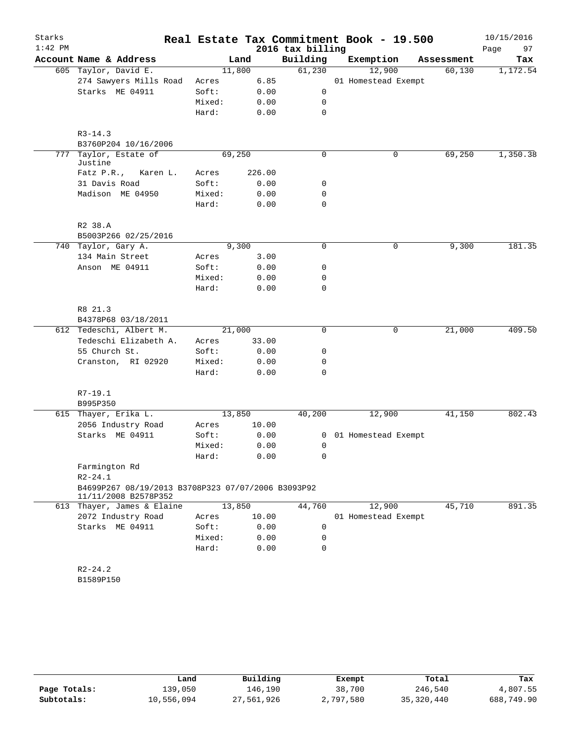| Starks<br>$1:42$ PM |                                                                            |        |        | 2016 tax billing | Real Estate Tax Commitment Book - 19.500 |            | 10/15/2016<br>Page<br>97 |
|---------------------|----------------------------------------------------------------------------|--------|--------|------------------|------------------------------------------|------------|--------------------------|
|                     | Account Name & Address                                                     |        | Land   | Building         | Exemption                                | Assessment | Tax                      |
|                     | 605 Taylor, David E.                                                       |        | 11,800 | 61,230           | 12,900                                   | 60, 130    | 1,172.54                 |
|                     | 274 Sawyers Mills Road                                                     | Acres  | 6.85   |                  | 01 Homestead Exempt                      |            |                          |
|                     | Starks ME 04911                                                            | Soft:  | 0.00   | 0                |                                          |            |                          |
|                     |                                                                            | Mixed: | 0.00   | 0                |                                          |            |                          |
|                     |                                                                            | Hard:  | 0.00   | 0                |                                          |            |                          |
|                     | $R3 - 14.3$<br>B3760P204 10/16/2006                                        |        |        |                  |                                          |            |                          |
| 777                 | Taylor, Estate of                                                          |        | 69,250 | 0                | 0                                        | 69,250     | 1,350.38                 |
|                     | Justine                                                                    |        |        |                  |                                          |            |                          |
|                     | Fatz P.R.,<br>Karen L.                                                     | Acres  | 226.00 |                  |                                          |            |                          |
|                     | 31 Davis Road                                                              | Soft:  | 0.00   | 0                |                                          |            |                          |
|                     | Madison ME 04950                                                           | Mixed: | 0.00   | 0                |                                          |            |                          |
|                     |                                                                            | Hard:  | 0.00   | 0                |                                          |            |                          |
|                     | R2 38.A                                                                    |        |        |                  |                                          |            |                          |
|                     | B5003P266 02/25/2016                                                       |        |        |                  |                                          |            |                          |
|                     | 740 Taylor, Gary A.                                                        |        | 9,300  | 0                | 0                                        | 9,300      | 181.35                   |
|                     | 134 Main Street                                                            | Acres  | 3.00   |                  |                                          |            |                          |
|                     | Anson ME 04911                                                             | Soft:  | 0.00   | 0                |                                          |            |                          |
|                     |                                                                            | Mixed: | 0.00   | 0                |                                          |            |                          |
|                     |                                                                            | Hard:  | 0.00   | 0                |                                          |            |                          |
|                     | R8 21.3                                                                    |        |        |                  |                                          |            |                          |
|                     | B4378P68 03/18/2011                                                        |        |        |                  |                                          |            |                          |
|                     | 612 Tedeschi, Albert M.                                                    |        | 21,000 | $\Omega$         | 0                                        | 21,000     | 409.50                   |
|                     | Tedeschi Elizabeth A.                                                      | Acres  | 33.00  |                  |                                          |            |                          |
|                     | 55 Church St.                                                              | Soft:  | 0.00   | 0                |                                          |            |                          |
|                     | Cranston, RI 02920                                                         | Mixed: | 0.00   | 0                |                                          |            |                          |
|                     |                                                                            | Hard:  | 0.00   | 0                |                                          |            |                          |
|                     | R7-19.1                                                                    |        |        |                  |                                          |            |                          |
|                     | B995P350                                                                   |        |        |                  |                                          |            |                          |
|                     | 615 Thayer, Erika L.                                                       |        | 13,850 | 40,200           | 12,900                                   | 41,150     | 802.43                   |
|                     | 2056 Industry Road                                                         | Acres  | 10.00  |                  |                                          |            |                          |
|                     | Starks ME 04911                                                            | Soft:  | 0.00   | 0                | 01 Homestead Exempt                      |            |                          |
|                     |                                                                            | Mixed: | 0.00   | 0                |                                          |            |                          |
|                     |                                                                            |        |        |                  |                                          |            |                          |
|                     |                                                                            | Hard:  | 0.00   | 0                |                                          |            |                          |
|                     | Farmington Rd                                                              |        |        |                  |                                          |            |                          |
|                     | $R2 - 24.1$                                                                |        |        |                  |                                          |            |                          |
|                     | B4699P267 08/19/2013 B3708P323 07/07/2006 B3093P92<br>11/11/2008 B2578P352 |        |        |                  |                                          |            |                          |
|                     | 613 Thayer, James & Elaine                                                 |        | 13,850 | 44,760           | 12,900                                   | 45,710     | 891.35                   |
|                     | 2072 Industry Road                                                         | Acres  | 10.00  |                  | 01 Homestead Exempt                      |            |                          |
|                     | Starks ME 04911                                                            | Soft:  | 0.00   | 0                |                                          |            |                          |
|                     |                                                                            | Mixed: | 0.00   | 0                |                                          |            |                          |
|                     |                                                                            | Hard:  | 0.00   | 0                |                                          |            |                          |
|                     | $R2 - 24.2$                                                                |        |        |                  |                                          |            |                          |
|                     | B1589P150                                                                  |        |        |                  |                                          |            |                          |
|                     |                                                                            |        |        |                  |                                          |            |                          |

|              | Land       | Building   | Exempt    | Total      | Tax        |
|--------------|------------|------------|-----------|------------|------------|
| Page Totals: | L39,050    | 146,190    | 38,700    | 246,540    | 4,807.55   |
| Subtotals:   | 10,556,094 | 27,561,926 | 2,797,580 | 35,320,440 | 688,749.90 |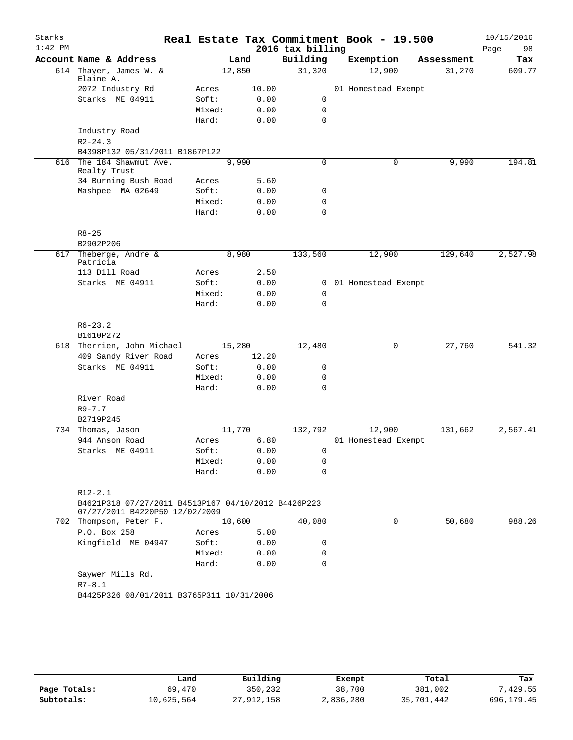| Starks<br>$1:42$ PM |                                                                    |        |        | 2016 tax billing | Real Estate Tax Commitment Book - 19.500 |            | 10/15/2016<br>98<br>Page |
|---------------------|--------------------------------------------------------------------|--------|--------|------------------|------------------------------------------|------------|--------------------------|
|                     | Account Name & Address                                             |        | Land   | Building         | Exemption                                | Assessment | Tax                      |
|                     | 614 Thayer, James W. &<br>Elaine A.                                |        | 12,850 | 31,320           | 12,900                                   | 31,270     | 609.77                   |
|                     | 2072 Industry Rd                                                   | Acres  | 10.00  |                  | 01 Homestead Exempt                      |            |                          |
|                     | Starks ME 04911                                                    | Soft:  | 0.00   | $\mathbf 0$      |                                          |            |                          |
|                     |                                                                    | Mixed: | 0.00   | $\mathbf 0$      |                                          |            |                          |
|                     |                                                                    | Hard:  | 0.00   | $\mathbf 0$      |                                          |            |                          |
|                     | Industry Road                                                      |        |        |                  |                                          |            |                          |
|                     | $R2 - 24.3$                                                        |        |        |                  |                                          |            |                          |
|                     | B4398P132 05/31/2011 B1867P122                                     |        |        |                  |                                          |            |                          |
|                     | 616 The 184 Shawmut Ave.                                           |        | 9,990  | $\Omega$         | 0                                        | 9,990      | 194.81                   |
|                     | Realty Trust                                                       |        |        |                  |                                          |            |                          |
|                     | 34 Burning Bush Road                                               | Acres  | 5.60   |                  |                                          |            |                          |
|                     | Mashpee MA 02649                                                   | Soft:  | 0.00   | 0                |                                          |            |                          |
|                     |                                                                    | Mixed: | 0.00   | 0                |                                          |            |                          |
|                     |                                                                    | Hard:  | 0.00   | $\mathbf 0$      |                                          |            |                          |
|                     |                                                                    |        |        |                  |                                          |            |                          |
|                     | $R8 - 25$                                                          |        |        |                  |                                          |            |                          |
|                     | B2902P206                                                          |        |        |                  |                                          |            |                          |
| 617                 | Theberge, Andre &<br>Patricia                                      |        | 8,980  | 133,560          | 12,900                                   | 129,640    | 2,527.98                 |
|                     | 113 Dill Road                                                      | Acres  | 2.50   |                  |                                          |            |                          |
|                     | Starks ME 04911                                                    | Soft:  | 0.00   | $\mathbf{0}$     | 01 Homestead Exempt                      |            |                          |
|                     |                                                                    | Mixed: | 0.00   | $\mathbf 0$      |                                          |            |                          |
|                     |                                                                    | Hard:  | 0.00   | $\mathbf 0$      |                                          |            |                          |
|                     |                                                                    |        |        |                  |                                          |            |                          |
|                     | $R6 - 23.2$                                                        |        |        |                  |                                          |            |                          |
|                     | B1610P272                                                          |        |        |                  |                                          |            |                          |
|                     | 618 Therrien, John Michael                                         | 15,280 |        | 12,480           | 0                                        | 27,760     | 541.32                   |
|                     | 409 Sandy River Road                                               | Acres  | 12.20  |                  |                                          |            |                          |
|                     | Starks ME 04911                                                    | Soft:  | 0.00   | 0                |                                          |            |                          |
|                     |                                                                    | Mixed: | 0.00   | 0                |                                          |            |                          |
|                     |                                                                    | Hard:  | 0.00   | 0                |                                          |            |                          |
|                     | River Road                                                         |        |        |                  |                                          |            |                          |
|                     | $R9 - 7.7$                                                         |        |        |                  |                                          |            |                          |
|                     | B2719P245                                                          |        |        |                  |                                          |            |                          |
|                     | 734 Thomas, Jason                                                  |        | 11,770 | 132,792          | 12,900                                   | 131,662    | 2,567.41                 |
|                     | 944 Anson Road                                                     | Acres  | 6.80   |                  | 01 Homestead Exempt                      |            |                          |
|                     | Starks ME 04911                                                    | Soft:  | 0.00   | $\mathbf{0}$     |                                          |            |                          |
|                     |                                                                    | Mixed: | 0.00   | 0                |                                          |            |                          |
|                     |                                                                    | Hard:  | 0.00   | $\mathbf 0$      |                                          |            |                          |
|                     |                                                                    |        |        |                  |                                          |            |                          |
|                     | $R12 - 2.1$<br>B4621P318 07/27/2011 B4513P167 04/10/2012 B4426P223 |        |        |                  |                                          |            |                          |
|                     | 07/27/2011 B4220P50 12/02/2009                                     |        |        |                  |                                          |            |                          |
|                     | 702 Thompson, Peter F.                                             |        | 10,600 | 40,080           | 0                                        | 50,680     | 988.26                   |
|                     | P.O. Box 258                                                       | Acres  | 5.00   |                  |                                          |            |                          |
|                     | Kingfield ME 04947                                                 | Soft:  | 0.00   | 0                |                                          |            |                          |
|                     |                                                                    | Mixed: | 0.00   | 0                |                                          |            |                          |
|                     |                                                                    | Hard:  | 0.00   | $\mathbf 0$      |                                          |            |                          |
|                     | Saywer Mills Rd.                                                   |        |        |                  |                                          |            |                          |
|                     | $R7 - 8.1$                                                         |        |        |                  |                                          |            |                          |
|                     | B4425P326 08/01/2011 B3765P311 10/31/2006                          |        |        |                  |                                          |            |                          |
|                     |                                                                    |        |        |                  |                                          |            |                          |
|                     |                                                                    |        |        |                  |                                          |            |                          |
|                     |                                                                    |        |        |                  |                                          |            |                          |

|              | Land       | Building   | Exempt    | Total      | Tax        |
|--------------|------------|------------|-----------|------------|------------|
| Page Totals: | 69,470     | 350,232    | 38,700    | 381,002    | 7,429.55   |
| Subtotals:   | 10,625,564 | 27,912,158 | 2,836,280 | 35,701,442 | 696,179.45 |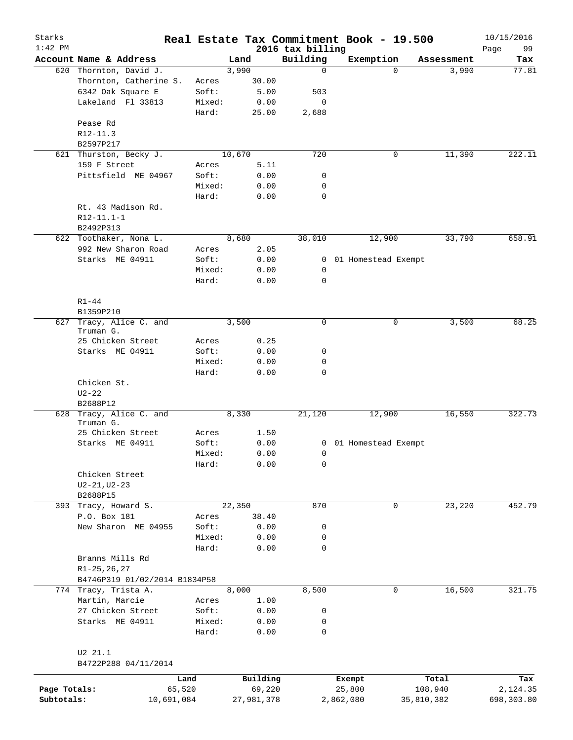| Starks<br>$1:42$ PM |                                  |            |            |                              | Real Estate Tax Commitment Book - 19.500 |            | 10/15/2016        |
|---------------------|----------------------------------|------------|------------|------------------------------|------------------------------------------|------------|-------------------|
|                     | Account Name & Address           |            | Land       | 2016 tax billing<br>Building | Exemption                                | Assessment | 99<br>Page<br>Tax |
|                     | 620 Thornton, David J.           |            | 3,990      | $\mathbf 0$                  | $\Omega$                                 | 3,990      | 77.81             |
|                     | Thornton, Catherine S.           | Acres      | 30.00      |                              |                                          |            |                   |
|                     | 6342 Oak Square E                | Soft:      | 5.00       | 503                          |                                          |            |                   |
|                     | Lakeland Fl 33813                | Mixed:     | 0.00       | 0                            |                                          |            |                   |
|                     |                                  | Hard:      | 25.00      | 2,688                        |                                          |            |                   |
|                     | Pease Rd                         |            |            |                              |                                          |            |                   |
|                     | $R12-11.3$                       |            |            |                              |                                          |            |                   |
|                     | B2597P217                        |            |            |                              |                                          |            |                   |
| 621                 | Thurston, Becky J.               |            | 10,670     | 720                          | 0                                        | 11,390     | 222.11            |
|                     | 159 F Street                     | Acres      | 5.11       |                              |                                          |            |                   |
|                     | Pittsfield ME 04967              | Soft:      | 0.00       | 0                            |                                          |            |                   |
|                     |                                  | Mixed:     | 0.00       | 0                            |                                          |            |                   |
|                     |                                  | Hard:      | 0.00       | $\mathbf 0$                  |                                          |            |                   |
|                     | Rt. 43 Madison Rd.               |            |            |                              |                                          |            |                   |
|                     | R12-11.1-1                       |            |            |                              |                                          |            |                   |
|                     | B2492P313                        |            |            |                              |                                          |            |                   |
|                     | 622 Toothaker, Nona L.           |            | 8,680      | 38,010                       | 12,900                                   | 33,790     | 658.91            |
|                     | 992 New Sharon Road              | Acres      | 2.05       |                              |                                          |            |                   |
|                     | Starks ME 04911                  | Soft:      | 0.00       | 0                            | 01 Homestead Exempt                      |            |                   |
|                     |                                  | Mixed:     | 0.00       | 0                            |                                          |            |                   |
|                     |                                  | Hard:      | 0.00       | $\mathbf 0$                  |                                          |            |                   |
|                     |                                  |            |            |                              |                                          |            |                   |
|                     | $R1 - 44$                        |            |            |                              |                                          |            |                   |
|                     | B1359P210                        |            |            |                              |                                          |            |                   |
| 627                 | Tracy, Alice C. and              |            | 3,500      | $\mathbf 0$                  | 0                                        | 3,500      | 68.25             |
|                     | Truman G.                        |            |            |                              |                                          |            |                   |
|                     | 25 Chicken Street                | Acres      | 0.25       |                              |                                          |            |                   |
|                     | Starks ME 04911                  | Soft:      | 0.00       | 0                            |                                          |            |                   |
|                     |                                  | Mixed:     | 0.00       | 0                            |                                          |            |                   |
|                     |                                  | Hard:      | 0.00       | $\mathbf 0$                  |                                          |            |                   |
|                     | Chicken St.                      |            |            |                              |                                          |            |                   |
|                     | $U2 - 22$                        |            |            |                              |                                          |            |                   |
|                     | B2688P12                         |            |            |                              |                                          |            |                   |
| 628                 | Tracy, Alice C. and<br>Truman G. |            | 8,330      | 21,120                       | 12,900                                   | 16,550     | 322.73            |
|                     | 25 Chicken Street                | Acres      | 1.50       |                              |                                          |            |                   |
|                     | Starks ME 04911                  | Soft:      | 0.00       |                              | 0 01 Homestead Exempt                    |            |                   |
|                     |                                  | Mixed:     | 0.00       | $\overline{0}$               |                                          |            |                   |
|                     |                                  | Hard:      | 0.00       | 0                            |                                          |            |                   |
|                     | Chicken Street                   |            |            |                              |                                          |            |                   |
|                     | $U2 - 21, U2 - 23$               |            |            |                              |                                          |            |                   |
|                     | B2688P15                         |            |            |                              |                                          |            |                   |
|                     | 393 Tracy, Howard S.             |            | 22,350     | 870                          | 0                                        | 23,220     | 452.79            |
|                     | P.O. Box 181                     | Acres      | 38.40      |                              |                                          |            |                   |
|                     | New Sharon ME 04955              | Soft:      | 0.00       | 0                            |                                          |            |                   |
|                     |                                  | Mixed:     | 0.00       | 0                            |                                          |            |                   |
|                     |                                  | Hard:      | 0.00       | $\mathsf{O}$                 |                                          |            |                   |
|                     | Branns Mills Rd                  |            |            |                              |                                          |            |                   |
|                     | $R1 - 25, 26, 27$                |            |            |                              |                                          |            |                   |
|                     | B4746P319 01/02/2014 B1834P58    |            |            |                              |                                          |            |                   |
|                     | 774 Tracy, Trista A.             |            | 8,000      | 8,500                        | 0                                        | 16,500     | 321.75            |
|                     | Martin, Marcie                   | Acres      | 1.00       |                              |                                          |            |                   |
|                     | 27 Chicken Street                | Soft:      | 0.00       | 0                            |                                          |            |                   |
|                     | Starks ME 04911                  | Mixed:     | 0.00       | 0                            |                                          |            |                   |
|                     |                                  | Hard:      | 0.00       | $\mathbf 0$                  |                                          |            |                   |
|                     |                                  |            |            |                              |                                          |            |                   |
|                     | U2 21.1                          |            |            |                              |                                          |            |                   |
|                     | B4722P288 04/11/2014             |            |            |                              |                                          |            |                   |
|                     |                                  |            |            |                              |                                          |            |                   |
|                     |                                  | Land       | Building   |                              | Exempt                                   | Total      | Tax               |
| Page Totals:        |                                  | 65,520     | 69,220     |                              | 25,800                                   | 108,940    | 2,124.35          |
| Subtotals:          |                                  | 10,691,084 | 27,981,378 |                              | 2,862,080                                | 35,810,382 | 698,303.80        |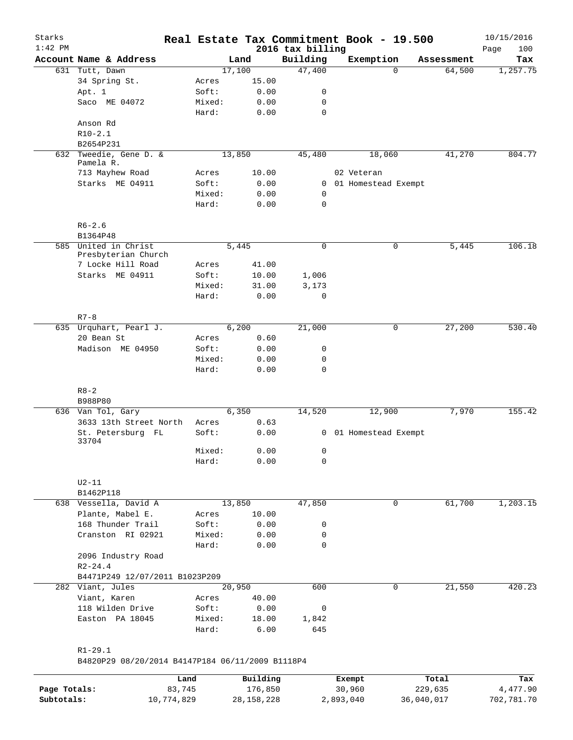| Starks       |                                                  |                 |              |                              | Real Estate Tax Commitment Book - 19.500 |             |            | 10/15/2016         |
|--------------|--------------------------------------------------|-----------------|--------------|------------------------------|------------------------------------------|-------------|------------|--------------------|
| $1:42$ PM    | Account Name & Address                           |                 | Land         | 2016 tax billing<br>Building | Exemption                                |             | Assessment | 100<br>Page<br>Tax |
|              | 631 Tutt, Dawn                                   |                 | 17,100       | 47,400                       |                                          | $\Omega$    | 64,500     | 1,257.75           |
|              | 34 Spring St.                                    | Acres           | 15.00        |                              |                                          |             |            |                    |
|              | Apt. 1                                           | Soft:           | 0.00         | 0                            |                                          |             |            |                    |
|              | Saco ME 04072                                    | Mixed:          | 0.00         | 0                            |                                          |             |            |                    |
|              |                                                  | Hard:           | 0.00         | $\mathbf 0$                  |                                          |             |            |                    |
|              | Anson Rd                                         |                 |              |                              |                                          |             |            |                    |
|              | $R10-2.1$                                        |                 |              |                              |                                          |             |            |                    |
|              | B2654P231                                        |                 |              |                              |                                          |             |            |                    |
|              | 632 Tweedie, Gene D. &                           |                 | 13,850       | 45,480                       | 18,060                                   |             | 41,270     | 804.77             |
|              | Pamela R.                                        |                 |              |                              |                                          |             |            |                    |
|              | 713 Mayhew Road                                  | Acres           | 10.00        |                              | 02 Veteran                               |             |            |                    |
|              | Starks ME 04911                                  | Soft:           | 0.00         | 0                            | 01 Homestead Exempt                      |             |            |                    |
|              |                                                  | Mixed:          | 0.00         | 0                            |                                          |             |            |                    |
|              |                                                  | Hard:           | 0.00         | 0                            |                                          |             |            |                    |
|              | $R6 - 2.6$                                       |                 |              |                              |                                          |             |            |                    |
|              | B1364P48                                         |                 |              |                              |                                          |             |            |                    |
|              | 585 United in Christ<br>Presbyterian Church      |                 | 5,445        | 0                            |                                          | 0           | 5,445      | 106.18             |
|              | 7 Locke Hill Road                                | Acres           | 41.00        |                              |                                          |             |            |                    |
|              | Starks ME 04911                                  | Soft:           | 10.00        | 1,006                        |                                          |             |            |                    |
|              |                                                  | Mixed:          | 31.00        | 3,173                        |                                          |             |            |                    |
|              |                                                  | Hard:           | 0.00         | $\mathbf 0$                  |                                          |             |            |                    |
|              | $R7 - 8$                                         |                 |              |                              |                                          |             |            |                    |
|              | 635 Urquhart, Pearl J.                           |                 | 6,200        | 21,000                       |                                          | 0           | 27,200     | 530.40             |
|              | 20 Bean St                                       | Acres           | 0.60         |                              |                                          |             |            |                    |
|              | Madison ME 04950                                 | Soft:           | 0.00         | 0                            |                                          |             |            |                    |
|              |                                                  | Mixed:<br>Hard: | 0.00<br>0.00 | 0<br>$\mathbf 0$             |                                          |             |            |                    |
|              | $R8 - 2$                                         |                 |              |                              |                                          |             |            |                    |
|              | B988P80                                          |                 |              |                              |                                          |             |            |                    |
|              | 636 Van Tol, Gary                                |                 | 6,350        | 14,520                       | 12,900                                   |             | 7,970      | 155.42             |
|              | 3633 13th Street North                           | Acres           | 0.63         |                              |                                          |             |            |                    |
|              | St. Petersburg FL<br>33704                       | Soft:           | 0.00         |                              | 0 01 Homestead Exempt                    |             |            |                    |
|              |                                                  | Mixed:          | 0.00         | 0                            |                                          |             |            |                    |
|              |                                                  | Hard:           | 0.00         | 0                            |                                          |             |            |                    |
|              | $U2-11$                                          |                 |              |                              |                                          |             |            |                    |
|              | B1462P118                                        |                 |              |                              |                                          |             |            |                    |
|              | 638 Vessella, David A                            |                 | 13,850       | 47,850                       |                                          | $\mathbf 0$ | 61,700     | 1,203.15           |
|              | Plante, Mabel E.                                 | Acres           | 10.00        |                              |                                          |             |            |                    |
|              | 168 Thunder Trail                                | Soft:           | 0.00         | 0                            |                                          |             |            |                    |
|              | Cranston RI 02921                                | Mixed:          | 0.00         | 0                            |                                          |             |            |                    |
|              |                                                  | Hard:           | 0.00         | $\mathbf 0$                  |                                          |             |            |                    |
|              | 2096 Industry Road<br>$R2 - 24.4$                |                 |              |                              |                                          |             |            |                    |
|              | B4471P249 12/07/2011 B1023P209                   |                 |              |                              |                                          |             |            |                    |
|              | 282 Viant, Jules                                 |                 | 20,950       | 600                          |                                          | 0           | 21,550     | 420.23             |
|              | Viant, Karen                                     | Acres           | 40.00        |                              |                                          |             |            |                    |
|              | 118 Wilden Drive                                 | Soft:           | 0.00         | 0                            |                                          |             |            |                    |
|              | Easton PA 18045                                  | Mixed:          | 18.00        | 1,842                        |                                          |             |            |                    |
|              |                                                  | Hard:           | 6.00         | 645                          |                                          |             |            |                    |
|              | $R1 - 29.1$                                      |                 |              |                              |                                          |             |            |                    |
|              | B4820P29 08/20/2014 B4147P184 06/11/2009 B1118P4 |                 |              |                              |                                          |             |            |                    |
|              |                                                  | Land            | Building     |                              | Exempt                                   |             | Total      | Tax                |
| Page Totals: |                                                  | 83,745          | 176,850      |                              | 30,960                                   | 229,635     |            | 4,477.90           |
| Subtotals:   | 10,774,829                                       |                 | 28,158,228   |                              | 2,893,040                                | 36,040,017  |            | 702,781.70         |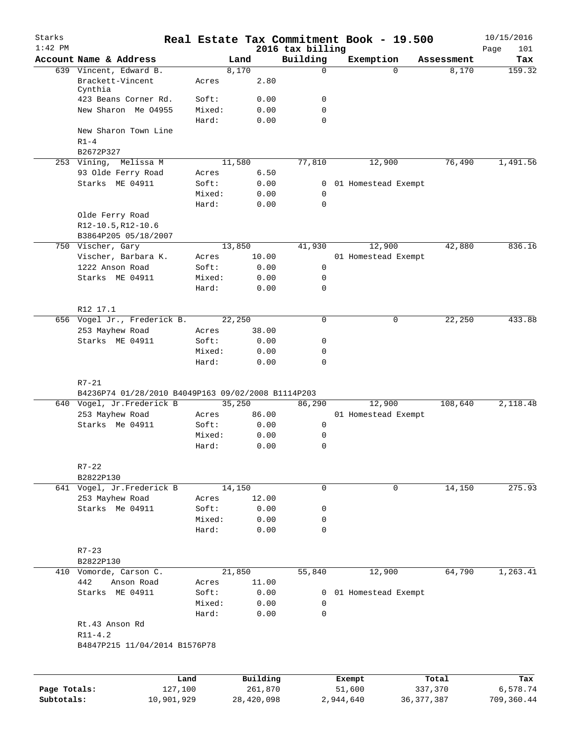| Starks       |                                                    |                 |              |                              | Real Estate Tax Commitment Book - 19.500 |                     | 10/15/2016    |
|--------------|----------------------------------------------------|-----------------|--------------|------------------------------|------------------------------------------|---------------------|---------------|
| $1:42$ PM    | Account Name & Address                             |                 | Land         | 2016 tax billing<br>Building |                                          |                     | 101<br>Page   |
|              | 639 Vincent, Edward B.                             |                 | 8,170        | $\Omega$                     | Exemption<br>$\Omega$                    | Assessment<br>8,170 | Tax<br>159.32 |
|              | Brackett-Vincent<br>Cynthia                        | Acres           | 2.80         |                              |                                          |                     |               |
|              | 423 Beans Corner Rd.                               | Soft:           | 0.00         | 0                            |                                          |                     |               |
|              | New Sharon Me 04955                                | Mixed:<br>Hard: | 0.00<br>0.00 | $\mathbf 0$<br>$\mathbf 0$   |                                          |                     |               |
|              | New Sharon Town Line<br>$R1-4$                     |                 |              |                              |                                          |                     |               |
|              | B2672P327                                          |                 |              |                              |                                          |                     |               |
|              | 253 Vining, Melissa M                              |                 | 11,580       | 77,810                       | 12,900                                   | 76,490              | 1,491.56      |
|              | 93 Olde Ferry Road                                 | Acres           | 6.50         |                              |                                          |                     |               |
|              | Starks ME 04911                                    | Soft:           | 0.00         | $\overline{0}$               | 01 Homestead Exempt                      |                     |               |
|              |                                                    | Mixed:          | 0.00         | 0                            |                                          |                     |               |
|              |                                                    | Hard:           | 0.00         | $\mathbf 0$                  |                                          |                     |               |
|              | Olde Ferry Road<br>R12-10.5, R12-10.6              |                 |              |                              |                                          |                     |               |
|              | B3864P205 05/18/2007                               |                 |              |                              |                                          |                     |               |
|              | 750 Vischer, Gary                                  |                 | 13,850       | 41,930                       | 12,900                                   | 42,880              | 836.16        |
|              | Vischer, Barbara K.                                | Acres           | 10.00        |                              | 01 Homestead Exempt                      |                     |               |
|              | 1222 Anson Road                                    | Soft:           | 0.00         | $\mathsf{O}$                 |                                          |                     |               |
|              | Starks ME 04911                                    | Mixed:          | 0.00         | 0                            |                                          |                     |               |
|              |                                                    | Hard:           | 0.00         | $\mathbf 0$                  |                                          |                     |               |
|              | R12 17.1                                           |                 |              |                              |                                          |                     |               |
|              | 656 Vogel Jr., Frederick B.                        |                 | 22,250       | $\mathbf 0$                  | $\mathbf 0$                              | 22,250              | 433.88        |
|              | 253 Mayhew Road                                    | Acres           | 38.00        |                              |                                          |                     |               |
|              | Starks ME 04911                                    | Soft:           | 0.00         | 0                            |                                          |                     |               |
|              |                                                    | Mixed:<br>Hard: | 0.00<br>0.00 | $\mathbf 0$<br>$\mathbf 0$   |                                          |                     |               |
|              | $R7 - 21$                                          |                 |              |                              |                                          |                     |               |
|              | B4236P74 01/28/2010 B4049P163 09/02/2008 B1114P203 |                 |              |                              |                                          |                     |               |
|              | 640 Vogel, Jr.Frederick B                          |                 | 35,250       | 86,290                       | 12,900                                   | 108,640             | 2,118.48      |
|              | 253 Mayhew Road                                    | Acres           | 86.00        |                              | 01 Homestead Exempt                      |                     |               |
|              | Starks Me 04911                                    | Soft:           | 0.00         | 0                            |                                          |                     |               |
|              |                                                    | Mixed:          | 0.00         | 0                            |                                          |                     |               |
|              |                                                    | Hard:           | 0.00         | 0                            |                                          |                     |               |
|              | $R7 - 22$                                          |                 |              |                              |                                          |                     |               |
|              | B2822P130                                          |                 |              |                              |                                          |                     |               |
|              | 641 Vogel, Jr.Frederick B                          |                 | 14,150       | $\mathbf 0$                  | 0                                        | 14,150              | 275.93        |
|              | 253 Mayhew Road<br>Starks Me 04911                 | Acres           | 12.00        |                              |                                          |                     |               |
|              |                                                    | Soft:<br>Mixed: | 0.00<br>0.00 | 0<br>0                       |                                          |                     |               |
|              |                                                    | Hard:           | 0.00         | $\Omega$                     |                                          |                     |               |
|              | $R7 - 23$                                          |                 |              |                              |                                          |                     |               |
|              | B2822P130                                          |                 |              |                              |                                          |                     |               |
|              | 410 Vomorde, Carson C.                             |                 | 21,850       | 55,840                       | 12,900                                   | 64,790              | 1,263.41      |
|              | 442<br>Anson Road                                  | Acres           | 11.00        |                              |                                          |                     |               |
|              | Starks ME 04911                                    | Soft:           | 0.00         | 0                            | 01 Homestead Exempt                      |                     |               |
|              |                                                    | Mixed:          | 0.00         | 0                            |                                          |                     |               |
|              |                                                    | Hard:           | 0.00         | $\mathbf 0$                  |                                          |                     |               |
|              | Rt.43 Anson Rd                                     |                 |              |                              |                                          |                     |               |
|              | $R11 - 4.2$                                        |                 |              |                              |                                          |                     |               |
|              | B4847P215 11/04/2014 B1576P78                      |                 |              |                              |                                          |                     |               |
|              |                                                    |                 |              |                              |                                          |                     |               |
|              |                                                    | Land            | Building     |                              | Exempt                                   | Total               | Tax           |
| Page Totals: |                                                    | 127,100         | 261,870      |                              | 51,600                                   | 337,370             | 6,578.74      |

**Subtotals:** 10,901,929 28,420,098 2,944,640 36,377,387 709,360.44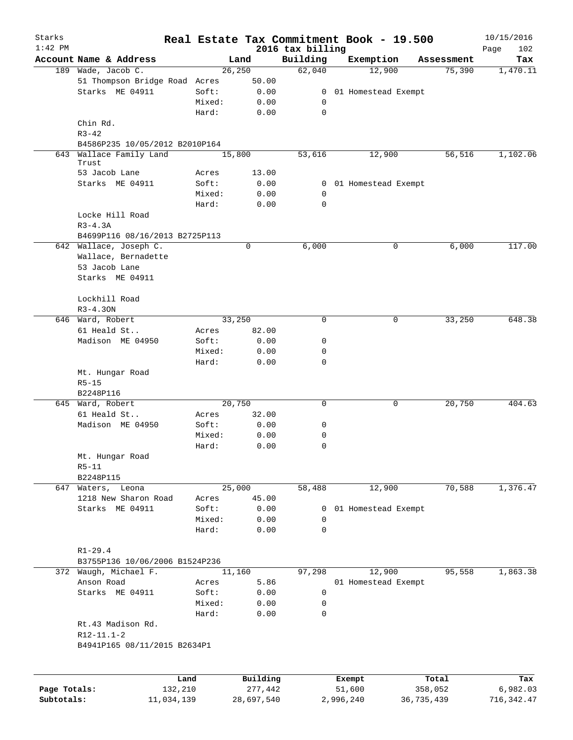| Starks       |                                              |         |             |                              | Real Estate Tax Commitment Book - 19.500 |            | 10/15/2016         |
|--------------|----------------------------------------------|---------|-------------|------------------------------|------------------------------------------|------------|--------------------|
| $1:42$ PM    | Account Name & Address                       |         | Land        | 2016 tax billing<br>Building | Exemption                                | Assessment | 102<br>Page<br>Tax |
|              | 189 Wade, Jacob C.                           |         | 26, 250     | 62,040                       | 12,900                                   | 75,390     | 1,470.11           |
|              | 51 Thompson Bridge Road Acres                |         | 50.00       |                              |                                          |            |                    |
|              | Starks ME 04911                              | Soft:   | 0.00        | 0                            | 01 Homestead Exempt                      |            |                    |
|              |                                              | Mixed:  | 0.00        | 0                            |                                          |            |                    |
|              |                                              | Hard:   | 0.00        | $\mathbf 0$                  |                                          |            |                    |
|              | Chin Rd.                                     |         |             |                              |                                          |            |                    |
|              | $R3 - 42$                                    |         |             |                              |                                          |            |                    |
|              | B4586P235 10/05/2012 B2010P164               |         |             |                              |                                          |            |                    |
| 643          | Wallace Family Land                          |         | 15,800      | 53,616                       | 12,900                                   | 56,516     | 1,102.06           |
|              | Trust                                        |         |             |                              |                                          |            |                    |
|              | 53 Jacob Lane                                | Acres   | 13.00       |                              |                                          |            |                    |
|              | Starks ME 04911                              | Soft:   | 0.00        |                              | 0 01 Homestead Exempt                    |            |                    |
|              |                                              | Mixed:  | 0.00        | 0                            |                                          |            |                    |
|              |                                              | Hard:   | 0.00        | 0                            |                                          |            |                    |
|              | Locke Hill Road                              |         |             |                              |                                          |            |                    |
|              | $R3-4.3A$                                    |         |             |                              |                                          |            |                    |
|              | B4699P116 08/16/2013 B2725P113               |         |             |                              |                                          |            |                    |
|              | 642 Wallace, Joseph C.                       |         | $\mathbf 0$ | 6,000                        | 0                                        | 6,000      | 117.00             |
|              | Wallace, Bernadette                          |         |             |                              |                                          |            |                    |
|              | 53 Jacob Lane                                |         |             |                              |                                          |            |                    |
|              | Starks ME 04911                              |         |             |                              |                                          |            |                    |
|              | Lockhill Road                                |         |             |                              |                                          |            |                    |
|              | $R3 - 4.30N$                                 |         |             |                              |                                          |            |                    |
|              | 646 Ward, Robert                             |         | 33,250      | $\mathbf 0$                  | 0                                        | 33,250     | 648.38             |
|              | 61 Heald St                                  | Acres   | 82.00       |                              |                                          |            |                    |
|              | Madison ME 04950                             | Soft:   | 0.00        | 0                            |                                          |            |                    |
|              |                                              | Mixed:  | 0.00        | 0                            |                                          |            |                    |
|              |                                              | Hard:   | 0.00        | $\mathbf 0$                  |                                          |            |                    |
|              | Mt. Hungar Road                              |         |             |                              |                                          |            |                    |
|              | $R5 - 15$                                    |         |             |                              |                                          |            |                    |
|              | B2248P116                                    |         |             |                              |                                          |            |                    |
|              | 645 Ward, Robert                             |         | 20,750      | $\mathbf 0$                  | 0                                        | 20,750     | 404.63             |
|              | 61 Heald St                                  | Acres   | 32.00       |                              |                                          |            |                    |
|              | Madison ME 04950                             | Soft:   | 0.00        | 0                            |                                          |            |                    |
|              |                                              | Mixed:  | 0.00        | 0                            |                                          |            |                    |
|              |                                              | Hard:   | 0.00        | $\mathbf 0$                  |                                          |            |                    |
|              | Mt. Hungar Road                              |         |             |                              |                                          |            |                    |
|              | $R5 - 11$                                    |         |             |                              |                                          |            |                    |
|              | B2248P115                                    |         |             |                              |                                          |            |                    |
|              | 647 Waters, Leona                            |         | 25,000      | 58,488                       | 12,900                                   | 70,588     | 1,376.47           |
|              | 1218 New Sharon Road                         | Acres   | 45.00       |                              |                                          |            |                    |
|              | Starks ME 04911                              | Soft:   | 0.00        | 0                            | 01 Homestead Exempt                      |            |                    |
|              |                                              | Mixed:  | 0.00        | 0                            |                                          |            |                    |
|              |                                              | Hard:   | 0.00        | 0                            |                                          |            |                    |
|              |                                              |         |             |                              |                                          |            |                    |
|              | $R1 - 29.4$                                  |         |             |                              |                                          |            |                    |
|              | B3755P136 10/06/2006 B1524P236               |         |             |                              |                                          |            |                    |
|              | 372 Waugh, Michael F.                        |         | 11,160      | 97,298                       | 12,900                                   | 95,558     | 1,863.38           |
|              | Anson Road                                   | Acres   | 5.86        |                              | 01 Homestead Exempt                      |            |                    |
|              | Starks ME 04911                              | Soft:   | 0.00        | 0                            |                                          |            |                    |
|              |                                              | Mixed:  | 0.00        | 0                            |                                          |            |                    |
|              |                                              | Hard:   | 0.00        | 0                            |                                          |            |                    |
|              | Rt.43 Madison Rd.                            |         |             |                              |                                          |            |                    |
|              | $R12-11.1-2$<br>B4941P165 08/11/2015 B2634P1 |         |             |                              |                                          |            |                    |
|              |                                              |         |             |                              |                                          |            |                    |
|              |                                              |         |             |                              |                                          |            |                    |
|              |                                              | Land    | Building    |                              | Exempt                                   | Total      | Tax                |
| Page Totals: |                                              | 132,210 | 277,442     |                              | 51,600                                   | 358,052    | 6,982.03           |
|              |                                              |         |             |                              |                                          |            |                    |

**Subtotals:** 11,034,139 28,697,540 2,996,240 36,735,439 716,342.47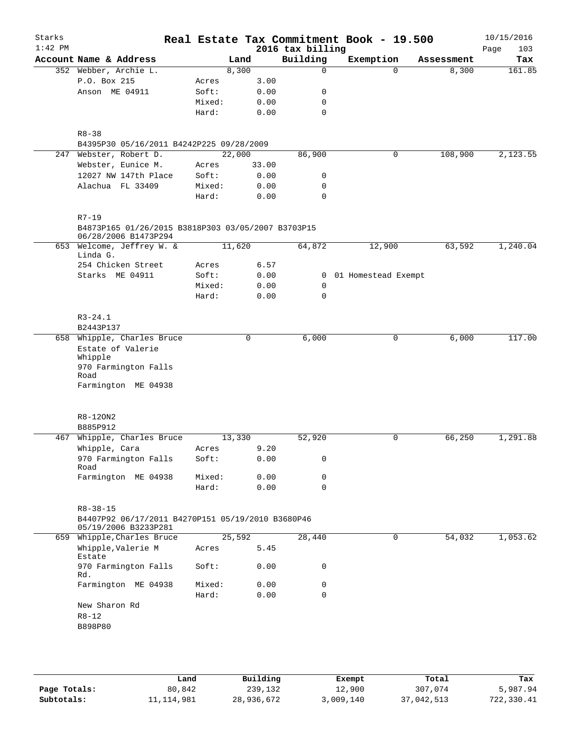| Starks<br>$1:42$ PM |                                                                            |                |        |              | 2016 tax billing | Real Estate Tax Commitment Book - 19.500 |            | 10/15/2016<br>103<br>Page |
|---------------------|----------------------------------------------------------------------------|----------------|--------|--------------|------------------|------------------------------------------|------------|---------------------------|
|                     | Account Name & Address                                                     |                | Land   |              | Building         | Exemption                                | Assessment | Tax                       |
|                     | 352 Webber, Archie L.                                                      |                | 8,300  |              | 0                | $\Omega$                                 | 8,300      | 161.85                    |
|                     | P.O. Box 215                                                               | Acres          |        | 3.00         |                  |                                          |            |                           |
|                     | Anson ME 04911                                                             | Soft:          |        | 0.00         | 0                |                                          |            |                           |
|                     |                                                                            | Mixed:         |        | 0.00         | $\mathbf 0$      |                                          |            |                           |
|                     |                                                                            | Hard:          |        | 0.00         | $\mathbf 0$      |                                          |            |                           |
|                     |                                                                            |                |        |              |                  |                                          |            |                           |
|                     | $R8 - 38$                                                                  |                |        |              |                  |                                          |            |                           |
|                     | B4395P30 05/16/2011 B4242P225 09/28/2009<br>247 Webster, Robert D.         |                | 22,000 |              | 86,900           | $\mathbf 0$                              | 108,900    | 2,123.55                  |
|                     | Webster, Eunice M.                                                         | Acres          |        | 33.00        |                  |                                          |            |                           |
|                     | 12027 NW 147th Place                                                       | Soft:          |        | 0.00         | 0                |                                          |            |                           |
|                     | Alachua FL 33409                                                           | Mixed:         |        | 0.00         | $\mathbf 0$      |                                          |            |                           |
|                     |                                                                            | Hard:          |        | 0.00         | $\Omega$         |                                          |            |                           |
|                     |                                                                            |                |        |              |                  |                                          |            |                           |
|                     | $R7 - 19$                                                                  |                |        |              |                  |                                          |            |                           |
|                     | B4873P165 01/26/2015 B3818P303 03/05/2007 B3703P15<br>06/28/2006 B1473P294 |                |        |              |                  |                                          |            |                           |
|                     | 653 Welcome, Jeffrey W. &<br>Linda G.                                      |                | 11,620 |              | 64,872           | 12,900                                   | 63,592     | 1,240.04                  |
|                     | 254 Chicken Street                                                         | Acres          |        | 6.57         |                  |                                          |            |                           |
|                     | Starks ME 04911                                                            | Soft:          |        | 0.00         | $\overline{0}$   | 01 Homestead Exempt                      |            |                           |
|                     |                                                                            | Mixed:         |        | 0.00         | 0                |                                          |            |                           |
|                     |                                                                            | Hard:          |        | 0.00         | 0                |                                          |            |                           |
|                     | $R3 - 24.1$                                                                |                |        |              |                  |                                          |            |                           |
|                     | B2443P137                                                                  |                |        |              |                  |                                          |            |                           |
|                     | 658 Whipple, Charles Bruce                                                 |                |        | $\mathbf 0$  | 6,000            | $\mathbf 0$                              | 6,000      | 117.00                    |
|                     | Estate of Valerie                                                          |                |        |              |                  |                                          |            |                           |
|                     | Whipple                                                                    |                |        |              |                  |                                          |            |                           |
|                     | 970 Farmington Falls                                                       |                |        |              |                  |                                          |            |                           |
|                     | Road<br>Farmington ME 04938                                                |                |        |              |                  |                                          |            |                           |
|                     |                                                                            |                |        |              |                  |                                          |            |                           |
|                     |                                                                            |                |        |              |                  |                                          |            |                           |
|                     | R8-120N2                                                                   |                |        |              |                  |                                          |            |                           |
|                     | B885P912                                                                   |                |        |              |                  |                                          |            |                           |
| 467                 | Whipple, Charles Bruce                                                     |                | 13,330 |              | 52,920           | 0                                        | 66,250     | 1,291.88                  |
|                     | Whipple, Cara                                                              | Acres<br>Soft: |        | 9.20<br>0.00 | 0                |                                          |            |                           |
|                     | 970 Farmington Falls<br>Road                                               |                |        |              |                  |                                          |            |                           |
|                     | Farmington ME 04938                                                        | Mixed:         |        | 0.00         | 0                |                                          |            |                           |
|                     |                                                                            | Hard:          |        | 0.00         | 0                |                                          |            |                           |
|                     |                                                                            |                |        |              |                  |                                          |            |                           |
|                     | $R8 - 38 - 15$                                                             |                |        |              |                  |                                          |            |                           |
|                     | B4407P92 06/17/2011 B4270P151 05/19/2010 B3680P46<br>05/19/2006 B3233P281  |                |        |              |                  |                                          |            |                           |
|                     | 659 Whipple, Charles Bruce                                                 |                | 25,592 |              | 28,440           | $\mathbf 0$                              | 54,032     | 1,053.62                  |
|                     | Whipple, Valerie M                                                         | Acres          |        | 5.45         |                  |                                          |            |                           |
|                     | Estate                                                                     |                |        |              |                  |                                          |            |                           |
|                     | 970 Farmington Falls<br>Rd.                                                | Soft:          |        | 0.00         | 0                |                                          |            |                           |
|                     | Farmington ME 04938                                                        | Mixed:         |        | 0.00         | $\mathsf{O}$     |                                          |            |                           |
|                     |                                                                            | Hard:          |        | 0.00         | $\mathbf 0$      |                                          |            |                           |
|                     | New Sharon Rd                                                              |                |        |              |                  |                                          |            |                           |
|                     | $R8 - 12$                                                                  |                |        |              |                  |                                          |            |                           |
|                     | B898P80                                                                    |                |        |              |                  |                                          |            |                           |
|                     |                                                                            |                |        |              |                  |                                          |            |                           |
|                     |                                                                            |                |        |              |                  |                                          |            |                           |
|                     |                                                                            |                |        |              |                  |                                          |            |                           |
|                     |                                                                            |                |        |              |                  |                                          |            |                           |

|              | Land       | Building   | Exempt    | Total      | Tax        |
|--------------|------------|------------|-----------|------------|------------|
| Page Totals: | 80,842     | 239,132    | 12,900    | 307,074    | 5,987.94   |
| Subtotals:   | 11,114,981 | 28,936,672 | 3,009,140 | 37,042,513 | 722,330.41 |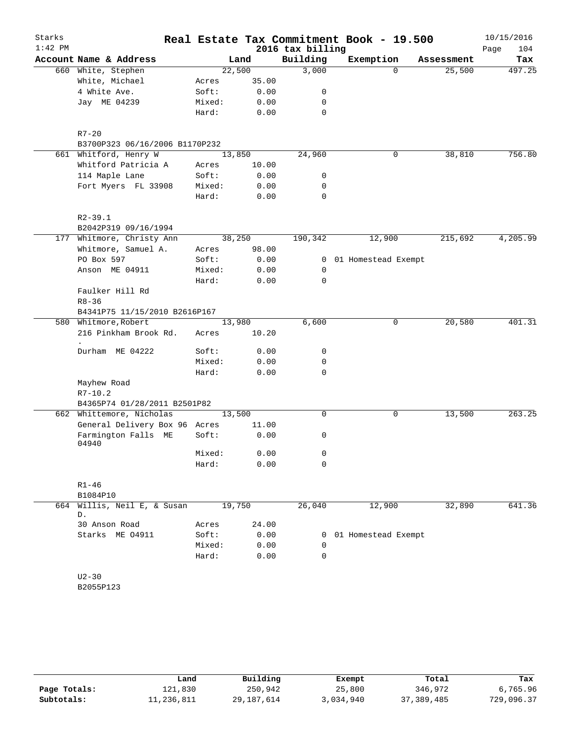| Starks    |                                   |        |        |                  | Real Estate Tax Commitment Book - 19.500 |            | 10/15/2016  |
|-----------|-----------------------------------|--------|--------|------------------|------------------------------------------|------------|-------------|
| $1:42$ PM |                                   |        |        | 2016 tax billing |                                          |            | 104<br>Page |
|           | Account Name & Address            |        | Land   | Building         | Exemption                                | Assessment | Tax         |
|           | 660 White, Stephen                |        | 22,500 | 3,000            | $\Omega$                                 | 25,500     | 497.25      |
|           | White, Michael                    | Acres  | 35.00  |                  |                                          |            |             |
|           | 4 White Ave.                      | Soft:  | 0.00   | 0                |                                          |            |             |
|           | Jay ME 04239                      | Mixed: | 0.00   | 0                |                                          |            |             |
|           |                                   | Hard:  | 0.00   | $\mathbf 0$      |                                          |            |             |
|           | $R7 - 20$                         |        |        |                  |                                          |            |             |
|           | B3700P323 06/16/2006 B1170P232    |        |        |                  |                                          |            |             |
|           | 661 Whitford, Henry W             |        | 13,850 | 24,960           | 0                                        | 38,810     | 756.80      |
|           | Whitford Patricia A               | Acres  | 10.00  |                  |                                          |            |             |
|           | 114 Maple Lane                    | Soft:  | 0.00   | 0                |                                          |            |             |
|           | Fort Myers FL 33908               | Mixed: | 0.00   | 0                |                                          |            |             |
|           |                                   | Hard:  | 0.00   | $\mathbf 0$      |                                          |            |             |
|           | $R2 - 39.1$                       |        |        |                  |                                          |            |             |
|           | B2042P319 09/16/1994              |        |        |                  |                                          |            |             |
|           | 177 Whitmore, Christy Ann         |        | 38,250 | 190,342          | 12,900                                   | 215,692    | 4,205.99    |
|           | Whitmore, Samuel A.               | Acres  | 98.00  |                  |                                          |            |             |
|           | PO Box 597                        | Soft:  | 0.00   | $\overline{0}$   | 01 Homestead Exempt                      |            |             |
|           | Anson ME 04911                    | Mixed: | 0.00   | 0                |                                          |            |             |
|           |                                   | Hard:  | 0.00   | $\mathbf 0$      |                                          |            |             |
|           | Faulker Hill Rd                   |        |        |                  |                                          |            |             |
|           | $R8 - 36$                         |        |        |                  |                                          |            |             |
|           | B4341P75 11/15/2010 B2616P167     |        |        |                  |                                          |            |             |
|           | 580 Whitmore, Robert              |        | 13,980 | 6,600            | 0                                        | 20,580     | 401.31      |
|           | 216 Pinkham Brook Rd.             | Acres  | 10.20  |                  |                                          |            |             |
|           | Durham ME 04222                   | Soft:  | 0.00   | 0                |                                          |            |             |
|           |                                   | Mixed: | 0.00   | 0                |                                          |            |             |
|           |                                   | Hard:  | 0.00   | 0                |                                          |            |             |
|           | Mayhew Road                       |        |        |                  |                                          |            |             |
|           | $R7 - 10.2$                       |        |        |                  |                                          |            |             |
|           | B4365P74 01/28/2011 B2501P82      |        |        |                  |                                          |            |             |
|           | 662 Whittemore, Nicholas          |        | 13,500 | 0                | 0                                        | 13,500     | 263.25      |
|           | General Delivery Box 96 Acres     |        | 11.00  |                  |                                          |            |             |
|           | Farmington Falls ME<br>04940      | Soft:  | 0.00   | 0                |                                          |            |             |
|           |                                   | Mixed: | 0.00   | 0                |                                          |            |             |
|           |                                   | Hard:  | 0.00   | 0                |                                          |            |             |
|           | $R1 - 46$                         |        |        |                  |                                          |            |             |
|           | B1084P10                          |        |        |                  |                                          |            |             |
|           | 664 Willis, Neil E, & Susan<br>D. |        | 19,750 | 26,040           | 12,900                                   | 32,890     | 641.36      |
|           | 30 Anson Road                     | Acres  | 24.00  |                  |                                          |            |             |
|           | Starks ME 04911                   | Soft:  | 0.00   |                  | 0 01 Homestead Exempt                    |            |             |
|           |                                   | Mixed: | 0.00   | 0                |                                          |            |             |
|           |                                   | Hard:  | 0.00   | 0                |                                          |            |             |
|           |                                   |        |        |                  |                                          |            |             |
|           | $U2 - 30$                         |        |        |                  |                                          |            |             |
|           | B2055P123                         |        |        |                  |                                          |            |             |
|           |                                   |        |        |                  |                                          |            |             |

|              | Land       | Building   | Exempt    | Total        | Tax        |
|--------------|------------|------------|-----------|--------------|------------|
| Page Totals: | 121,830    | 250,942    | 25,800    | 346,972      | 6,765.96   |
| Subtotals:   | 11,236,811 | 29,187,614 | 3,034,940 | 37, 389, 485 | 729,096.37 |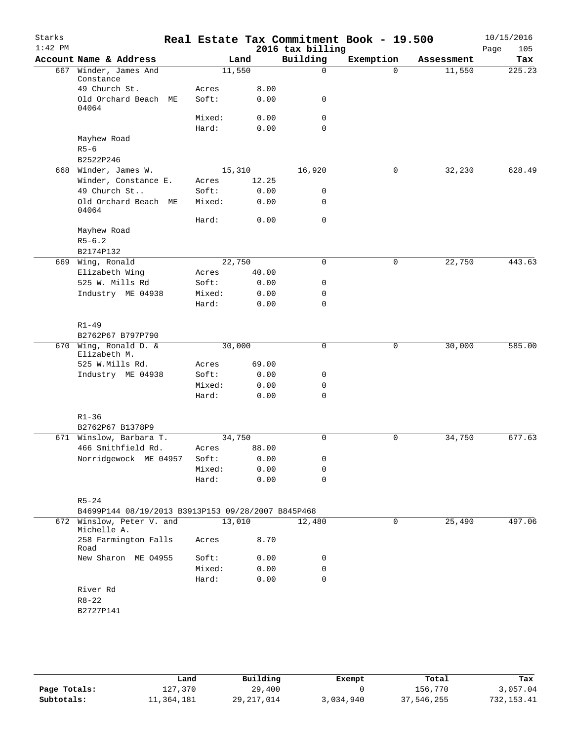| Starks<br>$1:42$ PM |                                                    |                |              | 2016 tax billing | Real Estate Tax Commitment Book - 19.500 |            | 10/15/2016<br>Page<br>105 |
|---------------------|----------------------------------------------------|----------------|--------------|------------------|------------------------------------------|------------|---------------------------|
|                     | Account Name & Address                             | Land           |              | Building         | Exemption                                | Assessment | Tax                       |
|                     | 667 Winder, James And                              | 11,550         |              | 0                | $\Omega$                                 | 11,550     | 225.23                    |
|                     | Constance<br>49 Church St.                         |                |              |                  |                                          |            |                           |
|                     | Old Orchard Beach ME                               | Acres<br>Soft: | 8.00<br>0.00 | 0                |                                          |            |                           |
|                     | 04064                                              |                |              |                  |                                          |            |                           |
|                     |                                                    | Mixed:         | 0.00         | 0                |                                          |            |                           |
|                     |                                                    | Hard:          | 0.00         | 0                |                                          |            |                           |
|                     | Mayhew Road                                        |                |              |                  |                                          |            |                           |
|                     | $R5 - 6$                                           |                |              |                  |                                          |            |                           |
|                     | B2522P246                                          |                |              |                  |                                          |            |                           |
|                     | 668 Winder, James W.                               | 15,310         |              | 16,920           | 0                                        | 32,230     | 628.49                    |
|                     | Winder, Constance E.                               | Acres          | 12.25        |                  |                                          |            |                           |
|                     | 49 Church St                                       | Soft:          | 0.00         | 0                |                                          |            |                           |
|                     | Old Orchard Beach ME<br>04064                      | Mixed:         | 0.00         | 0                |                                          |            |                           |
|                     |                                                    | Hard:          | 0.00         | 0                |                                          |            |                           |
|                     | Mayhew Road                                        |                |              |                  |                                          |            |                           |
|                     | $R5 - 6.2$                                         |                |              |                  |                                          |            |                           |
|                     | B2174P132                                          |                |              |                  |                                          |            |                           |
|                     | 669 Wing, Ronald                                   | 22,750         |              | $\Omega$         | 0                                        | 22,750     | 443.63                    |
|                     | Elizabeth Wing                                     | Acres          | 40.00        |                  |                                          |            |                           |
|                     | 525 W. Mills Rd                                    | Soft:          | 0.00         | 0                |                                          |            |                           |
|                     | Industry ME 04938                                  | Mixed:         | 0.00         | 0<br>0           |                                          |            |                           |
|                     |                                                    | Hard:          | 0.00         |                  |                                          |            |                           |
|                     | $R1 - 49$                                          |                |              |                  |                                          |            |                           |
|                     | B2762P67 B797P790                                  |                |              |                  |                                          |            |                           |
|                     | 670 Wing, Ronald D. &                              | 30,000         |              | 0                | 0                                        | 30,000     | 585.00                    |
|                     | Elizabeth M.                                       |                |              |                  |                                          |            |                           |
|                     | 525 W.Mills Rd.                                    | Acres          | 69.00        |                  |                                          |            |                           |
|                     | Industry ME 04938                                  | Soft:          | 0.00         | 0                |                                          |            |                           |
|                     |                                                    | Mixed:         | 0.00         | 0                |                                          |            |                           |
|                     |                                                    | Hard:          | 0.00         | 0                |                                          |            |                           |
|                     |                                                    |                |              |                  |                                          |            |                           |
|                     | $R1 - 36$                                          |                |              |                  |                                          |            |                           |
|                     | B2762P67 B1378P9<br>671 Winslow, Barbara T.        | 34,750         |              |                  |                                          |            |                           |
|                     | 466 Smithfield Rd.                                 |                | 88.00        | 0                | 0                                        | 34,750     | 677.63                    |
|                     | Norridgewock ME 04957                              | Acres<br>Soft: | 0.00         | 0                |                                          |            |                           |
|                     |                                                    | Mixed:         | 0.00         | 0                |                                          |            |                           |
|                     |                                                    | Hard:          | 0.00         | 0                |                                          |            |                           |
|                     |                                                    |                |              |                  |                                          |            |                           |
|                     | $R5 - 24$                                          |                |              |                  |                                          |            |                           |
|                     | B4699P144 08/19/2013 B3913P153 09/28/2007 B845P468 |                |              |                  |                                          |            |                           |
|                     | 672 Winslow, Peter V. and                          | 13,010         |              | 12,480           | 0                                        | 25,490     | 497.06                    |
|                     | Michelle A.                                        |                |              |                  |                                          |            |                           |
|                     | 258 Farmington Falls<br>Road                       | Acres          | 8.70         |                  |                                          |            |                           |
|                     | New Sharon ME 04955                                | Soft:          | 0.00         | 0                |                                          |            |                           |
|                     |                                                    | Mixed:         | 0.00         | 0                |                                          |            |                           |
|                     |                                                    | Hard:          | 0.00         | 0                |                                          |            |                           |
|                     | River Rd                                           |                |              |                  |                                          |            |                           |
|                     | $R8 - 22$                                          |                |              |                  |                                          |            |                           |
|                     | B2727P141                                          |                |              |                  |                                          |            |                           |
|                     |                                                    |                |              |                  |                                          |            |                           |

|              | Land       | Building     | Exempt    | Total      | Tax         |
|--------------|------------|--------------|-----------|------------|-------------|
| Page Totals: | 127,370    | 29,400       |           | 156,770    | 3,057.04    |
| Subtotals:   | 11,364,181 | 29, 217, 014 | 3,034,940 | 37,546,255 | 732, 153.41 |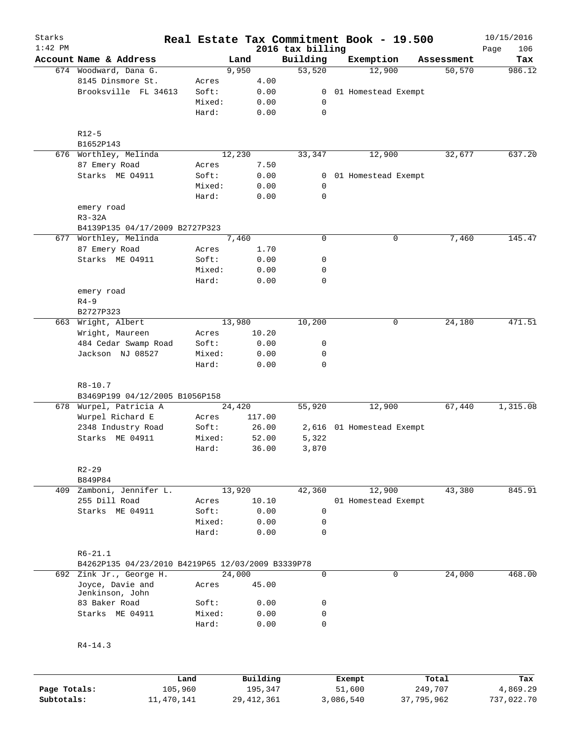| Starks    |                                                   |        |          |                              | Real Estate Tax Commitment Book - 19.500 |             | 10/15/2016         |
|-----------|---------------------------------------------------|--------|----------|------------------------------|------------------------------------------|-------------|--------------------|
| $1:42$ PM | Account Name & Address                            |        | Land     | 2016 tax billing<br>Building | Exemption                                | Assessment  | 106<br>Page<br>Tax |
|           | 674 Woodward, Dana G.                             |        | 9,950    | 53,520                       | 12,900                                   | 50, 570     | 986.12             |
|           | 8145 Dinsmore St.                                 | Acres  | 4.00     |                              |                                          |             |                    |
|           | Brooksville FL 34613                              | Soft:  | 0.00     | 0                            | 01 Homestead Exempt                      |             |                    |
|           |                                                   | Mixed: | 0.00     | 0                            |                                          |             |                    |
|           |                                                   | Hard:  | 0.00     | $\mathbf 0$                  |                                          |             |                    |
|           | $R12 - 5$                                         |        |          |                              |                                          |             |                    |
|           | B1652P143                                         |        |          |                              |                                          |             |                    |
|           | 676 Worthley, Melinda                             |        | 12,230   | 33,347                       | 12,900                                   | 32,677      | 637.20             |
|           | 87 Emery Road                                     | Acres  | 7.50     |                              |                                          |             |                    |
|           | Starks ME 04911                                   | Soft:  | 0.00     | 0                            | 01 Homestead Exempt                      |             |                    |
|           |                                                   | Mixed: | 0.00     | 0                            |                                          |             |                    |
|           |                                                   | Hard:  | 0.00     | $\mathbf 0$                  |                                          |             |                    |
|           | emery road                                        |        |          |                              |                                          |             |                    |
|           | $R3-32A$                                          |        |          |                              |                                          |             |                    |
|           | B4139P135 04/17/2009 B2727P323                    |        |          |                              |                                          |             |                    |
|           | 677 Worthley, Melinda                             |        | 7,460    | $\mathbf 0$                  |                                          | 7,460<br>0  | 145.47             |
|           | 87 Emery Road                                     | Acres  | 1.70     |                              |                                          |             |                    |
|           | Starks ME 04911                                   | Soft:  | 0.00     | 0                            |                                          |             |                    |
|           |                                                   | Mixed: | 0.00     | 0                            |                                          |             |                    |
|           |                                                   | Hard:  | 0.00     | $\mathbf 0$                  |                                          |             |                    |
|           | emery road                                        |        |          |                              |                                          |             |                    |
|           | $R4-9$                                            |        |          |                              |                                          |             |                    |
|           | B2727P323                                         |        |          |                              |                                          |             |                    |
| 663       | Wright, Albert                                    |        | 13,980   | 10,200                       |                                          | 24,180<br>0 | 471.51             |
|           | Wright, Maureen                                   | Acres  | 10.20    |                              |                                          |             |                    |
|           | 484 Cedar Swamp Road                              | Soft:  | 0.00     | 0                            |                                          |             |                    |
|           | Jackson NJ 08527                                  | Mixed: | 0.00     | 0                            |                                          |             |                    |
|           |                                                   | Hard:  | 0.00     | $\mathbf 0$                  |                                          |             |                    |
|           | $R8 - 10.7$                                       |        |          |                              |                                          |             |                    |
|           | B3469P199 04/12/2005 B1056P158                    |        |          |                              |                                          |             |                    |
|           | 678 Wurpel, Patricia A                            |        | 24,420   | 55,920                       | 12,900                                   | 67,440      | 1,315.08           |
|           | Wurpel Richard E                                  | Acres  | 117.00   |                              |                                          |             |                    |
|           | 2348 Industry Road                                | Soft:  | 26.00    |                              | 2,616 01 Homestead Exempt                |             |                    |
|           | Starks ME 04911                                   | Mixed: | 52.00    | 5,322                        |                                          |             |                    |
|           |                                                   | Hard:  | 36.00    | 3,870                        |                                          |             |                    |
|           | $R2 - 29$                                         |        |          |                              |                                          |             |                    |
|           | B849P84                                           |        |          |                              |                                          |             |                    |
| 409       | Zamboni, Jennifer L.                              |        | 13,920   | 42,360                       | 12,900                                   | 43,380      | 845.91             |
|           | 255 Dill Road                                     | Acres  | 10.10    |                              | 01 Homestead Exempt                      |             |                    |
|           | Starks ME 04911                                   | Soft:  | 0.00     | 0                            |                                          |             |                    |
|           |                                                   | Mixed: | 0.00     | 0                            |                                          |             |                    |
|           |                                                   | Hard:  | 0.00     | $\Omega$                     |                                          |             |                    |
|           | $R6 - 21.1$                                       |        |          |                              |                                          |             |                    |
|           | B4262P135 04/23/2010 B4219P65 12/03/2009 B3339P78 |        |          |                              |                                          |             |                    |
|           | 692 Zink Jr., George H.                           |        | 24,000   | 0                            |                                          | 24,000<br>0 | 468.00             |
|           | Joyce, Davie and<br>Jenkinson, John               | Acres  | 45.00    |                              |                                          |             |                    |
|           | 83 Baker Road                                     | Soft:  | 0.00     | 0                            |                                          |             |                    |
|           | Starks ME 04911                                   | Mixed: | 0.00     | 0                            |                                          |             |                    |
|           |                                                   | Hard:  | 0.00     | $\mathbf 0$                  |                                          |             |                    |
|           | $R4 - 14.3$                                       |        |          |                              |                                          |             |                    |
|           |                                                   |        |          |                              |                                          |             |                    |
|           |                                                   | Land   | Building |                              | Exempt                                   | Total       | Tax                |

|              | Land       | Building     | Exempt    | Total      | Tax        |
|--------------|------------|--------------|-----------|------------|------------|
| Page Totals: | 105,960    | 195,347      | 51,600    | 249,707    | 4,869.29   |
| Subtotals:   | 11,470,141 | 29, 412, 361 | 3,086,540 | 37,795,962 | 737,022.70 |